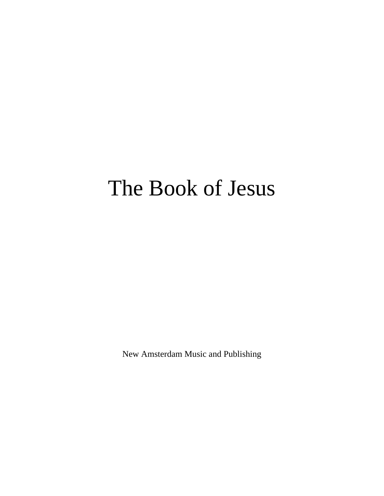# The Book of Jesus

New Amsterdam Music and Publishing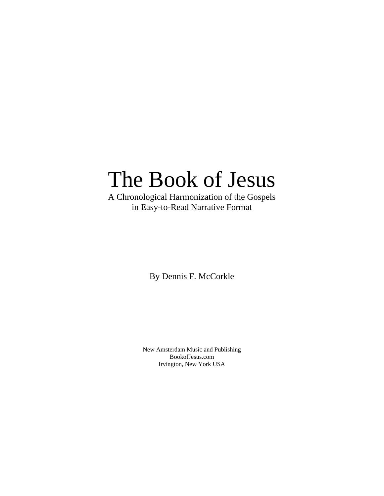## The Book of Jesus

A Chronological Harmonization of the Gospels in Easy-to-Read Narrative Format

By Dennis F. McCorkle

New Amsterdam Music and Publishing BookofJesus.com Irvington, New York USA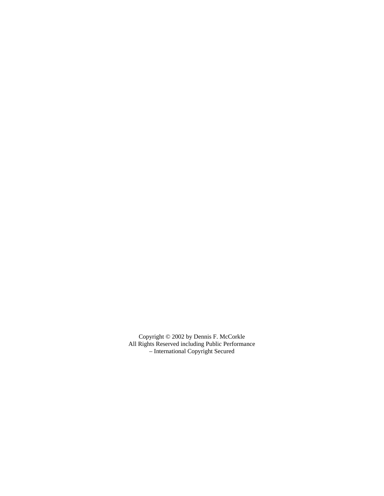Copyright © 2002 by Dennis F. McCorkle All Rights Reserved including Public Performance – International Copyright Secured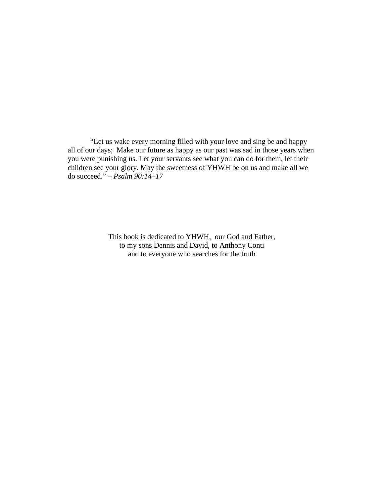"Let us wake every morning filled with your love and sing be and happy all of our days; Make our future as happy as our past was sad in those years when you were punishing us. Let your servants see what you can do for them, let their children see your glory. May the sweetness of YHWH be on us and make all we do succeed." – *Psalm 90:14–17*

> This book is dedicated to YHWH, our God and Father, to my sons Dennis and David, to Anthony Conti and to everyone who searches for the truth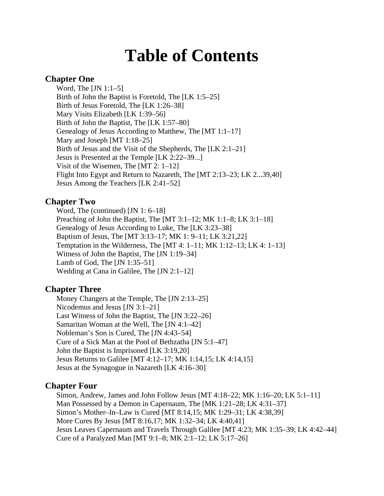## **Table of Contents**

## **Chapter One**

Word, The [JN 1:1–5] Birth of John the Baptist is Foretold, The [LK 1:5–25] Birth of Jesus Foretold, The [LK 1:26–38] Mary Visits Elizabeth [LK 1:39–56] Birth of John the Baptist, The [LK 1:57–80] Genealogy of Jesus According to Matthew, The [MT 1:1–17] Mary and Joseph [MT 1:18–25] Birth of Jesus and the Visit of the Shepherds, The [LK 2:1–21] Jesus is Presented at the Temple [LK 2:22–39...] Visit of the Wisemen, The [MT 2: 1–12] Flight Into Egypt and Return to Nazareth, The [MT 2:13–23; LK 2...39,40] Jesus Among the Teachers [LK 2:41–52]

## **Chapter Two**

Word, The (continued) [JN 1: 6–18] Preaching of John the Baptist, The [MT  $3:1-12$ ; MK  $1:1-8$ ; LK  $3:1-18$ ] Genealogy of Jesus According to Luke, The [LK 3:23–38] Baptism of Jesus, The [MT 3:13–17; MK 1: 9–11; LK 3:21,22] Temptation in the Wilderness, The [MT 4:  $1-11$ ; MK  $1:12-13$ ; LK  $4:1-13$ ] Witness of John the Baptist, The [JN 1:19–34] Lamb of God, The [JN 1:35–51] Wedding at Cana in Galilee, The [JN 2:1–12]

## **Chapter Three**

Money Changers at the Temple, The [JN 2:13–25] Nicodemus and Jesus [JN 3:1–21] Last Witness of John the Baptist, The [JN 3:22–26] Samaritan Woman at the Well, The [JN 4:1–42] Nobleman's Son is Cured, The [JN 4:43–54] Cure of a Sick Man at the Pool of Bethzatha [JN 5:1–47] John the Baptist is Imprisoned [LK 3:19,20] Jesus Returns to Galilee [MT 4:12–17; MK 1:14,15; LK 4:14,15] Jesus at the Synagogue in Nazareth [LK 4:16–30]

## **Chapter Four**

Simon, Andrew, James and John Follow Jesus [MT 4:18–22; MK 1:16–20; LK 5:1–11] Man Possessed by a Demon in Capernaum, The [MK 1:21–28; LK 4:31–37] Simon's Mother–In–Law is Cured [MT 8:14,15; MK 1:29–31; LK 4:38,39] More Cures By Jesus [MT 8:16,17; MK 1:32–34; LK 4:40,41] Jesus Leaves Capernaum and Travels Through Galilee [MT 4:23; MK 1:35–39; LK 4:42–44] Cure of a Paralyzed Man [MT 9:1–8; MK 2:1–12; LK 5:17–26]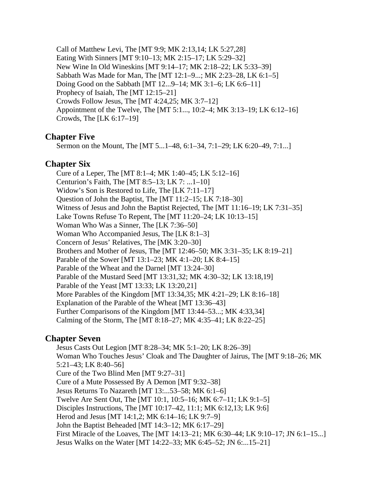Call of Matthew Levi, The [MT 9:9; MK 2:13,14; LK 5:27,28] Eating With Sinners [MT 9:10–13; MK 2:15–17; LK 5:29–32] New Wine In Old Wineskins [MT 9:14–17; MK 2:18–22; LK 5:33–39] Sabbath Was Made for Man, The [MT 12:1–9...; MK 2:23–28, LK 6:1–5] Doing Good on the Sabbath [MT 12...9–14; MK 3:1–6; LK 6:6–11] Prophecy of Isaiah, The [MT 12:15–21] Crowds Follow Jesus, The [MT 4:24,25; MK 3:7–12] Appointment of the Twelve, The [MT 5:1..., 10:2–4; MK 3:13–19; LK 6:12–16] Crowds, The [LK 6:17–19]

## **Chapter Five**

Sermon on the Mount, The [MT 5...1–48, 6:1–34, 7:1–29; LK 6:20–49, 7:1...]

## **Chapter Six**

Cure of a Leper, The [MT 8:1–4; MK 1:40–45; LK 5:12–16] Centurion's Faith, The [MT 8:5–13; LK 7: ...1–10] Widow's Son is Restored to Life, The [LK 7:11–17] Question of John the Baptist, The [MT 11:2–15; LK 7:18–30] Witness of Jesus and John the Baptist Rejected, The [MT 11:16–19; LK 7:31–35] Lake Towns Refuse To Repent, The [MT 11:20–24; LK 10:13–15] Woman Who Was a Sinner, The [LK 7:36–50] Woman Who Accompanied Jesus, The [LK 8:1–3] Concern of Jesus' Relatives, The [MK 3:20–30] Brothers and Mother of Jesus, The [MT 12:46–50; MK 3:31–35; LK 8:19–21] Parable of the Sower [MT 13:1–23; MK 4:1–20; LK 8:4–15] Parable of the Wheat and the Darnel [MT 13:24–30] Parable of the Mustard Seed [MT 13:31,32; MK 4:30–32; LK 13:18,19] Parable of the Yeast [MT 13:33; LK 13:20,21] More Parables of the Kingdom [MT 13:34,35; MK 4:21–29; LK 8:16–18] Explanation of the Parable of the Wheat [MT 13:36–43] Further Comparisons of the Kingdom [MT 13:44–53...; MK 4:33,34] Calming of the Storm, The [MT 8:18–27; MK 4:35–41; LK 8:22–25]

## **Chapter Seven**

Jesus Casts Out Legion [MT 8:28–34; MK 5:1–20; LK 8:26–39] Woman Who Touches Jesus' Cloak and The Daughter of Jairus, The [MT 9:18–26; MK 5:21–43; LK 8:40–56] Cure of the Two Blind Men [MT 9:27–31] Cure of a Mute Possessed By A Demon [MT 9:32–38] Jesus Returns To Nazareth [MT 13:...53–58; MK 6:1–6] Twelve Are Sent Out, The [MT 10:1, 10:5–16; MK 6:7–11; LK 9:1–5] Disciples Instructions, The [MT 10:17–42, 11:1; MK 6:12,13; LK 9:6] Herod and Jesus [MT 14:1,2; MK 6:14–16; LK 9:7–9] John the Baptist Beheaded [MT 14:3–12; MK 6:17–29] First Miracle of the Loaves, The [MT 14:13–21; MK 6:30–44; LK 9:10–17; JN 6:1–15...] Jesus Walks on the Water [MT 14:22–33; MK 6:45–52; JN 6:...15–21]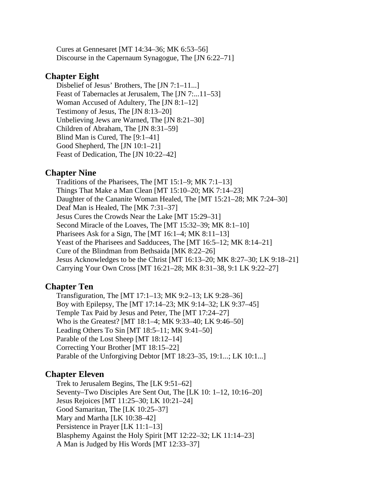Cures at Gennesaret [MT 14:34–36; MK 6:53–56] Discourse in the Capernaum Synagogue, The [JN 6:22–71]

## **Chapter Eight**

Disbelief of Jesus' Brothers, The [JN 7:1–11...] Feast of Tabernacles at Jerusalem, The [JN 7:...11–53] Woman Accused of Adultery, The [JN 8:1–12] Testimony of Jesus, The [JN 8:13–20] Unbelieving Jews are Warned, The [JN 8:21–30] Children of Abraham, The [JN 8:31–59] Blind Man is Cured, The [9:1–41] Good Shepherd, The [JN 10:1–21] Feast of Dedication, The [JN 10:22–42]

## **Chapter Nine**

Traditions of the Pharisees, The [MT 15:1–9; MK 7:1–13] Things That Make a Man Clean [MT 15:10–20; MK 7:14–23] Daughter of the Cananite Woman Healed, The [MT 15:21–28; MK 7:24–30] Deaf Man is Healed, The [MK 7:31–37] Jesus Cures the Crowds Near the Lake [MT 15:29–31] Second Miracle of the Loaves, The [MT 15:32–39; MK 8:1–10] Pharisees Ask for a Sign, The [MT  $16:1-4$ ; MK  $8:11-13$ ] Yeast of the Pharisees and Sadducees, The [MT 16:5–12; MK 8:14–21] Cure of the Blindman from Bethsaida [MK 8:22–26] Jesus Acknowledges to be the Christ [MT 16:13–20; MK 8:27–30; LK 9:18–21] Carrying Your Own Cross [MT 16:21–28; MK 8:31–38, 9:1 LK 9:22–27]

## **Chapter Ten**

Transfiguration, The [MT 17:1–13; MK 9:2–13; LK 9:28–36] Boy with Epilepsy, The [MT 17:14–23; MK 9:14–32; LK 9:37–45] Temple Tax Paid by Jesus and Peter, The [MT 17:24–27] Who is the Greatest? [MT 18:1–4; MK 9:33–40; LK 9:46–50] Leading Others To Sin [MT 18:5–11; MK 9:41–50] Parable of the Lost Sheep [MT 18:12–14] Correcting Your Brother [MT 18:15–22] Parable of the Unforgiving Debtor [MT 18:23–35, 19:1...; LK 10:1...]

## **Chapter Eleven**

Trek to Jerusalem Begins, The [LK 9:51–62] Seventy–Two Disciples Are Sent Out, The [LK 10: 1–12, 10:16–20] Jesus Rejoices [MT 11:25–30; LK 10:21–24] Good Samaritan, The [LK 10:25–37] Mary and Martha [LK 10:38–42] Persistence in Prayer [LK 11:1–13] Blasphemy Against the Holy Spirit [MT 12:22–32; LK 11:14–23] A Man is Judged by His Words [MT 12:33–37]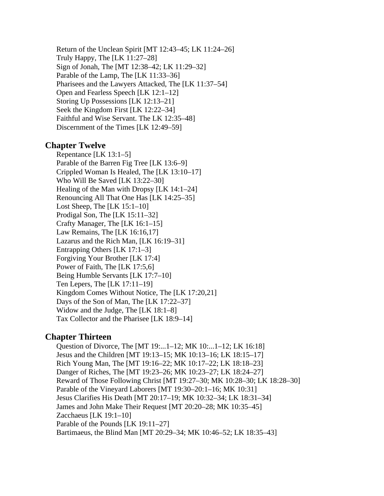Return of the Unclean Spirit [MT 12:43–45; LK 11:24–26] Truly Happy, The [LK 11:27–28] Sign of Jonah, The [MT 12:38–42; LK 11:29–32] Parable of the Lamp, The [LK 11:33–36] Pharisees and the Lawyers Attacked, The [LK 11:37–54] Open and Fearless Speech [LK 12:1–12] Storing Up Possessions [LK 12:13–21] Seek the Kingdom First [LK 12:22–34] Faithful and Wise Servant. The LK 12:35–48] Discernment of the Times [LK 12:49–59]

## **Chapter Twelve**

Repentance [LK 13:1–5] Parable of the Barren Fig Tree [LK 13:6–9] Crippled Woman Is Healed, The [LK 13:10–17] Who Will Be Saved [LK 13:22–30] Healing of the Man with Dropsy [LK 14:1–24] Renouncing All That One Has [LK 14:25–35] Lost Sheep, The  $[LK 15:1-10]$ Prodigal Son, The [LK 15:11–32] Crafty Manager, The [LK 16:1–15] Law Remains, The [LK 16:16,17] Lazarus and the Rich Man, [LK 16:19–31] Entrapping Others [LK 17:1–3] Forgiving Your Brother [LK 17:4] Power of Faith, The [LK 17:5,6] Being Humble Servants [LK 17:7–10] Ten Lepers, The [LK 17:11–19] Kingdom Comes Without Notice, The [LK 17:20,21] Days of the Son of Man, The [LK 17:22–37] Widow and the Judge, The [LK 18:1–8] Tax Collector and the Pharisee [LK 18:9–14]

## **Chapter Thirteen**

Question of Divorce, The [MT 19:...1–12; MK 10:...1–12; LK 16:18] Jesus and the Children [MT 19:13–15; MK 10:13–16; LK 18:15–17] Rich Young Man, The [MT 19:16–22; MK 10:17–22; LK 18:18–23] Danger of Riches, The [MT 19:23–26; MK 10:23–27; LK 18:24–27] Reward of Those Following Christ [MT 19:27–30; MK 10:28–30; LK 18:28–30] Parable of the Vineyard Laborers [MT 19:30–20:1–16; MK 10:31] Jesus Clarifies His Death [MT 20:17–19; MK 10:32–34; LK 18:31–34] James and John Make Their Request [MT 20:20–28; MK 10:35–45] Zacchaeus [LK 19:1–10] Parable of the Pounds [LK 19:11–27] Bartimaeus, the Blind Man [MT 20:29–34; MK 10:46–52; LK 18:35–43]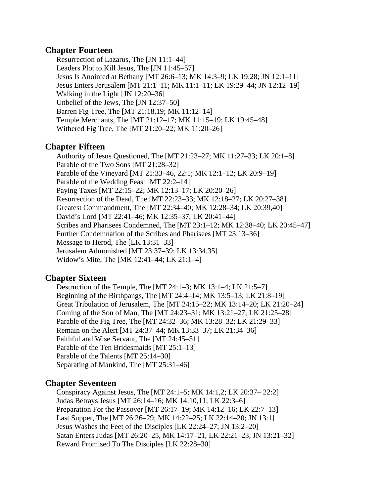## **Chapter Fourteen**

Resurrection of Lazarus, The [JN 11:1–44] Leaders Plot to Kill Jesus, The [JN 11:45–57] Jesus Is Anointed at Bethany [MT 26:6–13; MK 14:3–9; LK 19:28; JN 12:1–11] Jesus Enters Jerusalem [MT 21:1–11; MK 11:1–11; LK 19:29–44; JN 12:12–19] Walking in the Light [JN 12:20–36] Unbelief of the Jews, The [JN 12:37–50] Barren Fig Tree, The [MT 21:18,19; MK 11:12–14] Temple Merchants, The [MT 21:12–17; MK 11:15–19; LK 19:45–48] Withered Fig Tree, The [MT 21:20–22; MK 11:20–26]

## **Chapter Fifteen**

Authority of Jesus Questioned, The [MT 21:23–27; MK 11:27–33; LK 20:1–8] Parable of the Two Sons [MT 21:28–32] Parable of the Vineyard [MT 21:33–46, 22:1; MK 12:1–12; LK 20:9–19] Parable of the Wedding Feast [MT 22:2–14] Paying Taxes [MT 22:15–22; MK 12:13–17; LK 20:20–26] Resurrection of the Dead, The [MT 22:23–33; MK 12:18–27; LK 20:27–38] Greatest Commandment, The [MT 22:34–40; MK 12:28–34; LK 20:39,40] David's Lord [MT 22:41–46; MK 12:35–37; LK 20:41–44] Scribes and Pharisees Condemned, The [MT 23:1–12; MK 12:38–40; LK 20:45–47] Further Condemnation of the Scribes and Pharisees [MT 23:13–36] Message to Herod, The [LK 13:31–33] Jerusalem Admonished [MT 23:37–39; LK 13:34,35] Widow's Mite, The [MK 12:41–44; LK 21:1–4]

## **Chapter Sixteen**

Destruction of the Temple, The [MT 24:1–3; MK 13:1–4; LK 21:5–7] Beginning of the Birthpangs, The [MT 24:4–14; MK 13:5–13; LK 21:8–19] Great Tribulation of Jerusalem, The [MT 24:15–22; MK 13:14–20; LK 21:20–24] Coming of the Son of Man, The [MT 24:23–31; MK 13:21–27; LK 21:25–28] Parable of the Fig Tree, The [MT 24:32–36; MK 13:28–32; LK 21:29–33] Remain on the Alert [MT 24:37–44; MK 13:33–37; LK 21:34–36] Faithful and Wise Servant, The [MT 24:45–51] Parable of the Ten Bridesmaids [MT 25:1–13] Parable of the Talents [MT 25:14–30] Separating of Mankind, The [MT 25:31–46]

## **Chapter Seventeen**

Conspiracy Against Jesus, The [MT 24:1–5; MK 14:1,2; LK 20:37– 22:2] Judas Betrays Jesus [MT 26:14–16; MK 14:10,11; LK 22:3–6] Preparation For the Passover [MT 26:17–19; MK 14:12–16; LK 22:7–13] Last Supper, The [MT 26:26–29; MK 14:22–25; LK 22:14–20; JN 13:1] Jesus Washes the Feet of the Disciples [LK 22:24–27; JN 13:2–20] Satan Enters Judas [MT 26:20–25, MK 14:17–21, LK 22:21–23, JN 13:21–32] Reward Promised To The Disciples [LK 22:28–30]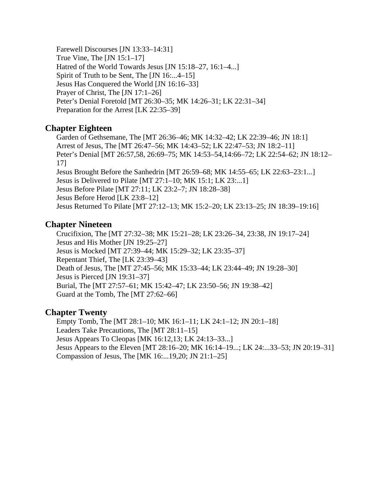Farewell Discourses [JN 13:33–14:31] True Vine, The [JN 15:1–17] Hatred of the World Towards Jesus [JN 15:18–27, 16:1–4...] Spirit of Truth to be Sent, The [JN 16:...4–15] Jesus Has Conquered the World [JN 16:16–33] Prayer of Christ, The [JN 17:1–26] Peter's Denial Foretold [MT 26:30–35; MK 14:26–31; LK 22:31–34] Preparation for the Arrest [LK 22:35–39]

## **Chapter Eighteen**

Garden of Gethsemane, The [MT 26:36–46; MK 14:32–42; LK 22:39–46; JN 18:1] Arrest of Jesus, The [MT 26:47–56; MK 14:43–52; LK 22:47–53; JN 18:2–11] Peter's Denial [MT 26:57,58, 26:69–75; MK 14:53–54,14:66–72; LK 22:54–62; JN 18:12– 17] Jesus Brought Before the Sanhedrin [MT 26:59–68; MK 14:55–65; LK 22:63–23:1...] Jesus is Delivered to Pilate [MT 27:1–10; MK 15:1; LK 23:...1] Jesus Before Pilate [MT 27:11; LK 23:2–7; JN 18:28–38] Jesus Before Herod [LK 23:8–12] Jesus Returned To Pilate [MT 27:12–13; MK 15:2–20; LK 23:13–25; JN 18:39–19:16]

## **Chapter Nineteen**

Crucifixion, The [MT 27:32–38; MK 15:21–28; LK 23:26–34, 23:38, JN 19:17–24] Jesus and His Mother [JN 19:25–27] Jesus is Mocked [MT 27:39–44; MK 15:29–32; LK 23:35–37] Repentant Thief, The [LK 23:39–43] Death of Jesus, The [MT 27:45–56; MK 15:33–44; LK 23:44–49; JN 19:28–30] Jesus is Pierced [JN 19:31–37] Burial, The [MT 27:57–61; MK 15:42–47; LK 23:50–56; JN 19:38–42] Guard at the Tomb, The [MT 27:62–66]

## **Chapter Twenty**

Empty Tomb, The [MT 28:1–10; MK 16:1–11; LK 24:1–12; JN 20:1–18] Leaders Take Precautions, The [MT 28:11–15] Jesus Appears To Cleopas [MK 16:12,13; LK 24:13–33...] Jesus Appears to the Eleven [MT 28:16–20; MK 16:14–19...; LK 24:...33–53; JN 20:19–31] Compassion of Jesus, The [MK 16:...19,20; JN 21:1–25]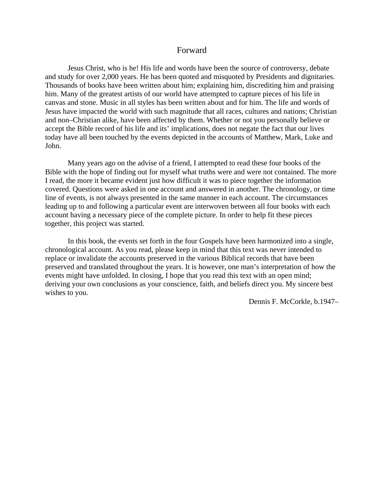## Forward

Jesus Christ, who is he! His life and words have been the source of controversy, debate and study for over 2,000 years. He has been quoted and misquoted by Presidents and dignitaries. Thousands of books have been written about him; explaining him, discrediting him and praising him. Many of the greatest artists of our world have attempted to capture pieces of his life in canvas and stone. Music in all styles has been written about and for him. The life and words of Jesus have impacted the world with such magnitude that all races, cultures and nations; Christian and non–Christian alike, have been affected by them. Whether or not you personally believe or accept the Bible record of his life and its' implications, does not negate the fact that our lives today have all been touched by the events depicted in the accounts of Matthew, Mark, Luke and John.

Many years ago on the advise of a friend, I attempted to read these four books of the Bible with the hope of finding out for myself what truths were and were not contained. The more I read, the more it became evident just how difficult it was to piece together the information covered. Questions were asked in one account and answered in another. The chronology, or time line of events, is not always presented in the same manner in each account. The circumstances leading up to and following a particular event are interwoven between all four books with each account having a necessary piece of the complete picture. In order to help fit these pieces together, this project was started.

In this book, the events set forth in the four Gospels have been harmonized into a single, chronological account. As you read, please keep in mind that this text was never intended to replace or invalidate the accounts preserved in the various Biblical records that have been preserved and translated throughout the years. It is however, one man's interpretation of how the events might have unfolded. In closing, I hope that you read this text with an open mind; deriving your own conclusions as your conscience, faith, and beliefs direct you. My sincere best wishes to you.

Dennis F. McCorkle, b.1947–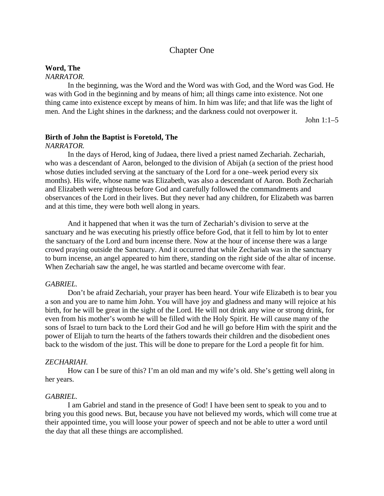## Chapter One

## **Word, The**

## *NARRATOR.*

In the beginning, was the Word and the Word was with God, and the Word was God. He was with God in the beginning and by means of him; all things came into existence. Not one thing came into existence except by means of him. In him was life; and that life was the light of men. And the Light shines in the darkness; and the darkness could not overpower it.

John 1:1–5

#### **Birth of John the Baptist is Foretold, The**

#### *NARRATOR.*

In the days of Herod, king of Judaea, there lived a priest named Zechariah. Zechariah, who was a descendant of Aaron, belonged to the division of Abijah (a section of the priest hood whose duties included serving at the sanctuary of the Lord for a one–week period every six months). His wife, whose name was Elizabeth, was also a descendant of Aaron. Both Zechariah and Elizabeth were righteous before God and carefully followed the commandments and observances of the Lord in their lives. But they never had any children, for Elizabeth was barren and at this time, they were both well along in years.

And it happened that when it was the turn of Zechariah's division to serve at the sanctuary and he was executing his priestly office before God, that it fell to him by lot to enter the sanctuary of the Lord and burn incense there. Now at the hour of incense there was a large crowd praying outside the Sanctuary. And it occurred that while Zechariah was in the sanctuary to burn incense, an angel appeared to him there, standing on the right side of the altar of incense. When Zechariah saw the angel, he was startled and became overcome with fear.

#### *GABRIEL.*

Don't be afraid Zechariah, your prayer has been heard. Your wife Elizabeth is to bear you a son and you are to name him John. You will have joy and gladness and many will rejoice at his birth, for he will be great in the sight of the Lord. He will not drink any wine or strong drink, for even from his mother's womb he will be filled with the Holy Spirit. He will cause many of the sons of Israel to turn back to the Lord their God and he will go before Him with the spirit and the power of Elijah to turn the hearts of the fathers towards their children and the disobedient ones back to the wisdom of the just. This will be done to prepare for the Lord a people fit for him.

#### *ZECHARIAH.*

How can I be sure of this? I'm an old man and my wife's old. She's getting well along in her years.

#### *GABRIEL.*

I am Gabriel and stand in the presence of God! I have been sent to speak to you and to bring you this good news. But, because you have not believed my words, which will come true at their appointed time, you will loose your power of speech and not be able to utter a word until the day that all these things are accomplished.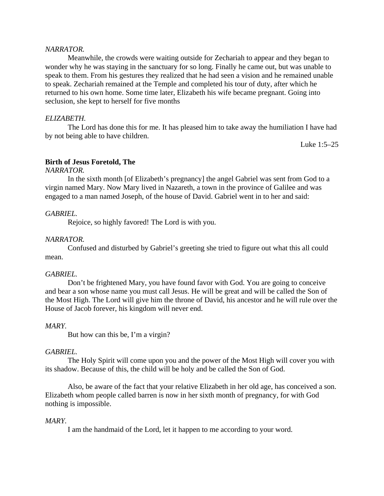#### *NARRATOR.*

Meanwhile, the crowds were waiting outside for Zechariah to appear and they began to wonder why he was staying in the sanctuary for so long. Finally he came out, but was unable to speak to them. From his gestures they realized that he had seen a vision and he remained unable to speak. Zechariah remained at the Temple and completed his tour of duty, after which he returned to his own home. Some time later, Elizabeth his wife became pregnant. Going into seclusion, she kept to herself for five months

#### *ELIZABETH.*

The Lord has done this for me. It has pleased him to take away the humiliation I have had by not being able to have children.

Luke 1:5–25

#### **Birth of Jesus Foretold, The**

#### *NARRATOR.*

In the sixth month [of Elizabeth's pregnancy] the angel Gabriel was sent from God to a virgin named Mary. Now Mary lived in Nazareth, a town in the province of Galilee and was engaged to a man named Joseph, of the house of David. Gabriel went in to her and said:

#### *GABRIEL.*

Rejoice, so highly favored! The Lord is with you.

#### *NARRATOR.*

Confused and disturbed by Gabriel's greeting she tried to figure out what this all could mean.

#### *GABRIEL.*

Don't be frightened Mary, you have found favor with God. You are going to conceive and bear a son whose name you must call Jesus. He will be great and will be called the Son of the Most High. The Lord will give him the throne of David, his ancestor and he will rule over the House of Jacob forever, his kingdom will never end.

#### *MARY.*

But how can this be, I'm a virgin?

#### *GABRIEL.*

The Holy Spirit will come upon you and the power of the Most High will cover you with its shadow. Because of this, the child will be holy and be called the Son of God.

Also, be aware of the fact that your relative Elizabeth in her old age, has conceived a son. Elizabeth whom people called barren is now in her sixth month of pregnancy, for with God nothing is impossible.

#### *MARY.*

I am the handmaid of the Lord, let it happen to me according to your word.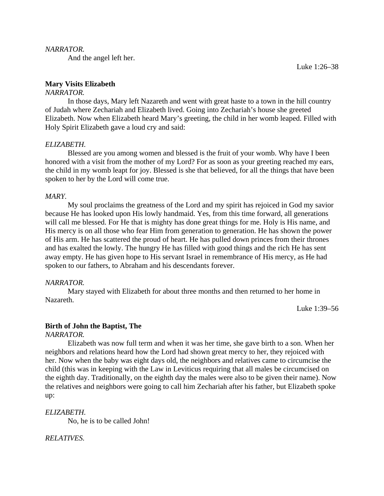#### *NARRATOR.*

And the angel left her.

## **Mary Visits Elizabeth**

#### *NARRATOR.*

In those days, Mary left Nazareth and went with great haste to a town in the hill country of Judah where Zechariah and Elizabeth lived. Going into Zechariah's house she greeted Elizabeth. Now when Elizabeth heard Mary's greeting, the child in her womb leaped. Filled with Holy Spirit Elizabeth gave a loud cry and said:

#### *ELIZABETH.*

Blessed are you among women and blessed is the fruit of your womb. Why have I been honored with a visit from the mother of my Lord? For as soon as your greeting reached my ears, the child in my womb leapt for joy. Blessed is she that believed, for all the things that have been spoken to her by the Lord will come true.

#### *MARY.*

My soul proclaims the greatness of the Lord and my spirit has rejoiced in God my savior because He has looked upon His lowly handmaid. Yes, from this time forward, all generations will call me blessed. For He that is mighty has done great things for me. Holy is His name, and His mercy is on all those who fear Him from generation to generation. He has shown the power of His arm. He has scattered the proud of heart. He has pulled down princes from their thrones and has exalted the lowly. The hungry He has filled with good things and the rich He has sent away empty. He has given hope to His servant Israel in remembrance of His mercy, as He had spoken to our fathers, to Abraham and his descendants forever.

#### *NARRATOR.*

Mary stayed with Elizabeth for about three months and then returned to her home in Nazareth.

Luke 1:39–56

#### **Birth of John the Baptist, The**

#### *NARRATOR.*

Elizabeth was now full term and when it was her time, she gave birth to a son. When her neighbors and relations heard how the Lord had shown great mercy to her, they rejoiced with her. Now when the baby was eight days old, the neighbors and relatives came to circumcise the child (this was in keeping with the Law in Leviticus requiring that all males be circumcised on the eighth day. Traditionally, on the eighth day the males were also to be given their name). Now the relatives and neighbors were going to call him Zechariah after his father, but Elizabeth spoke up:

#### *ELIZABETH.*

No, he is to be called John!

#### *RELATIVES.*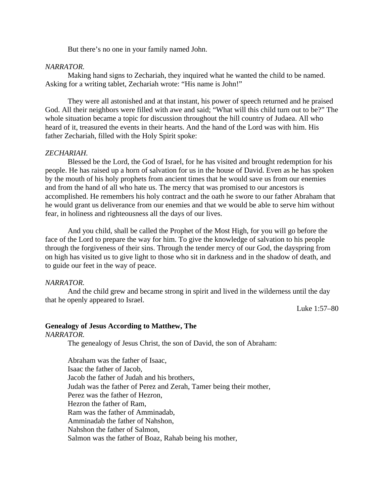But there's no one in your family named John.

#### *NARRATOR.*

Making hand signs to Zechariah, they inquired what he wanted the child to be named. Asking for a writing tablet, Zechariah wrote: "His name is John!"

They were all astonished and at that instant, his power of speech returned and he praised God. All their neighbors were filled with awe and said; "What will this child turn out to be?" The whole situation became a topic for discussion throughout the hill country of Judaea. All who heard of it, treasured the events in their hearts. And the hand of the Lord was with him. His father Zechariah, filled with the Holy Spirit spoke:

#### *ZECHARIAH.*

Blessed be the Lord, the God of Israel, for he has visited and brought redemption for his people. He has raised up a horn of salvation for us in the house of David. Even as he has spoken by the mouth of his holy prophets from ancient times that he would save us from our enemies and from the hand of all who hate us. The mercy that was promised to our ancestors is accomplished. He remembers his holy contract and the oath he swore to our father Abraham that he would grant us deliverance from our enemies and that we would be able to serve him without fear, in holiness and righteousness all the days of our lives.

And you child, shall be called the Prophet of the Most High, for you will go before the face of the Lord to prepare the way for him. To give the knowledge of salvation to his people through the forgiveness of their sins. Through the tender mercy of our God, the dayspring from on high has visited us to give light to those who sit in darkness and in the shadow of death, and to guide our feet in the way of peace.

#### *NARRATOR.*

And the child grew and became strong in spirit and lived in the wilderness until the day that he openly appeared to Israel.

Luke 1:57–80

## **Genealogy of Jesus According to Matthew, The**

*NARRATOR.*

The genealogy of Jesus Christ, the son of David, the son of Abraham:

Abraham was the father of Isaac, Isaac the father of Jacob, Jacob the father of Judah and his brothers, Judah was the father of Perez and Zerah, Tamer being their mother, Perez was the father of Hezron, Hezron the father of Ram, Ram was the father of Amminadab, Amminadab the father of Nahshon, Nahshon the father of Salmon, Salmon was the father of Boaz, Rahab being his mother,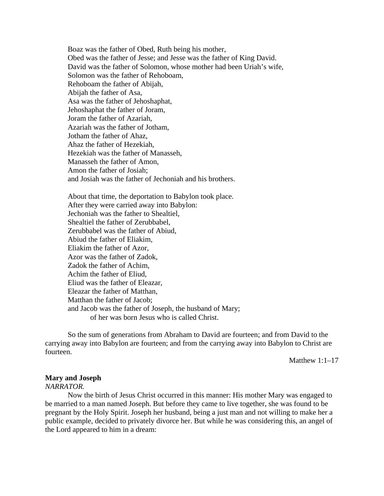Boaz was the father of Obed, Ruth being his mother, Obed was the father of Jesse; and Jesse was the father of King David. David was the father of Solomon, whose mother had been Uriah's wife, Solomon was the father of Rehoboam, Rehoboam the father of Abijah, Abijah the father of Asa, Asa was the father of Jehoshaphat, Jehoshaphat the father of Joram, Joram the father of Azariah, Azariah was the father of Jotham, Jotham the father of Ahaz, Ahaz the father of Hezekiah, Hezekiah was the father of Manasseh, Manasseh the father of Amon, Amon the father of Josiah; and Josiah was the father of Jechoniah and his brothers.

About that time, the deportation to Babylon took place. After they were carried away into Babylon: Jechoniah was the father to Shealtiel, Shealtiel the father of Zerubbabel, Zerubbabel was the father of Abiud, Abiud the father of Eliakim, Eliakim the father of Azor, Azor was the father of Zadok, Zadok the father of Achim, Achim the father of Eliud, Eliud was the father of Eleazar, Eleazar the father of Matthan, Matthan the father of Jacob; and Jacob was the father of Joseph, the husband of Mary; of her was born Jesus who is called Christ.

So the sum of generations from Abraham to David are fourteen; and from David to the carrying away into Babylon are fourteen; and from the carrying away into Babylon to Christ are fourteen.

Matthew 1:1–17

#### **Mary and Joseph**

#### *NARRATOR.*

Now the birth of Jesus Christ occurred in this manner: His mother Mary was engaged to be married to a man named Joseph. But before they came to live together, she was found to be pregnant by the Holy Spirit. Joseph her husband, being a just man and not willing to make her a public example, decided to privately divorce her. But while he was considering this, an angel of the Lord appeared to him in a dream: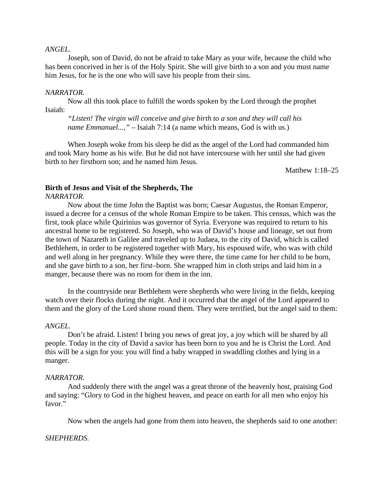#### *ANGEL.*

Joseph, son of David, do not be afraid to take Mary as your wife, because the child who has been conceived in her is of the Holy Spirit. She will give birth to a son and you must name him Jesus, for he is the one who will save his people from their sins.

#### *NARRATOR.*

Now all this took place to fulfill the words spoken by the Lord through the prophet Isaiah:

*"Listen! The virgin will conceive and give birth to a son and they will call his name Emmanuel...,"* – Isaiah 7:14 (a name which means, God is with us.)

When Joseph woke from his sleep he did as the angel of the Lord had commanded him and took Mary home as his wife. But he did not have intercourse with her until she had given birth to her firstborn son; and he named him Jesus.

Matthew 1:18–25

## **Birth of Jesus and Visit of the Shepherds, The**

*NARRATOR.*

Now about the time John the Baptist was born; Caesar Augustus, the Roman Emperor, issued a decree for a census of the whole Roman Empire to be taken. This census, which was the first, took place while Quirinius was governor of Syria. Everyone was required to return to his ancestral home to be registered. So Joseph, who was of David's house and lineage, set out from the town of Nazareth in Galilee and traveled up to Judaea, to the city of David, which is called Bethlehem, in order to be registered together with Mary, his espoused wife, who was with child and well along in her pregnancy. While they were there, the time came for her child to be born, and she gave birth to a son, her first–born. She wrapped him in cloth strips and laid him in a manger, because there was no room for them in the inn.

In the countryside near Bethlehem were shepherds who were living in the fields, keeping watch over their flocks during the night. And it occurred that the angel of the Lord appeared to them and the glory of the Lord shone round them. They were terrified, but the angel said to them:

#### *ANGEL.*

Don't be afraid. Listen! I bring you news of great joy, a joy which will be shared by all people. Today in the city of David a savior has been born to you and he is Christ the Lord. And this will be a sign for you: you will find a baby wrapped in swaddling clothes and lying in a manger.

#### *NARRATOR.*

And suddenly there with the angel was a great throne of the heavenly host, praising God and saying: "Glory to God in the highest heaven, and peace on earth for all men who enjoy his favor."

Now when the angels had gone from them into heaven, the shepherds said to one another:

#### *SHEPHERDS.*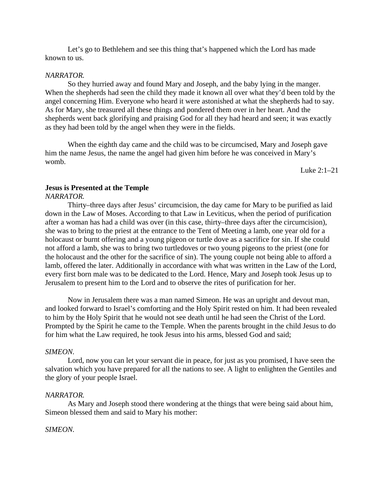Let's go to Bethlehem and see this thing that's happened which the Lord has made known to us.

#### *NARRATOR.*

So they hurried away and found Mary and Joseph, and the baby lying in the manger. When the shepherds had seen the child they made it known all over what they'd been told by the angel concerning Him. Everyone who heard it were astonished at what the shepherds had to say. As for Mary, she treasured all these things and pondered them over in her heart. And the shepherds went back glorifying and praising God for all they had heard and seen; it was exactly as they had been told by the angel when they were in the fields.

When the eighth day came and the child was to be circumcised, Mary and Joseph gave him the name Jesus, the name the angel had given him before he was conceived in Mary's womb.

Luke 2:1–21

## **Jesus is Presented at the Temple**

*NARRATOR.*

Thirty–three days after Jesus' circumcision, the day came for Mary to be purified as laid down in the Law of Moses. According to that Law in Leviticus, when the period of purification after a woman has had a child was over (in this case, thirty–three days after the circumcision), she was to bring to the priest at the entrance to the Tent of Meeting a lamb, one year old for a holocaust or burnt offering and a young pigeon or turtle dove as a sacrifice for sin. If she could not afford a lamb, she was to bring two turtledoves or two young pigeons to the priest (one for the holocaust and the other for the sacrifice of sin). The young couple not being able to afford a lamb, offered the later. Additionally in accordance with what was written in the Law of the Lord, every first born male was to be dedicated to the Lord. Hence, Mary and Joseph took Jesus up to Jerusalem to present him to the Lord and to observe the rites of purification for her.

Now in Jerusalem there was a man named Simeon. He was an upright and devout man, and looked forward to Israel's comforting and the Holy Spirit rested on him. It had been revealed to him by the Holy Spirit that he would not see death until he had seen the Christ of the Lord. Prompted by the Spirit he came to the Temple. When the parents brought in the child Jesus to do for him what the Law required, he took Jesus into his arms, blessed God and said;

#### *SIMEON.*

Lord, now you can let your servant die in peace, for just as you promised, I have seen the salvation which you have prepared for all the nations to see. A light to enlighten the Gentiles and the glory of your people Israel.

#### *NARRATOR.*

As Mary and Joseph stood there wondering at the things that were being said about him, Simeon blessed them and said to Mary his mother:

#### *SIMEON.*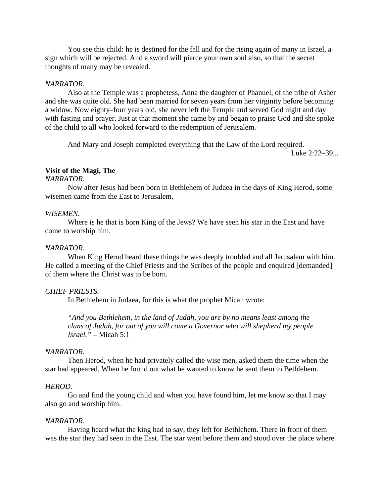You see this child: he is destined for the fall and for the rising again of many in Israel, a sign which will be rejected. And a sword will pierce your own soul also, so that the secret thoughts of many may be revealed.

#### *NARRATOR.*

Also at the Temple was a prophetess, Anna the daughter of Phanuel, of the tribe of Asher and she was quite old. She had been married for seven years from her virginity before becoming a widow. Now eighty–four years old, she never left the Temple and served God night and day with fasting and prayer. Just at that moment she came by and began to praise God and she spoke of the child to all who looked forward to the redemption of Jerusalem.

And Mary and Joseph completed everything that the Law of the Lord required.

Luke 2:22–39...

## **Visit of the Magi, The**

#### *NARRATOR.*

Now after Jesus had been born in Bethlehem of Judaea in the days of King Herod, some wisemen came from the East to Jerusalem.

#### *WISEMEN.*

Where is he that is born King of the Jews? We have seen his star in the East and have come to worship him.

#### *NARRATOR.*

When King Herod heard these things he was deeply troubled and all Jerusalem with him. He called a meeting of the Chief Priests and the Scribes of the people and enquired [demanded] of them where the Christ was to be born.

#### *CHIEF PRIESTS.*

In Bethlehem in Judaea, for this is what the prophet Micah wrote:

*"And you Bethlehem, in the land of Judah, you are by no means least among the clans of Judah, for out of you will come a Governor who will shepherd my people Israel."* – Micah 5:1

#### *NARRATOR.*

Then Herod, when he had privately called the wise men, asked them the time when the star had appeared. When he found out what he wanted to know he sent them to Bethlehem.

#### *HEROD.*

Go and find the young child and when you have found him, let me know so that I may also go and worship him.

#### *NARRATOR.*

Having heard what the king had to say, they left for Bethlehem. There in front of them was the star they had seen in the East. The star went before them and stood over the place where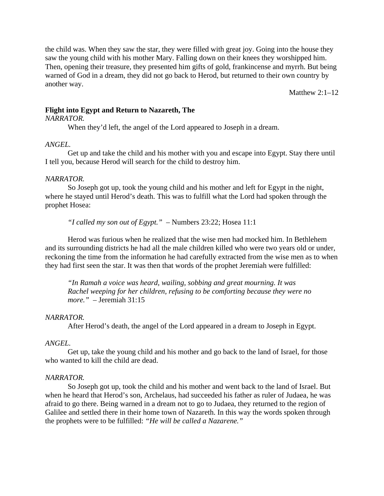the child was. When they saw the star, they were filled with great joy. Going into the house they saw the young child with his mother Mary. Falling down on their knees they worshipped him. Then, opening their treasure, they presented him gifts of gold, frankincense and myrrh. But being warned of God in a dream, they did not go back to Herod, but returned to their own country by another way.

Matthew  $2:1-12$ 

## **Flight into Egypt and Return to Nazareth, The**

#### *NARRATOR.*

When they'd left, the angel of the Lord appeared to Joseph in a dream.

#### *ANGEL.*

Get up and take the child and his mother with you and escape into Egypt. Stay there until I tell you, because Herod will search for the child to destroy him.

#### *NARRATOR.*

So Joseph got up, took the young child and his mother and left for Egypt in the night, where he stayed until Herod's death. This was to fulfill what the Lord had spoken through the prophet Hosea:

*"I called my son out of Egypt."* – Numbers 23:22; Hosea 11:1

Herod was furious when he realized that the wise men had mocked him. In Bethlehem and its surrounding districts he had all the male children killed who were two years old or under, reckoning the time from the information he had carefully extracted from the wise men as to when they had first seen the star. It was then that words of the prophet Jeremiah were fulfilled:

*"In Ramah a voice was heard, wailing, sobbing and great mourning. It was Rachel weeping for her children, refusing to be comforting because they were no more."* – Jeremiah 31:15

#### *NARRATOR.*

After Herod's death, the angel of the Lord appeared in a dream to Joseph in Egypt.

#### *ANGEL.*

Get up, take the young child and his mother and go back to the land of Israel, for those who wanted to kill the child are dead.

#### *NARRATOR.*

So Joseph got up, took the child and his mother and went back to the land of Israel. But when he heard that Herod's son, Archelaus, had succeeded his father as ruler of Judaea, he was afraid to go there. Being warned in a dream not to go to Judaea, they returned to the region of Galilee and settled there in their home town of Nazareth. In this way the words spoken through the prophets were to be fulfilled: *"He will be called a Nazarene."*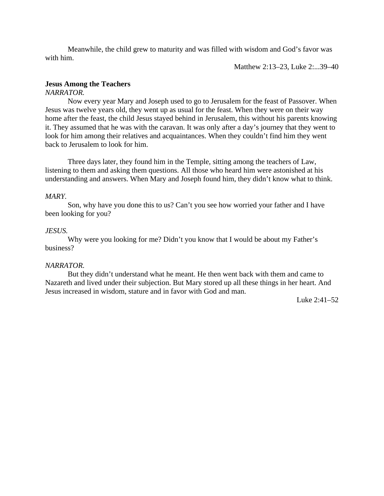Meanwhile, the child grew to maturity and was filled with wisdom and God's favor was with him.

Matthew 2:13–23, Luke 2:...39–40

## **Jesus Among the Teachers**

#### *NARRATOR.*

Now every year Mary and Joseph used to go to Jerusalem for the feast of Passover. When Jesus was twelve years old, they went up as usual for the feast. When they were on their way home after the feast, the child Jesus stayed behind in Jerusalem, this without his parents knowing it. They assumed that he was with the caravan. It was only after a day's journey that they went to look for him among their relatives and acquaintances. When they couldn't find him they went back to Jerusalem to look for him.

Three days later, they found him in the Temple, sitting among the teachers of Law, listening to them and asking them questions. All those who heard him were astonished at his understanding and answers. When Mary and Joseph found him, they didn't know what to think.

#### *MARY.*

Son, why have you done this to us? Can't you see how worried your father and I have been looking for you?

#### *JESUS.*

Why were you looking for me? Didn't you know that I would be about my Father's business?

#### *NARRATOR.*

But they didn't understand what he meant. He then went back with them and came to Nazareth and lived under their subjection. But Mary stored up all these things in her heart. And Jesus increased in wisdom, stature and in favor with God and man.

Luke 2:41–52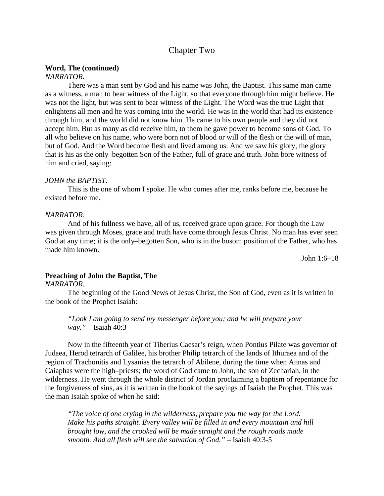## Chapter Two

#### **Word, The (continued)**

#### *NARRATOR.*

There was a man sent by God and his name was John, the Baptist. This same man came as a witness, a man to bear witness of the Light, so that everyone through him might believe. He was not the light, but was sent to bear witness of the Light. The Word was the true Light that enlightens all men and he was coming into the world. He was in the world that had its existence through him, and the world did not know him. He came to his own people and they did not accept him. But as many as did receive him, to them he gave power to become sons of God. To all who believe on his name, who were born not of blood or will of the flesh or the will of man, but of God. And the Word become flesh and lived among us. And we saw his glory, the glory that is his as the only–begotten Son of the Father, full of grace and truth. John bore witness of him and cried, saying:

#### *JOHN the BAPTIST.*

This is the one of whom I spoke. He who comes after me, ranks before me, because he existed before me.

#### *NARRATOR.*

And of his fullness we have, all of us, received grace upon grace. For though the Law was given through Moses, grace and truth have come through Jesus Christ. No man has ever seen God at any time; it is the only–begotten Son, who is in the bosom position of the Father, who has made him known.

John 1:6–18

#### **Preaching of John the Baptist, The**

## *NARRATOR.*

The beginning of the Good News of Jesus Christ, the Son of God, even as it is written in the book of the Prophet Isaiah:

*"Look I am going to send my messenger before you; and he will prepare your way."* – Isaiah 40:3

Now in the fifteenth year of Tiberius Caesar's reign, when Pontius Pilate was governor of Judaea, Herod tetrarch of Galilee, his brother Philip tetrarch of the lands of Ithuraea and of the region of Trachonitis and Lysanias the tetrarch of Abilene, during the time when Annas and Caiaphas were the high–priests; the word of God came to John, the son of Zechariah, in the wilderness. He went through the whole district of Jordan proclaiming a baptism of repentance for the forgiveness of sins, as it is written in the book of the sayings of Isaiah the Prophet. This was the man Isaiah spoke of when he said:

*"The voice of one crying in the wilderness, prepare you the way for the Lord. Make his paths straight. Every valley will be filled in and every mountain and hill brought low, and the crooked will be made straight and the rough roads made smooth. And all flesh will see the salvation of God."* – Isaiah 40:3-5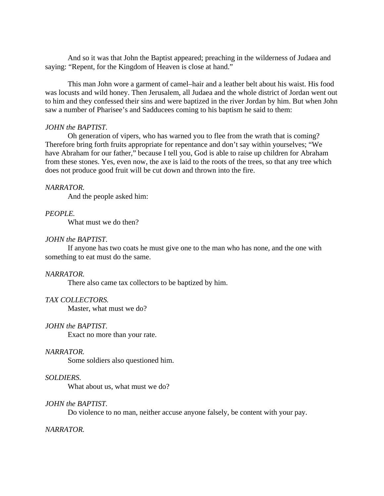And so it was that John the Baptist appeared; preaching in the wilderness of Judaea and saying: "Repent, for the Kingdom of Heaven is close at hand."

This man John wore a garment of camel–hair and a leather belt about his waist. His food was locusts and wild honey. Then Jerusalem, all Judaea and the whole district of Jordan went out to him and they confessed their sins and were baptized in the river Jordan by him. But when John saw a number of Pharisee's and Sadducees coming to his baptism he said to them:

#### *JOHN the BAPTIST.*

Oh generation of vipers, who has warned you to flee from the wrath that is coming? Therefore bring forth fruits appropriate for repentance and don't say within yourselves; "We have Abraham for our father," because I tell you, God is able to raise up children for Abraham from these stones. Yes, even now, the axe is laid to the roots of the trees, so that any tree which does not produce good fruit will be cut down and thrown into the fire.

#### *NARRATOR.*

And the people asked him:

#### *PEOPLE.*

What must we do then?

#### *JOHN the BAPTIST.*

If anyone has two coats he must give one to the man who has none, and the one with something to eat must do the same.

#### *NARRATOR.*

There also came tax collectors to be baptized by him.

### *TAX COLLECTORS.*

Master, what must we do?

#### *JOHN the BAPTIST.*

Exact no more than your rate.

#### *NARRATOR.*

Some soldiers also questioned him.

#### *SOLDIERS.*

What about us, what must we do?

#### *JOHN the BAPTIST.*

Do violence to no man, neither accuse anyone falsely, be content with your pay.

#### *NARRATOR.*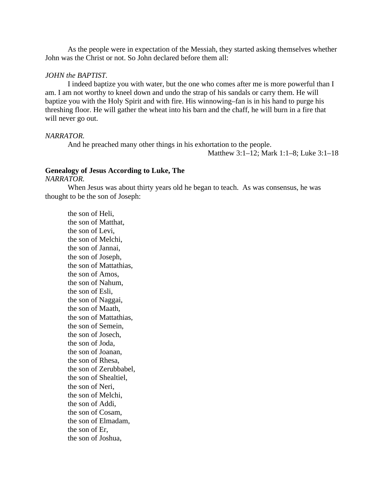As the people were in expectation of the Messiah, they started asking themselves whether John was the Christ or not. So John declared before them all:

#### *JOHN the BAPTIST.*

I indeed baptize you with water, but the one who comes after me is more powerful than I am. I am not worthy to kneel down and undo the strap of his sandals or carry them. He will baptize you with the Holy Spirit and with fire. His winnowing–fan is in his hand to purge his threshing floor. He will gather the wheat into his barn and the chaff, he will burn in a fire that will never go out.

#### *NARRATOR.*

And he preached many other things in his exhortation to the people.

Matthew 3:1–12; Mark 1:1–8; Luke 3:1–18

## **Genealogy of Jesus According to Luke, The**

## *NARRATOR.*

When Jesus was about thirty years old he began to teach. As was consensus, he was thought to be the son of Joseph:

the son of Heli, the son of Matthat, the son of Levi, the son of Melchi, the son of Jannai, the son of Joseph, the son of Mattathias, the son of Amos, the son of Nahum, the son of Esli, the son of Naggai, the son of Maath, the son of Mattathias, the son of Semein, the son of Josech, the son of Joda, the son of Joanan, the son of Rhesa, the son of Zerubbabel, the son of Shealtiel, the son of Neri, the son of Melchi, the son of Addi, the son of Cosam, the son of Elmadam, the son of Er, the son of Joshua,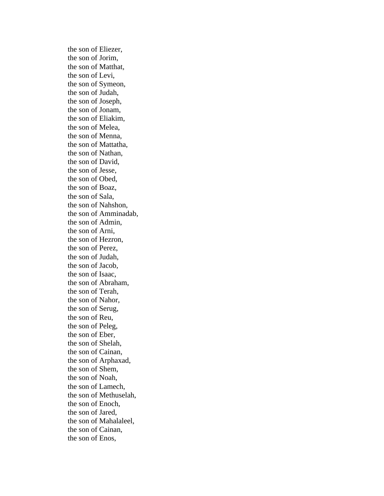the son of Eliezer, the son of Jorim, the son of Matthat, the son of Levi, the son of Symeon, the son of Judah, the son of Joseph, the son of Jonam, the son of Eliakim, the son of Melea, the son of Menna, the son of Mattatha, the son of Nathan, the son of David, the son of Jesse, the son of Obed, the son of Boaz, the son of Sala, the son of Nahshon, the son of Amminadab, the son of Admin, the son of Arni, the son of Hezron, the son of Perez, the son of Judah, the son of Jacob, the son of Isaac, the son of Abraham, the son of Terah, the son of Nahor, the son of Serug, the son of Reu, the son of Peleg, the son of Eber, the son of Shelah, the son of Cainan, the son of Arphaxad, the son of Shem, the son of Noah, the son of Lamech, the son of Methuselah, the son of Enoch, the son of Jared, the son of Mahalaleel, the son of Cainan, the son of Enos,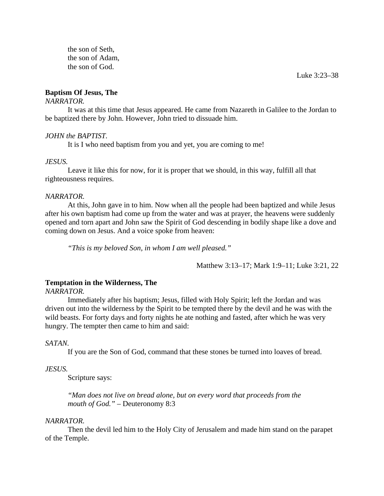the son of Seth, the son of Adam, the son of God.

Luke 3:23–38

## **Baptism Of Jesus, The**

## *NARRATOR.*

It was at this time that Jesus appeared. He came from Nazareth in Galilee to the Jordan to be baptized there by John. However, John tried to dissuade him.

## *JOHN the BAPTIST.*

It is I who need baptism from you and yet, you are coming to me!

#### *JESUS.*

Leave it like this for now, for it is proper that we should, in this way, fulfill all that righteousness requires.

#### *NARRATOR.*

At this, John gave in to him. Now when all the people had been baptized and while Jesus after his own baptism had come up from the water and was at prayer, the heavens were suddenly opened and torn apart and John saw the Spirit of God descending in bodily shape like a dove and coming down on Jesus. And a voice spoke from heaven:

*"This is my beloved Son, in whom I am well pleased."*

Matthew 3:13–17; Mark 1:9–11; Luke 3:21, 22

## **Temptation in the Wilderness, The**

#### *NARRATOR.*

Immediately after his baptism; Jesus, filled with Holy Spirit; left the Jordan and was driven out into the wilderness by the Spirit to be tempted there by the devil and he was with the wild beasts. For forty days and forty nights he ate nothing and fasted, after which he was very hungry. The tempter then came to him and said:

## *SATAN.*

If you are the Son of God, command that these stones be turned into loaves of bread.

## *JESUS.*

Scripture says:

*"Man does not live on bread alone, but on every word that proceeds from the mouth of God."* – Deuteronomy 8:3

#### *NARRATOR.*

Then the devil led him to the Holy City of Jerusalem and made him stand on the parapet of the Temple.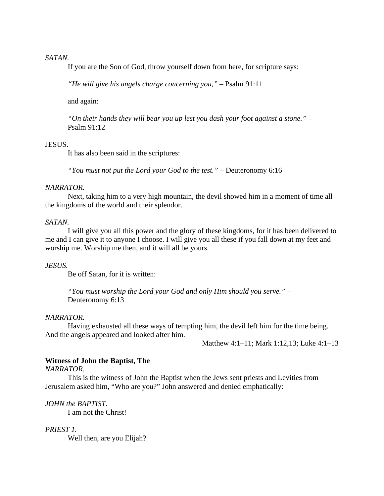#### *SATAN.*

If you are the Son of God, throw yourself down from here, for scripture says:

*"He will give his angels charge concerning you,"* – Psalm 91:11

and again:

*"On their hands they will bear you up lest you dash your foot against a stone."* – Psalm 91:12

#### JESUS.

It has also been said in the scriptures:

*"You must not put the Lord your God to the test."* – Deuteronomy 6:16

#### *NARRATOR.*

Next, taking him to a very high mountain, the devil showed him in a moment of time all the kingdoms of the world and their splendor.

#### *SATAN.*

I will give you all this power and the glory of these kingdoms, for it has been delivered to me and I can give it to anyone I choose. I will give you all these if you fall down at my feet and worship me. Worship me then, and it will all be yours.

#### *JESUS.*

Be off Satan, for it is written:

*"You must worship the Lord your God and only Him should you serve."* – Deuteronomy 6:13

#### *NARRATOR.*

Having exhausted all these ways of tempting him, the devil left him for the time being. And the angels appeared and looked after him.

Matthew 4:1–11; Mark 1:12,13; Luke 4:1–13

#### **Witness of John the Baptist, The**

#### *NARRATOR.*

This is the witness of John the Baptist when the Jews sent priests and Levities from Jerusalem asked him, "Who are you?" John answered and denied emphatically:

*JOHN the BAPTIST.*

I am not the Christ!

#### *PRIEST 1.*

Well then, are you Elijah?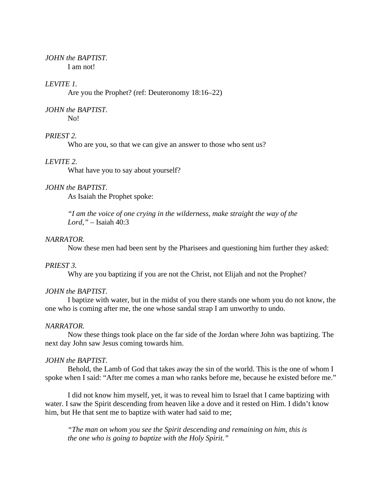#### *JOHN the BAPTIST.* I am not!

## *LEVITE 1.*

Are you the Prophet? (ref: Deuteronomy 18:16–22)

## *JOHN the BAPTIST.*

No!

## *PRIEST 2.*

Who are you, so that we can give an answer to those who sent us?

#### *LEVITE 2.*

What have you to say about yourself?

#### *JOHN the BAPTIST.*

As Isaiah the Prophet spoke:

*"I am the voice of one crying in the wilderness, make straight the way of the Lord,"* – Isaiah 40:3

#### *NARRATOR.*

Now these men had been sent by the Pharisees and questioning him further they asked:

#### *PRIEST 3.*

Why are you baptizing if you are not the Christ, not Elijah and not the Prophet?

#### *JOHN the BAPTIST.*

I baptize with water, but in the midst of you there stands one whom you do not know, the one who is coming after me, the one whose sandal strap I am unworthy to undo.

#### *NARRATOR.*

Now these things took place on the far side of the Jordan where John was baptizing. The next day John saw Jesus coming towards him.

#### *JOHN the BAPTIST.*

Behold, the Lamb of God that takes away the sin of the world. This is the one of whom I spoke when I said: "After me comes a man who ranks before me, because he existed before me."

I did not know him myself, yet, it was to reveal him to Israel that I came baptizing with water. I saw the Spirit descending from heaven like a dove and it rested on Him. I didn't know him, but He that sent me to baptize with water had said to me;

*"The man on whom you see the Spirit descending and remaining on him, this is the one who is going to baptize with the Holy Spirit."*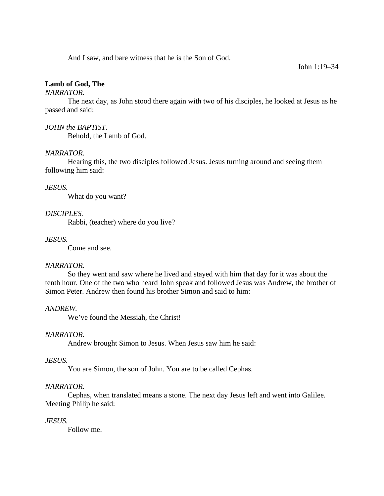And I saw, and bare witness that he is the Son of God.

#### John 1:19–34

## **Lamb of God, The**

#### *NARRATOR.*

The next day, as John stood there again with two of his disciples, he looked at Jesus as he passed and said:

#### *JOHN the BAPTIST.*

Behold, the Lamb of God.

## *NARRATOR.*

Hearing this, the two disciples followed Jesus. Jesus turning around and seeing them following him said:

#### *JESUS.*

What do you want?

## *DISCIPLES.*

Rabbi, (teacher) where do you live?

## *JESUS.*

Come and see.

#### *NARRATOR.*

So they went and saw where he lived and stayed with him that day for it was about the tenth hour. One of the two who heard John speak and followed Jesus was Andrew, the brother of Simon Peter. Andrew then found his brother Simon and said to him:

#### *ANDREW.*

We've found the Messiah, the Christ!

#### *NARRATOR.*

Andrew brought Simon to Jesus. When Jesus saw him he said:

#### *JESUS.*

You are Simon, the son of John. You are to be called Cephas.

## *NARRATOR.*

Cephas, when translated means a stone. The next day Jesus left and went into Galilee. Meeting Philip he said:

## *JESUS.*

Follow me.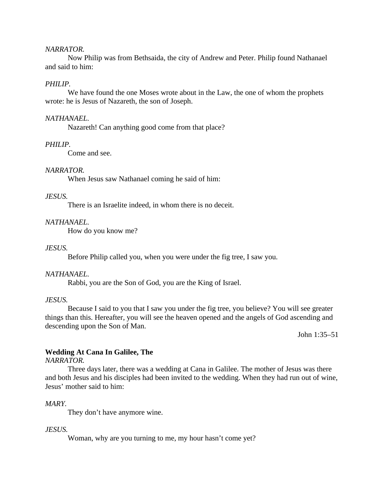#### *NARRATOR.*

Now Philip was from Bethsaida, the city of Andrew and Peter. Philip found Nathanael and said to him:

## *PHILIP.*

We have found the one Moses wrote about in the Law, the one of whom the prophets wrote: he is Jesus of Nazareth, the son of Joseph.

#### *NATHANAEL.*

Nazareth! Can anything good come from that place?

#### *PHILIP.*

Come and see.

#### *NARRATOR.*

When Jesus saw Nathanael coming he said of him:

## *JESUS.*

There is an Israelite indeed, in whom there is no deceit.

#### *NATHANAEL.*

How do you know me?

#### *JESUS.*

Before Philip called you, when you were under the fig tree, I saw you.

#### *NATHANAEL.*

Rabbi, you are the Son of God, you are the King of Israel.

#### *JESUS.*

Because I said to you that I saw you under the fig tree, you believe? You will see greater things than this. Hereafter, you will see the heaven opened and the angels of God ascending and descending upon the Son of Man.

John 1:35–51

#### **Wedding At Cana In Galilee, The**

## *NARRATOR.*

Three days later, there was a wedding at Cana in Galilee. The mother of Jesus was there and both Jesus and his disciples had been invited to the wedding. When they had run out of wine, Jesus' mother said to him:

#### *MARY.*

They don't have anymore wine.

#### *JESUS.*

Woman, why are you turning to me, my hour hasn't come yet?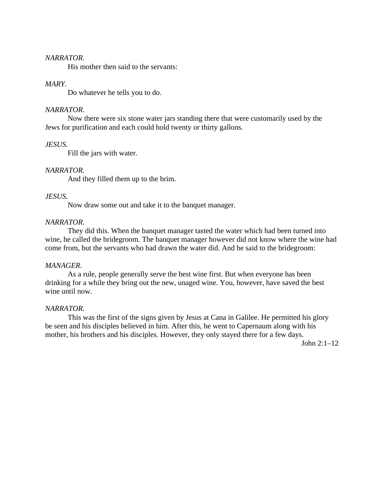#### *NARRATOR.*

His mother then said to the servants:

#### *MARY.*

Do whatever he tells you to do.

#### *NARRATOR.*

Now there were six stone water jars standing there that were customarily used by the Jews for purification and each could hold twenty or thirty gallons.

#### *JESUS.*

Fill the jars with water.

#### *NARRATOR.*

And they filled them up to the brim.

## *JESUS.*

Now draw some out and take it to the banquet manager.

#### *NARRATOR.*

They did this. When the banquet manager tasted the water which had been turned into wine, he called the bridegroom. The banquet manager however did not know where the wine had come from, but the servants who had drawn the water did. And he said to the bridegroom:

## *MANAGER.*

As a rule, people generally serve the best wine first. But when everyone has been drinking for a while they bring out the new, unaged wine. You, however, have saved the best wine until now.

#### *NARRATOR.*

This was the first of the signs given by Jesus at Cana in Galilee. He permitted his glory be seen and his disciples believed in him. After this, he went to Capernaum along with his mother, his brothers and his disciples. However, they only stayed there for a few days.

John 2:1–12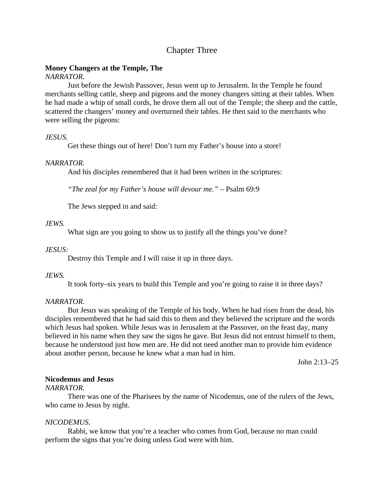## Chapter Three

## **Money Changers at the Temple, The**

## *NARRATOR.*

Just before the Jewish Passover, Jesus went up to Jerusalem. In the Temple he found merchants selling cattle, sheep and pigeons and the money changers sitting at their tables. When he had made a whip of small cords, he drove them all out of the Temple; the sheep and the cattle, scattered the changers' money and overturned their tables. He then said to the merchants who were selling the pigeons:

## *JESUS.*

Get these things out of here! Don't turn my Father's house into a store!

## *NARRATOR.*

And his disciples remembered that it had been written in the scriptures:

*"The zeal for my Father's house will devour me."* – Psalm 69:9

The Jews stepped in and said:

## *JEWS.*

What sign are you going to show us to justify all the things you've done?

## *JESUS:*

Destroy this Temple and I will raise it up in three days.

## *JEWS.*

It took forty–six years to build this Temple and you're going to raise it in three days?

## *NARRATOR.*

But Jesus was speaking of the Temple of his body. When he had risen from the dead, his disciples remembered that he had said this to them and they believed the scripture and the words which Jesus had spoken. While Jesus was in Jerusalem at the Passover, on the feast day, many believed in his name when they saw the signs he gave. But Jesus did not entrust himself to them, because he understood just how men are. He did not need another man to provide him evidence about another person, because he knew what a man had in him.

John 2:13–25

## **Nicodemus and Jesus**

## *NARRATOR.*

There was one of the Pharisees by the name of Nicodemus, one of the rulers of the Jews, who came to Jesus by night.

## *NICODEMUS.*

Rabbi, we know that you're a teacher who comes from God, because no man could perform the signs that you're doing unless God were with him.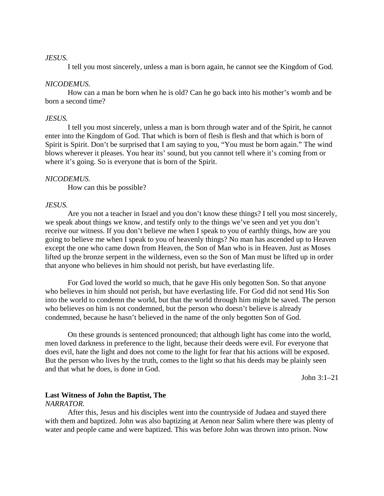#### *JESUS.*

I tell you most sincerely, unless a man is born again, he cannot see the Kingdom of God.

#### *NICODEMUS.*

How can a man be born when he is old? Can he go back into his mother's womb and be born a second time?

#### *JESUS.*

I tell you most sincerely, unless a man is born through water and of the Spirit, he cannot enter into the Kingdom of God. That which is born of flesh is flesh and that which is born of Spirit is Spirit. Don't be surprised that I am saying to you, "You must be born again." The wind blows wherever it pleases. You hear its' sound, but you cannot tell where it's coming from or where it's going. So is everyone that is born of the Spirit.

#### *NICODEMUS.*

How can this be possible?

#### *JESUS.*

Are you not a teacher in Israel and you don't know these things? I tell you most sincerely, we speak about things we know, and testify only to the things we've seen and yet you don't receive our witness. If you don't believe me when I speak to you of earthly things, how are you going to believe me when I speak to you of heavenly things? No man has ascended up to Heaven except the one who came down from Heaven, the Son of Man who is in Heaven. Just as Moses lifted up the bronze serpent in the wilderness, even so the Son of Man must be lifted up in order that anyone who believes in him should not perish, but have everlasting life.

For God loved the world so much, that he gave His only begotten Son. So that anyone who believes in him should not perish, but have everlasting life. For God did not send His Son into the world to condemn the world, but that the world through him might be saved. The person who believes on him is not condemned, but the person who doesn't believe is already condemned, because he hasn't believed in the name of the only begotten Son of God.

On these grounds is sentenced pronounced; that although light has come into the world, men loved darkness in preference to the light, because their deeds were evil. For everyone that does evil, hate the light and does not come to the light for fear that his actions will be exposed. But the person who lives by the truth, comes to the light so that his deeds may be plainly seen and that what he does, is done in God.

John 3:1–21

## **Last Witness of John the Baptist, The**

#### *NARRATOR.*

After this, Jesus and his disciples went into the countryside of Judaea and stayed there with them and baptized. John was also baptizing at Aenon near Salim where there was plenty of water and people came and were baptized. This was before John was thrown into prison. Now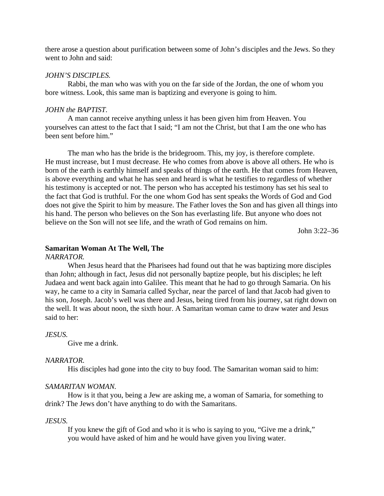there arose a question about purification between some of John's disciples and the Jews. So they went to John and said:

#### *JOHN'S DISCIPLES.*

Rabbi, the man who was with you on the far side of the Jordan, the one of whom you bore witness. Look, this same man is baptizing and everyone is going to him.

#### *JOHN the BAPTIST.*

A man cannot receive anything unless it has been given him from Heaven. You yourselves can attest to the fact that I said; "I am not the Christ, but that I am the one who has been sent before him."

The man who has the bride is the bridegroom. This, my joy, is therefore complete. He must increase, but I must decrease. He who comes from above is above all others. He who is born of the earth is earthly himself and speaks of things of the earth. He that comes from Heaven, is above everything and what he has seen and heard is what he testifies to regardless of whether his testimony is accepted or not. The person who has accepted his testimony has set his seal to the fact that God is truthful. For the one whom God has sent speaks the Words of God and God does not give the Spirit to him by measure. The Father loves the Son and has given all things into his hand. The person who believes on the Son has everlasting life. But anyone who does not believe on the Son will not see life, and the wrath of God remains on him.

John 3:22–36

#### **Samaritan Woman At The Well, The**

#### *NARRATOR.*

When Jesus heard that the Pharisees had found out that he was baptizing more disciples than John; although in fact, Jesus did not personally baptize people, but his disciples; he left Judaea and went back again into Galilee. This meant that he had to go through Samaria. On his way, he came to a city in Samaria called Sychar, near the parcel of land that Jacob had given to his son, Joseph. Jacob's well was there and Jesus, being tired from his journey, sat right down on the well. It was about noon, the sixth hour. A Samaritan woman came to draw water and Jesus said to her:

#### *JESUS.*

Give me a drink.

#### *NARRATOR.*

His disciples had gone into the city to buy food. The Samaritan woman said to him:

#### *SAMARITAN WOMAN.*

How is it that you, being a Jew are asking me, a woman of Samaria, for something to drink? The Jews don't have anything to do with the Samaritans.

#### *JESUS.*

If you knew the gift of God and who it is who is saying to you, "Give me a drink," you would have asked of him and he would have given you living water.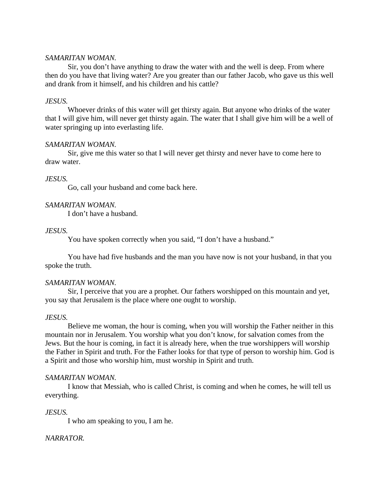#### *SAMARITAN WOMAN.*

Sir, you don't have anything to draw the water with and the well is deep. From where then do you have that living water? Are you greater than our father Jacob, who gave us this well and drank from it himself, and his children and his cattle?

## *JESUS.*

Whoever drinks of this water will get thirsty again. But anyone who drinks of the water that I will give him, will never get thirsty again. The water that I shall give him will be a well of water springing up into everlasting life.

#### *SAMARITAN WOMAN.*

Sir, give me this water so that I will never get thirsty and never have to come here to draw water.

## *JESUS.*

Go, call your husband and come back here.

## *SAMARITAN WOMAN.*

I don't have a husband.

#### *JESUS.*

You have spoken correctly when you said, "I don't have a husband."

You have had five husbands and the man you have now is not your husband, in that you spoke the truth.

## *SAMARITAN WOMAN.*

Sir, I perceive that you are a prophet. Our fathers worshipped on this mountain and yet, you say that Jerusalem is the place where one ought to worship.

#### *JESUS.*

Believe me woman, the hour is coming, when you will worship the Father neither in this mountain nor in Jerusalem. You worship what you don't know, for salvation comes from the Jews. But the hour is coming, in fact it is already here, when the true worshippers will worship the Father in Spirit and truth. For the Father looks for that type of person to worship him. God is a Spirit and those who worship him, must worship in Spirit and truth.

#### *SAMARITAN WOMAN.*

I know that Messiah, who is called Christ, is coming and when he comes, he will tell us everything.

## *JESUS.*

I who am speaking to you, I am he.

## *NARRATOR.*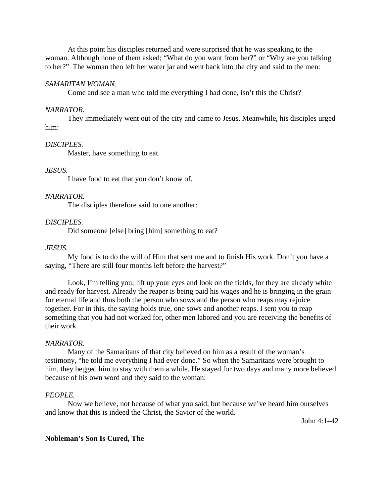At this point his disciples returned and were surprised that he was speaking to the woman. Although none of them asked; "What do you want from her?" or "Why are you talking to her?" The woman then left her water jar and went back into the city and said to the men:

#### *SAMARITAN WOMAN.*

Come and see a man who told me everything I had done, isn't this the Christ?

#### *NARRATOR.*

They immediately went out of the city and came to Jesus. Meanwhile, his disciples urged him:

#### *DISCIPLES.*

Master, have something to eat.

#### *JESUS.*

I have food to eat that you don't know of.

#### *NARRATOR.*

The disciples therefore said to one another:

#### *DISCIPLES.*

Did someone [else] bring [him] something to eat?

#### *JESUS.*

My food is to do the will of Him that sent me and to finish His work. Don't you have a saying, "There are still four months left before the harvest?"

Look, I'm telling you; lift up your eyes and look on the fields, for they are already white and ready for harvest. Already the reaper is being paid his wages and he is bringing in the grain for eternal life and thus both the person who sows and the person who reaps may rejoice together. For in this, the saying holds true, one sows and another reaps. I sent you to reap something that you had not worked for, other men labored and you are receiving the benefits of their work.

#### *NARRATOR.*

Many of the Samaritans of that city believed on him as a result of the woman's testimony, "he told me everything I had ever done." So when the Samaritans were brought to him, they begged him to stay with them a while. He stayed for two days and many more believed because of his own word and they said to the woman:

#### *PEOPLE.*

Now we believe, not because of what you said, but because we've heard him ourselves and know that this is indeed the Christ, the Savior of the world.

John 4:1–42

#### **Nobleman's Son Is Cured, The**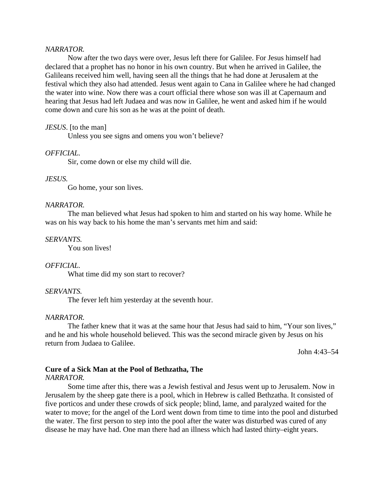#### *NARRATOR.*

Now after the two days were over, Jesus left there for Galilee. For Jesus himself had declared that a prophet has no honor in his own country. But when he arrived in Galilee, the Galileans received him well, having seen all the things that he had done at Jerusalem at the festival which they also had attended. Jesus went again to Cana in Galilee where he had changed the water into wine. Now there was a court official there whose son was ill at Capernaum and hearing that Jesus had left Judaea and was now in Galilee, he went and asked him if he would come down and cure his son as he was at the point of death.

### *JESUS*. [to the man]

Unless you see signs and omens you won't believe?

#### *OFFICIAL.*

Sir, come down or else my child will die.

#### *JESUS.*

Go home, your son lives.

#### *NARRATOR.*

The man believed what Jesus had spoken to him and started on his way home. While he was on his way back to his home the man's servants met him and said:

#### *SERVANTS.*

You son lives!

### *OFFICIAL.*

What time did my son start to recover?

### *SERVANTS.*

The fever left him yesterday at the seventh hour.

#### *NARRATOR.*

The father knew that it was at the same hour that Jesus had said to him, "Your son lives," and he and his whole household believed. This was the second miracle given by Jesus on his return from Judaea to Galilee.

John 4:43–54

# **Cure of a Sick Man at the Pool of Bethzatha, The**

*NARRATOR.*

Some time after this, there was a Jewish festival and Jesus went up to Jerusalem. Now in Jerusalem by the sheep gate there is a pool, which in Hebrew is called Bethzatha. It consisted of five porticos and under these crowds of sick people; blind, lame, and paralyzed waited for the water to move; for the angel of the Lord went down from time to time into the pool and disturbed the water. The first person to step into the pool after the water was disturbed was cured of any disease he may have had. One man there had an illness which had lasted thirty–eight years.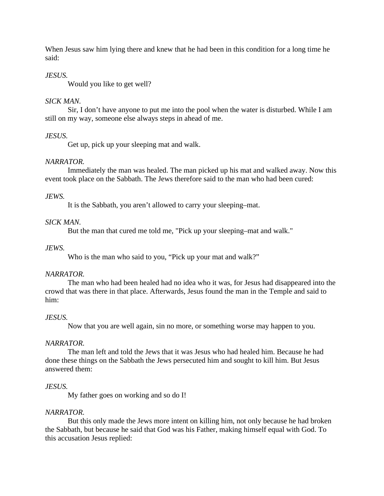When Jesus saw him lying there and knew that he had been in this condition for a long time he said:

# *JESUS.*

Would you like to get well?

# *SICK MAN.*

Sir, I don't have anyone to put me into the pool when the water is disturbed. While I am still on my way, someone else always steps in ahead of me.

# *JESUS.*

Get up, pick up your sleeping mat and walk.

# *NARRATOR.*

Immediately the man was healed. The man picked up his mat and walked away. Now this event took place on the Sabbath. The Jews therefore said to the man who had been cured:

# *JEWS.*

It is the Sabbath, you aren't allowed to carry your sleeping–mat.

# *SICK MAN.*

But the man that cured me told me, "Pick up your sleeping–mat and walk."

# *JEWS.*

Who is the man who said to you, "Pick up your mat and walk?"

# *NARRATOR.*

The man who had been healed had no idea who it was, for Jesus had disappeared into the crowd that was there in that place. Afterwards, Jesus found the man in the Temple and said to him:

# *JESUS.*

Now that you are well again, sin no more, or something worse may happen to you.

# *NARRATOR.*

The man left and told the Jews that it was Jesus who had healed him. Because he had done these things on the Sabbath the Jews persecuted him and sought to kill him. But Jesus answered them:

# *JESUS.*

My father goes on working and so do I!

# *NARRATOR.*

But this only made the Jews more intent on killing him, not only because he had broken the Sabbath, but because he said that God was his Father, making himself equal with God. To this accusation Jesus replied: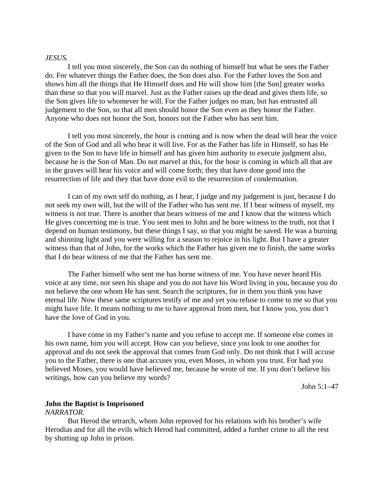#### *JESUS.*

I tell you most sincerely, the Son can do nothing of himself but what he sees the Father do. For whatever things the Father does, the Son does also. For the Father loves the Son and shows him all the things that He Himself does and He will show him [the Son] greater works than these so that you will marvel. Just as the Father raises up the dead and gives them life, so the Son gives life to whomever he will. For the Father judges no man, but has entrusted all judgement to the Son, so that all men should honor the Son even as they honor the Father. Anyone who does not honor the Son, honors not the Father who has sent him.

I tell you most sincerely, the hour is coming and is now when the dead will hear the voice of the Son of God and all who hear it will live. For as the Father has life in Himself, so has He given to the Son to have life in himself and has given him authority to execute judgment also, because he is the Son of Man. Do not marvel at this, for the hour is coming in which all that are in the graves will hear his voice and will come forth; they that have done good into the resurrection of life and they that have done evil to the resurrection of condemnation.

I can of my own self do nothing, as I hear, I judge and my judgement is just, because I do not seek my own will, but the will of the Father who has sent me. If I bear witness of myself, my witness is not true. There is another that bears witness of me and I know that the witness which He gives concerning me is true. You sent men to John and he bore witness to the truth, not that I depend on human testimony, but these things I say, so that you might be saved. He was a burning and shinning light and you were willing for a season to rejoice in his light. But I have a greater witness than that of John, for the works which the Father has given me to finish, the same works that I do bear witness of me that the Father has sent me.

The Father himself who sent me has borne witness of me. You have never heard His voice at any time, nor seen his shape and you do not have his Word living in you, because you do not believe the one whom He has sent. Search the scriptures, for in them you think you have eternal life. Now these same scriptures testify of me and yet you refuse to come to me so that you might have life. It means nothing to me to have approval from men, but I know you, you don't have the love of God in you.

I have come in my Father's name and you refuse to accept me. If someone else comes in his own name, him you will accept. How can you believe, since you look to one another for approval and do not seek the approval that comes from God only. Do not think that I will accuse you to the Father, there is one that accuses you, even Moses, in whom you trust. For had you believed Moses, you would have believed me, because he wrote of me. If you don't believe his writings, how can you believe my words?

John 5:1–47

# **John the Baptist is Imprisoned**

### *NARRATOR.*

But Herod the tetrarch, whom John reproved for his relations with his brother's wife Herodias and for all the evils which Herod had committed, added a further crime to all the rest by shutting up John in prison.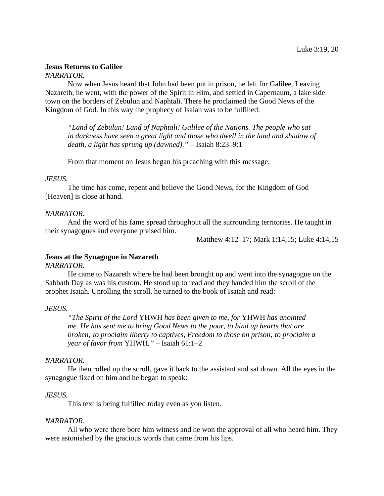# **Jesus Returns to Galilee**

# *NARRATOR.*

Now when Jesus heard that John had been put in prison, he left for Galilee. Leaving Nazareth, he went, with the power of the Spirit in Him, and settled in Capernaum, a lake side town on the borders of Zebulun and Naphtali. There he proclaimed the Good News of the Kingdom of God. In this way the prophecy of Isaiah was to be fulfilled:

*"Land of Zebulun! Land of Naphtali! Galilee of the Nations. The people who sat in darkness have seen a great light and those who dwell in the land and shadow of death, a light has sprung up (dawned)."* – Isaiah 8:23–9:1

From that moment on Jesus began his preaching with this message:

# *JESUS.*

The time has come, repent and believe the Good News, for the Kingdom of God [Heaven] is close at hand.

# *NARRATOR.*

And the word of his fame spread throughout all the surrounding territories. He taught in their synagogues and everyone praised him.

Matthew 4:12–17; Mark 1:14,15; Luke 4:14,15

# **Jesus at the Synagogue in Nazareth**

# *NARRATOR.*

He came to Nazareth where he had been brought up and went into the synagogue on the Sabbath Day as was his custom. He stood up to read and they handed him the scroll of the prophet Isaiah. Unrolling the scroll, he turned to the book of Isaiah and read:

# *JESUS.*

*"The Spirit of the Lord* YHWH *has been given to me, for* YHWH *has anointed me. He has sent me to bring Good News to the poor, to bind up hearts that are broken; to proclaim liberty to captives, Freedom to those on prison; to proclaim a year of favor from* YHWH*."* – Isaiah 61:1–2

# *NARRATOR.*

He then rolled up the scroll, gave it back to the assistant and sat down. All the eyes in the synagogue fixed on him and he began to speak:

# *JESUS.*

This text is being fulfilled today even as you listen.

# *NARRATOR.*

All who were there bore him witness and he won the approval of all who heard him. They were astonished by the gracious words that came from his lips.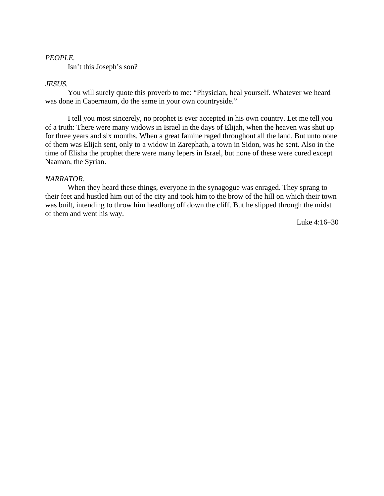### *PEOPLE.*

Isn't this Joseph's son?

## *JESUS.*

You will surely quote this proverb to me: "Physician, heal yourself. Whatever we heard was done in Capernaum, do the same in your own countryside."

I tell you most sincerely, no prophet is ever accepted in his own country. Let me tell you of a truth: There were many widows in Israel in the days of Elijah, when the heaven was shut up for three years and six months. When a great famine raged throughout all the land. But unto none of them was Elijah sent, only to a widow in Zarephath, a town in Sidon, was he sent. Also in the time of Elisha the prophet there were many lepers in Israel, but none of these were cured except Naaman, the Syrian.

### *NARRATOR.*

When they heard these things, everyone in the synagogue was enraged. They sprang to their feet and hustled him out of the city and took him to the brow of the hill on which their town was built, intending to throw him headlong off down the cliff. But he slipped through the midst of them and went his way.

Luke 4:16–30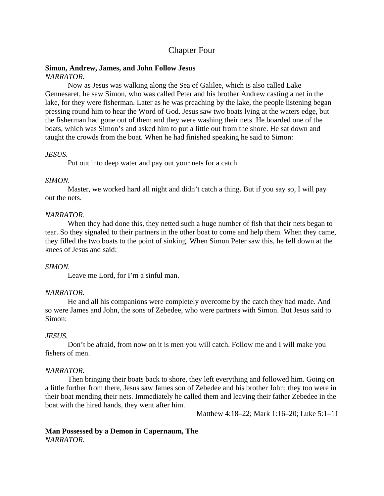# Chapter Four

# **Simon, Andrew, James, and John Follow Jesus**

# *NARRATOR.*

Now as Jesus was walking along the Sea of Galilee, which is also called Lake Gennesaret, he saw Simon, who was called Peter and his brother Andrew casting a net in the lake, for they were fisherman. Later as he was preaching by the lake, the people listening began pressing round him to hear the Word of God. Jesus saw two boats lying at the waters edge, but the fisherman had gone out of them and they were washing their nets. He boarded one of the boats, which was Simon's and asked him to put a little out from the shore. He sat down and taught the crowds from the boat. When he had finished speaking he said to Simon:

# *JESUS.*

Put out into deep water and pay out your nets for a catch.

# *SIMON.*

Master, we worked hard all night and didn't catch a thing. But if you say so, I will pay out the nets.

# *NARRATOR.*

When they had done this, they netted such a huge number of fish that their nets began to tear. So they signaled to their partners in the other boat to come and help them. When they came, they filled the two boats to the point of sinking. When Simon Peter saw this, he fell down at the knees of Jesus and said:

# *SIMON.*

Leave me Lord, for I'm a sinful man.

# *NARRATOR.*

He and all his companions were completely overcome by the catch they had made. And so were James and John, the sons of Zebedee, who were partners with Simon. But Jesus said to Simon:

# *JESUS.*

Don't be afraid, from now on it is men you will catch. Follow me and I will make you fishers of men.

# *NARRATOR.*

Then bringing their boats back to shore, they left everything and followed him. Going on a little further from there, Jesus saw James son of Zebedee and his brother John; they too were in their boat mending their nets. Immediately he called them and leaving their father Zebedee in the boat with the hired hands, they went after him.

Matthew 4:18–22; Mark 1:16–20; Luke 5:1–11

# **Man Possessed by a Demon in Capernaum, The** *NARRATOR.*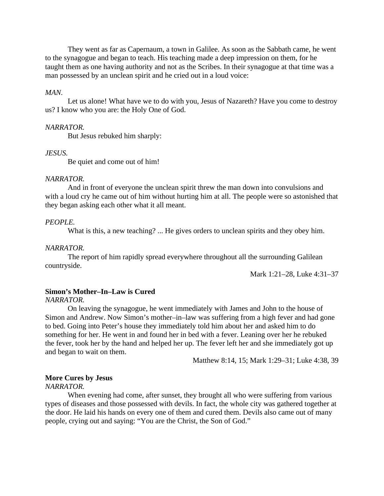They went as far as Capernaum, a town in Galilee. As soon as the Sabbath came, he went to the synagogue and began to teach. His teaching made a deep impression on them, for he taught them as one having authority and not as the Scribes. In their synagogue at that time was a man possessed by an unclean spirit and he cried out in a loud voice:

### *MAN.*

Let us alone! What have we to do with you, Jesus of Nazareth? Have you come to destroy us? I know who you are: the Holy One of God.

### *NARRATOR.*

But Jesus rebuked him sharply:

#### *JESUS.*

Be quiet and come out of him!

#### *NARRATOR.*

And in front of everyone the unclean spirit threw the man down into convulsions and with a loud cry he came out of him without hurting him at all. The people were so astonished that they began asking each other what it all meant.

#### *PEOPLE.*

What is this, a new teaching? ... He gives orders to unclean spirits and they obey him.

#### *NARRATOR.*

The report of him rapidly spread everywhere throughout all the surrounding Galilean countryside.

Mark 1:21–28, Luke 4:31–37

### **Simon's Mother–In–Law is Cured**

*NARRATOR.*

On leaving the synagogue, he went immediately with James and John to the house of Simon and Andrew. Now Simon's mother–in–law was suffering from a high fever and had gone to bed. Going into Peter's house they immediately told him about her and asked him to do something for her. He went in and found her in bed with a fever. Leaning over her he rebuked the fever, took her by the hand and helped her up. The fever left her and she immediately got up and began to wait on them.

Matthew 8:14, 15; Mark 1:29–31; Luke 4:38, 39

### **More Cures by Jesus**

### *NARRATOR.*

When evening had come, after sunset, they brought all who were suffering from various types of diseases and those possessed with devils. In fact, the whole city was gathered together at the door. He laid his hands on every one of them and cured them. Devils also came out of many people, crying out and saying: "You are the Christ, the Son of God."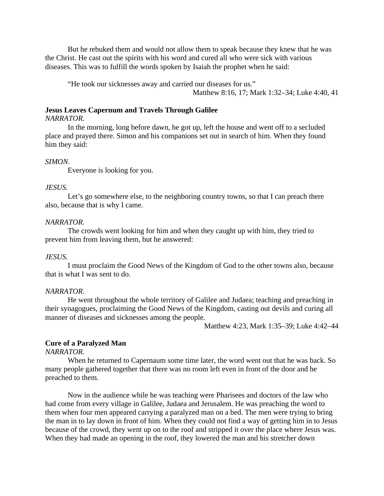But he rebuked them and would not allow them to speak because they knew that he was the Christ. He cast out the spirits with his word and cured all who were sick with various diseases. This was to fulfill the words spoken by Isaiah the prophet when he said:

"He took our sicknesses away and carried our diseases for us." Matthew 8:16, 17; Mark 1:32–34; Luke 4:40, 41

# **Jesus Leaves Capernum and Travels Through Galilee**

### *NARRATOR.*

In the morning, long before dawn, he got up, left the house and went off to a secluded place and prayed there. Simon and his companions set out in search of him. When they found him they said:

#### *SIMON.*

Everyone is looking for you.

### *JESUS.*

Let's go somewhere else, to the neighboring country towns, so that I can preach there also, because that is why I came.

#### *NARRATOR.*

The crowds went looking for him and when they caught up with him, they tried to prevent him from leaving them, but he answered:

#### *JESUS.*

I must proclaim the Good News of the Kingdom of God to the other towns also, because that is what I was sent to do.

#### *NARRATOR.*

He went throughout the whole territory of Galilee and Judaea; teaching and preaching in their synagogues, proclaiming the Good News of the Kingdom, casting out devils and curing all manner of diseases and sicknesses among the people.

Matthew 4:23, Mark 1:35–39; Luke 4:42–44

## **Cure of a Paralyzed Man**

## *NARRATOR.*

When he returned to Capernaum some time later, the word went out that he was back. So many people gathered together that there was no room left even in front of the door and he preached to them.

Now in the audience while he was teaching were Pharisees and doctors of the law who had come from every village in Galilee, Judaea and Jerusalem. He was preaching the word to them when four men appeared carrying a paralyzed man on a bed. The men were trying to bring the man in to lay down in front of him. When they could not find a way of getting him in to Jesus because of the crowd, they went up on to the roof and stripped it over the place where Jesus was. When they had made an opening in the roof, they lowered the man and his stretcher down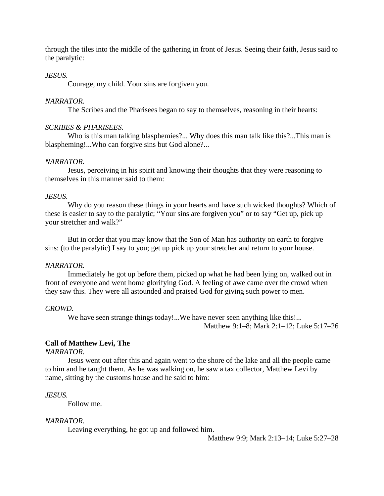through the tiles into the middle of the gathering in front of Jesus. Seeing their faith, Jesus said to the paralytic:

## *JESUS.*

Courage, my child. Your sins are forgiven you.

### *NARRATOR.*

The Scribes and the Pharisees began to say to themselves, reasoning in their hearts:

### *SCRIBES & PHARISEES.*

Who is this man talking blasphemies?... Why does this man talk like this?...This man is blaspheming!...Who can forgive sins but God alone?...

### *NARRATOR.*

Jesus, perceiving in his spirit and knowing their thoughts that they were reasoning to themselves in this manner said to them:

## *JESUS.*

Why do you reason these things in your hearts and have such wicked thoughts? Which of these is easier to say to the paralytic; "Your sins are forgiven you" or to say "Get up, pick up your stretcher and walk?"

But in order that you may know that the Son of Man has authority on earth to forgive sins: (to the paralytic) I say to you; get up pick up your stretcher and return to your house.

### *NARRATOR.*

Immediately he got up before them, picked up what he had been lying on, walked out in front of everyone and went home glorifying God. A feeling of awe came over the crowd when they saw this. They were all astounded and praised God for giving such power to men.

### *CROWD.*

We have seen strange things today!...We have never seen anything like this!... Matthew 9:1–8; Mark 2:1–12; Luke 5:17–26

# **Call of Matthew Levi, The**

### *NARRATOR.*

Jesus went out after this and again went to the shore of the lake and all the people came to him and he taught them. As he was walking on, he saw a tax collector, Matthew Levi by name, sitting by the customs house and he said to him:

### *JESUS.*

Follow me.

# *NARRATOR.*

Leaving everything, he got up and followed him.

Matthew 9:9; Mark 2:13–14; Luke 5:27–28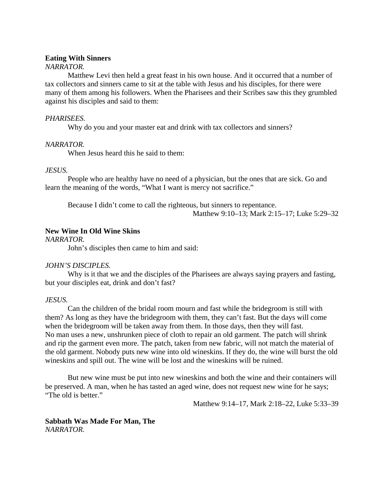### **Eating With Sinners**

## *NARRATOR.*

Matthew Levi then held a great feast in his own house. And it occurred that a number of tax collectors and sinners came to sit at the table with Jesus and his disciples, for there were many of them among his followers. When the Pharisees and their Scribes saw this they grumbled against his disciples and said to them:

# *PHARISEES.*

Why do you and your master eat and drink with tax collectors and sinners?

## *NARRATOR.*

When Jesus heard this he said to them:

## *JESUS.*

People who are healthy have no need of a physician, but the ones that are sick. Go and learn the meaning of the words, "What I want is mercy not sacrifice."

Because I didn't come to call the righteous, but sinners to repentance. Matthew 9:10–13; Mark 2:15–17; Luke 5:29–32

# **New Wine In Old Wine Skins**

*NARRATOR.*

John's disciples then came to him and said:

# *JOHN'S DISCIPLES.*

Why is it that we and the disciples of the Pharisees are always saying prayers and fasting, but your disciples eat, drink and don't fast?

### *JESUS.*

Can the children of the bridal room mourn and fast while the bridegroom is still with them? As long as they have the bridegroom with them, they can't fast. But the days will come when the bridegroom will be taken away from them. In those days, then they will fast. No man uses a new, unshrunken piece of cloth to repair an old garment. The patch will shrink and rip the garment even more. The patch, taken from new fabric, will not match the material of the old garment. Nobody puts new wine into old wineskins. If they do, the wine will burst the old wineskins and spill out. The wine will be lost and the wineskins will be ruined.

But new wine must be put into new wineskins and both the wine and their containers will be preserved. A man, when he has tasted an aged wine, does not request new wine for he says; "The old is better."

Matthew 9:14–17, Mark 2:18–22, Luke 5:33–39

## **Sabbath Was Made For Man, The** *NARRATOR.*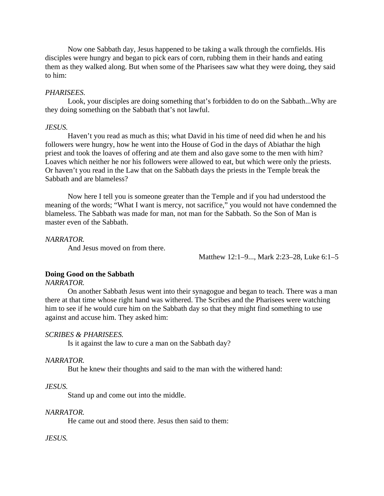Now one Sabbath day, Jesus happened to be taking a walk through the cornfields. His disciples were hungry and began to pick ears of corn, rubbing them in their hands and eating them as they walked along. But when some of the Pharisees saw what they were doing, they said to him:

### *PHARISEES.*

Look, your disciples are doing something that's forbidden to do on the Sabbath...Why are they doing something on the Sabbath that's not lawful.

#### *JESUS.*

Haven't you read as much as this; what David in his time of need did when he and his followers were hungry, how he went into the House of God in the days of Abiathar the high priest and took the loaves of offering and ate them and also gave some to the men with him? Loaves which neither he nor his followers were allowed to eat, but which were only the priests. Or haven't you read in the Law that on the Sabbath days the priests in the Temple break the Sabbath and are blameless?

Now here I tell you is someone greater than the Temple and if you had understood the meaning of the words; "What I want is mercy, not sacrifice," you would not have condemned the blameless. The Sabbath was made for man, not man for the Sabbath. So the Son of Man is master even of the Sabbath.

### *NARRATOR.*

And Jesus moved on from there.

Matthew 12:1–9..., Mark 2:23–28, Luke 6:1–5

#### **Doing Good on the Sabbath**

# *NARRATOR.*

On another Sabbath Jesus went into their synagogue and began to teach. There was a man there at that time whose right hand was withered. The Scribes and the Pharisees were watching him to see if he would cure him on the Sabbath day so that they might find something to use against and accuse him. They asked him:

# *SCRIBES & PHARISEES.*

Is it against the law to cure a man on the Sabbath day?

#### *NARRATOR.*

But he knew their thoughts and said to the man with the withered hand:

### *JESUS.*

Stand up and come out into the middle.

#### *NARRATOR.*

He came out and stood there. Jesus then said to them:

### *JESUS.*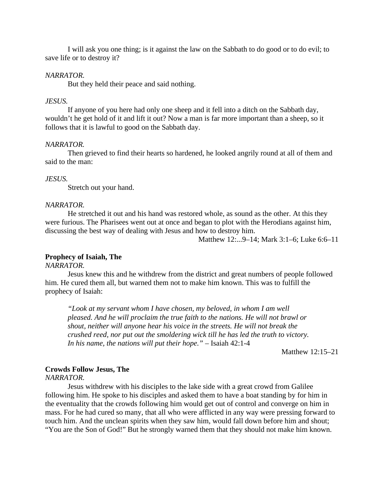I will ask you one thing; is it against the law on the Sabbath to do good or to do evil; to save life or to destroy it?

### *NARRATOR.*

But they held their peace and said nothing.

### *JESUS.*

If anyone of you here had only one sheep and it fell into a ditch on the Sabbath day, wouldn't he get hold of it and lift it out? Now a man is far more important than a sheep, so it follows that it is lawful to good on the Sabbath day.

#### *NARRATOR.*

Then grieved to find their hearts so hardened, he looked angrily round at all of them and said to the man:

#### *JESUS.*

Stretch out your hand.

#### *NARRATOR.*

He stretched it out and his hand was restored whole, as sound as the other. At this they were furious. The Pharisees went out at once and began to plot with the Herodians against him, discussing the best way of dealing with Jesus and how to destroy him.

Matthew 12:...9–14; Mark 3:1–6; Luke 6:6–11

### **Prophecy of Isaiah, The**

*NARRATOR.*

Jesus knew this and he withdrew from the district and great numbers of people followed him. He cured them all, but warned them not to make him known. This was to fulfill the prophecy of Isaiah:

*"Look at my servant whom I have chosen, my beloved, in whom I am well pleased. And he will proclaim the true faith to the nations. He will not brawl or shout, neither will anyone hear his voice in the streets. He will not break the crushed reed, nor put out the smoldering wick till he has led the truth to victory. In his name, the nations will put their hope."* – Isaiah 42:1-4

Matthew 12:15–21

# **Crowds Follow Jesus, The**

*NARRATOR.*

Jesus withdrew with his disciples to the lake side with a great crowd from Galilee following him. He spoke to his disciples and asked them to have a boat standing by for him in the eventuality that the crowds following him would get out of control and converge on him in mass. For he had cured so many, that all who were afflicted in any way were pressing forward to touch him. And the unclean spirits when they saw him, would fall down before him and shout; "You are the Son of God!" But he strongly warned them that they should not make him known.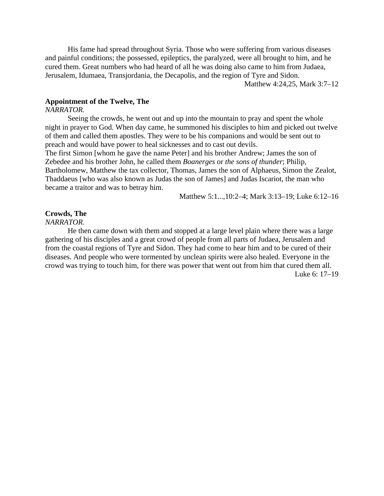His fame had spread throughout Syria. Those who were suffering from various diseases and painful conditions; the possessed, epileptics, the paralyzed, were all brought to him, and he cured them. Great numbers who had heard of all he was doing also came to him from Judaea, Jerusalem, Idumaea, Transjordania, the Decapolis, and the region of Tyre and Sidon.

Matthew 4:24,25, Mark 3:7–12

# **Appointment of the Twelve, The**

#### *NARRATOR.*

Seeing the crowds, he went out and up into the mountain to pray and spent the whole night in prayer to God. When day came, he summoned his disciples to him and picked out twelve of them and called them apostles. They were to be his companions and would be sent out to preach and would have power to heal sicknesses and to cast out devils.

The first Simon [whom he gave the name Peter] and his brother Andrew; James the son of Zebedee and his brother John, he called them *Boanerges* or *the sons of thunder*; Philip, Bartholomew, Matthew the tax collector, Thomas, James the son of Alphaeus, Simon the Zealot, Thaddaeus [who was also known as Judas the son of James] and Judas Iscariot, the man who became a traitor and was to betray him.

Matthew 5:1...,10:2–4; Mark 3:13–19; Luke 6:12–16

# **Crowds, The**

*NARRATOR.*

He then came down with them and stopped at a large level plain where there was a large gathering of his disciples and a great crowd of people from all parts of Judaea, Jerusalem and from the coastal regions of Tyre and Sidon. They had come to hear him and to be cured of their diseases. And people who were tormented by unclean spirits were also healed. Everyone in the crowd was trying to touch him, for there was power that went out from him that cured them all. Luke 6: 17–19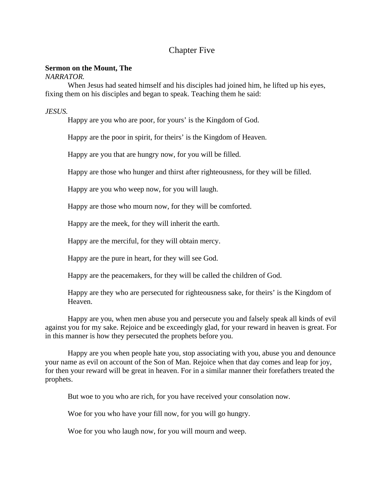# Chapter Five

# **Sermon on the Mount, The**

*NARRATOR.*

When Jesus had seated himself and his disciples had joined him, he lifted up his eyes, fixing them on his disciples and began to speak. Teaching them he said:

*JESUS.*

Happy are you who are poor, for yours' is the Kingdom of God.

Happy are the poor in spirit, for theirs' is the Kingdom of Heaven.

Happy are you that are hungry now, for you will be filled.

Happy are those who hunger and thirst after righteousness, for they will be filled.

Happy are you who weep now, for you will laugh.

Happy are those who mourn now, for they will be comforted.

Happy are the meek, for they will inherit the earth.

Happy are the merciful, for they will obtain mercy.

Happy are the pure in heart, for they will see God.

Happy are the peacemakers, for they will be called the children of God.

Happy are they who are persecuted for righteousness sake, for theirs' is the Kingdom of Heaven.

Happy are you, when men abuse you and persecute you and falsely speak all kinds of evil against you for my sake. Rejoice and be exceedingly glad, for your reward in heaven is great. For in this manner is how they persecuted the prophets before you.

Happy are you when people hate you, stop associating with you, abuse you and denounce your name as evil on account of the Son of Man. Rejoice when that day comes and leap for joy, for then your reward will be great in heaven. For in a similar manner their forefathers treated the prophets.

But woe to you who are rich, for you have received your consolation now.

Woe for you who have your fill now, for you will go hungry.

Woe for you who laugh now, for you will mourn and weep.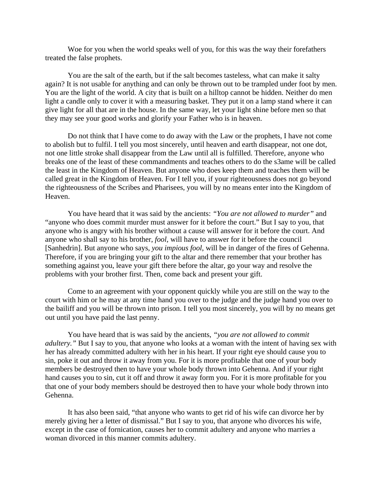Woe for you when the world speaks well of you, for this was the way their forefathers treated the false prophets.

You are the salt of the earth, but if the salt becomes tasteless, what can make it salty again? It is not usable for anything and can only be thrown out to be trampled under foot by men. You are the light of the world. A city that is built on a hilltop cannot be hidden. Neither do men light a candle only to cover it with a measuring basket. They put it on a lamp stand where it can give light for all that are in the house. In the same way, let your light shine before men so that they may see your good works and glorify your Father who is in heaven.

Do not think that I have come to do away with the Law or the prophets, I have not come to abolish but to fulfil. I tell you most sincerely, until heaven and earth disappear, not one dot, not one little stroke shall disappear from the Law until all is fulfilled. Therefore, anyone who breaks one of the least of these commandments and teaches others to do the s3ame will be called the least in the Kingdom of Heaven. But anyone who does keep them and teaches them will be called great in the Kingdom of Heaven. For I tell you, if your righteousness does not go beyond the righteousness of the Scribes and Pharisees, you will by no means enter into the Kingdom of Heaven.

You have heard that it was said by the ancients: *"You are not allowed to murder"* and "anyone who does commit murder must answer for it before the court." But I say to you, that anyone who is angry with his brother without a cause will answer for it before the court. And anyone who shall say to his brother, *fool*, will have to answer for it before the council [Sanhedrin]. But anyone who says, *you impious fool*, will be in danger of the fires of Gehenna. Therefore, if you are bringing your gift to the altar and there remember that your brother has something against you, leave your gift there before the altar, go your way and resolve the problems with your brother first. Then, come back and present your gift.

Come to an agreement with your opponent quickly while you are still on the way to the court with him or he may at any time hand you over to the judge and the judge hand you over to the bailiff and you will be thrown into prison. I tell you most sincerely, you will by no means get out until you have paid the last penny.

You have heard that is was said by the ancients, *"you are not allowed to commit adultery.*" But I say to you, that anyone who looks at a woman with the intent of having sex with her has already committed adultery with her in his heart. If your right eye should cause you to sin, poke it out and throw it away from you. For it is more profitable that one of your body members be destroyed then to have your whole body thrown into Gehenna. And if your right hand causes you to sin, cut it off and throw it away form you. For it is more profitable for you that one of your body members should be destroyed then to have your whole body thrown into Gehenna.

It has also been said, "that anyone who wants to get rid of his wife can divorce her by merely giving her a letter of dismissal." But I say to you, that anyone who divorces his wife, except in the case of fornication, causes her to commit adultery and anyone who marries a woman divorced in this manner commits adultery.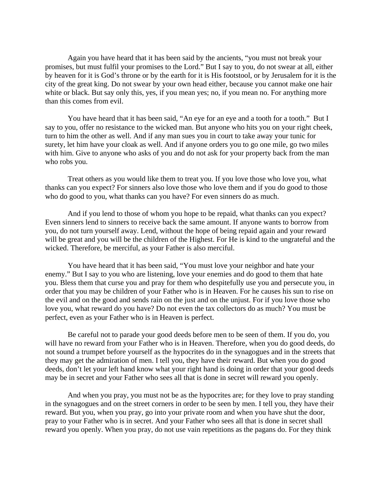Again you have heard that it has been said by the ancients, "you must not break your promises, but must fulfil your promises to the Lord." But I say to you, do not swear at all, either by heaven for it is God's throne or by the earth for it is His footstool, or by Jerusalem for it is the city of the great king. Do not swear by your own head either, because you cannot make one hair white or black. But say only this, yes, if you mean yes; no, if you mean no. For anything more than this comes from evil.

You have heard that it has been said, "An eye for an eye and a tooth for a tooth." But I say to you, offer no resistance to the wicked man. But anyone who hits you on your right cheek, turn to him the other as well. And if any man sues you in court to take away your tunic for surety, let him have your cloak as well. And if anyone orders you to go one mile, go two miles with him. Give to anyone who asks of you and do not ask for your property back from the man who robs you.

Treat others as you would like them to treat you. If you love those who love you, what thanks can you expect? For sinners also love those who love them and if you do good to those who do good to you, what thanks can you have? For even sinners do as much.

And if you lend to those of whom you hope to be repaid, what thanks can you expect? Even sinners lend to sinners to receive back the same amount. If anyone wants to borrow from you, do not turn yourself away. Lend, without the hope of being repaid again and your reward will be great and you will be the children of the Highest. For He is kind to the ungrateful and the wicked. Therefore, be merciful, as your Father is also merciful.

You have heard that it has been said, "You must love your neighbor and hate your enemy." But I say to you who are listening, love your enemies and do good to them that hate you. Bless them that curse you and pray for them who despitefully use you and persecute you, in order that you may be children of your Father who is in Heaven. For he causes his sun to rise on the evil and on the good and sends rain on the just and on the unjust. For if you love those who love you, what reward do you have? Do not even the tax collectors do as much? You must be perfect, even as your Father who is in Heaven is perfect.

Be careful not to parade your good deeds before men to be seen of them. If you do, you will have no reward from your Father who is in Heaven. Therefore, when you do good deeds, do not sound a trumpet before yourself as the hypocrites do in the synagogues and in the streets that they may get the admiration of men. I tell you, they have their reward. But when you do good deeds, don't let your left hand know what your right hand is doing in order that your good deeds may be in secret and your Father who sees all that is done in secret will reward you openly.

And when you pray, you must not be as the hypocrites are; for they love to pray standing in the synagogues and on the street corners in order to be seen by men. I tell you, they have their reward. But you, when you pray, go into your private room and when you have shut the door, pray to your Father who is in secret. And your Father who sees all that is done in secret shall reward you openly. When you pray, do not use vain repetitions as the pagans do. For they think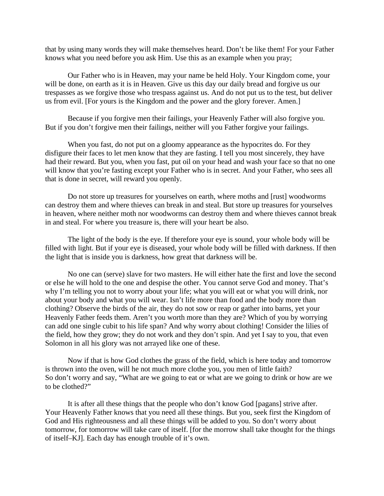that by using many words they will make themselves heard. Don't be like them! For your Father knows what you need before you ask Him. Use this as an example when you pray;

Our Father who is in Heaven, may your name be held Holy. Your Kingdom come, your will be done, on earth as it is in Heaven. Give us this day our daily bread and forgive us our trespasses as we forgive those who trespass against us. And do not put us to the test, but deliver us from evil. [For yours is the Kingdom and the power and the glory forever. Amen.]

Because if you forgive men their failings, your Heavenly Father will also forgive you. But if you don't forgive men their failings, neither will you Father forgive your failings.

When you fast, do not put on a gloomy appearance as the hypocrites do. For they disfigure their faces to let men know that they are fasting. I tell you most sincerely, they have had their reward. But you, when you fast, put oil on your head and wash your face so that no one will know that you're fasting except your Father who is in secret. And your Father, who sees all that is done in secret, will reward you openly.

Do not store up treasures for yourselves on earth, where moths and [rust] woodworms can destroy them and where thieves can break in and steal. But store up treasures for yourselves in heaven, where neither moth nor woodworms can destroy them and where thieves cannot break in and steal. For where you treasure is, there will your heart be also.

The light of the body is the eye. If therefore your eye is sound, your whole body will be filled with light. But if your eye is diseased, your whole body will be filled with darkness. If then the light that is inside you is darkness, how great that darkness will be.

No one can (serve) slave for two masters. He will either hate the first and love the second or else he will hold to the one and despise the other. You cannot serve God and money. That's why I'm telling you not to worry about your life; what you will eat or what you will drink, nor about your body and what you will wear. Isn't life more than food and the body more than clothing? Observe the birds of the air, they do not sow or reap or gather into barns, yet your Heavenly Father feeds them. Aren't you worth more than they are? Which of you by worrying can add one single cubit to his life span? And why worry about clothing! Consider the lilies of the field, how they grow; they do not work and they don't spin. And yet I say to you, that even Solomon in all his glory was not arrayed like one of these.

Now if that is how God clothes the grass of the field, which is here today and tomorrow is thrown into the oven, will he not much more clothe you, you men of little faith? So don't worry and say, "What are we going to eat or what are we going to drink or how are we to be clothed?"

It is after all these things that the people who don't know God [pagans] strive after. Your Heavenly Father knows that you need all these things. But you, seek first the Kingdom of God and His righteousness and all these things will be added to you. So don't worry about tomorrow, for tomorrow will take care of itself. [for the morrow shall take thought for the things of itself–KJ]. Each day has enough trouble of it's own.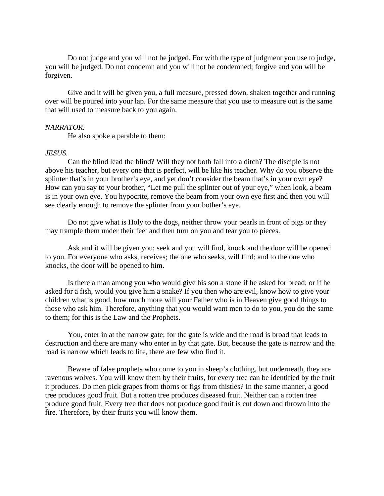Do not judge and you will not be judged. For with the type of judgment you use to judge, you will be judged. Do not condemn and you will not be condemned; forgive and you will be forgiven.

Give and it will be given you, a full measure, pressed down, shaken together and running over will be poured into your lap. For the same measure that you use to measure out is the same that will used to measure back to you again.

### *NARRATOR.*

He also spoke a parable to them:

#### *JESUS.*

Can the blind lead the blind? Will they not both fall into a ditch? The disciple is not above his teacher, but every one that is perfect, will be like his teacher. Why do you observe the splinter that's in your brother's eye, and yet don't consider the beam that's in your own eye? How can you say to your brother, "Let me pull the splinter out of your eye," when look, a beam is in your own eye. You hypocrite, remove the beam from your own eye first and then you will see clearly enough to remove the splinter from your bother's eye.

Do not give what is Holy to the dogs, neither throw your pearls in front of pigs or they may trample them under their feet and then turn on you and tear you to pieces.

Ask and it will be given you; seek and you will find, knock and the door will be opened to you. For everyone who asks, receives; the one who seeks, will find; and to the one who knocks, the door will be opened to him.

Is there a man among you who would give his son a stone if he asked for bread; or if he asked for a fish, would you give him a snake? If you then who are evil, know how to give your children what is good, how much more will your Father who is in Heaven give good things to those who ask him. Therefore, anything that you would want men to do to you, you do the same to them; for this is the Law and the Prophets.

You, enter in at the narrow gate; for the gate is wide and the road is broad that leads to destruction and there are many who enter in by that gate. But, because the gate is narrow and the road is narrow which leads to life, there are few who find it.

Beware of false prophets who come to you in sheep's clothing, but underneath, they are ravenous wolves. You will know them by their fruits, for every tree can be identified by the fruit it produces. Do men pick grapes from thorns or figs from thistles? In the same manner, a good tree produces good fruit. But a rotten tree produces diseased fruit. Neither can a rotten tree produce good fruit. Every tree that does not produce good fruit is cut down and thrown into the fire. Therefore, by their fruits you will know them.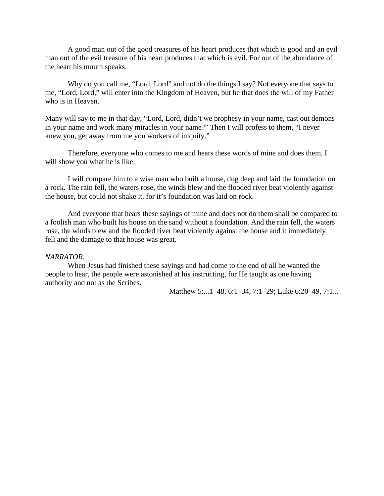A good man out of the good treasures of his heart produces that which is good and an evil man out of the evil treasure of his heart produces that which is evil. For out of the abundance of the heart his mouth speaks.

Why do you call me, "Lord, Lord" and not do the things I say? Not everyone that says to me, "Lord, Lord," will enter into the Kingdom of Heaven, but he that does the will of my Father who is in Heaven.

Many will say to me in that day, "Lord, Lord, didn't we prophesy in your name, cast out demons in your name and work many miracles in your name?" Then I will profess to them, "I never knew you, get away from me you workers of iniquity."

Therefore, everyone who comes to me and hears these words of mine and does them, I will show you what he is like:

I will compare him to a wise man who built a house, dug deep and laid the foundation on a rock. The rain fell, the waters rose, the winds blew and the flooded river beat violently against the house, but could not shake it, for it's foundation was laid on rock.

And everyone that hears these sayings of mine and does not do them shall be compared to a foolish man who built his house on the sand without a foundation. And the rain fell, the waters rose, the winds blew and the flooded river beat violently against the house and it immediately fell and the damage to that house was great.

#### *NARRATOR.*

When Jesus had finished these sayings and had come to the end of all he wanted the people to hear, the people were astonished at his instructing, for He taught as one having authority and not as the Scribes.

Matthew 5:...1–48, 6:1–34, 7:1–29; Luke 6:20–49, 7:1...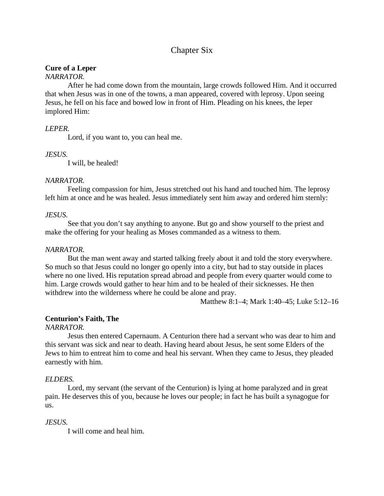# Chapter Six

# **Cure of a Leper**

# *NARRATOR.*

After he had come down from the mountain, large crowds followed Him. And it occurred that when Jesus was in one of the towns, a man appeared, covered with leprosy. Upon seeing Jesus, he fell on his face and bowed low in front of Him. Pleading on his knees, the leper implored Him:

# *LEPER.*

Lord, if you want to, you can heal me.

# *JESUS.*

I will, be healed!

## *NARRATOR.*

Feeling compassion for him, Jesus stretched out his hand and touched him. The leprosy left him at once and he was healed. Jesus immediately sent him away and ordered him sternly:

## *JESUS.*

See that you don't say anything to anyone. But go and show yourself to the priest and make the offering for your healing as Moses commanded as a witness to them.

# *NARRATOR.*

But the man went away and started talking freely about it and told the story everywhere. So much so that Jesus could no longer go openly into a city, but had to stay outside in places where no one lived. His reputation spread abroad and people from every quarter would come to him. Large crowds would gather to hear him and to be healed of their sicknesses. He then withdrew into the wilderness where he could be alone and pray.

Matthew 8:1–4; Mark 1:40–45; Luke 5:12–16

# **Centurion's Faith, The**

### *NARRATOR.*

Jesus then entered Capernaum. A Centurion there had a servant who was dear to him and this servant was sick and near to death. Having heard about Jesus, he sent some Elders of the Jews to him to entreat him to come and heal his servant. When they came to Jesus, they pleaded earnestly with him.

# *ELDERS.*

Lord, my servant (the servant of the Centurion) is lying at home paralyzed and in great pain. He deserves this of you, because he loves our people; in fact he has built a synagogue for us.

# *JESUS.*

I will come and heal him.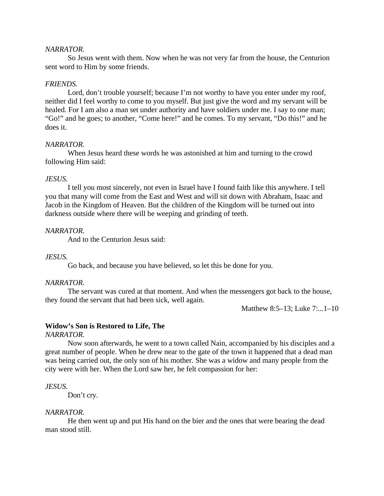### *NARRATOR.*

So Jesus went with them. Now when he was not very far from the house, the Centurion sent word to Him by some friends.

### *FRIENDS.*

Lord, don't trouble yourself; because I'm not worthy to have you enter under my roof, neither did I feel worthy to come to you myself. But just give the word and my servant will be healed. For I am also a man set under authority and have soldiers under me. I say to one man; "Go!" and he goes; to another, "Come here!" and he comes. To my servant, "Do this!" and he does it.

#### *NARRATOR.*

When Jesus heard these words he was astonished at him and turning to the crowd following Him said:

#### *JESUS.*

I tell you most sincerely, not even in Israel have I found faith like this anywhere. I tell you that many will come from the East and West and will sit down with Abraham, Isaac and Jacob in the Kingdom of Heaven. But the children of the Kingdom will be turned out into darkness outside where there will be weeping and grinding of teeth.

# *NARRATOR.*

And to the Centurion Jesus said:

#### *JESUS.*

Go back, and because you have believed, so let this be done for you.

### *NARRATOR.*

The servant was cured at that moment. And when the messengers got back to the house, they found the servant that had been sick, well again.

Matthew 8:5–13; Luke 7:...1–10

#### **Widow's Son is Restored to Life, The**

*NARRATOR.*

Now soon afterwards, he went to a town called Nain, accompanied by his disciples and a great number of people. When he drew near to the gate of the town it happened that a dead man was being carried out, the only son of his mother. She was a widow and many people from the city were with her. When the Lord saw her, he felt compassion for her:

*JESUS.*

Don't cry.

#### *NARRATOR.*

He then went up and put His hand on the bier and the ones that were bearing the dead man stood still.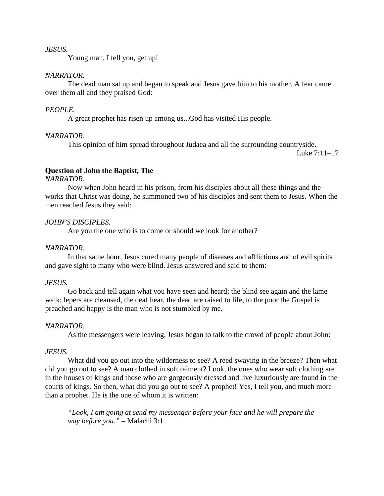### *JESUS.*

Young man, I tell you, get up!

#### *NARRATOR.*

The dead man sat up and began to speak and Jesus gave him to his mother. A fear came over them all and they praised God:

### *PEOPLE.*

A great prophet has risen up among us...God has visited His people.

#### *NARRATOR.*

This opinion of him spread throughout Judaea and all the surrounding countryside.

Luke 7:11–17

### **Question of John the Baptist, The**

*NARRATOR.*

Now when John heard in his prison, from his disciples about all these things and the works that Christ was doing, he summoned two of his disciples and sent them to Jesus. When the men reached Jesus they said:

### *JOHN'S DISCIPLES.*

Are you the one who is to come or should we look for another?

#### *NARRATOR.*

In that same hour, Jesus cured many people of diseases and afflictions and of evil spirits and gave sight to many who were blind. Jesus answered and said to them:

### *JESUS.*

Go back and tell again what you have seen and heard; the blind see again and the lame walk; lepers are cleansed, the deaf hear, the dead are raised to life, to the poor the Gospel is preached and happy is the man who is not stumbled by me.

#### *NARRATOR.*

As the messengers were leaving, Jesus began to talk to the crowd of people about John:

## *JESUS.*

What did you go out into the wilderness to see? A reed swaying in the breeze? Then what did you go out to see? A man clothed in soft raiment? Look, the ones who wear soft clothing are in the houses of kings and those who are gorgeously dressed and live luxuriously are found in the courts of kings. So then, what did you go out to see? A prophet! Yes, I tell you, and much more than a prophet. He is the one of whom it is written:

*"Look, I am going at send my messenger before your face and he will prepare the way before you."* – Malachi 3:1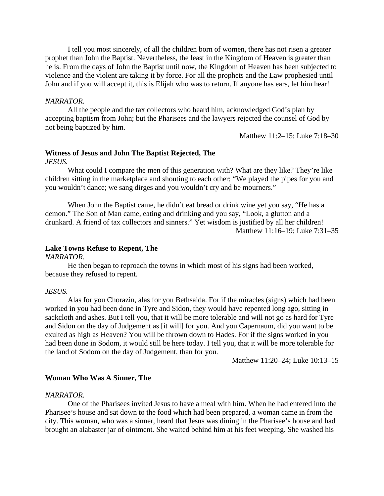I tell you most sincerely, of all the children born of women, there has not risen a greater prophet than John the Baptist. Nevertheless, the least in the Kingdom of Heaven is greater than he is. From the days of John the Baptist until now, the Kingdom of Heaven has been subjected to violence and the violent are taking it by force. For all the prophets and the Law prophesied until John and if you will accept it, this is Elijah who was to return. If anyone has ears, let him hear!

#### *NARRATOR.*

All the people and the tax collectors who heard him, acknowledged God's plan by accepting baptism from John; but the Pharisees and the lawyers rejected the counsel of God by not being baptized by him.

Matthew 11:2–15; Luke 7:18–30

# **Witness of Jesus and John The Baptist Rejected, The**

*JESUS.*

What could I compare the men of this generation with? What are they like? They're like children sitting in the marketplace and shouting to each other; "We played the pipes for you and you wouldn't dance; we sang dirges and you wouldn't cry and be mourners."

When John the Baptist came, he didn't eat bread or drink wine yet you say, "He has a demon." The Son of Man came, eating and drinking and you say, "Look, a glutton and a drunkard. A friend of tax collectors and sinners." Yet wisdom is justified by all her children! Matthew 11:16–19; Luke 7:31–35

### **Lake Towns Refuse to Repent, The**

#### *NARRATOR.*

He then began to reproach the towns in which most of his signs had been worked, because they refused to repent.

#### *JESUS.*

Alas for you Chorazin, alas for you Bethsaida. For if the miracles (signs) which had been worked in you had been done in Tyre and Sidon, they would have repented long ago, sitting in sackcloth and ashes. But I tell you, that it will be more tolerable and will not go as hard for Tyre and Sidon on the day of Judgement as [it will] for you. And you Capernaum, did you want to be exulted as high as Heaven? You will be thrown down to Hades. For if the signs worked in you had been done in Sodom, it would still be here today. I tell you, that it will be more tolerable for the land of Sodom on the day of Judgement, than for you.

Matthew 11:20–24; Luke 10:13–15

### **Woman Who Was A Sinner, The**

#### *NARRATOR.*

One of the Pharisees invited Jesus to have a meal with him. When he had entered into the Pharisee's house and sat down to the food which had been prepared, a woman came in from the city. This woman, who was a sinner, heard that Jesus was dining in the Pharisee's house and had brought an alabaster jar of ointment. She waited behind him at his feet weeping. She washed his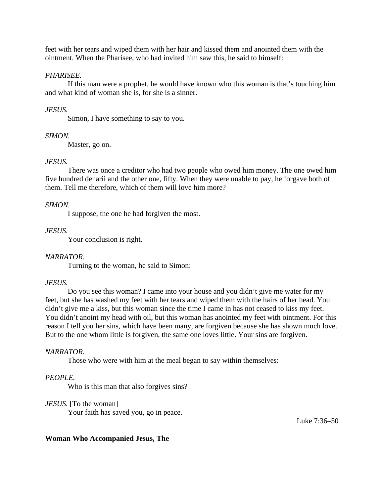feet with her tears and wiped them with her hair and kissed them and anointed them with the ointment. When the Pharisee, who had invited him saw this, he said to himself:

# *PHARISEE.*

If this man were a prophet, he would have known who this woman is that's touching him and what kind of woman she is, for she is a sinner.

# *JESUS.*

Simon, I have something to say to you.

# *SIMON.*

Master, go on.

# *JESUS.*

There was once a creditor who had two people who owed him money. The one owed him five hundred denarii and the other one, fifty. When they were unable to pay, he forgave both of them. Tell me therefore, which of them will love him more?

# *SIMON.*

I suppose, the one he had forgiven the most.

# *JESUS.*

Your conclusion is right.

# *NARRATOR.*

Turning to the woman, he said to Simon:

# *JESUS.*

Do you see this woman? I came into your house and you didn't give me water for my feet, but she has washed my feet with her tears and wiped them with the hairs of her head. You didn't give me a kiss, but this woman since the time I came in has not ceased to kiss my feet. You didn't anoint my head with oil, but this woman has anointed my feet with ointment. For this reason I tell you her sins, which have been many, are forgiven because she has shown much love. But to the one whom little is forgiven, the same one loves little. Your sins are forgiven.

# *NARRATOR.*

Those who were with him at the meal began to say within themselves:

# *PEOPLE.*

Who is this man that also forgives sins?

# *JESUS.* [To the woman]

Your faith has saved you, go in peace.

Luke 7:36–50

# **Woman Who Accompanied Jesus, The**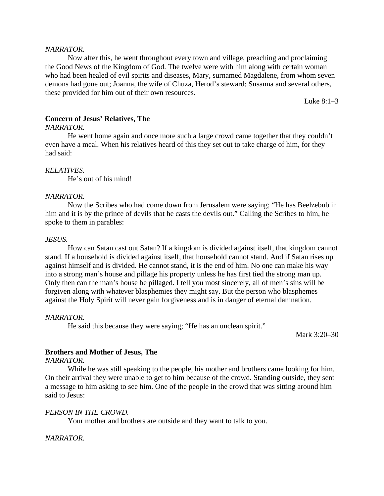### *NARRATOR.*

Now after this, he went throughout every town and village, preaching and proclaiming the Good News of the Kingdom of God. The twelve were with him along with certain woman who had been healed of evil spirits and diseases, Mary, surnamed Magdalene, from whom seven demons had gone out; Joanna, the wife of Chuza, Herod's steward; Susanna and several others, these provided for him out of their own resources.

Luke 8:1–3

## **Concern of Jesus' Relatives, The**

#### *NARRATOR.*

He went home again and once more such a large crowd came together that they couldn't even have a meal. When his relatives heard of this they set out to take charge of him, for they had said:

# *RELATIVES.*

He's out of his mind!

# *NARRATOR.*

Now the Scribes who had come down from Jerusalem were saying; "He has Beelzebub in him and it is by the prince of devils that he casts the devils out." Calling the Scribes to him, he spoke to them in parables:

### *JESUS.*

How can Satan cast out Satan? If a kingdom is divided against itself, that kingdom cannot stand. If a household is divided against itself, that household cannot stand. And if Satan rises up against himself and is divided. He cannot stand, it is the end of him. No one can make his way into a strong man's house and pillage his property unless he has first tied the strong man up. Only then can the man's house be pillaged. I tell you most sincerely, all of men's sins will be forgiven along with whatever blasphemies they might say. But the person who blasphemes against the Holy Spirit will never gain forgiveness and is in danger of eternal damnation.

### *NARRATOR.*

He said this because they were saying; "He has an unclean spirit."

Mark 3:20–30

### **Brothers and Mother of Jesus, The**

### *NARRATOR.*

While he was still speaking to the people, his mother and brothers came looking for him. On their arrival they were unable to get to him because of the crowd. Standing outside, they sent a message to him asking to see him. One of the people in the crowd that was sitting around him said to Jesus:

### *PERSON IN THE CROWD.*

Your mother and brothers are outside and they want to talk to you.

### *NARRATOR.*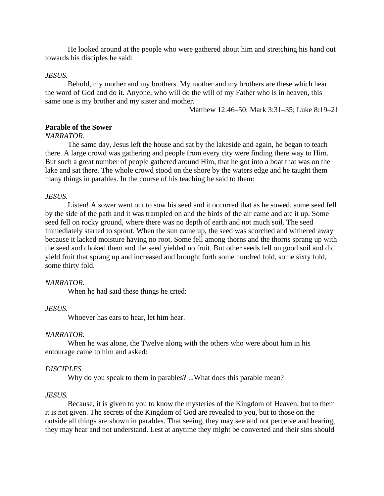He looked around at the people who were gathered about him and stretching his hand out towards his disciples he said:

#### *JESUS.*

Behold, my mother and my brothers. My mother and my brothers are these which hear the word of God and do it. Anyone, who will do the will of my Father who is in heaven, this same one is my brother and my sister and mother.

Matthew 12:46–50; Mark 3:31–35; Luke 8:19–21

# **Parable of the Sower**

#### *NARRATOR.*

The same day, Jesus left the house and sat by the lakeside and again, he began to teach there. A large crowd was gathering and people from every city were finding there way to Him. But such a great number of people gathered around Him, that he got into a boat that was on the lake and sat there. The whole crowd stood on the shore by the waters edge and he taught them many things in parables. In the course of his teaching he said to them:

# *JESUS.*

Listen! A sower went out to sow his seed and it occurred that as he sowed, some seed fell by the side of the path and it was trampled on and the birds of the air came and ate it up. Some seed fell on rocky ground, where there was no depth of earth and not much soil. The seed immediately started to sprout. When the sun came up, the seed was scorched and withered away because it lacked moisture having no root. Some fell among thorns and the thorns sprang up with the seed and choked them and the seed yielded no fruit. But other seeds fell on good soil and did yield fruit that sprang up and increased and brought forth some hundred fold, some sixty fold, some thirty fold.

#### *NARRATOR.*

When he had said these things he cried:

### *JESUS.*

Whoever has ears to hear, let him hear.

### *NARRATOR.*

When he was alone, the Twelve along with the others who were about him in his entourage came to him and asked:

#### *DISCIPLES.*

Why do you speak to them in parables? ...What does this parable mean?

#### *JESUS.*

Because, it is given to you to know the mysteries of the Kingdom of Heaven, but to them it is not given. The secrets of the Kingdom of God are revealed to you, but to those on the outside all things are shown in parables. That seeing, they may see and not perceive and hearing, they may hear and not understand. Lest at anytime they might be converted and their sins should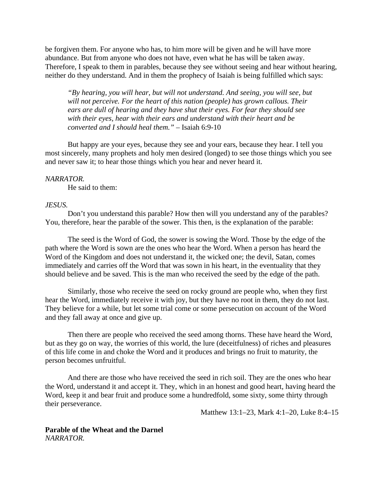be forgiven them. For anyone who has, to him more will be given and he will have more abundance. But from anyone who does not have, even what he has will be taken away. Therefore, I speak to them in parables, because they see without seeing and hear without hearing, neither do they understand. And in them the prophecy of Isaiah is being fulfilled which says:

*"By hearing, you will hear, but will not understand. And seeing, you will see, but will not perceive. For the heart of this nation (people) has grown callous. Their ears are dull of hearing and they have shut their eyes. For fear they should see with their eyes, hear with their ears and understand with their heart and be converted and I should heal them."* – Isaiah 6:9-10

But happy are your eyes, because they see and your ears, because they hear. I tell you most sincerely, many prophets and holy men desired (longed) to see those things which you see and never saw it; to hear those things which you hear and never heard it.

#### *NARRATOR.*

He said to them:

#### *JESUS.*

Don't you understand this parable? How then will you understand any of the parables? You, therefore, hear the parable of the sower. This then, is the explanation of the parable:

The seed is the Word of God, the sower is sowing the Word. Those by the edge of the path where the Word is sown are the ones who hear the Word. When a person has heard the Word of the Kingdom and does not understand it, the wicked one; the devil, Satan, comes immediately and carries off the Word that was sown in his heart, in the eventuality that they should believe and be saved. This is the man who received the seed by the edge of the path.

Similarly, those who receive the seed on rocky ground are people who, when they first hear the Word, immediately receive it with joy, but they have no root in them, they do not last. They believe for a while, but let some trial come or some persecution on account of the Word and they fall away at once and give up.

Then there are people who received the seed among thorns. These have heard the Word, but as they go on way, the worries of this world, the lure (deceitfulness) of riches and pleasures of this life come in and choke the Word and it produces and brings no fruit to maturity, the person becomes unfruitful.

And there are those who have received the seed in rich soil. They are the ones who hear the Word, understand it and accept it. They, which in an honest and good heart, having heard the Word, keep it and bear fruit and produce some a hundredfold, some sixty, some thirty through their perseverance.

Matthew 13:1–23, Mark 4:1–20, Luke 8:4–15

**Parable of the Wheat and the Darnel** *NARRATOR.*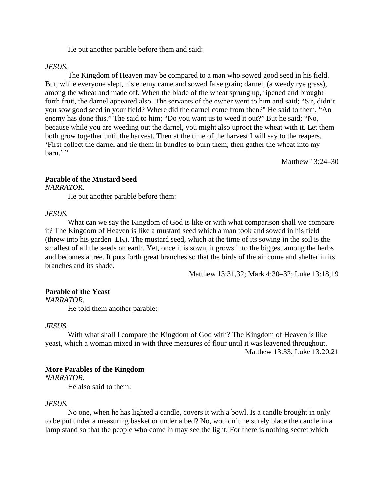He put another parable before them and said:

#### *JESUS.*

The Kingdom of Heaven may be compared to a man who sowed good seed in his field. But, while everyone slept, his enemy came and sowed false grain; darnel; (a weedy rye grass), among the wheat and made off. When the blade of the wheat sprung up, ripened and brought forth fruit, the darnel appeared also. The servants of the owner went to him and said; "Sir, didn't you sow good seed in your field? Where did the darnel come from then?" He said to them, "An enemy has done this." The said to him; "Do you want us to weed it out?" But he said; "No, because while you are weeding out the darnel, you might also uproot the wheat with it. Let them both grow together until the harvest. Then at the time of the harvest I will say to the reapers, 'First collect the darnel and tie them in bundles to burn them, then gather the wheat into my barn.'"

Matthew 13:24–30

# **Parable of the Mustard Seed**

*NARRATOR.*

He put another parable before them:

#### *JESUS.*

What can we say the Kingdom of God is like or with what comparison shall we compare it? The Kingdom of Heaven is like a mustard seed which a man took and sowed in his field (threw into his garden–LK). The mustard seed, which at the time of its sowing in the soil is the smallest of all the seeds on earth. Yet, once it is sown, it grows into the biggest among the herbs and becomes a tree. It puts forth great branches so that the birds of the air come and shelter in its branches and its shade.

Matthew 13:31,32; Mark 4:30–32; Luke 13:18,19

#### **Parable of the Yeast**

*NARRATOR.*

He told them another parable:

#### *JESUS.*

With what shall I compare the Kingdom of God with? The Kingdom of Heaven is like yeast, which a woman mixed in with three measures of flour until it was leavened throughout. Matthew 13:33; Luke 13:20,21

### **More Parables of the Kingdom**

*NARRATOR.*

He also said to them:

#### *JESUS.*

No one, when he has lighted a candle, covers it with a bowl. Is a candle brought in only to be put under a measuring basket or under a bed? No, wouldn't he surely place the candle in a lamp stand so that the people who come in may see the light. For there is nothing secret which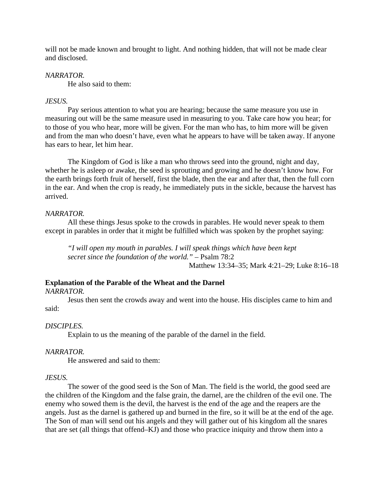will not be made known and brought to light. And nothing hidden, that will not be made clear and disclosed.

# *NARRATOR.*

He also said to them:

# *JESUS.*

Pay serious attention to what you are hearing; because the same measure you use in measuring out will be the same measure used in measuring to you. Take care how you hear; for to those of you who hear, more will be given. For the man who has, to him more will be given and from the man who doesn't have, even what he appears to have will be taken away. If anyone has ears to hear, let him hear.

The Kingdom of God is like a man who throws seed into the ground, night and day, whether he is asleep or awake, the seed is sprouting and growing and he doesn't know how. For the earth brings forth fruit of herself, first the blade, then the ear and after that, then the full corn in the ear. And when the crop is ready, he immediately puts in the sickle, because the harvest has arrived.

## *NARRATOR.*

All these things Jesus spoke to the crowds in parables. He would never speak to them except in parables in order that it might be fulfilled which was spoken by the prophet saying:

*"I will open my mouth in parables. I will speak things which have been kept secret since the foundation of the world."* – Psalm 78:2 Matthew 13:34–35; Mark 4:21–29; Luke 8:16–18

# **Explanation of the Parable of the Wheat and the Darnel**

### *NARRATOR.*

Jesus then sent the crowds away and went into the house. His disciples came to him and said:

# *DISCIPLES.*

Explain to us the meaning of the parable of the darnel in the field.

# *NARRATOR.*

He answered and said to them:

### *JESUS.*

The sower of the good seed is the Son of Man. The field is the world, the good seed are the children of the Kingdom and the false grain, the darnel, are the children of the evil one. The enemy who sowed them is the devil, the harvest is the end of the age and the reapers are the angels. Just as the darnel is gathered up and burned in the fire, so it will be at the end of the age. The Son of man will send out his angels and they will gather out of his kingdom all the snares that are set (all things that offend–KJ) and those who practice iniquity and throw them into a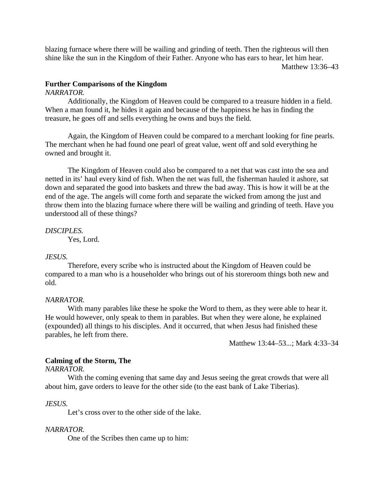blazing furnace where there will be wailing and grinding of teeth. Then the righteous will then shine like the sun in the Kingdom of their Father. Anyone who has ears to hear, let him hear. Matthew 13:36–43

# **Further Comparisons of the Kingdom**

### *NARRATOR.*

Additionally, the Kingdom of Heaven could be compared to a treasure hidden in a field. When a man found it, he hides it again and because of the happiness he has in finding the treasure, he goes off and sells everything he owns and buys the field.

Again, the Kingdom of Heaven could be compared to a merchant looking for fine pearls. The merchant when he had found one pearl of great value, went off and sold everything he owned and brought it.

The Kingdom of Heaven could also be compared to a net that was cast into the sea and netted in its' haul every kind of fish. When the net was full, the fisherman hauled it ashore, sat down and separated the good into baskets and threw the bad away. This is how it will be at the end of the age. The angels will come forth and separate the wicked from among the just and throw them into the blazing furnace where there will be wailing and grinding of teeth. Have you understood all of these things?

# *DISCIPLES.*

Yes, Lord.

# *JESUS.*

Therefore, every scribe who is instructed about the Kingdom of Heaven could be compared to a man who is a householder who brings out of his storeroom things both new and old.

# *NARRATOR.*

With many parables like these he spoke the Word to them, as they were able to hear it. He would however, only speak to them in parables. But when they were alone, he explained (expounded) all things to his disciples. And it occurred, that when Jesus had finished these parables, he left from there.

Matthew 13:44–53...; Mark 4:33–34

# **Calming of the Storm, The**

*NARRATOR.*

With the coming evening that same day and Jesus seeing the great crowds that were all about him, gave orders to leave for the other side (to the east bank of Lake Tiberias).

# *JESUS.*

Let's cross over to the other side of the lake.

# *NARRATOR.*

One of the Scribes then came up to him: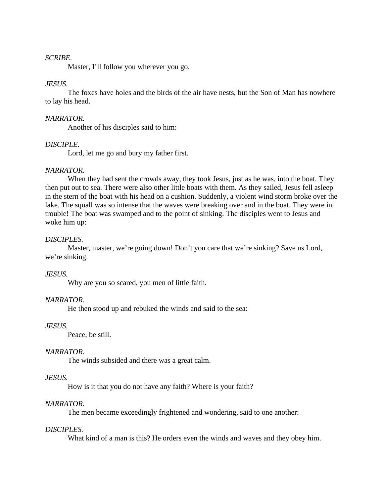### *SCRIBE.*

Master, I'll follow you wherever you go.

## *JESUS.*

The foxes have holes and the birds of the air have nests, but the Son of Man has nowhere to lay his head.

#### *NARRATOR.*

Another of his disciples said to him:

# *DISCIPLE.*

Lord, let me go and bury my father first.

#### *NARRATOR.*

When they had sent the crowds away, they took Jesus, just as he was, into the boat. They then put out to sea. There were also other little boats with them. As they sailed, Jesus fell asleep in the stern of the boat with his head on a cushion. Suddenly, a violent wind storm broke over the lake. The squall was so intense that the waves were breaking over and in the boat. They were in trouble! The boat was swamped and to the point of sinking. The disciples went to Jesus and woke him up:

#### *DISCIPLES.*

Master, master, we're going down! Don't you care that we're sinking? Save us Lord, we're sinking.

#### *JESUS.*

Why are you so scared, you men of little faith.

### *NARRATOR.*

He then stood up and rebuked the winds and said to the sea:

#### *JESUS.*

Peace, be still.

### *NARRATOR.*

The winds subsided and there was a great calm.

#### *JESUS.*

How is it that you do not have any faith? Where is your faith?

#### *NARRATOR.*

The men became exceedingly frightened and wondering, said to one another:

#### *DISCIPLES.*

What kind of a man is this? He orders even the winds and waves and they obey him.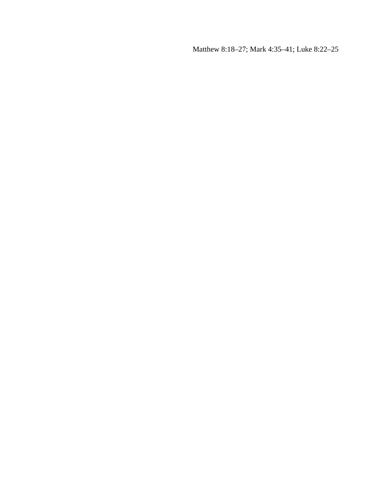Matthew 8:18–27; Mark 4:35–41; Luke 8:22–25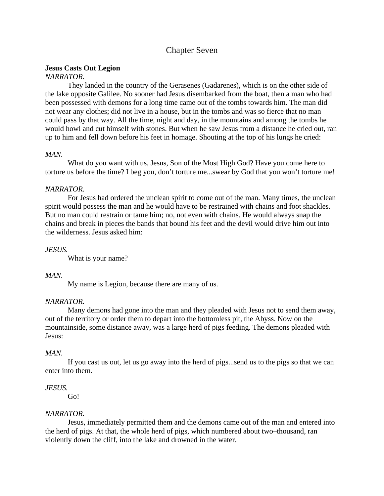# Chapter Seven

# **Jesus Casts Out Legion**

# *NARRATOR.*

They landed in the country of the Gerasenes (Gadarenes), which is on the other side of the lake opposite Galilee. No sooner had Jesus disembarked from the boat, then a man who had been possessed with demons for a long time came out of the tombs towards him. The man did not wear any clothes; did not live in a house, but in the tombs and was so fierce that no man could pass by that way. All the time, night and day, in the mountains and among the tombs he would howl and cut himself with stones. But when he saw Jesus from a distance he cried out, ran up to him and fell down before his feet in homage. Shouting at the top of his lungs he cried:

# *MAN.*

What do you want with us, Jesus, Son of the Most High God? Have you come here to torture us before the time? I beg you, don't torture me...swear by God that you won't torture me!

## *NARRATOR.*

For Jesus had ordered the unclean spirit to come out of the man. Many times, the unclean spirit would possess the man and he would have to be restrained with chains and foot shackles. But no man could restrain or tame him; no, not even with chains. He would always snap the chains and break in pieces the bands that bound his feet and the devil would drive him out into the wilderness. Jesus asked him:

# *JESUS.*

What is your name?

# *MAN.*

My name is Legion, because there are many of us.

# *NARRATOR.*

Many demons had gone into the man and they pleaded with Jesus not to send them away, out of the territory or order them to depart into the bottomless pit, the Abyss. Now on the mountainside, some distance away, was a large herd of pigs feeding. The demons pleaded with Jesus:

### *MAN.*

If you cast us out, let us go away into the herd of pigs...send us to the pigs so that we can enter into them.

# *JESUS.*

Go!

### *NARRATOR.*

Jesus, immediately permitted them and the demons came out of the man and entered into the herd of pigs. At that, the whole herd of pigs, which numbered about two–thousand, ran violently down the cliff, into the lake and drowned in the water.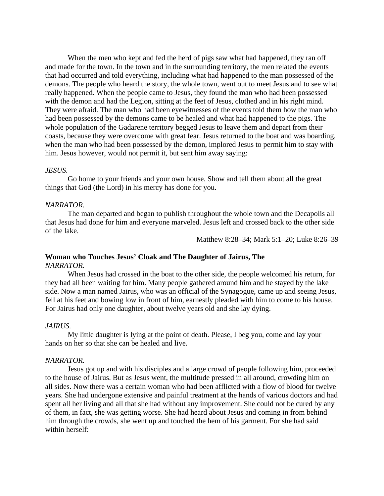When the men who kept and fed the herd of pigs saw what had happened, they ran off and made for the town. In the town and in the surrounding territory, the men related the events that had occurred and told everything, including what had happened to the man possessed of the demons. The people who heard the story, the whole town, went out to meet Jesus and to see what really happened. When the people came to Jesus, they found the man who had been possessed with the demon and had the Legion, sitting at the feet of Jesus, clothed and in his right mind. They were afraid. The man who had been eyewitnesses of the events told them how the man who had been possessed by the demons came to be healed and what had happened to the pigs. The whole population of the Gadarene territory begged Jesus to leave them and depart from their coasts, because they were overcome with great fear. Jesus returned to the boat and was boarding, when the man who had been possessed by the demon, implored Jesus to permit him to stay with him. Jesus however, would not permit it, but sent him away saying:

#### *JESUS.*

Go home to your friends and your own house. Show and tell them about all the great things that God (the Lord) in his mercy has done for you.

## *NARRATOR.*

The man departed and began to publish throughout the whole town and the Decapolis all that Jesus had done for him and everyone marveled. Jesus left and crossed back to the other side of the lake.

Matthew 8:28–34; Mark 5:1–20; Luke 8:26–39

### **Woman who Touches Jesus' Cloak and The Daughter of Jairus, The** *NARRATOR.*

When Jesus had crossed in the boat to the other side, the people welcomed his return, for they had all been waiting for him. Many people gathered around him and he stayed by the lake side. Now a man named Jairus, who was an official of the Synagogue, came up and seeing Jesus, fell at his feet and bowing low in front of him, earnestly pleaded with him to come to his house. For Jairus had only one daughter, about twelve years old and she lay dying.

#### *JAIRUS.*

My little daughter is lying at the point of death. Please, I beg you, come and lay your hands on her so that she can be healed and live.

#### *NARRATOR.*

Jesus got up and with his disciples and a large crowd of people following him, proceeded to the house of Jairus. But as Jesus went, the multitude pressed in all around, crowding him on all sides. Now there was a certain woman who had been afflicted with a flow of blood for twelve years. She had undergone extensive and painful treatment at the hands of various doctors and had spent all her living and all that she had without any improvement. She could not be cured by any of them, in fact, she was getting worse. She had heard about Jesus and coming in from behind him through the crowds, she went up and touched the hem of his garment. For she had said within herself: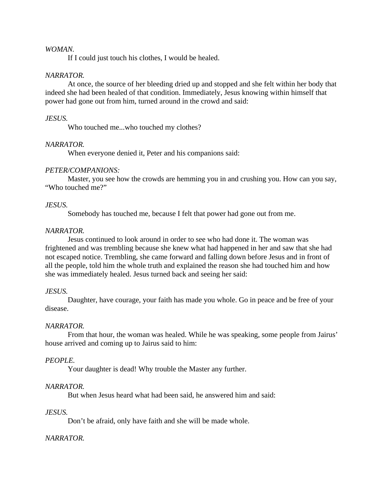## *WOMAN.*

If I could just touch his clothes, I would be healed.

## *NARRATOR.*

At once, the source of her bleeding dried up and stopped and she felt within her body that indeed she had been healed of that condition. Immediately, Jesus knowing within himself that power had gone out from him, turned around in the crowd and said:

## *JESUS.*

Who touched me...who touched my clothes?

## *NARRATOR.*

When everyone denied it, Peter and his companions said:

## *PETER/COMPANIONS:*

Master, you see how the crowds are hemming you in and crushing you. How can you say, "Who touched me?"

## *JESUS.*

Somebody has touched me, because I felt that power had gone out from me.

## *NARRATOR.*

Jesus continued to look around in order to see who had done it. The woman was frightened and was trembling because she knew what had happened in her and saw that she had not escaped notice. Trembling, she came forward and falling down before Jesus and in front of all the people, told him the whole truth and explained the reason she had touched him and how she was immediately healed. Jesus turned back and seeing her said:

### *JESUS.*

Daughter, have courage, your faith has made you whole. Go in peace and be free of your disease.

### *NARRATOR.*

From that hour, the woman was healed. While he was speaking, some people from Jairus' house arrived and coming up to Jairus said to him:

### *PEOPLE.*

Your daughter is dead! Why trouble the Master any further.

# *NARRATOR.*

But when Jesus heard what had been said, he answered him and said:

### *JESUS.*

Don't be afraid, only have faith and she will be made whole.

# *NARRATOR.*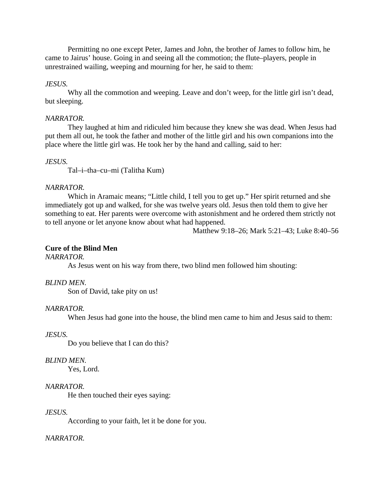Permitting no one except Peter, James and John, the brother of James to follow him, he came to Jairus' house. Going in and seeing all the commotion; the flute–players, people in unrestrained wailing, weeping and mourning for her, he said to them:

# *JESUS.*

Why all the commotion and weeping. Leave and don't weep, for the little girl isn't dead, but sleeping.

## *NARRATOR.*

They laughed at him and ridiculed him because they knew she was dead. When Jesus had put them all out, he took the father and mother of the little girl and his own companions into the place where the little girl was. He took her by the hand and calling, said to her:

## *JESUS.*

Tal–i–tha–cu–mi (Talitha Kum)

## *NARRATOR.*

Which in Aramaic means; "Little child, I tell you to get up." Her spirit returned and she immediately got up and walked, for she was twelve years old. Jesus then told them to give her something to eat. Her parents were overcome with astonishment and he ordered them strictly not to tell anyone or let anyone know about what had happened.

Matthew 9:18–26; Mark 5:21–43; Luke 8:40–56

# **Cure of the Blind Men**

### *NARRATOR.*

As Jesus went on his way from there, two blind men followed him shouting:

# *BLIND MEN.*

Son of David, take pity on us!

### *NARRATOR.*

When Jesus had gone into the house, the blind men came to him and Jesus said to them:

### *JESUS.*

Do you believe that I can do this?

### *BLIND MEN.*

Yes, Lord.

# *NARRATOR.*

He then touched their eyes saying:

### *JESUS.*

According to your faith, let it be done for you.

### *NARRATOR.*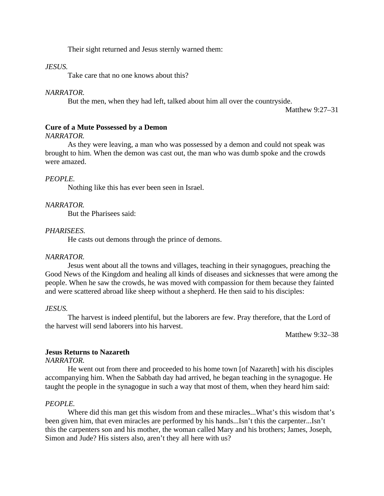Their sight returned and Jesus sternly warned them:

### *JESUS.*

Take care that no one knows about this?

### *NARRATOR.*

But the men, when they had left, talked about him all over the countryside.

Matthew 9:27–31

## **Cure of a Mute Possessed by a Demon**

#### *NARRATOR.*

As they were leaving, a man who was possessed by a demon and could not speak was brought to him. When the demon was cast out, the man who was dumb spoke and the crowds were amazed.

## *PEOPLE.*

Nothing like this has ever been seen in Israel.

### *NARRATOR.*

But the Pharisees said:

## *PHARISEES.*

He casts out demons through the prince of demons.

### *NARRATOR.*

Jesus went about all the towns and villages, teaching in their synagogues, preaching the Good News of the Kingdom and healing all kinds of diseases and sicknesses that were among the people. When he saw the crowds, he was moved with compassion for them because they fainted and were scattered abroad like sheep without a shepherd. He then said to his disciples:

### *JESUS.*

The harvest is indeed plentiful, but the laborers are few. Pray therefore, that the Lord of the harvest will send laborers into his harvest.

Matthew 9:32–38

### **Jesus Returns to Nazareth**

### *NARRATOR.*

He went out from there and proceeded to his home town [of Nazareth] with his disciples accompanying him. When the Sabbath day had arrived, he began teaching in the synagogue. He taught the people in the synagogue in such a way that most of them, when they heard him said:

### *PEOPLE.*

Where did this man get this wisdom from and these miracles...What's this wisdom that's been given him, that even miracles are performed by his hands...Isn't this the carpenter...Isn't this the carpenters son and his mother, the woman called Mary and his brothers; James, Joseph, Simon and Jude? His sisters also, aren't they all here with us?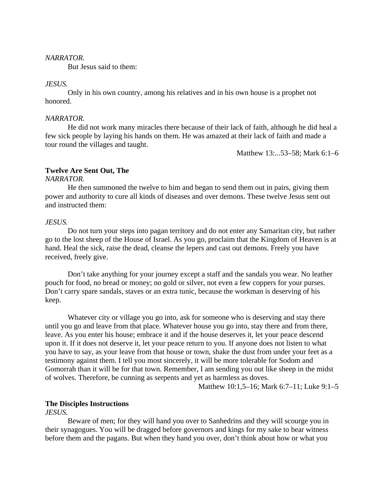#### *NARRATOR.*

But Jesus said to them:

### *JESUS.*

Only in his own country, among his relatives and in his own house is a prophet not honored.

#### *NARRATOR.*

He did not work many miracles there because of their lack of faith, although he did heal a few sick people by laying his hands on them. He was amazed at their lack of faith and made a tour round the villages and taught.

Matthew 13:...53–58; Mark 6:1–6

### **Twelve Are Sent Out, The**

### *NARRATOR.*

He then summoned the twelve to him and began to send them out in pairs, giving them power and authority to cure all kinds of diseases and over demons. These twelve Jesus sent out and instructed them:

### *JESUS.*

Do not turn your steps into pagan territory and do not enter any Samaritan city, but rather go to the lost sheep of the House of Israel. As you go, proclaim that the Kingdom of Heaven is at hand. Heal the sick, raise the dead, cleanse the lepers and cast out demons. Freely you have received, freely give.

Don't take anything for your journey except a staff and the sandals you wear. No leather pouch for food, no bread or money; no gold or silver, not even a few coppers for your purses. Don't carry spare sandals, staves or an extra tunic, because the workman is deserving of his keep.

Whatever city or village you go into, ask for someone who is deserving and stay there until you go and leave from that place. Whatever house you go into, stay there and from there, leave. As you enter his house; embrace it and if the house deserves it, let your peace descend upon it. If it does not deserve it, let your peace return to you. If anyone does not listen to what you have to say, as your leave from that house or town, shake the dust from under your feet as a testimony against them. I tell you most sincerely, it will be more tolerable for Sodom and Gomorrah than it will be for that town. Remember, I am sending you out like sheep in the midst of wolves. Therefore, be cunning as serpents and yet as harmless as doves.

Matthew 10:1,5–16; Mark 6:7–11; Luke 9:1–5

### **The Disciples Instructions**

### *JESUS.*

Beware of men; for they will hand you over to Sanhedrins and they will scourge you in their synagogues. You will be dragged before governors and kings for my sake to bear witness before them and the pagans. But when they hand you over, don't think about how or what you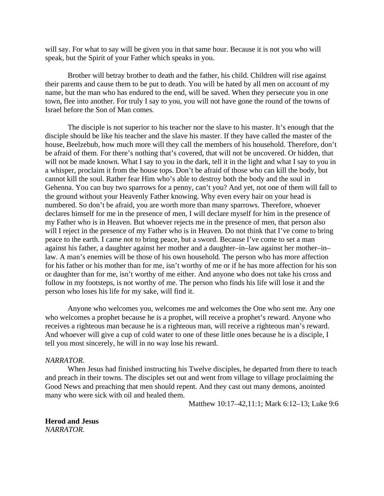will say. For what to say will be given you in that same hour. Because it is not you who will speak, but the Spirit of your Father which speaks in you.

Brother will betray brother to death and the father, his child. Children will rise against their parents and cause them to be put to death. You will be hated by all men on account of my name, but the man who has endured to the end, will be saved. When they persecute you in one town, flee into another. For truly I say to you, you will not have gone the round of the towns of Israel before the Son of Man comes.

The disciple is not superior to his teacher nor the slave to his master. It's enough that the disciple should be like his teacher and the slave his master. If they have called the master of the house, Beelzebub, how much more will they call the members of his household. Therefore, don't be afraid of them. For there's nothing that's covered, that will not be uncovered. Or hidden, that will not be made known. What I say to you in the dark, tell it in the light and what I say to you in a whisper, proclaim it from the house tops. Don't be afraid of those who can kill the body, but cannot kill the soul. Rather fear Him who's able to destroy both the body and the soul in Gehenna. You can buy two sparrows for a penny, can't you? And yet, not one of them will fall to the ground without your Heavenly Father knowing. Why even every hair on your head is numbered. So don't be afraid, you are worth more than many sparrows. Therefore, whoever declares himself for me in the presence of men, I will declare myself for him in the presence of my Father who is in Heaven. But whoever rejects me in the presence of men, that person also will I reject in the presence of my Father who is in Heaven. Do not think that I've come to bring peace to the earth. I came not to bring peace, but a sword. Because I've come to set a man against his father, a daughter against her mother and a daughter–in–law against her mother–in– law. A man's enemies will be those of his own household. The person who has more affection for his father or his mother than for me, isn't worthy of me or if he has more affection for his son or daughter than for me, isn't worthy of me either. And anyone who does not take his cross and follow in my footsteps, is not worthy of me. The person who finds his life will lose it and the person who loses his life for my sake, will find it.

Anyone who welcomes you, welcomes me and welcomes the One who sent me. Any one who welcomes a prophet because he is a prophet, will receive a prophet's reward. Anyone who receives a righteous man because he is a righteous man, will receive a righteous man's reward. And whoever will give a cup of cold water to one of these little ones because he is a disciple, I tell you most sincerely, he will in no way lose his reward.

#### *NARRATOR.*

When Jesus had finished instructing his Twelve disciples, he departed from there to teach and preach in their towns. The disciples set out and went from village to village proclaiming the Good News and preaching that men should repent. And they cast out many demons, anointed many who were sick with oil and healed them.

Matthew 10:17–42,11:1; Mark 6:12–13; Luke 9:6

**Herod and Jesus** *NARRATOR.*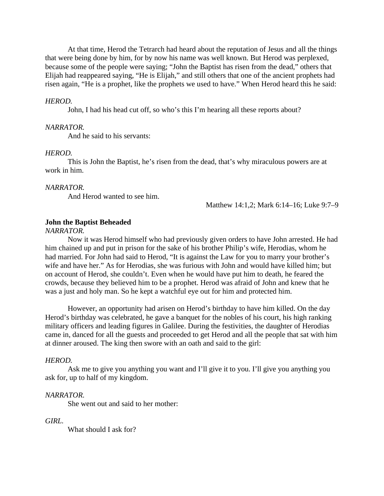At that time, Herod the Tetrarch had heard about the reputation of Jesus and all the things that were being done by him, for by now his name was well known. But Herod was perplexed, because some of the people were saying; "John the Baptist has risen from the dead," others that Elijah had reappeared saying, "He is Elijah," and still others that one of the ancient prophets had risen again, "He is a prophet, like the prophets we used to have." When Herod heard this he said:

#### *HEROD.*

John, I had his head cut off, so who's this I'm hearing all these reports about?

#### *NARRATOR.*

And he said to his servants:

#### *HEROD.*

This is John the Baptist, he's risen from the dead, that's why miraculous powers are at work in him.

#### *NARRATOR.*

And Herod wanted to see him.

Matthew 14:1,2; Mark 6:14–16; Luke 9:7–9

#### **John the Baptist Beheaded**

#### *NARRATOR.*

Now it was Herod himself who had previously given orders to have John arrested. He had him chained up and put in prison for the sake of his brother Philip's wife, Herodias, whom he had married. For John had said to Herod, "It is against the Law for you to marry your brother's wife and have her." As for Herodias, she was furious with John and would have killed him; but on account of Herod, she couldn't. Even when he would have put him to death, he feared the crowds, because they believed him to be a prophet. Herod was afraid of John and knew that he was a just and holy man. So he kept a watchful eye out for him and protected him.

However, an opportunity had arisen on Herod's birthday to have him killed. On the day Herod's birthday was celebrated, he gave a banquet for the nobles of his court, his high ranking military officers and leading figures in Galilee. During the festivities, the daughter of Herodias came in, danced for all the guests and proceeded to get Herod and all the people that sat with him at dinner aroused. The king then swore with an oath and said to the girl:

#### *HEROD.*

Ask me to give you anything you want and I'll give it to you. I'll give you anything you ask for, up to half of my kingdom.

#### *NARRATOR.*

She went out and said to her mother:

#### *GIRL.*

What should I ask for?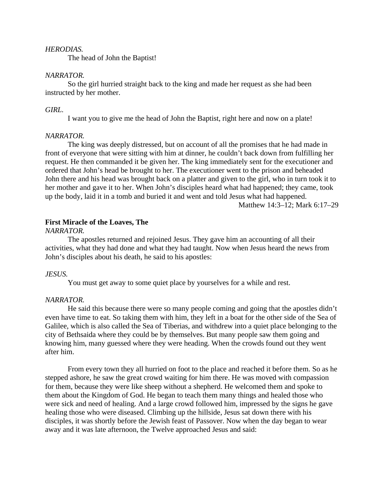### *HERODIAS.*

The head of John the Baptist!

#### *NARRATOR.*

So the girl hurried straight back to the king and made her request as she had been instructed by her mother.

#### *GIRL.*

I want you to give me the head of John the Baptist, right here and now on a plate!

#### *NARRATOR.*

The king was deeply distressed, but on account of all the promises that he had made in front of everyone that were sitting with him at dinner, he couldn't back down from fulfilling her request. He then commanded it be given her. The king immediately sent for the executioner and ordered that John's head be brought to her. The executioner went to the prison and beheaded John there and his head was brought back on a platter and given to the girl, who in turn took it to her mother and gave it to her. When John's disciples heard what had happened; they came, took up the body, laid it in a tomb and buried it and went and told Jesus what had happened.

Matthew 14:3–12; Mark 6:17–29

#### **First Miracle of the Loaves, The**

### *NARRATOR.*

The apostles returned and rejoined Jesus. They gave him an accounting of all their activities, what they had done and what they had taught. Now when Jesus heard the news from John's disciples about his death, he said to his apostles:

### *JESUS.*

You must get away to some quiet place by yourselves for a while and rest.

### *NARRATOR.*

He said this because there were so many people coming and going that the apostles didn't even have time to eat. So taking them with him, they left in a boat for the other side of the Sea of Galilee, which is also called the Sea of Tiberias, and withdrew into a quiet place belonging to the city of Bethsaida where they could be by themselves. But many people saw them going and knowing him, many guessed where they were heading. When the crowds found out they went after him.

From every town they all hurried on foot to the place and reached it before them. So as he stepped ashore, he saw the great crowd waiting for him there. He was moved with compassion for them, because they were like sheep without a shepherd. He welcomed them and spoke to them about the Kingdom of God. He began to teach them many things and healed those who were sick and need of healing. And a large crowd followed him, impressed by the signs he gave healing those who were diseased. Climbing up the hillside, Jesus sat down there with his disciples, it was shortly before the Jewish feast of Passover. Now when the day began to wear away and it was late afternoon, the Twelve approached Jesus and said: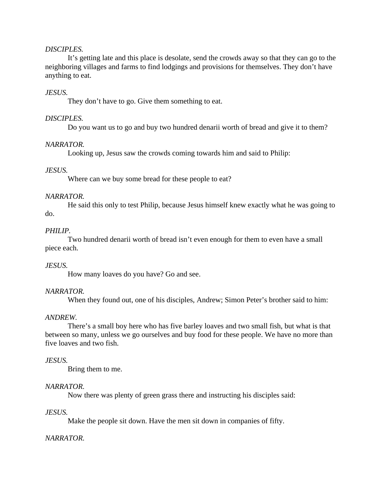## *DISCIPLES.*

It's getting late and this place is desolate, send the crowds away so that they can go to the neighboring villages and farms to find lodgings and provisions for themselves. They don't have anything to eat.

## *JESUS.*

They don't have to go. Give them something to eat.

## *DISCIPLES.*

Do you want us to go and buy two hundred denarii worth of bread and give it to them?

### *NARRATOR.*

Looking up, Jesus saw the crowds coming towards him and said to Philip:

### *JESUS.*

Where can we buy some bread for these people to eat?

### *NARRATOR.*

He said this only to test Philip, because Jesus himself knew exactly what he was going to do.

### *PHILIP.*

Two hundred denarii worth of bread isn't even enough for them to even have a small piece each.

## *JESUS.*

How many loaves do you have? Go and see.

### *NARRATOR.*

When they found out, one of his disciples, Andrew; Simon Peter's brother said to him:

### *ANDREW.*

There's a small boy here who has five barley loaves and two small fish, but what is that between so many, unless we go ourselves and buy food for these people. We have no more than five loaves and two fish.

### *JESUS.*

Bring them to me.

## *NARRATOR.*

Now there was plenty of green grass there and instructing his disciples said:

### *JESUS.*

Make the people sit down. Have the men sit down in companies of fifty.

### *NARRATOR.*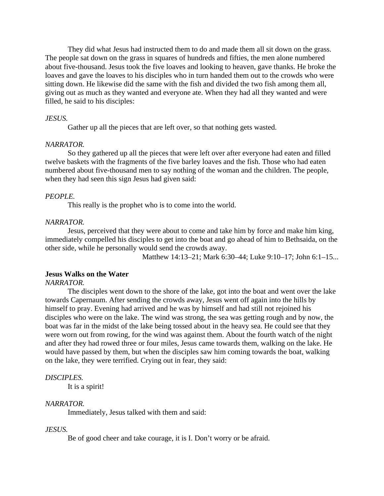They did what Jesus had instructed them to do and made them all sit down on the grass. The people sat down on the grass in squares of hundreds and fifties, the men alone numbered about five-thousand. Jesus took the five loaves and looking to heaven, gave thanks. He broke the loaves and gave the loaves to his disciples who in turn handed them out to the crowds who were sitting down. He likewise did the same with the fish and divided the two fish among them all, giving out as much as they wanted and everyone ate. When they had all they wanted and were filled, he said to his disciples:

#### *JESUS.*

Gather up all the pieces that are left over, so that nothing gets wasted.

#### *NARRATOR.*

So they gathered up all the pieces that were left over after everyone had eaten and filled twelve baskets with the fragments of the five barley loaves and the fish. Those who had eaten numbered about five-thousand men to say nothing of the woman and the children. The people, when they had seen this sign Jesus had given said:

## *PEOPLE.*

This really is the prophet who is to come into the world.

### *NARRATOR.*

Jesus, perceived that they were about to come and take him by force and make him king, immediately compelled his disciples to get into the boat and go ahead of him to Bethsaida, on the other side, while he personally would send the crowds away.

Matthew 14:13–21; Mark 6:30–44; Luke 9:10–17; John 6:1–15...

#### **Jesus Walks on the Water**

*NARRATOR.*

The disciples went down to the shore of the lake, got into the boat and went over the lake towards Capernaum. After sending the crowds away, Jesus went off again into the hills by himself to pray. Evening had arrived and he was by himself and had still not rejoined his disciples who were on the lake. The wind was strong, the sea was getting rough and by now, the boat was far in the midst of the lake being tossed about in the heavy sea. He could see that they were worn out from rowing, for the wind was against them. About the fourth watch of the night and after they had rowed three or four miles, Jesus came towards them, walking on the lake. He would have passed by them, but when the disciples saw him coming towards the boat, walking on the lake, they were terrified. Crying out in fear, they said:

#### *DISCIPLES.*

It is a spirit!

#### *NARRATOR.*

Immediately, Jesus talked with them and said:

#### *JESUS.*

Be of good cheer and take courage, it is I. Don't worry or be afraid.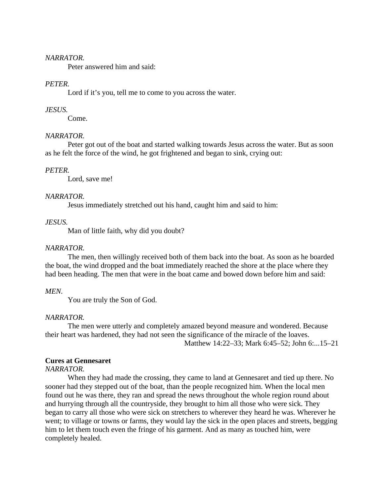### *NARRATOR.*

Peter answered him and said:

## *PETER.*

Lord if it's you, tell me to come to you across the water.

## *JESUS.*

Come.

### *NARRATOR.*

Peter got out of the boat and started walking towards Jesus across the water. But as soon as he felt the force of the wind, he got frightened and began to sink, crying out:

### *PETER.*

Lord, save me!

### *NARRATOR.*

Jesus immediately stretched out his hand, caught him and said to him:

## *JESUS.*

Man of little faith, why did you doubt?

## *NARRATOR.*

The men, then willingly received both of them back into the boat. As soon as he boarded the boat, the wind dropped and the boat immediately reached the shore at the place where they had been heading. The men that were in the boat came and bowed down before him and said:

### *MEN.*

You are truly the Son of God.

### *NARRATOR.*

The men were utterly and completely amazed beyond measure and wondered. Because their heart was hardened, they had not seen the significance of the miracle of the loaves. Matthew 14:22–33; Mark 6:45–52; John 6:...15–21

### **Cures at Gennesaret**

### *NARRATOR.*

When they had made the crossing, they came to land at Gennesaret and tied up there. No sooner had they stepped out of the boat, than the people recognized him. When the local men found out he was there, they ran and spread the news throughout the whole region round about and hurrying through all the countryside, they brought to him all those who were sick. They began to carry all those who were sick on stretchers to wherever they heard he was. Wherever he went; to village or towns or farms, they would lay the sick in the open places and streets, begging him to let them touch even the fringe of his garment. And as many as touched him, were completely healed.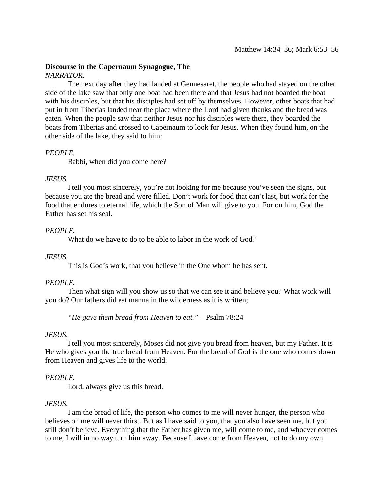# **Discourse in the Capernaum Synagogue, The**

## *NARRATOR.*

The next day after they had landed at Gennesaret, the people who had stayed on the other side of the lake saw that only one boat had been there and that Jesus had not boarded the boat with his disciples, but that his disciples had set off by themselves. However, other boats that had put in from Tiberias landed near the place where the Lord had given thanks and the bread was eaten. When the people saw that neither Jesus nor his disciples were there, they boarded the boats from Tiberias and crossed to Capernaum to look for Jesus. When they found him, on the other side of the lake, they said to him:

## *PEOPLE.*

Rabbi, when did you come here?

## *JESUS.*

I tell you most sincerely, you're not looking for me because you've seen the signs, but because you ate the bread and were filled. Don't work for food that can't last, but work for the food that endures to eternal life, which the Son of Man will give to you. For on him, God the Father has set his seal.

## *PEOPLE.*

What do we have to do to be able to labor in the work of God?

## *JESUS.*

This is God's work, that you believe in the One whom he has sent.

## *PEOPLE.*

Then what sign will you show us so that we can see it and believe you? What work will you do? Our fathers did eat manna in the wilderness as it is written;

*"He gave them bread from Heaven to eat."* – Psalm 78:24

## *JESUS.*

I tell you most sincerely, Moses did not give you bread from heaven, but my Father. It is He who gives you the true bread from Heaven. For the bread of God is the one who comes down from Heaven and gives life to the world.

## *PEOPLE.*

Lord, always give us this bread.

## *JESUS.*

I am the bread of life, the person who comes to me will never hunger, the person who believes on me will never thirst. But as I have said to you, that you also have seen me, but you still don't believe. Everything that the Father has given me, will come to me, and whoever comes to me, I will in no way turn him away. Because I have come from Heaven, not to do my own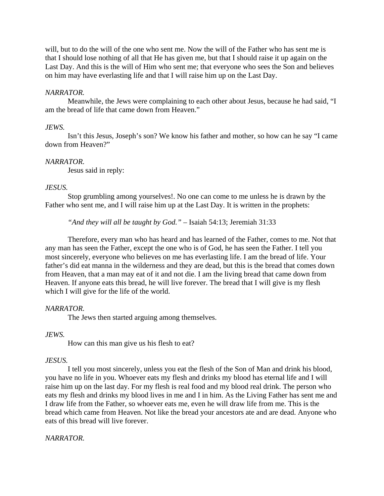will, but to do the will of the one who sent me. Now the will of the Father who has sent me is that I should lose nothing of all that He has given me, but that I should raise it up again on the Last Day. And this is the will of Him who sent me; that everyone who sees the Son and believes on him may have everlasting life and that I will raise him up on the Last Day.

## *NARRATOR.*

Meanwhile, the Jews were complaining to each other about Jesus, because he had said, "I am the bread of life that came down from Heaven."

## *JEWS.*

Isn't this Jesus, Joseph's son? We know his father and mother, so how can he say "I came down from Heaven?"

## *NARRATOR.*

Jesus said in reply:

## *JESUS.*

Stop grumbling among yourselves!. No one can come to me unless he is drawn by the Father who sent me, and I will raise him up at the Last Day. It is written in the prophets:

*"And they will all be taught by God."* – Isaiah 54:13; Jeremiah 31:33

Therefore, every man who has heard and has learned of the Father, comes to me. Not that any man has seen the Father, except the one who is of God, he has seen the Father. I tell you most sincerely, everyone who believes on me has everlasting life. I am the bread of life. Your father's did eat manna in the wilderness and they are dead, but this is the bread that comes down from Heaven, that a man may eat of it and not die. I am the living bread that came down from Heaven. If anyone eats this bread, he will live forever. The bread that I will give is my flesh which I will give for the life of the world.

# *NARRATOR.*

The Jews then started arguing among themselves.

## *JEWS.*

How can this man give us his flesh to eat?

# *JESUS.*

I tell you most sincerely, unless you eat the flesh of the Son of Man and drink his blood, you have no life in you. Whoever eats my flesh and drinks my blood has eternal life and I will raise him up on the last day. For my flesh is real food and my blood real drink. The person who eats my flesh and drinks my blood lives in me and I in him. As the Living Father has sent me and I draw life from the Father, so whoever eats me, even he will draw life from me. This is the bread which came from Heaven. Not like the bread your ancestors ate and are dead. Anyone who eats of this bread will live forever.

## *NARRATOR.*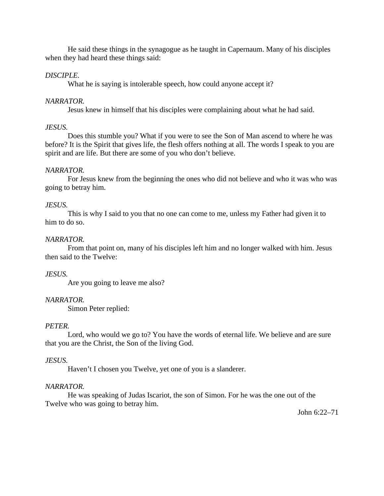He said these things in the synagogue as he taught in Capernaum. Many of his disciples when they had heard these things said:

## *DISCIPLE.*

What he is saying is intolerable speech, how could anyone accept it?

## *NARRATOR.*

Jesus knew in himself that his disciples were complaining about what he had said.

## *JESUS.*

Does this stumble you? What if you were to see the Son of Man ascend to where he was before? It is the Spirit that gives life, the flesh offers nothing at all. The words I speak to you are spirit and are life. But there are some of you who don't believe.

## *NARRATOR.*

For Jesus knew from the beginning the ones who did not believe and who it was who was going to betray him.

## *JESUS.*

This is why I said to you that no one can come to me, unless my Father had given it to him to do so.

## *NARRATOR.*

From that point on, many of his disciples left him and no longer walked with him. Jesus then said to the Twelve:

## *JESUS.*

Are you going to leave me also?

# *NARRATOR.*

Simon Peter replied:

## *PETER.*

Lord, who would we go to? You have the words of eternal life. We believe and are sure that you are the Christ, the Son of the living God.

## *JESUS.*

Haven't I chosen you Twelve, yet one of you is a slanderer.

## *NARRATOR.*

He was speaking of Judas Iscariot, the son of Simon. For he was the one out of the Twelve who was going to betray him.

John 6:22–71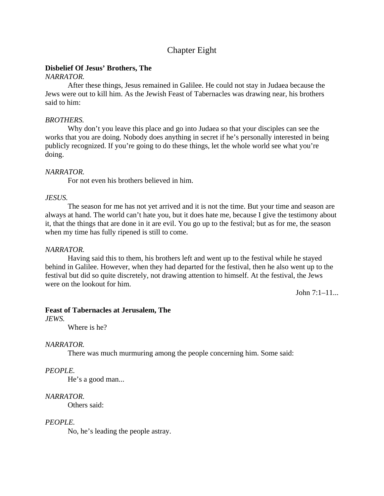# Chapter Eight

# **Disbelief Of Jesus' Brothers, The**

## *NARRATOR.*

After these things, Jesus remained in Galilee. He could not stay in Judaea because the Jews were out to kill him. As the Jewish Feast of Tabernacles was drawing near, his brothers said to him:

## *BROTHERS.*

Why don't you leave this place and go into Judaea so that your disciples can see the works that you are doing. Nobody does anything in secret if he's personally interested in being publicly recognized. If you're going to do these things, let the whole world see what you're doing.

## *NARRATOR.*

For not even his brothers believed in him.

### *JESUS.*

The season for me has not yet arrived and it is not the time. But your time and season are always at hand. The world can't hate you, but it does hate me, because I give the testimony about it, that the things that are done in it are evil. You go up to the festival; but as for me, the season when my time has fully ripened is still to come.

## *NARRATOR.*

Having said this to them, his brothers left and went up to the festival while he stayed behind in Galilee. However, when they had departed for the festival, then he also went up to the festival but did so quite discretely, not drawing attention to himself. At the festival, the Jews were on the lookout for him.

John 7:1–11...

# **Feast of Tabernacles at Jerusalem, The**

*JEWS.*

Where is he?

# *NARRATOR.*

There was much murmuring among the people concerning him. Some said:

## *PEOPLE.*

He's a good man...

## *NARRATOR.*

Others said:

## *PEOPLE.*

No, he's leading the people astray.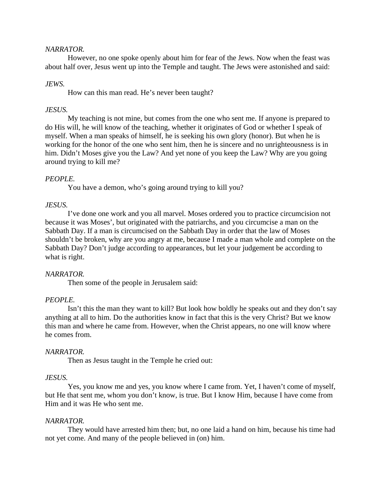### *NARRATOR.*

However, no one spoke openly about him for fear of the Jews. Now when the feast was about half over, Jesus went up into the Temple and taught. The Jews were astonished and said:

## *JEWS.*

How can this man read. He's never been taught?

### *JESUS.*

My teaching is not mine, but comes from the one who sent me. If anyone is prepared to do His will, he will know of the teaching, whether it originates of God or whether I speak of myself. When a man speaks of himself, he is seeking his own glory (honor). But when he is working for the honor of the one who sent him, then he is sincere and no unrighteousness is in him. Didn't Moses give you the Law? And yet none of you keep the Law? Why are you going around trying to kill me?

## *PEOPLE.*

You have a demon, who's going around trying to kill you?

### *JESUS.*

I've done one work and you all marvel. Moses ordered you to practice circumcision not because it was Moses', but originated with the patriarchs, and you circumcise a man on the Sabbath Day. If a man is circumcised on the Sabbath Day in order that the law of Moses shouldn't be broken, why are you angry at me, because I made a man whole and complete on the Sabbath Day? Don't judge according to appearances, but let your judgement be according to what is right.

### *NARRATOR.*

Then some of the people in Jerusalem said:

## *PEOPLE.*

Isn't this the man they want to kill? But look how boldly he speaks out and they don't say anything at all to him. Do the authorities know in fact that this is the very Christ? But we know this man and where he came from. However, when the Christ appears, no one will know where he comes from.

### *NARRATOR.*

Then as Jesus taught in the Temple he cried out:

### *JESUS.*

Yes, you know me and yes, you know where I came from. Yet, I haven't come of myself, but He that sent me, whom you don't know, is true. But I know Him, because I have come from Him and it was He who sent me.

### *NARRATOR.*

They would have arrested him then; but, no one laid a hand on him, because his time had not yet come. And many of the people believed in (on) him.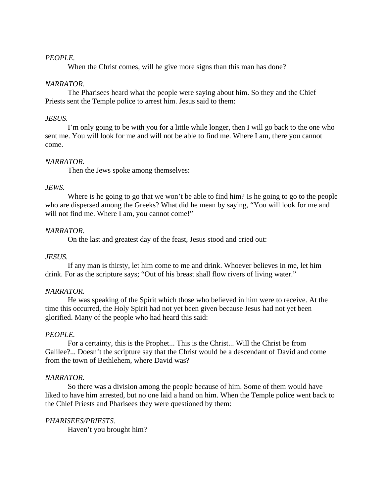## *PEOPLE.*

When the Christ comes, will he give more signs than this man has done?

### *NARRATOR.*

The Pharisees heard what the people were saying about him. So they and the Chief Priests sent the Temple police to arrest him. Jesus said to them:

### *JESUS.*

I'm only going to be with you for a little while longer, then I will go back to the one who sent me. You will look for me and will not be able to find me. Where I am, there you cannot come.

## *NARRATOR.*

Then the Jews spoke among themselves:

### *JEWS.*

Where is he going to go that we won't be able to find him? Is he going to go to the people who are dispersed among the Greeks? What did he mean by saying, "You will look for me and will not find me. Where I am, you cannot come!"

## *NARRATOR.*

On the last and greatest day of the feast, Jesus stood and cried out:

## *JESUS.*

If any man is thirsty, let him come to me and drink. Whoever believes in me, let him drink. For as the scripture says; "Out of his breast shall flow rivers of living water."

### *NARRATOR.*

He was speaking of the Spirit which those who believed in him were to receive. At the time this occurred, the Holy Spirit had not yet been given because Jesus had not yet been glorified. Many of the people who had heard this said:

### *PEOPLE.*

For a certainty, this is the Prophet... This is the Christ... Will the Christ be from Galilee?... Doesn't the scripture say that the Christ would be a descendant of David and come from the town of Bethlehem, where David was?

### *NARRATOR.*

So there was a division among the people because of him. Some of them would have liked to have him arrested, but no one laid a hand on him. When the Temple police went back to the Chief Priests and Pharisees they were questioned by them:

### *PHARISEES/PRIESTS.*

Haven't you brought him?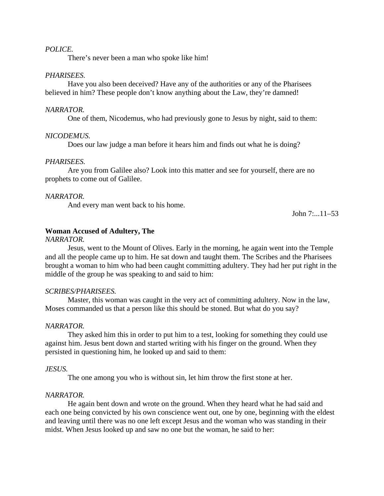#### *POLICE.*

There's never been a man who spoke like him!

## *PHARISEES.*

Have you also been deceived? Have any of the authorities or any of the Pharisees believed in him? These people don't know anything about the Law, they're damned!

#### *NARRATOR.*

One of them, Nicodemus, who had previously gone to Jesus by night, said to them:

#### *NICODEMUS.*

Does our law judge a man before it hears him and finds out what he is doing?

### *PHARISEES.*

Are you from Galilee also? Look into this matter and see for yourself, there are no prophets to come out of Galilee.

### *NARRATOR.*

And every man went back to his home.

John 7:...11–53

## **Woman Accused of Adultery, The**

#### *NARRATOR.*

Jesus, went to the Mount of Olives. Early in the morning, he again went into the Temple and all the people came up to him. He sat down and taught them. The Scribes and the Pharisees brought a woman to him who had been caught committing adultery. They had her put right in the middle of the group he was speaking to and said to him:

#### *SCRIBES/PHARISEES.*

Master, this woman was caught in the very act of committing adultery. Now in the law, Moses commanded us that a person like this should be stoned. But what do you say?

#### *NARRATOR.*

They asked him this in order to put him to a test, looking for something they could use against him. Jesus bent down and started writing with his finger on the ground. When they persisted in questioning him, he looked up and said to them:

#### *JESUS.*

The one among you who is without sin, let him throw the first stone at her.

#### *NARRATOR.*

He again bent down and wrote on the ground. When they heard what he had said and each one being convicted by his own conscience went out, one by one, beginning with the eldest and leaving until there was no one left except Jesus and the woman who was standing in their midst. When Jesus looked up and saw no one but the woman, he said to her: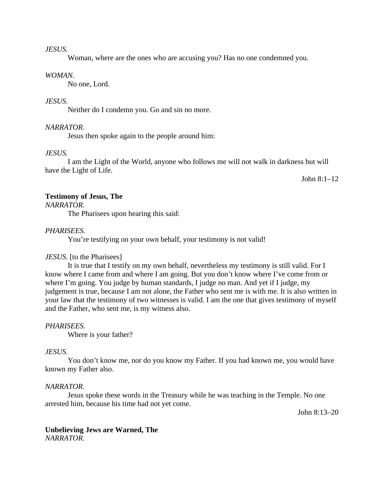#### *JESUS.*

Woman, where are the ones who are accusing you? Has no one condemned you.

### *WOMAN.*

No one, Lord.

### *JESUS.*

Neither do I condemn you. Go and sin no more.

### *NARRATOR.*

Jesus then spoke again to the people around him:

### *JESUS.*

I am the Light of the World, anyone who follows me will not walk in darkness but will have the Light of Life.

John 8:1–12

## **Testimony of Jesus, The**

*NARRATOR.*

The Pharisees upon hearing this said:

## *PHARISEES.*

You're testifying on your own behalf, your testimony is not valid!

## *JESUS.* [to the Pharisees]

It is true that I testify on my own behalf, nevertheless my testimony is still valid. For I know where I came from and where I am going. But you don't know where I've come from or where I'm going. You judge by human standards, I judge no man. And yet if I judge, my judgement is true, because I am not alone, the Father who sent me is with me. It is also written in your law that the testimony of two witnesses is valid. I am the one that gives testimony of myself and the Father, who sent me, is my witness also.

### *PHARISEES.*

Where is your father?

### *JESUS.*

You don't know me, nor do you know my Father. If you had known me, you would have known my Father also.

## *NARRATOR.*

Jesus spoke these words in the Treasury while he was teaching in the Temple. No one arrested him, because his time had not yet come.

John 8:13–20

### **Unbelieving Jews are Warned, The** *NARRATOR.*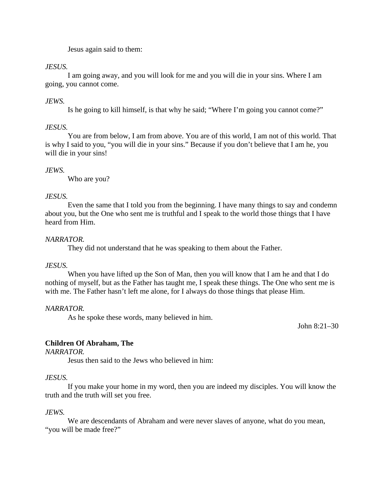Jesus again said to them:

## *JESUS.*

I am going away, and you will look for me and you will die in your sins. Where I am going, you cannot come.

# *JEWS.*

Is he going to kill himself, is that why he said; "Where I'm going you cannot come?"

## *JESUS.*

You are from below, I am from above. You are of this world, I am not of this world. That is why I said to you, "you will die in your sins." Because if you don't believe that I am he, you will die in your sins!

## *JEWS.*

Who are you?

## *JESUS.*

Even the same that I told you from the beginning. I have many things to say and condemn about you, but the One who sent me is truthful and I speak to the world those things that I have heard from Him.

## *NARRATOR.*

They did not understand that he was speaking to them about the Father.

## *JESUS.*

When you have lifted up the Son of Man, then you will know that I am he and that I do nothing of myself, but as the Father has taught me, I speak these things. The One who sent me is with me. The Father hasn't left me alone, for I always do those things that please Him.

## *NARRATOR.*

As he spoke these words, many believed in him.

John 8:21–30

## **Children Of Abraham, The**

*NARRATOR.*

Jesus then said to the Jews who believed in him:

## *JESUS.*

If you make your home in my word, then you are indeed my disciples. You will know the truth and the truth will set you free.

## *JEWS.*

We are descendants of Abraham and were never slaves of anyone, what do you mean, "you will be made free?"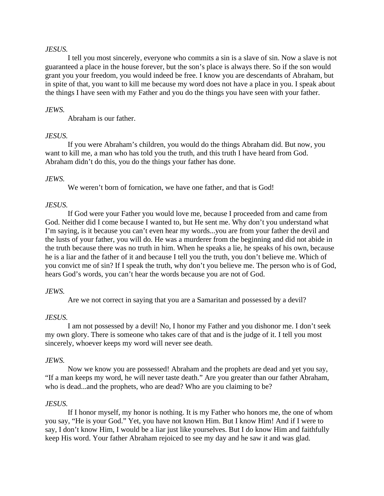### *JESUS.*

I tell you most sincerely, everyone who commits a sin is a slave of sin. Now a slave is not guaranteed a place in the house forever, but the son's place is always there. So if the son would grant you your freedom, you would indeed be free. I know you are descendants of Abraham, but in spite of that, you want to kill me because my word does not have a place in you. I speak about the things I have seen with my Father and you do the things you have seen with your father.

## *JEWS.*

Abraham is our father.

### *JESUS.*

If you were Abraham's children, you would do the things Abraham did. But now, you want to kill me, a man who has told you the truth, and this truth I have heard from God. Abraham didn't do this, you do the things your father has done.

### *JEWS.*

We weren't born of fornication, we have one father, and that is God!

### *JESUS.*

If God were your Father you would love me, because I proceeded from and came from God. Neither did I come because I wanted to, but He sent me. Why don't you understand what I'm saying, is it because you can't even hear my words...you are from your father the devil and the lusts of your father, you will do. He was a murderer from the beginning and did not abide in the truth because there was no truth in him. When he speaks a lie, he speaks of his own, because he is a liar and the father of it and because I tell you the truth, you don't believe me. Which of you convict me of sin? If I speak the truth, why don't you believe me. The person who is of God, hears God's words, you can't hear the words because you are not of God.

### *JEWS.*

Are we not correct in saying that you are a Samaritan and possessed by a devil?

### *JESUS.*

I am not possessed by a devil! No, I honor my Father and you dishonor me. I don't seek my own glory. There is someone who takes care of that and is the judge of it. I tell you most sincerely, whoever keeps my word will never see death.

### *JEWS.*

Now we know you are possessed! Abraham and the prophets are dead and yet you say, "If a man keeps my word, he will never taste death." Are you greater than our father Abraham, who is dead...and the prophets, who are dead? Who are you claiming to be?

### *JESUS.*

If I honor myself, my honor is nothing. It is my Father who honors me, the one of whom you say, "He is your God." Yet, you have not known Him. But I know Him! And if I were to say, I don't know Him, I would be a liar just like yourselves. But I do know Him and faithfully keep His word. Your father Abraham rejoiced to see my day and he saw it and was glad.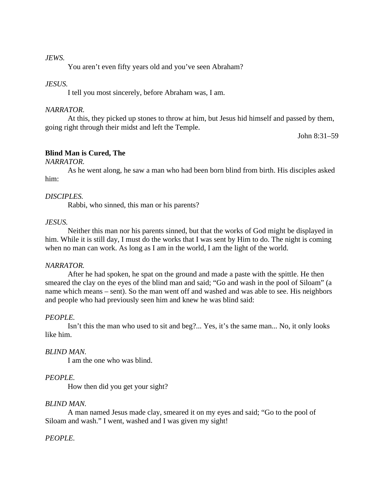### *JEWS.*

You aren't even fifty years old and you've seen Abraham?

### *JESUS.*

I tell you most sincerely, before Abraham was, I am.

### *NARRATOR.*

At this, they picked up stones to throw at him, but Jesus hid himself and passed by them, going right through their midst and left the Temple.

John 8:31–59

## **Blind Man is Cured, The**

## *NARRATOR.*

As he went along, he saw a man who had been born blind from birth. His disciples asked him:

### *DISCIPLES.*

Rabbi, who sinned, this man or his parents?

### *JESUS.*

Neither this man nor his parents sinned, but that the works of God might be displayed in him. While it is still day, I must do the works that I was sent by Him to do. The night is coming when no man can work. As long as I am in the world, I am the light of the world.

### *NARRATOR.*

After he had spoken, he spat on the ground and made a paste with the spittle. He then smeared the clay on the eyes of the blind man and said; "Go and wash in the pool of Siloam" (a name which means – sent). So the man went off and washed and was able to see. His neighbors and people who had previously seen him and knew he was blind said:

## *PEOPLE.*

Isn't this the man who used to sit and beg?... Yes, it's the same man... No, it only looks like him.

## *BLIND MAN.*

I am the one who was blind.

## *PEOPLE.*

How then did you get your sight?

### *BLIND MAN.*

A man named Jesus made clay, smeared it on my eyes and said; "Go to the pool of Siloam and wash." I went, washed and I was given my sight!

### *PEOPLE.*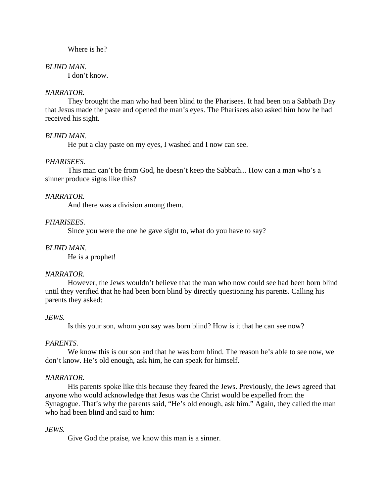### Where is he?

#### *BLIND MAN.*

I don't know.

### *NARRATOR.*

They brought the man who had been blind to the Pharisees. It had been on a Sabbath Day that Jesus made the paste and opened the man's eyes. The Pharisees also asked him how he had received his sight.

### *BLIND MAN.*

He put a clay paste on my eyes, I washed and I now can see.

### *PHARISEES.*

This man can't be from God, he doesn't keep the Sabbath... How can a man who's a sinner produce signs like this?

### *NARRATOR.*

And there was a division among them.

### *PHARISEES.*

Since you were the one he gave sight to, what do you have to say?

### *BLIND MAN.*

He is a prophet!

### *NARRATOR.*

However, the Jews wouldn't believe that the man who now could see had been born blind until they verified that he had been born blind by directly questioning his parents. Calling his parents they asked:

### *JEWS.*

Is this your son, whom you say was born blind? How is it that he can see now?

### *PARENTS.*

We know this is our son and that he was born blind. The reason he's able to see now, we don't know. He's old enough, ask him, he can speak for himself.

### *NARRATOR.*

His parents spoke like this because they feared the Jews. Previously, the Jews agreed that anyone who would acknowledge that Jesus was the Christ would be expelled from the Synagogue. That's why the parents said, "He's old enough, ask him." Again, they called the man who had been blind and said to him:

### *JEWS.*

Give God the praise, we know this man is a sinner.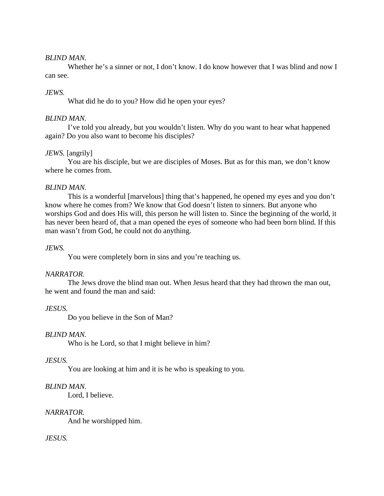### *BLIND MAN.*

Whether he's a sinner or not. I don't know. I do know however that I was blind and now I can see.

## *JEWS.*

What did he do to you? How did he open your eyes?

## *BLIND MAN.*

I've told you already, but you wouldn't listen. Why do you want to hear what happened again? Do you also want to become his disciples?

## *JEWS.* [angrily]

You are his disciple, but we are disciples of Moses. But as for this man, we don't know where he comes from.

### *BLIND MAN.*

This is a wonderful [marvelous] thing that's happened, he opened my eyes and you don't know where he comes from? We know that God doesn't listen to sinners. But anyone who worships God and does His will, this person he will listen to. Since the beginning of the world, it has never been heard of, that a man opened the eyes of someone who had been born blind. If this man wasn't from God, he could not do anything.

### *JEWS.*

You were completely born in sins and you're teaching us.

### *NARRATOR.*

The Jews drove the blind man out. When Jesus heard that they had thrown the man out, he went and found the man and said:

## *JESUS.*

Do you believe in the Son of Man?

### *BLIND MAN.*

Who is he Lord, so that I might believe in him?

### *JESUS.*

You are looking at him and it is he who is speaking to you.

## *BLIND MAN.*

Lord, I believe.

### *NARRATOR.*

And he worshipped him.

## *JESUS.*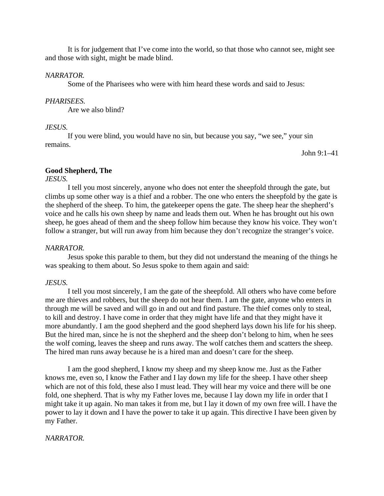It is for judgement that I've come into the world, so that those who cannot see, might see and those with sight, might be made blind.

### *NARRATOR.*

Some of the Pharisees who were with him heard these words and said to Jesus:

## *PHARISEES.*

Are we also blind?

## *JESUS.*

If you were blind, you would have no sin, but because you say, "we see," your sin remains.

John 9:1–41

## **Good Shepherd, The**

*JESUS.*

I tell you most sincerely, anyone who does not enter the sheepfold through the gate, but climbs up some other way is a thief and a robber. The one who enters the sheepfold by the gate is the shepherd of the sheep. To him, the gatekeeper opens the gate. The sheep hear the shepherd's voice and he calls his own sheep by name and leads them out. When he has brought out his own sheep, he goes ahead of them and the sheep follow him because they know his voice. They won't follow a stranger, but will run away from him because they don't recognize the stranger's voice.

### *NARRATOR.*

Jesus spoke this parable to them, but they did not understand the meaning of the things he was speaking to them about. So Jesus spoke to them again and said:

### *JESUS.*

I tell you most sincerely, I am the gate of the sheepfold. All others who have come before me are thieves and robbers, but the sheep do not hear them. I am the gate, anyone who enters in through me will be saved and will go in and out and find pasture. The thief comes only to steal, to kill and destroy. I have come in order that they might have life and that they might have it more abundantly. I am the good shepherd and the good shepherd lays down his life for his sheep. But the hired man, since he is not the shepherd and the sheep don't belong to him, when he sees the wolf coming, leaves the sheep and runs away. The wolf catches them and scatters the sheep. The hired man runs away because he is a hired man and doesn't care for the sheep.

I am the good shepherd, I know my sheep and my sheep know me. Just as the Father knows me, even so, I know the Father and I lay down my life for the sheep. I have other sheep which are not of this fold, these also I must lead. They will hear my voice and there will be one fold, one shepherd. That is why my Father loves me, because I lay down my life in order that I might take it up again. No man takes it from me, but I lay it down of my own free will. I have the power to lay it down and I have the power to take it up again. This directive I have been given by my Father.

### *NARRATOR.*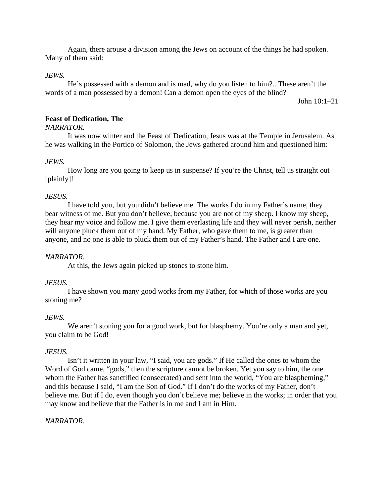Again, there arouse a division among the Jews on account of the things he had spoken. Many of them said:

## *JEWS.*

He's possessed with a demon and is mad, why do you listen to him?...These aren't the words of a man possessed by a demon! Can a demon open the eyes of the blind?

John 10:1–21

## **Feast of Dedication, The**

### *NARRATOR.*

It was now winter and the Feast of Dedication, Jesus was at the Temple in Jerusalem. As he was walking in the Portico of Solomon, the Jews gathered around him and questioned him:

### *JEWS.*

How long are you going to keep us in suspense? If you're the Christ, tell us straight out [plainly]!

### *JESUS.*

I have told you, but you didn't believe me. The works I do in my Father's name, they bear witness of me. But you don't believe, because you are not of my sheep. I know my sheep, they hear my voice and follow me. I give them everlasting life and they will never perish, neither will anyone pluck them out of my hand. My Father, who gave them to me, is greater than anyone, and no one is able to pluck them out of my Father's hand. The Father and I are one.

## *NARRATOR.*

At this, the Jews again picked up stones to stone him.

## *JESUS.*

I have shown you many good works from my Father, for which of those works are you stoning me?

### *JEWS.*

We aren't stoning you for a good work, but for blasphemy. You're only a man and yet, you claim to be God!

### *JESUS.*

Isn't it written in your law, "I said, you are gods." If He called the ones to whom the Word of God came, "gods," then the scripture cannot be broken. Yet you say to him, the one whom the Father has sanctified (consecrated) and sent into the world, "You are blaspheming," and this because I said, "I am the Son of God." If I don't do the works of my Father, don't believe me. But if I do, even though you don't believe me; believe in the works; in order that you may know and believe that the Father is in me and I am in Him.

### *NARRATOR.*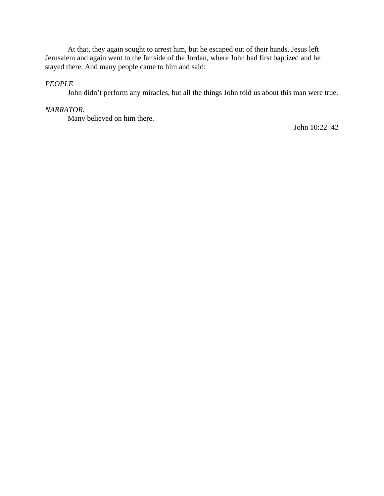At that, they again sought to arrest him, but he escaped out of their hands. Jesus left Jerusalem and again went to the far side of the Jordan, where John had first baptized and he stayed there. And many people came to him and said:

# *PEOPLE.*

John didn't perform any miracles, but all the things John told us about this man were true.

### *NARRATOR.*

Many believed on him there.

John 10:22–42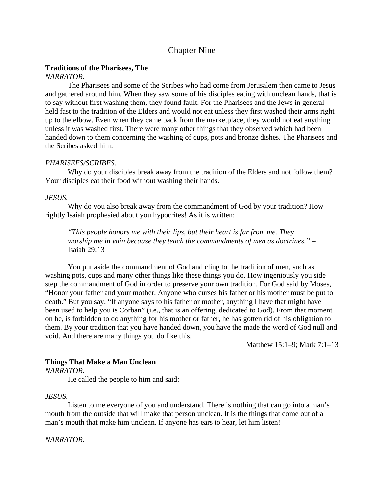# Chapter Nine

### **Traditions of the Pharisees, The**

## *NARRATOR.*

The Pharisees and some of the Scribes who had come from Jerusalem then came to Jesus and gathered around him. When they saw some of his disciples eating with unclean hands, that is to say without first washing them, they found fault. For the Pharisees and the Jews in general held fast to the tradition of the Elders and would not eat unless they first washed their arms right up to the elbow. Even when they came back from the marketplace, they would not eat anything unless it was washed first. There were many other things that they observed which had been handed down to them concerning the washing of cups, pots and bronze dishes. The Pharisees and the Scribes asked him:

### *PHARISEES/SCRIBES.*

Why do your disciples break away from the tradition of the Elders and not follow them? Your disciples eat their food without washing their hands.

### *JESUS.*

Why do you also break away from the commandment of God by your tradition? How rightly Isaiah prophesied about you hypocrites! As it is written:

*"This people honors me with their lips, but their heart is far from me. They worship me in vain because they teach the commandments of men as doctrines."* – Isaiah 29:13

You put aside the commandment of God and cling to the tradition of men, such as washing pots, cups and many other things like these things you do. How ingeniously you side step the commandment of God in order to preserve your own tradition. For God said by Moses, "Honor your father and your mother. Anyone who curses his father or his mother must be put to death." But you say, "If anyone says to his father or mother, anything I have that might have been used to help you is Corban" (i.e., that is an offering, dedicated to God). From that moment on he, is forbidden to do anything for his mother or father, he has gotten rid of his obligation to them. By your tradition that you have handed down, you have the made the word of God null and void. And there are many things you do like this.

Matthew 15:1–9; Mark 7:1–13

## **Things That Make a Man Unclean**

*NARRATOR.*

He called the people to him and said:

## *JESUS.*

Listen to me everyone of you and understand. There is nothing that can go into a man's mouth from the outside that will make that person unclean. It is the things that come out of a man's mouth that make him unclean. If anyone has ears to hear, let him listen!

*NARRATOR.*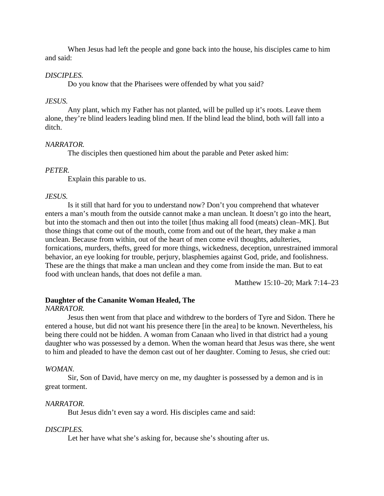When Jesus had left the people and gone back into the house, his disciples came to him and said:

## *DISCIPLES.*

Do you know that the Pharisees were offended by what you said?

## *JESUS.*

Any plant, which my Father has not planted, will be pulled up it's roots. Leave them alone, they're blind leaders leading blind men. If the blind lead the blind, both will fall into a ditch.

### *NARRATOR.*

The disciples then questioned him about the parable and Peter asked him:

### *PETER.*

Explain this parable to us.

## *JESUS.*

Is it still that hard for you to understand now? Don't you comprehend that whatever enters a man's mouth from the outside cannot make a man unclean. It doesn't go into the heart, but into the stomach and then out into the toilet [thus making all food (meats) clean–MK]. But those things that come out of the mouth, come from and out of the heart, they make a man unclean. Because from within, out of the heart of men come evil thoughts, adulteries, fornications, murders, thefts, greed for more things, wickedness, deception, unrestrained immoral behavior, an eye looking for trouble, perjury, blasphemies against God, pride, and foolishness. These are the things that make a man unclean and they come from inside the man. But to eat food with unclean hands, that does not defile a man.

Matthew 15:10–20; Mark 7:14–23

## **Daughter of the Cananite Woman Healed, The**

### *NARRATOR.*

Jesus then went from that place and withdrew to the borders of Tyre and Sidon. There he entered a house, but did not want his presence there [in the area] to be known. Nevertheless, his being there could not be hidden. A woman from Canaan who lived in that district had a young daughter who was possessed by a demon. When the woman heard that Jesus was there, she went to him and pleaded to have the demon cast out of her daughter. Coming to Jesus, she cried out:

### *WOMAN.*

Sir, Son of David, have mercy on me, my daughter is possessed by a demon and is in great torment.

## *NARRATOR.*

But Jesus didn't even say a word. His disciples came and said:

### *DISCIPLES.*

Let her have what she's asking for, because she's shouting after us.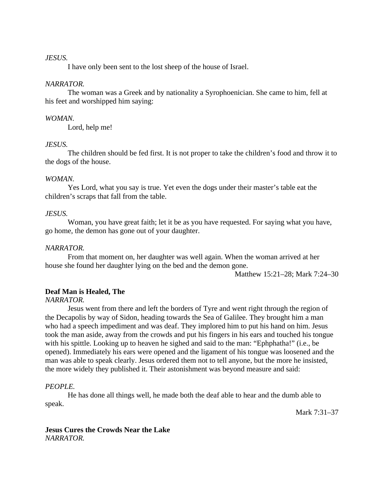### *JESUS.*

I have only been sent to the lost sheep of the house of Israel.

## *NARRATOR.*

The woman was a Greek and by nationality a Syrophoenician. She came to him, fell at his feet and worshipped him saying:

### *WOMAN.*

Lord, help me!

### *JESUS.*

The children should be fed first. It is not proper to take the children's food and throw it to the dogs of the house.

### *WOMAN.*

Yes Lord, what you say is true. Yet even the dogs under their master's table eat the children's scraps that fall from the table.

### *JESUS.*

Woman, you have great faith; let it be as you have requested. For saying what you have, go home, the demon has gone out of your daughter.

## *NARRATOR.*

From that moment on, her daughter was well again. When the woman arrived at her house she found her daughter lying on the bed and the demon gone.

Matthew 15:21–28; Mark 7:24–30

## **Deaf Man is Healed, The**

*NARRATOR.*

Jesus went from there and left the borders of Tyre and went right through the region of the Decapolis by way of Sidon, heading towards the Sea of Galilee. They brought him a man who had a speech impediment and was deaf. They implored him to put his hand on him. Jesus took the man aside, away from the crowds and put his fingers in his ears and touched his tongue with his spittle. Looking up to heaven he sighed and said to the man: "Ephphatha!" (i.e., be opened). Immediately his ears were opened and the ligament of his tongue was loosened and the man was able to speak clearly. Jesus ordered them not to tell anyone, but the more he insisted, the more widely they published it. Their astonishment was beyond measure and said:

## *PEOPLE.*

He has done all things well, he made both the deaf able to hear and the dumb able to speak.

Mark 7:31–37

### **Jesus Cures the Crowds Near the Lake** *NARRATOR.*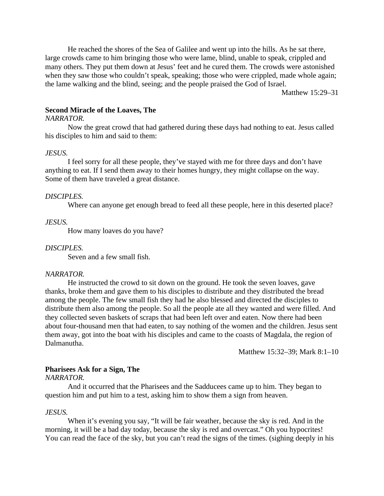He reached the shores of the Sea of Galilee and went up into the hills. As he sat there, large crowds came to him bringing those who were lame, blind, unable to speak, crippled and many others. They put them down at Jesus' feet and he cured them. The crowds were astonished when they saw those who couldn't speak, speaking; those who were crippled, made whole again; the lame walking and the blind, seeing; and the people praised the God of Israel.

Matthew 15:29–31

## **Second Miracle of the Loaves, The**

#### *NARRATOR.*

Now the great crowd that had gathered during these days had nothing to eat. Jesus called his disciples to him and said to them:

#### *JESUS.*

I feel sorry for all these people, they've stayed with me for three days and don't have anything to eat. If I send them away to their homes hungry, they might collapse on the way. Some of them have traveled a great distance.

### *DISCIPLES.*

Where can anyone get enough bread to feed all these people, here in this deserted place?

#### *JESUS.*

How many loaves do you have?

#### *DISCIPLES.*

Seven and a few small fish.

#### *NARRATOR.*

He instructed the crowd to sit down on the ground. He took the seven loaves, gave thanks, broke them and gave them to his disciples to distribute and they distributed the bread among the people. The few small fish they had he also blessed and directed the disciples to distribute them also among the people. So all the people ate all they wanted and were filled. And they collected seven baskets of scraps that had been left over and eaten. Now there had been about four-thousand men that had eaten, to say nothing of the women and the children. Jesus sent them away, got into the boat with his disciples and came to the coasts of Magdala, the region of Dalmanutha.

Matthew 15:32–39; Mark 8:1–10

#### **Pharisees Ask for a Sign, The**

*NARRATOR.*

And it occurred that the Pharisees and the Sadducees came up to him. They began to question him and put him to a test, asking him to show them a sign from heaven.

#### *JESUS.*

When it's evening you say, "It will be fair weather, because the sky is red. And in the morning, it will be a bad day today, because the sky is red and overcast." Oh you hypocrites! You can read the face of the sky, but you can't read the signs of the times. (sighing deeply in his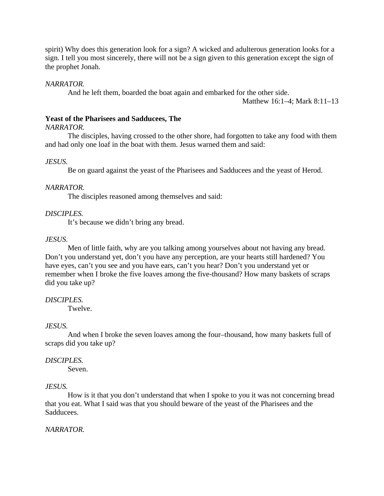spirit) Why does this generation look for a sign? A wicked and adulterous generation looks for a sign. I tell you most sincerely, there will not be a sign given to this generation except the sign of the prophet Jonah.

## *NARRATOR.*

And he left them, boarded the boat again and embarked for the other side.

Matthew 16:1–4; Mark 8:11–13

### **Yeast of the Pharisees and Sadducees, The**

*NARRATOR.*

The disciples, having crossed to the other shore, had forgotten to take any food with them and had only one loaf in the boat with them. Jesus warned them and said:

## *JESUS.*

Be on guard against the yeast of the Pharisees and Sadducees and the yeast of Herod.

### *NARRATOR.*

The disciples reasoned among themselves and said:

## *DISCIPLES.*

It's because we didn't bring any bread.

### *JESUS.*

Men of little faith, why are you talking among yourselves about not having any bread. Don't you understand yet, don't you have any perception, are your hearts still hardened? You have eyes, can't you see and you have ears, can't you hear? Don't you understand yet or remember when I broke the five loaves among the five-thousand? How many baskets of scraps did you take up?

## *DISCIPLES.*

**Twelve** 

## *JESUS.*

And when I broke the seven loaves among the four–thousand, how many baskets full of scraps did you take up?

## *DISCIPLES.*

Seven.

## *JESUS.*

How is it that you don't understand that when I spoke to you it was not concerning bread that you eat. What I said was that you should beware of the yeast of the Pharisees and the Sadducees.

## *NARRATOR.*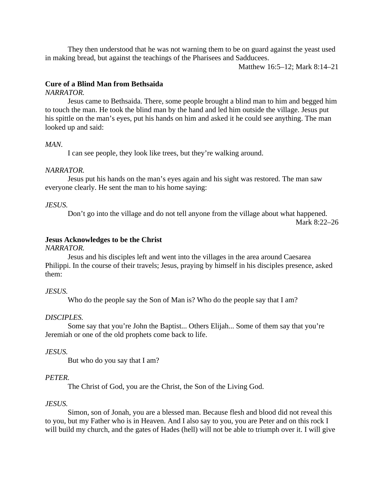They then understood that he was not warning them to be on guard against the yeast used in making bread, but against the teachings of the Pharisees and Sadducees.

Matthew 16:5–12; Mark 8:14–21

## **Cure of a Blind Man from Bethsaida**

### *NARRATOR.*

Jesus came to Bethsaida. There, some people brought a blind man to him and begged him to touch the man. He took the blind man by the hand and led him outside the village. Jesus put his spittle on the man's eyes, put his hands on him and asked it he could see anything. The man looked up and said:

### *MAN.*

I can see people, they look like trees, but they're walking around.

#### *NARRATOR.*

Jesus put his hands on the man's eyes again and his sight was restored. The man saw everyone clearly. He sent the man to his home saying:

### *JESUS.*

Don't go into the village and do not tell anyone from the village about what happened. Mark 8:22–26

## **Jesus Acknowledges to be the Christ**

### *NARRATOR.*

Jesus and his disciples left and went into the villages in the area around Caesarea Philippi. In the course of their travels; Jesus, praying by himself in his disciples presence, asked them:

#### *JESUS.*

Who do the people say the Son of Man is? Who do the people say that I am?

#### *DISCIPLES.*

Some say that you're John the Baptist... Others Elijah... Some of them say that you're Jeremiah or one of the old prophets come back to life.

#### *JESUS.*

But who do you say that I am?

#### *PETER.*

The Christ of God, you are the Christ, the Son of the Living God.

#### *JESUS.*

Simon, son of Jonah, you are a blessed man. Because flesh and blood did not reveal this to you, but my Father who is in Heaven. And I also say to you, you are Peter and on this rock I will build my church, and the gates of Hades (hell) will not be able to triumph over it. I will give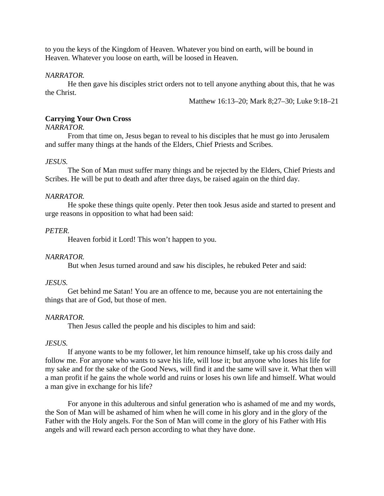to you the keys of the Kingdom of Heaven. Whatever you bind on earth, will be bound in Heaven. Whatever you loose on earth, will be loosed in Heaven.

### *NARRATOR.*

He then gave his disciples strict orders not to tell anyone anything about this, that he was the Christ.

Matthew 16:13–20; Mark 8;27–30; Luke 9:18–21

## **Carrying Your Own Cross**

### *NARRATOR.*

From that time on, Jesus began to reveal to his disciples that he must go into Jerusalem and suffer many things at the hands of the Elders, Chief Priests and Scribes.

### *JESUS.*

The Son of Man must suffer many things and be rejected by the Elders, Chief Priests and Scribes. He will be put to death and after three days, be raised again on the third day.

### *NARRATOR.*

He spoke these things quite openly. Peter then took Jesus aside and started to present and urge reasons in opposition to what had been said:

## *PETER.*

Heaven forbid it Lord! This won't happen to you.

### *NARRATOR.*

But when Jesus turned around and saw his disciples, he rebuked Peter and said:

## *JESUS.*

Get behind me Satan! You are an offence to me, because you are not entertaining the things that are of God, but those of men.

### *NARRATOR.*

Then Jesus called the people and his disciples to him and said:

### *JESUS.*

If anyone wants to be my follower, let him renounce himself, take up his cross daily and follow me. For anyone who wants to save his life, will lose it; but anyone who loses his life for my sake and for the sake of the Good News, will find it and the same will save it. What then will a man profit if he gains the whole world and ruins or loses his own life and himself. What would a man give in exchange for his life?

For anyone in this adulterous and sinful generation who is ashamed of me and my words, the Son of Man will be ashamed of him when he will come in his glory and in the glory of the Father with the Holy angels. For the Son of Man will come in the glory of his Father with His angels and will reward each person according to what they have done.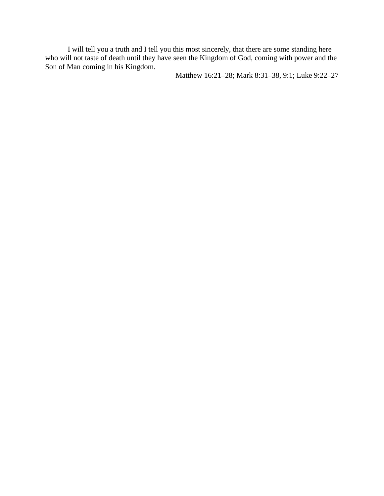I will tell you a truth and I tell you this most sincerely, that there are some standing here who will not taste of death until they have seen the Kingdom of God, coming with power and the Son of Man coming in his Kingdom.

Matthew 16:21–28; Mark 8:31–38, 9:1; Luke 9:22–27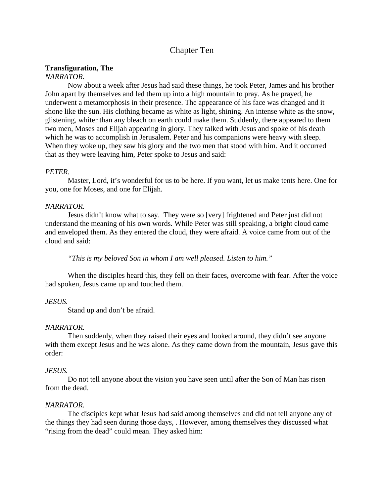# Chapter Ten

## **Transfiguration, The**

# *NARRATOR.*

Now about a week after Jesus had said these things, he took Peter, James and his brother John apart by themselves and led them up into a high mountain to pray. As he prayed, he underwent a metamorphosis in their presence. The appearance of his face was changed and it shone like the sun. His clothing became as white as light, shining. An intense white as the snow, glistening, whiter than any bleach on earth could make them. Suddenly, there appeared to them two men, Moses and Elijah appearing in glory. They talked with Jesus and spoke of his death which he was to accomplish in Jerusalem. Peter and his companions were heavy with sleep. When they woke up, they saw his glory and the two men that stood with him. And it occurred that as they were leaving him, Peter spoke to Jesus and said:

## *PETER.*

Master, Lord, it's wonderful for us to be here. If you want, let us make tents here. One for you, one for Moses, and one for Elijah.

### *NARRATOR.*

Jesus didn't know what to say. They were so [very] frightened and Peter just did not understand the meaning of his own words. While Peter was still speaking, a bright cloud came and enveloped them. As they entered the cloud, they were afraid. A voice came from out of the cloud and said:

*"This is my beloved Son in whom I am well pleased. Listen to him."*

When the disciples heard this, they fell on their faces, overcome with fear. After the voice had spoken, Jesus came up and touched them.

### *JESUS.*

Stand up and don't be afraid.

### *NARRATOR.*

Then suddenly, when they raised their eyes and looked around, they didn't see anyone with them except Jesus and he was alone. As they came down from the mountain, Jesus gave this order:

## *JESUS.*

Do not tell anyone about the vision you have seen until after the Son of Man has risen from the dead.

## *NARRATOR.*

The disciples kept what Jesus had said among themselves and did not tell anyone any of the things they had seen during those days, . However, among themselves they discussed what "rising from the dead" could mean. They asked him: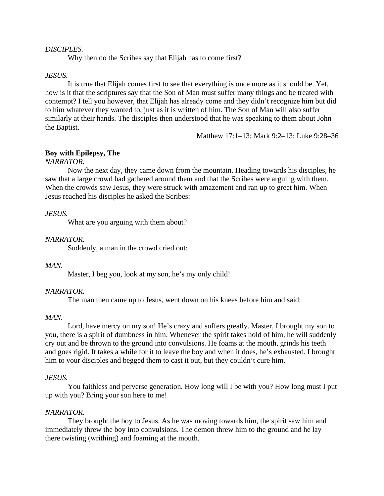### *DISCIPLES.*

Why then do the Scribes say that Elijah has to come first?

#### *JESUS.*

It is true that Elijah comes first to see that everything is once more as it should be. Yet, how is it that the scriptures say that the Son of Man must suffer many things and be treated with contempt? I tell you however, that Elijah has already come and they didn't recognize him but did to him whatever they wanted to, just as it is written of him. The Son of Man will also suffer similarly at their hands. The disciples then understood that he was speaking to them about John the Baptist.

Matthew 17:1–13; Mark 9:2–13; Luke 9:28–36

#### **Boy with Epilepsy, The**

### *NARRATOR.*

Now the next day, they came down from the mountain. Heading towards his disciples, he saw that a large crowd had gathered around them and that the Scribes were arguing with them. When the crowds saw Jesus, they were struck with amazement and ran up to greet him. When Jesus reached his disciples he asked the Scribes:

#### *JESUS.*

What are you arguing with them about?

#### *NARRATOR.*

Suddenly, a man in the crowd cried out:

### *MAN.*

Master, I beg you, look at my son, he's my only child!

#### *NARRATOR.*

The man then came up to Jesus, went down on his knees before him and said:

#### *MAN.*

Lord, have mercy on my son! He's crazy and suffers greatly. Master, I brought my son to you, there is a spirit of dumbness in him. Whenever the spirit takes hold of him, he will suddenly cry out and be thrown to the ground into convulsions. He foams at the mouth, grinds his teeth and goes rigid. It takes a while for it to leave the boy and when it does, he's exhausted. I brought him to your disciples and begged them to cast it out, but they couldn't cure him.

#### *JESUS.*

You faithless and perverse generation. How long will I be with you? How long must I put up with you? Bring your son here to me!

#### *NARRATOR.*

They brought the boy to Jesus. As he was moving towards him, the spirit saw him and immediately threw the boy into convulsions. The demon threw him to the ground and he lay there twisting (writhing) and foaming at the mouth.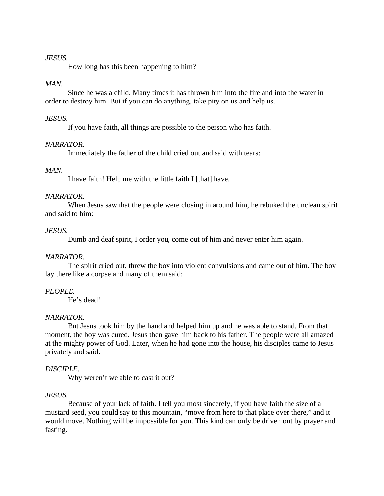### *JESUS.*

How long has this been happening to him?

## *MAN.*

Since he was a child. Many times it has thrown him into the fire and into the water in order to destroy him. But if you can do anything, take pity on us and help us.

### *JESUS.*

If you have faith, all things are possible to the person who has faith.

### *NARRATOR.*

Immediately the father of the child cried out and said with tears:

### *MAN.*

I have faith! Help me with the little faith I [that] have.

### *NARRATOR.*

When Jesus saw that the people were closing in around him, he rebuked the unclean spirit and said to him:

### *JESUS.*

Dumb and deaf spirit, I order you, come out of him and never enter him again.

### *NARRATOR.*

The spirit cried out, threw the boy into violent convulsions and came out of him. The boy lay there like a corpse and many of them said:

### *PEOPLE.*

He's dead!

## *NARRATOR.*

But Jesus took him by the hand and helped him up and he was able to stand. From that moment, the boy was cured. Jesus then gave him back to his father. The people were all amazed at the mighty power of God. Later, when he had gone into the house, his disciples came to Jesus privately and said:

### *DISCIPLE.*

Why weren't we able to cast it out?

### *JESUS.*

Because of your lack of faith. I tell you most sincerely, if you have faith the size of a mustard seed, you could say to this mountain, "move from here to that place over there," and it would move. Nothing will be impossible for you. This kind can only be driven out by prayer and fasting.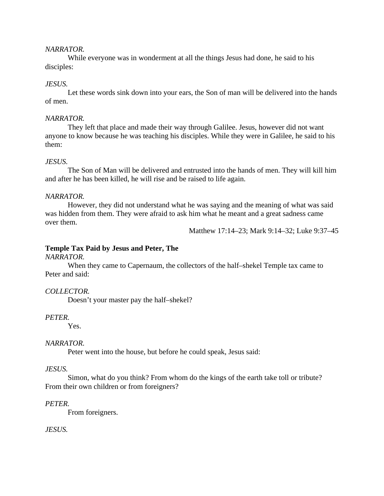### *NARRATOR.*

While everyone was in wonderment at all the things Jesus had done, he said to his disciples:

## *JESUS.*

Let these words sink down into your ears, the Son of man will be delivered into the hands of men.

## *NARRATOR.*

They left that place and made their way through Galilee. Jesus, however did not want anyone to know because he was teaching his disciples. While they were in Galilee, he said to his them:

## *JESUS.*

The Son of Man will be delivered and entrusted into the hands of men. They will kill him and after he has been killed, he will rise and be raised to life again.

## *NARRATOR.*

However, they did not understand what he was saying and the meaning of what was said was hidden from them. They were afraid to ask him what he meant and a great sadness came over them.

Matthew 17:14–23; Mark 9:14–32; Luke 9:37–45

## **Temple Tax Paid by Jesus and Peter, The**

### *NARRATOR.*

When they came to Capernaum, the collectors of the half–shekel Temple tax came to Peter and said:

## *COLLECTOR.*

Doesn't your master pay the half–shekel?

## *PETER.*

Yes.

## *NARRATOR.*

Peter went into the house, but before he could speak, Jesus said:

## *JESUS.*

Simon, what do you think? From whom do the kings of the earth take toll or tribute? From their own children or from foreigners?

## *PETER.*

From foreigners.

## *JESUS.*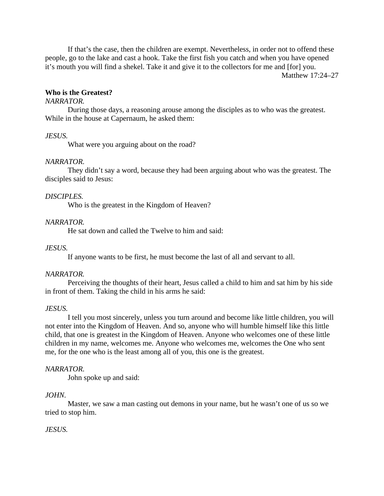If that's the case, then the children are exempt. Nevertheless, in order not to offend these people, go to the lake and cast a hook. Take the first fish you catch and when you have opened it's mouth you will find a shekel. Take it and give it to the collectors for me and [for] you.

Matthew 17:24–27

# **Who is the Greatest?**

# *NARRATOR.*

During those days, a reasoning arouse among the disciples as to who was the greatest. While in the house at Capernaum, he asked them:

# *JESUS.*

What were you arguing about on the road?

# *NARRATOR.*

They didn't say a word, because they had been arguing about who was the greatest. The disciples said to Jesus:

# *DISCIPLES.*

Who is the greatest in the Kingdom of Heaven?

# *NARRATOR.*

He sat down and called the Twelve to him and said:

# *JESUS.*

If anyone wants to be first, he must become the last of all and servant to all.

# *NARRATOR.*

Perceiving the thoughts of their heart, Jesus called a child to him and sat him by his side in front of them. Taking the child in his arms he said:

# *JESUS.*

I tell you most sincerely, unless you turn around and become like little children, you will not enter into the Kingdom of Heaven. And so, anyone who will humble himself like this little child, that one is greatest in the Kingdom of Heaven. Anyone who welcomes one of these little children in my name, welcomes me. Anyone who welcomes me, welcomes the One who sent me, for the one who is the least among all of you, this one is the greatest.

# *NARRATOR.*

John spoke up and said:

# *JOHN.*

Master, we saw a man casting out demons in your name, but he wasn't one of us so we tried to stop him.

# *JESUS.*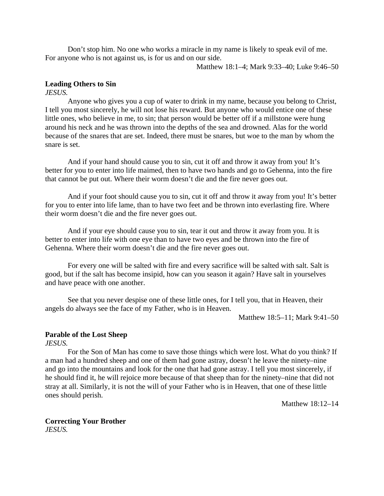Don't stop him. No one who works a miracle in my name is likely to speak evil of me. For anyone who is not against us, is for us and on our side.

Matthew 18:1–4; Mark 9:33–40; Luke 9:46–50

### **Leading Others to Sin**

*JESUS.*

Anyone who gives you a cup of water to drink in my name, because you belong to Christ, I tell you most sincerely, he will not lose his reward. But anyone who would entice one of these little ones, who believe in me, to sin; that person would be better off if a millstone were hung around his neck and he was thrown into the depths of the sea and drowned. Alas for the world because of the snares that are set. Indeed, there must be snares, but woe to the man by whom the snare is set.

And if your hand should cause you to sin, cut it off and throw it away from you! It's better for you to enter into life maimed, then to have two hands and go to Gehenna, into the fire that cannot be put out. Where their worm doesn't die and the fire never goes out.

And if your foot should cause you to sin, cut it off and throw it away from you! It's better for you to enter into life lame, than to have two feet and be thrown into everlasting fire. Where their worm doesn't die and the fire never goes out.

And if your eye should cause you to sin, tear it out and throw it away from you. It is better to enter into life with one eye than to have two eyes and be thrown into the fire of Gehenna. Where their worm doesn't die and the fire never goes out.

For every one will be salted with fire and every sacrifice will be salted with salt. Salt is good, but if the salt has become insipid, how can you season it again? Have salt in yourselves and have peace with one another.

See that you never despise one of these little ones, for I tell you, that in Heaven, their angels do always see the face of my Father, who is in Heaven.

Matthew 18:5–11; Mark 9:41–50

# **Parable of the Lost Sheep**

*JESUS.*

For the Son of Man has come to save those things which were lost. What do you think? If a man had a hundred sheep and one of them had gone astray, doesn't he leave the ninety–nine and go into the mountains and look for the one that had gone astray. I tell you most sincerely, if he should find it, he will rejoice more because of that sheep than for the ninety–nine that did not stray at all. Similarly, it is not the will of your Father who is in Heaven, that one of these little ones should perish.

Matthew 18:12–14

# **Correcting Your Brother**

*JESUS.*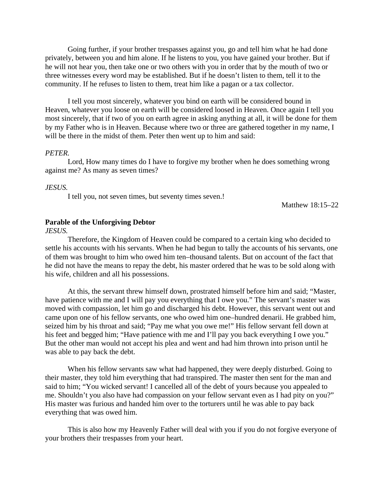Going further, if your brother trespasses against you, go and tell him what he had done privately, between you and him alone. If he listens to you, you have gained your brother. But if he will not hear you, then take one or two others with you in order that by the mouth of two or three witnesses every word may be established. But if he doesn't listen to them, tell it to the community. If he refuses to listen to them, treat him like a pagan or a tax collector.

I tell you most sincerely, whatever you bind on earth will be considered bound in Heaven, whatever you loose on earth will be considered loosed in Heaven. Once again I tell you most sincerely, that if two of you on earth agree in asking anything at all, it will be done for them by my Father who is in Heaven. Because where two or three are gathered together in my name, I will be there in the midst of them. Peter then went up to him and said:

#### *PETER.*

Lord, How many times do I have to forgive my brother when he does something wrong against me? As many as seven times?

#### *JESUS.*

I tell you, not seven times, but seventy times seven.!

Matthew 18:15–22

#### **Parable of the Unforgiving Debtor**

*JESUS.*

Therefore, the Kingdom of Heaven could be compared to a certain king who decided to settle his accounts with his servants. When he had begun to tally the accounts of his servants, one of them was brought to him who owed him ten–thousand talents. But on account of the fact that he did not have the means to repay the debt, his master ordered that he was to be sold along with his wife, children and all his possessions.

At this, the servant threw himself down, prostrated himself before him and said; "Master, have patience with me and I will pay you everything that I owe you." The servant's master was moved with compassion, let him go and discharged his debt. However, this servant went out and came upon one of his fellow servants, one who owed him one–hundred denarii. He grabbed him, seized him by his throat and said; "Pay me what you owe me!" His fellow servant fell down at his feet and begged him; "Have patience with me and I'll pay you back everything I owe you." But the other man would not accept his plea and went and had him thrown into prison until he was able to pay back the debt.

When his fellow servants saw what had happened, they were deeply disturbed. Going to their master, they told him everything that had transpired. The master then sent for the man and said to him; "You wicked servant! I cancelled all of the debt of yours because you appealed to me. Shouldn't you also have had compassion on your fellow servant even as I had pity on you?" His master was furious and handed him over to the torturers until he was able to pay back everything that was owed him.

This is also how my Heavenly Father will deal with you if you do not forgive everyone of your brothers their trespasses from your heart.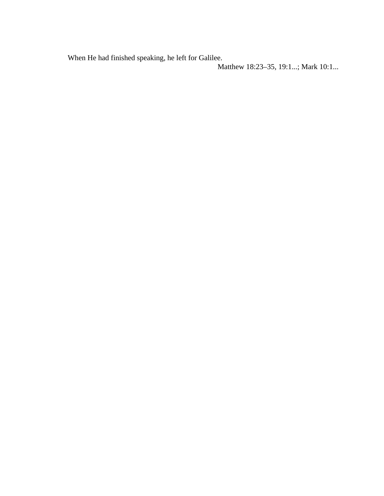When He had finished speaking, he left for Galilee.

Matthew 18:23–35, 19:1...; Mark 10:1...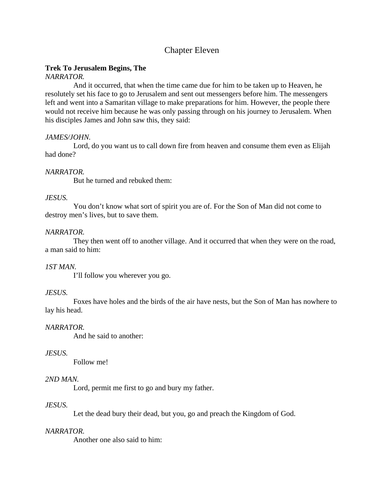# Chapter Eleven

# **Trek To Jerusalem Begins, The**

# *NARRATOR.*

And it occurred, that when the time came due for him to be taken up to Heaven, he resolutely set his face to go to Jerusalem and sent out messengers before him. The messengers left and went into a Samaritan village to make preparations for him. However, the people there would not receive him because he was only passing through on his journey to Jerusalem. When his disciples James and John saw this, they said:

# *JAMES/JOHN.*

Lord, do you want us to call down fire from heaven and consume them even as Elijah had done?

# *NARRATOR.*

But he turned and rebuked them:

# *JESUS.*

You don't know what sort of spirit you are of. For the Son of Man did not come to destroy men's lives, but to save them.

# *NARRATOR.*

They then went off to another village. And it occurred that when they were on the road, a man said to him:

# *1ST MAN.*

I'll follow you wherever you go.

# *JESUS.*

Foxes have holes and the birds of the air have nests, but the Son of Man has nowhere to lay his head.

# *NARRATOR.*

And he said to another:

# *JESUS.*

Follow me!

# *2ND MAN.*

Lord, permit me first to go and bury my father.

# *JESUS.*

Let the dead bury their dead, but you, go and preach the Kingdom of God.

# *NARRATOR.*

Another one also said to him: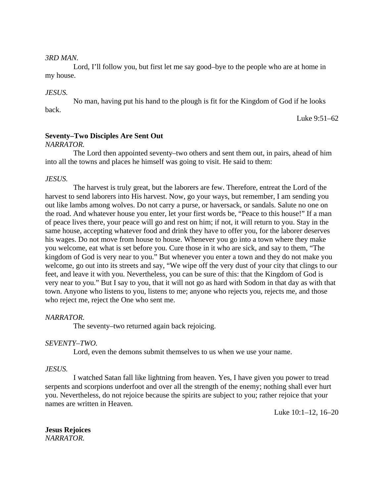# *3RD MAN.*

Lord, I'll follow you, but first let me say good–bye to the people who are at home in my house.

# *JESUS.*

No man, having put his hand to the plough is fit for the Kingdom of God if he looks back.

Luke 9:51–62

# **Seventy–Two Disciples Are Sent Out**

# *NARRATOR.*

The Lord then appointed seventy–two others and sent them out, in pairs, ahead of him into all the towns and places he himself was going to visit. He said to them:

# *JESUS.*

The harvest is truly great, but the laborers are few. Therefore, entreat the Lord of the harvest to send laborers into His harvest. Now, go your ways, but remember, I am sending you out like lambs among wolves. Do not carry a purse, or haversack, or sandals. Salute no one on the road. And whatever house you enter, let your first words be, "Peace to this house!" If a man of peace lives there, your peace will go and rest on him; if not, it will return to you. Stay in the same house, accepting whatever food and drink they have to offer you, for the laborer deserves his wages. Do not move from house to house. Whenever you go into a town where they make you welcome, eat what is set before you. Cure those in it who are sick, and say to them, "The kingdom of God is very near to you." But whenever you enter a town and they do not make you welcome, go out into its streets and say, "We wipe off the very dust of your city that clings to our feet, and leave it with you. Nevertheless, you can be sure of this: that the Kingdom of God is very near to you." But I say to you, that it will not go as hard with Sodom in that day as with that town. Anyone who listens to you, listens to me; anyone who rejects you, rejects me, and those who reject me, reject the One who sent me.

# *NARRATOR.*

The seventy–two returned again back rejoicing.

# *SEVENTY–TWO.*

Lord, even the demons submit themselves to us when we use your name.

#### *JESUS.*

I watched Satan fall like lightning from heaven. Yes, I have given you power to tread serpents and scorpions underfoot and over all the strength of the enemy; nothing shall ever hurt you. Nevertheless, do not rejoice because the spirits are subject to you; rather rejoice that your names are written in Heaven.

Luke 10:1–12, 16–20

**Jesus Rejoices** *NARRATOR.*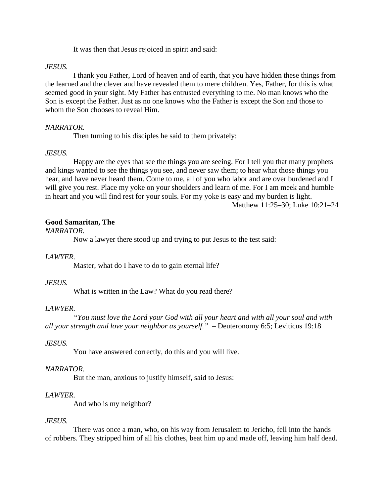It was then that Jesus rejoiced in spirit and said:

# *JESUS.*

I thank you Father, Lord of heaven and of earth, that you have hidden these things from the learned and the clever and have revealed them to mere children. Yes, Father, for this is what seemed good in your sight. My Father has entrusted everything to me. No man knows who the Son is except the Father. Just as no one knows who the Father is except the Son and those to whom the Son chooses to reveal Him.

# *NARRATOR.*

Then turning to his disciples he said to them privately:

# *JESUS.*

Happy are the eyes that see the things you are seeing. For I tell you that many prophets and kings wanted to see the things you see, and never saw them; to hear what those things you hear, and have never heard them. Come to me, all of you who labor and are over burdened and I will give you rest. Place my yoke on your shoulders and learn of me. For I am meek and humble in heart and you will find rest for your souls. For my yoke is easy and my burden is light.

Matthew 11:25–30; Luke 10:21–24

# **Good Samaritan, The**

*NARRATOR.*

Now a lawyer there stood up and trying to put Jesus to the test said:

# *LAWYER.*

Master, what do I have to do to gain eternal life?

# *JESUS.*

What is written in the Law? What do you read there?

# *LAWYER.*

*"You must love the Lord your God with all your heart and with all your soul and with all your strength and love your neighbor as yourself."* – Deuteronomy 6:5; Leviticus 19:18

# *JESUS.*

You have answered correctly, do this and you will live.

# *NARRATOR.*

But the man, anxious to justify himself, said to Jesus:

# *LAWYER.*

And who is my neighbor?

#### *JESUS.*

There was once a man, who, on his way from Jerusalem to Jericho, fell into the hands of robbers. They stripped him of all his clothes, beat him up and made off, leaving him half dead.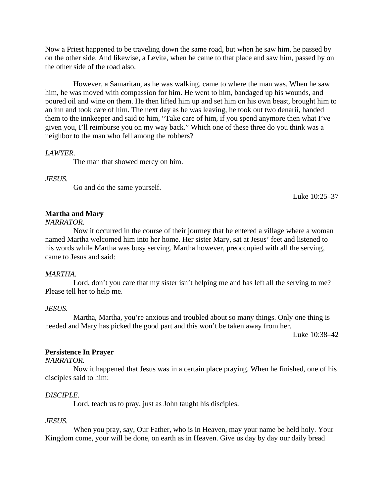Now a Priest happened to be traveling down the same road, but when he saw him, he passed by on the other side. And likewise, a Levite, when he came to that place and saw him, passed by on the other side of the road also.

However, a Samaritan, as he was walking, came to where the man was. When he saw him, he was moved with compassion for him. He went to him, bandaged up his wounds, and poured oil and wine on them. He then lifted him up and set him on his own beast, brought him to an inn and took care of him. The next day as he was leaving, he took out two denarii, handed them to the innkeeper and said to him, "Take care of him, if you spend anymore then what I've given you, I'll reimburse you on my way back." Which one of these three do you think was a neighbor to the man who fell among the robbers?

#### *LAWYER.*

The man that showed mercy on him.

#### *JESUS.*

Go and do the same yourself.

Luke 10:25–37

### **Martha and Mary**

*NARRATOR.*

Now it occurred in the course of their journey that he entered a village where a woman named Martha welcomed him into her home. Her sister Mary, sat at Jesus' feet and listened to his words while Martha was busy serving. Martha however, preoccupied with all the serving, came to Jesus and said:

#### *MARTHA.*

Lord, don't you care that my sister isn't helping me and has left all the serving to me? Please tell her to help me.

#### *JESUS.*

Martha, Martha, you're anxious and troubled about so many things. Only one thing is needed and Mary has picked the good part and this won't be taken away from her.

Luke 10:38–42

# **Persistence In Prayer**

#### *NARRATOR.*

Now it happened that Jesus was in a certain place praying. When he finished, one of his disciples said to him:

### *DISCIPLE.*

Lord, teach us to pray, just as John taught his disciples.

#### *JESUS.*

When you pray, say, Our Father, who is in Heaven, may your name be held holy. Your Kingdom come, your will be done, on earth as in Heaven. Give us day by day our daily bread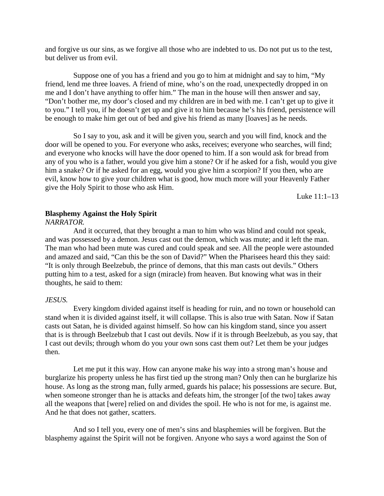and forgive us our sins, as we forgive all those who are indebted to us. Do not put us to the test, but deliver us from evil.

Suppose one of you has a friend and you go to him at midnight and say to him, "My friend, lend me three loaves. A friend of mine, who's on the road, unexpectedly dropped in on me and I don't have anything to offer him." The man in the house will then answer and say, "Don't bother me, my door's closed and my children are in bed with me. I can't get up to give it to you." I tell you, if he doesn't get up and give it to him because he's his friend, persistence will be enough to make him get out of bed and give his friend as many [loaves] as he needs.

So I say to you, ask and it will be given you, search and you will find, knock and the door will be opened to you. For everyone who asks, receives; everyone who searches, will find; and everyone who knocks will have the door opened to him. If a son would ask for bread from any of you who is a father, would you give him a stone? Or if he asked for a fish, would you give him a snake? Or if he asked for an egg, would you give him a scorpion? If you then, who are evil, know how to give your children what is good, how much more will your Heavenly Father give the Holy Spirit to those who ask Him.

Luke 11:1–13

# **Blasphemy Against the Holy Spirit**

*NARRATOR.*

And it occurred, that they brought a man to him who was blind and could not speak, and was possessed by a demon. Jesus cast out the demon, which was mute; and it left the man. The man who had been mute was cured and could speak and see. All the people were astounded and amazed and said, "Can this be the son of David?" When the Pharisees heard this they said: "It is only through Beelzebub, the prince of demons, that this man casts out devils." Others putting him to a test, asked for a sign (miracle) from heaven. But knowing what was in their thoughts, he said to them:

### *JESUS.*

Every kingdom divided against itself is heading for ruin, and no town or household can stand when it is divided against itself, it will collapse. This is also true with Satan. Now if Satan casts out Satan, he is divided against himself. So how can his kingdom stand, since you assert that is is through Beelzebub that I cast out devils. Now if it is through Beelzebub, as you say, that I cast out devils; through whom do you your own sons cast them out? Let them be your judges then.

Let me put it this way. How can anyone make his way into a strong man's house and burglarize his property unless he has first tied up the strong man? Only then can he burglarize his house. As long as the strong man, fully armed, guards his palace; his possessions are secure. But, when someone stronger than he is attacks and defeats him, the stronger [of the two] takes away all the weapons that [were] relied on and divides the spoil. He who is not for me, is against me. And he that does not gather, scatters.

And so I tell you, every one of men's sins and blasphemies will be forgiven. But the blasphemy against the Spirit will not be forgiven. Anyone who says a word against the Son of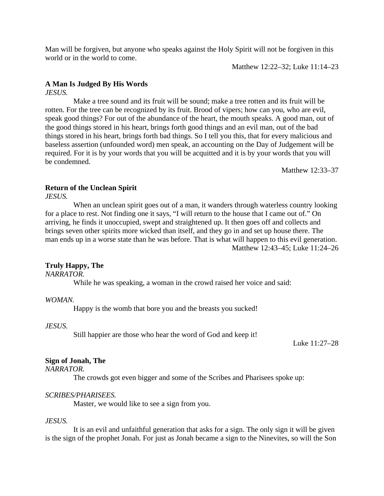Man will be forgiven, but anyone who speaks against the Holy Spirit will not be forgiven in this world or in the world to come.

Matthew 12:22–32; Luke 11:14–23

# **A Man Is Judged By His Words**

*JESUS.*

Make a tree sound and its fruit will be sound; make a tree rotten and its fruit will be rotten. For the tree can be recognized by its fruit. Brood of vipers; how can you, who are evil, speak good things? For out of the abundance of the heart, the mouth speaks. A good man, out of the good things stored in his heart, brings forth good things and an evil man, out of the bad things stored in his heart, brings forth bad things. So I tell you this, that for every malicious and baseless assertion (unfounded word) men speak, an accounting on the Day of Judgement will be required. For it is by your words that you will be acquitted and it is by your words that you will be condemned.

Matthew 12:33–37

# **Return of the Unclean Spirit**

*JESUS.*

When an unclean spirit goes out of a man, it wanders through waterless country looking for a place to rest. Not finding one it says, "I will return to the house that I came out of." On arriving, he finds it unoccupied, swept and straightened up. It then goes off and collects and brings seven other spirits more wicked than itself, and they go in and set up house there. The man ends up in a worse state than he was before. That is what will happen to this evil generation. Matthew 12:43–45; Luke 11:24–26

# **Truly Happy, The**

*NARRATOR.*

While he was speaking, a woman in the crowd raised her voice and said:

#### *WOMAN.*

Happy is the womb that bore you and the breasts you sucked!

*JESUS.*

Still happier are those who hear the word of God and keep it!

Luke 11:27–28

#### **Sign of Jonah, The**

*NARRATOR.*

The crowds got even bigger and some of the Scribes and Pharisees spoke up:

#### *SCRIBES/PHARISEES.*

Master, we would like to see a sign from you.

# *JESUS.*

It is an evil and unfaithful generation that asks for a sign. The only sign it will be given is the sign of the prophet Jonah. For just as Jonah became a sign to the Ninevites, so will the Son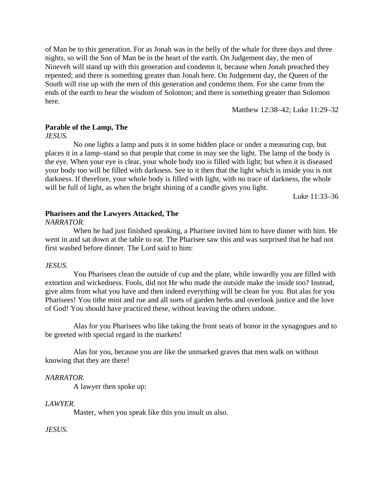of Man be to this generation. For as Jonah was in the belly of the whale for three days and three nights, so will the Son of Man be in the heart of the earth. On Judgement day, the men of Nineveh will stand up with this generation and condemn it, because when Jonah preached they repented; and there is something greater than Jonah here. On Judgement day, the Queen of the South will rise up with the men of this generation and condemn them. For she came from the ends of the earth to hear the wisdom of Solomon; and there is something greater than Solomon here.

Matthew 12:38–42; Luke 11:29–32

# **Parable of the Lamp, The**

*JESUS.*

No one lights a lamp and puts it in some hidden place or under a measuring cup, but places it in a lamp–stand so that people that come in may see the light. The lamp of the body is the eye. When your eye is clear, your whole body too is filled with light; but when it is diseased your body too will be filled with darkness. See to it then that the light which is inside you is not darkness. If therefore, your whole body is filled with light, with no trace of darkness, the whole will be full of light, as when the bright shining of a candle gives you light.

Luke 11:33–36

# **Pharisees and the Lawyers Attacked, The**

*NARRATOR.*

When he had just finished speaking, a Pharisee invited him to have dinner with him. He went in and sat down at the table to eat. The Pharisee saw this and was surprised that he had not first washed before dinner. The Lord said to him:

#### *JESUS.*

You Pharisees clean the outside of cup and the plate, while inwardly you are filled with extortion and wickedness. Fools, did not He who made the outside make the inside too? Instead, give alms from what you have and then indeed everything will be clean for you. But alas for you Pharisees! You tithe mint and rue and all sorts of garden herbs and overlook justice and the love of God! You should have practiced these, without leaving the others undone.

Alas for you Pharisees who like taking the front seats of honor in the synagogues and to be greeted with special regard in the markets!

Alas for you, because you are like the unmarked graves that men walk on without knowing that they are there!

#### *NARRATOR.*

A lawyer then spoke up:

#### *LAWYER.*

Master, when you speak like this you insult us also.

#### *JESUS.*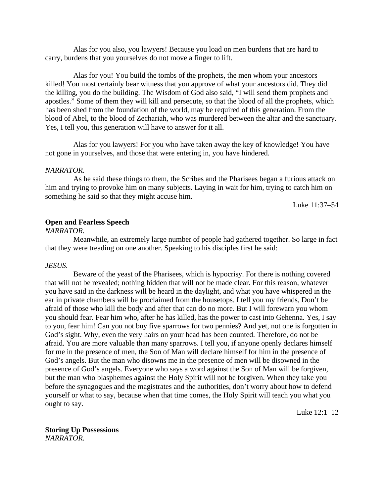Alas for you also, you lawyers! Because you load on men burdens that are hard to carry, burdens that you yourselves do not move a finger to lift.

Alas for you! You build the tombs of the prophets, the men whom your ancestors killed! You most certainly bear witness that you approve of what your ancestors did. They did the killing, you do the building. The Wisdom of God also said, "I will send them prophets and apostles." Some of them they will kill and persecute, so that the blood of all the prophets, which has been shed from the foundation of the world, may be required of this generation. From the blood of Abel, to the blood of Zechariah, who was murdered between the altar and the sanctuary. Yes, I tell you, this generation will have to answer for it all.

Alas for you lawyers! For you who have taken away the key of knowledge! You have not gone in yourselves, and those that were entering in, you have hindered.

#### *NARRATOR.*

As he said these things to them, the Scribes and the Pharisees began a furious attack on him and trying to provoke him on many subjects. Laying in wait for him, trying to catch him on something he said so that they might accuse him.

Luke 11:37–54

# **Open and Fearless Speech**

#### *NARRATOR.*

Meanwhile, an extremely large number of people had gathered together. So large in fact that they were treading on one another. Speaking to his disciples first he said:

#### *JESUS.*

Beware of the yeast of the Pharisees, which is hypocrisy. For there is nothing covered that will not be revealed; nothing hidden that will not be made clear. For this reason, whatever you have said in the darkness will be heard in the daylight, and what you have whispered in the ear in private chambers will be proclaimed from the housetops. I tell you my friends, Don't be afraid of those who kill the body and after that can do no more. But I will forewarn you whom you should fear. Fear him who, after he has killed, has the power to cast into Gehenna. Yes, I say to you, fear him! Can you not buy five sparrows for two pennies? And yet, not one is forgotten in God's sight. Why, even the very hairs on your head has been counted. Therefore, do not be afraid. You are more valuable than many sparrows. I tell you, if anyone openly declares himself for me in the presence of men, the Son of Man will declare himself for him in the presence of God's angels. But the man who disowns me in the presence of men will be disowned in the presence of God's angels. Everyone who says a word against the Son of Man will be forgiven, but the man who blasphemes against the Holy Spirit will not be forgiven. When they take you before the synagogues and the magistrates and the authorities, don't worry about how to defend yourself or what to say, because when that time comes, the Holy Spirit will teach you what you ought to say.

Luke 12:1–12

**Storing Up Possessions** *NARRATOR.*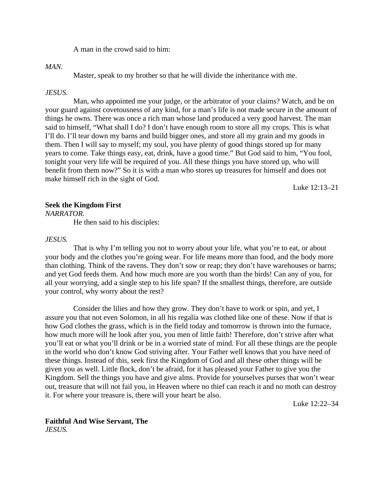A man in the crowd said to him:

#### *MAN.*

Master, speak to my brother so that he will divide the inheritance with me.

#### *JESUS.*

Man, who appointed me your judge, or the arbitrator of your claims? Watch, and be on your guard against covetousness of any kind, for a man's life is not made secure in the amount of things he owns. There was once a rich man whose land produced a very good harvest. The man said to himself, "What shall I do? I don't have enough room to store all my crops. This is what I'll do. I'll tear down my barns and build bigger ones, and store all my grain and my goods in them. Then I will say to myself; my soul, you have plenty of good things stored up for many years to come. Take things easy, eat, drink, have a good time." But God said to him, "You fool, tonight your very life will be required of you. All these things you have stored up, who will benefit from them now?" So it is with a man who stores up treasures for himself and does not make himself rich in the sight of God.

Luke 12:13–21

#### **Seek the Kingdom First**

*NARRATOR.*

He then said to his disciples:

# *JESUS.*

That is why I'm telling you not to worry about your life, what you're to eat, or about your body and the clothes you're going wear. For life means more than food, and the body more than clothing. Think of the ravens. They don't sow or reap; they don't have warehouses or barns; and yet God feeds them. And how much more are you worth than the birds! Can any of you, for all your worrying, add a single step to his life span? If the smallest things, therefore, are outside your control, why worry about the rest?

Consider the lilies and how they grow. They don't have to work or spin, and yet, I assure you that not even Solomon, in all his regalia was clothed like one of these. Now if that is how God clothes the grass, which is in the field today and tomorrow is thrown into the furnace, how much more will he look after you, you men of little faith! Therefore, don't strive after what you'll eat or what you'll drink or be in a worried state of mind. For all these things are the people in the world who don't know God striving after. Your Father well knows that you have need of these things. Instead of this, seek first the Kingdom of God and all these other things will be given you as well. Little flock, don't be afraid, for it has pleased your Father to give you the Kingdom. Sell the things you have and give alms. Provide for yourselves purses that won't wear out, treasure that will not fail you, in Heaven where no thief can reach it and no moth can destroy it. For where your treasure is, there will your heart be also.

Luke 12:22–34

**Faithful And Wise Servant, The** *JESUS.*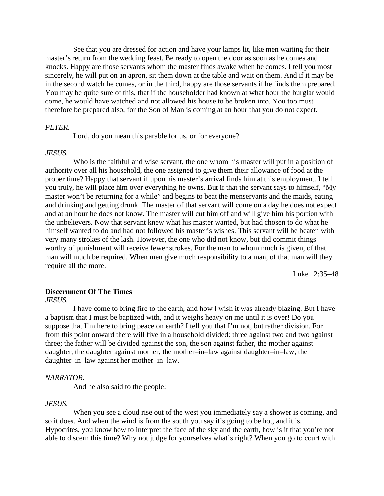See that you are dressed for action and have your lamps lit, like men waiting for their master's return from the wedding feast. Be ready to open the door as soon as he comes and knocks. Happy are those servants whom the master finds awake when he comes. I tell you most sincerely, he will put on an apron, sit them down at the table and wait on them. And if it may be in the second watch he comes, or in the third, happy are those servants if he finds them prepared. You may be quite sure of this, that if the householder had known at what hour the burglar would come, he would have watched and not allowed his house to be broken into. You too must therefore be prepared also, for the Son of Man is coming at an hour that you do not expect.

#### *PETER.*

Lord, do you mean this parable for us, or for everyone?

#### *JESUS.*

Who is the faithful and wise servant, the one whom his master will put in a position of authority over all his household, the one assigned to give them their allowance of food at the proper time? Happy that servant if upon his master's arrival finds him at this employment. I tell you truly, he will place him over everything he owns. But if that the servant says to himself, "My master won't be returning for a while" and begins to beat the menservants and the maids, eating and drinking and getting drunk. The master of that servant will come on a day he does not expect and at an hour he does not know. The master will cut him off and will give him his portion with the unbelievers. Now that servant knew what his master wanted, but had chosen to do what he himself wanted to do and had not followed his master's wishes. This servant will be beaten with very many strokes of the lash. However, the one who did not know, but did commit things worthy of punishment will receive fewer strokes. For the man to whom much is given, of that man will much be required. When men give much responsibility to a man, of that man will they require all the more.

Luke 12:35–48

### **Discernment Of The Times**

*JESUS.*

I have come to bring fire to the earth, and how I wish it was already blazing. But I have a baptism that I must be baptized with, and it weighs heavy on me until it is over! Do you suppose that I'm here to bring peace on earth? I tell you that I'm not, but rather division. For from this point onward there will five in a household divided: three against two and two against three; the father will be divided against the son, the son against father, the mother against daughter, the daughter against mother, the mother–in–law against daughter–in–law, the daughter–in–law against her mother–in–law.

#### *NARRATOR.*

And he also said to the people:

#### *JESUS.*

When you see a cloud rise out of the west you immediately say a shower is coming, and so it does. And when the wind is from the south you say it's going to be hot, and it is. Hypocrites, you know how to interpret the face of the sky and the earth, how is it that you're not able to discern this time? Why not judge for yourselves what's right? When you go to court with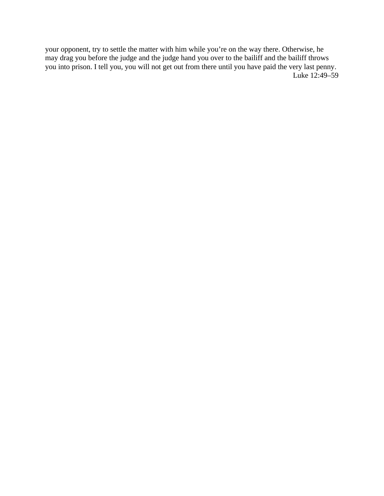your opponent, try to settle the matter with him while you're on the way there. Otherwise, he may drag you before the judge and the judge hand you over to the bailiff and the bailiff throws you into prison. I tell you, you will not get out from there until you have paid the very last penny. Luke 12:49–59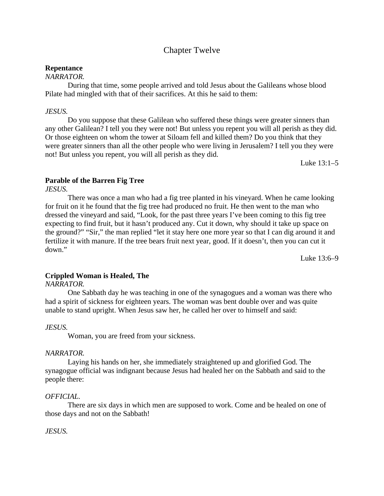# Chapter Twelve

# **Repentance**

# *NARRATOR.*

During that time, some people arrived and told Jesus about the Galileans whose blood Pilate had mingled with that of their sacrifices. At this he said to them:

### *JESUS.*

Do you suppose that these Galilean who suffered these things were greater sinners than any other Galilean? I tell you they were not! But unless you repent you will all perish as they did. Or those eighteen on whom the tower at Siloam fell and killed them? Do you think that they were greater sinners than all the other people who were living in Jerusalem? I tell you they were not! But unless you repent, you will all perish as they did.

Luke 13:1–5

# **Parable of the Barren Fig Tree**

*JESUS.*

There was once a man who had a fig tree planted in his vineyard. When he came looking for fruit on it he found that the fig tree had produced no fruit. He then went to the man who dressed the vineyard and said, "Look, for the past three years I've been coming to this fig tree expecting to find fruit, but it hasn't produced any. Cut it down, why should it take up space on the ground?" "Sir," the man replied "let it stay here one more year so that I can dig around it and fertilize it with manure. If the tree bears fruit next year, good. If it doesn't, then you can cut it down."

Luke 13:6–9

# **Crippled Woman is Healed, The**

*NARRATOR.*

One Sabbath day he was teaching in one of the synagogues and a woman was there who had a spirit of sickness for eighteen years. The woman was bent double over and was quite unable to stand upright. When Jesus saw her, he called her over to himself and said:

#### *JESUS.*

Woman, you are freed from your sickness.

#### *NARRATOR.*

Laying his hands on her, she immediately straightened up and glorified God. The synagogue official was indignant because Jesus had healed her on the Sabbath and said to the people there:

# *OFFICIAL.*

There are six days in which men are supposed to work. Come and be healed on one of those days and not on the Sabbath!

### *JESUS.*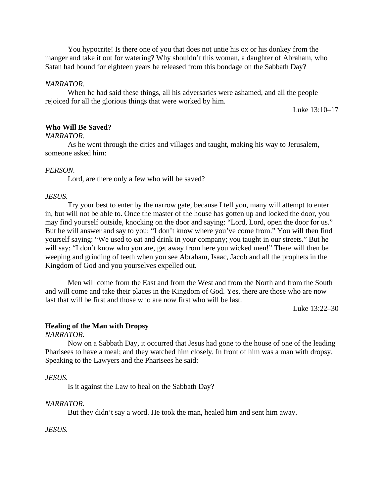You hypocrite! Is there one of you that does not untie his ox or his donkey from the manger and take it out for watering? Why shouldn't this woman, a daughter of Abraham, who Satan had bound for eighteen years be released from this bondage on the Sabbath Day?

#### *NARRATOR.*

When he had said these things, all his adversaries were ashamed, and all the people rejoiced for all the glorious things that were worked by him.

Luke 13:10–17

### **Who Will Be Saved?**

#### *NARRATOR.*

As he went through the cities and villages and taught, making his way to Jerusalem, someone asked him:

#### *PERSON.*

Lord, are there only a few who will be saved?

# *JESUS.*

Try your best to enter by the narrow gate, because I tell you, many will attempt to enter in, but will not be able to. Once the master of the house has gotten up and locked the door, you may find yourself outside, knocking on the door and saying: "Lord, Lord, open the door for us." But he will answer and say to you: "I don't know where you've come from." You will then find yourself saying: "We used to eat and drink in your company; you taught in our streets." But he will say: "I don't know who you are, get away from here you wicked men!" There will then be weeping and grinding of teeth when you see Abraham, Isaac, Jacob and all the prophets in the Kingdom of God and you yourselves expelled out.

Men will come from the East and from the West and from the North and from the South and will come and take their places in the Kingdom of God. Yes, there are those who are now last that will be first and those who are now first who will be last.

Luke 13:22–30

#### **Healing of the Man with Dropsy**

*NARRATOR.*

Now on a Sabbath Day, it occurred that Jesus had gone to the house of one of the leading Pharisees to have a meal; and they watched him closely. In front of him was a man with dropsy. Speaking to the Lawyers and the Pharisees he said:

#### *JESUS.*

Is it against the Law to heal on the Sabbath Day?

#### *NARRATOR.*

But they didn't say a word. He took the man, healed him and sent him away.

#### *JESUS.*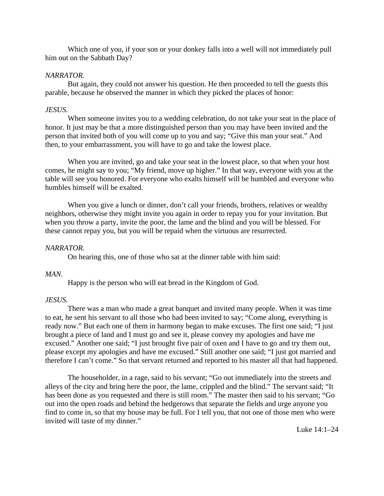Which one of you, if your son or your donkey falls into a well will not immediately pull him out on the Sabbath Day?

# *NARRATOR.*

But again, they could not answer his question. He then proceeded to tell the guests this parable, because he observed the manner in which they picked the places of honor:

# *JESUS.*

When someone invites you to a wedding celebration, do not take your seat in the place of honor. It just may be that a more distinguished person than you may have been invited and the person that invited both of you will come up to you and say; "Give this man your seat." And then, to your embarrassment, you will have to go and take the lowest place.

When you are invited, go and take your seat in the lowest place, so that when your host comes, he might say to you; "My friend, move up higher." In that way, everyone with you at the table will see you honored. For everyone who exalts himself will be humbled and everyone who humbles himself will be exalted.

When you give a lunch or dinner, don't call your friends, brothers, relatives or wealthy neighbors, otherwise they might invite you again in order to repay you for your invitation. But when you throw a party, invite the poor, the lame and the blind and you will be blessed. For these cannot repay you, but you will be repaid when the virtuous are resurrected.

# *NARRATOR.*

On hearing this, one of those who sat at the dinner table with him said:

#### *MAN.*

Happy is the person who will eat bread in the Kingdom of God.

# *JESUS.*

There was a man who made a great banquet and invited many people. When it was time to eat, he sent his servant to all those who had been invited to say; "Come along, everything is ready now." But each one of them in harmony began to make excuses. The first one said; "I just brought a piece of land and I must go and see it, please convey my apologies and have me excused." Another one said; "I just brought five pair of oxen and I have to go and try them out, please except my apologies and have me excused." Still another one said; "I just got married and therefore I can't come." So that servant returned and reported to his master all that had happened.

The householder, in a rage, said to his servant; "Go out immediately into the streets and alleys of the city and bring here the poor, the lame, crippled and the blind." The servant said; "It has been done as you requested and there is still room." The master then said to his servant; "Go out into the open roads and behind the hedgerows that separate the fields and urge anyone you find to come in, so that my house may be full. For I tell you, that not one of those men who were invited will taste of my dinner."

Luke 14:1–24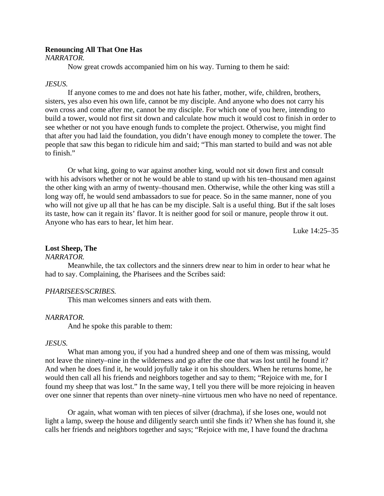### **Renouncing All That One Has**

*NARRATOR.*

Now great crowds accompanied him on his way. Turning to them he said:

#### *JESUS.*

If anyone comes to me and does not hate his father, mother, wife, children, brothers, sisters, yes also even his own life, cannot be my disciple. And anyone who does not carry his own cross and come after me, cannot be my disciple. For which one of you here, intending to build a tower, would not first sit down and calculate how much it would cost to finish in order to see whether or not you have enough funds to complete the project. Otherwise, you might find that after you had laid the foundation, you didn't have enough money to complete the tower. The people that saw this began to ridicule him and said; "This man started to build and was not able to finish."

Or what king, going to war against another king, would not sit down first and consult with his advisors whether or not he would be able to stand up with his ten–thousand men against the other king with an army of twenty–thousand men. Otherwise, while the other king was still a long way off, he would send ambassadors to sue for peace. So in the same manner, none of you who will not give up all that he has can be my disciple. Salt is a useful thing. But if the salt loses its taste, how can it regain its' flavor. It is neither good for soil or manure, people throw it out. Anyone who has ears to hear, let him hear.

Luke 14:25–35

#### **Lost Sheep, The**

#### *NARRATOR.*

Meanwhile, the tax collectors and the sinners drew near to him in order to hear what he had to say. Complaining, the Pharisees and the Scribes said:

#### *PHARISEES/SCRIBES.*

This man welcomes sinners and eats with them.

#### *NARRATOR.*

And he spoke this parable to them:

#### *JESUS.*

What man among you, if you had a hundred sheep and one of them was missing, would not leave the ninety–nine in the wilderness and go after the one that was lost until he found it? And when he does find it, he would joyfully take it on his shoulders. When he returns home, he would then call all his friends and neighbors together and say to them; "Rejoice with me, for I found my sheep that was lost." In the same way, I tell you there will be more rejoicing in heaven over one sinner that repents than over ninety–nine virtuous men who have no need of repentance.

Or again, what woman with ten pieces of silver (drachma), if she loses one, would not light a lamp, sweep the house and diligently search until she finds it? When she has found it, she calls her friends and neighbors together and says; "Rejoice with me, I have found the drachma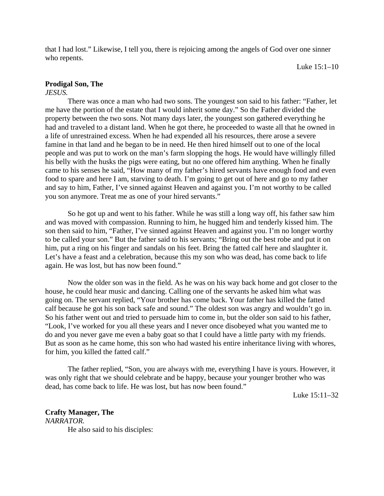that I had lost." Likewise, I tell you, there is rejoicing among the angels of God over one sinner who repents.

Luke 15:1–10

# **Prodigal Son, The**

### *JESUS.*

There was once a man who had two sons. The youngest son said to his father: "Father, let me have the portion of the estate that I would inherit some day." So the Father divided the property between the two sons. Not many days later, the youngest son gathered everything he had and traveled to a distant land. When he got there, he proceeded to waste all that he owned in a life of unrestrained excess. When he had expended all his resources, there arose a severe famine in that land and he began to be in need. He then hired himself out to one of the local people and was put to work on the man's farm slopping the hogs. He would have willingly filled his belly with the husks the pigs were eating, but no one offered him anything. When he finally came to his senses he said, "How many of my father's hired servants have enough food and even food to spare and here I am, starving to death. I'm going to get out of here and go to my father and say to him, Father, I've sinned against Heaven and against you. I'm not worthy to be called you son anymore. Treat me as one of your hired servants."

So he got up and went to his father. While he was still a long way off, his father saw him and was moved with compassion. Running to him, he hugged him and tenderly kissed him. The son then said to him, "Father, I've sinned against Heaven and against you. I'm no longer worthy to be called your son." But the father said to his servants; "Bring out the best robe and put it on him, put a ring on his finger and sandals on his feet. Bring the fatted calf here and slaughter it. Let's have a feast and a celebration, because this my son who was dead, has come back to life again. He was lost, but has now been found."

Now the older son was in the field. As he was on his way back home and got closer to the house, he could hear music and dancing. Calling one of the servants he asked him what was going on. The servant replied, "Your brother has come back. Your father has killed the fatted calf because he got his son back safe and sound." The oldest son was angry and wouldn't go in. So his father went out and tried to persuade him to come in, but the older son said to his father, "Look, I've worked for you all these years and I never once disobeyed what you wanted me to do and you never gave me even a baby goat so that I could have a little party with my friends. But as soon as he came home, this son who had wasted his entire inheritance living with whores, for him, you killed the fatted calf."

The father replied, "Son, you are always with me, everything I have is yours. However, it was only right that we should celebrate and be happy, because your younger brother who was dead, has come back to life. He was lost, but has now been found."

Luke 15:11–32

**Crafty Manager, The** *NARRATOR.* He also said to his disciples: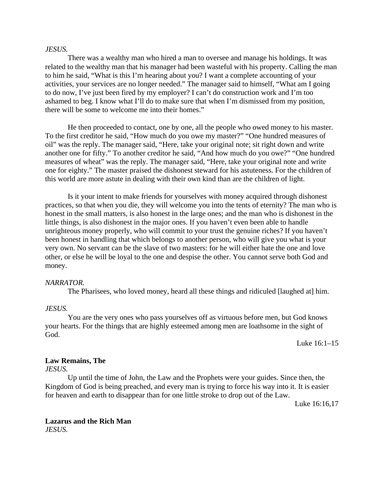#### *JESUS.*

There was a wealthy man who hired a man to oversee and manage his holdings. It was related to the wealthy man that his manager had been wasteful with his property. Calling the man to him he said, "What is this I'm hearing about you? I want a complete accounting of your activities, your services are no longer needed." The manager said to himself, "What am I going to do now, I've just been fired by my employer? I can't do construction work and I'm too ashamed to beg. I know what I'll do to make sure that when I'm dismissed from my position, there will be some to welcome me into their homes."

He then proceeded to contact, one by one, all the people who owed money to his master. To the first creditor he said, "How much do you owe my master?" "One hundred measures of oil" was the reply. The manager said, "Here, take your original note; sit right down and write another one for fifty." To another creditor he said, "And how much do you owe?" "One hundred measures of wheat" was the reply. The manager said, "Here, take your original note and write one for eighty." The master praised the dishonest steward for his astuteness. For the children of this world are more astute in dealing with their own kind than are the children of light.

Is it your intent to make friends for yourselves with money acquired through dishonest practices, so that when you die, they will welcome you into the tents of eternity? The man who is honest in the small matters, is also honest in the large ones; and the man who is dishonest in the little things, is also dishonest in the major ones. If you haven't even been able to handle unrighteous money properly, who will commit to your trust the genuine riches? If you haven't been honest in handling that which belongs to another person, who will give you what is your very own. No servant can be the slave of two masters: for he will either hate the one and love other, or else he will be loyal to the one and despise the other. You cannot serve both God and money.

#### *NARRATOR.*

The Pharisees, who loved money, heard all these things and ridiculed [laughed at] him.

### *JESUS.*

You are the very ones who pass yourselves off as virtuous before men, but God knows your hearts. For the things that are highly esteemed among men are loathsome in the sight of God.

Luke 16:1–15

#### **Law Remains, The**

*JESUS.*

Up until the time of John, the Law and the Prophets were your guides. Since then, the Kingdom of God is being preached, and every man is trying to force his way into it. It is easier for heaven and earth to disappear than for one little stroke to drop out of the Law.

Luke 16:16,17

### **Lazarus and the Rich Man** *JESUS.*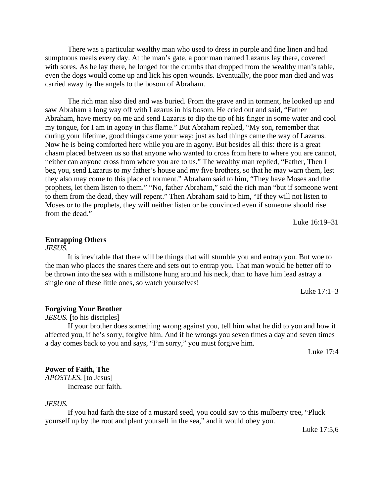There was a particular wealthy man who used to dress in purple and fine linen and had sumptuous meals every day. At the man's gate, a poor man named Lazarus lay there, covered with sores. As he lay there, he longed for the crumbs that dropped from the wealthy man's table, even the dogs would come up and lick his open wounds. Eventually, the poor man died and was carried away by the angels to the bosom of Abraham.

The rich man also died and was buried. From the grave and in torment, he looked up and saw Abraham a long way off with Lazarus in his bosom. He cried out and said, "Father Abraham, have mercy on me and send Lazarus to dip the tip of his finger in some water and cool my tongue, for I am in agony in this flame." But Abraham replied, "My son, remember that during your lifetime, good things came your way; just as bad things came the way of Lazarus. Now he is being comforted here while you are in agony. But besides all this: there is a great chasm placed between us so that anyone who wanted to cross from here to where you are cannot, neither can anyone cross from where you are to us." The wealthy man replied, "Father, Then I beg you, send Lazarus to my father's house and my five brothers, so that he may warn them, lest they also may come to this place of torment." Abraham said to him, "They have Moses and the prophets, let them listen to them." "No, father Abraham," said the rich man "but if someone went to them from the dead, they will repent." Then Abraham said to him, "If they will not listen to Moses or to the prophets, they will neither listen or be convinced even if someone should rise from the dead."

Luke 16:19–31

#### **Entrapping Others**

*JESUS.*

It is inevitable that there will be things that will stumble you and entrap you. But woe to the man who places the snares there and sets out to entrap you. That man would be better off to be thrown into the sea with a millstone hung around his neck, than to have him lead astray a single one of these little ones, so watch yourselves!

Luke 17:1–3

#### **Forgiving Your Brother**

*JESUS.* [to his disciples]

If your brother does something wrong against you, tell him what he did to you and how it affected you, if he's sorry, forgive him. And if he wrongs you seven times a day and seven times a day comes back to you and says, "I'm sorry," you must forgive him.

Luke 17:4

# **Power of Faith, The**

*APOSTLES.* [to Jesus] Increase our faith.

*JESUS.*

If you had faith the size of a mustard seed, you could say to this mulberry tree, "Pluck yourself up by the root and plant yourself in the sea," and it would obey you.

Luke 17:5,6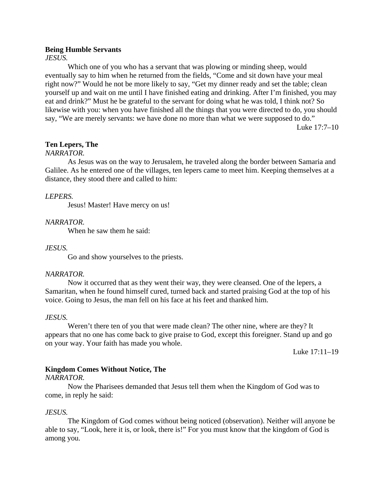#### **Being Humble Servants**

#### *JESUS.*

Which one of you who has a servant that was plowing or minding sheep, would eventually say to him when he returned from the fields, "Come and sit down have your meal right now?" Would he not be more likely to say, "Get my dinner ready and set the table; clean yourself up and wait on me until I have finished eating and drinking. After I'm finished, you may eat and drink?" Must he be grateful to the servant for doing what he was told, I think not? So likewise with you: when you have finished all the things that you were directed to do, you should say, "We are merely servants: we have done no more than what we were supposed to do."

Luke 17:7–10

#### **Ten Lepers, The**

### *NARRATOR.*

As Jesus was on the way to Jerusalem, he traveled along the border between Samaria and Galilee. As he entered one of the villages, ten lepers came to meet him. Keeping themselves at a distance, they stood there and called to him:

#### *LEPERS.*

Jesus! Master! Have mercy on us!

#### *NARRATOR.*

When he saw them he said:

#### *JESUS.*

Go and show yourselves to the priests.

#### *NARRATOR.*

Now it occurred that as they went their way, they were cleansed. One of the lepers, a Samaritan, when he found himself cured, turned back and started praising God at the top of his voice. Going to Jesus, the man fell on his face at his feet and thanked him.

#### *JESUS.*

Weren't there ten of you that were made clean? The other nine, where are they? It appears that no one has come back to give praise to God, except this foreigner. Stand up and go on your way. Your faith has made you whole.

Luke 17:11–19

### **Kingdom Comes Without Notice, The**

#### *NARRATOR.*

Now the Pharisees demanded that Jesus tell them when the Kingdom of God was to come, in reply he said:

#### *JESUS.*

The Kingdom of God comes without being noticed (observation). Neither will anyone be able to say, "Look, here it is, or look, there is!" For you must know that the kingdom of God is among you.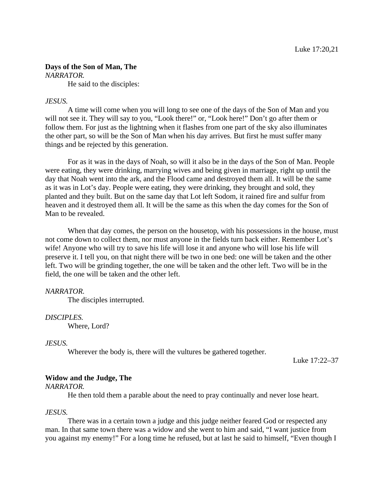# **Days of the Son of Man, The**

*NARRATOR.*

He said to the disciples:

# *JESUS.*

A time will come when you will long to see one of the days of the Son of Man and you will not see it. They will say to you, "Look there!" or, "Look here!" Don't go after them or follow them. For just as the lightning when it flashes from one part of the sky also illuminates the other part, so will be the Son of Man when his day arrives. But first he must suffer many things and be rejected by this generation.

For as it was in the days of Noah, so will it also be in the days of the Son of Man. People were eating, they were drinking, marrying wives and being given in marriage, right up until the day that Noah went into the ark, and the Flood came and destroyed them all. It will be the same as it was in Lot's day. People were eating, they were drinking, they brought and sold, they planted and they built. But on the same day that Lot left Sodom, it rained fire and sulfur from heaven and it destroyed them all. It will be the same as this when the day comes for the Son of Man to be revealed.

When that day comes, the person on the housetop, with his possessions in the house, must not come down to collect them, nor must anyone in the fields turn back either. Remember Lot's wife! Anyone who will try to save his life will lose it and anyone who will lose his life will preserve it. I tell you, on that night there will be two in one bed: one will be taken and the other left. Two will be grinding together, the one will be taken and the other left. Two will be in the field, the one will be taken and the other left.

#### *NARRATOR.*

The disciples interrupted.

# *DISCIPLES.*

Where, Lord?

#### *JESUS.*

Wherever the body is, there will the vultures be gathered together.

Luke 17:22–37

# **Widow and the Judge, The**

*NARRATOR.*

He then told them a parable about the need to pray continually and never lose heart.

#### *JESUS.*

There was in a certain town a judge and this judge neither feared God or respected any man. In that same town there was a widow and she went to him and said, "I want justice from you against my enemy!" For a long time he refused, but at last he said to himself, "Even though I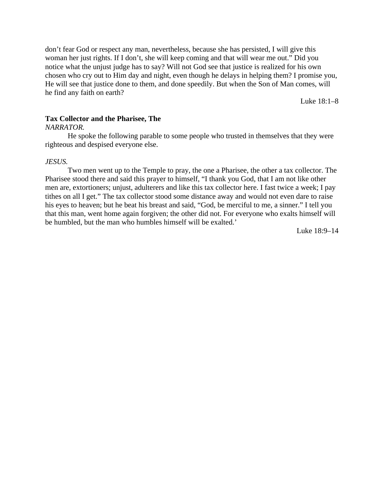don't fear God or respect any man, nevertheless, because she has persisted, I will give this woman her just rights. If I don't, she will keep coming and that will wear me out." Did you notice what the unjust judge has to say? Will not God see that justice is realized for his own chosen who cry out to Him day and night, even though he delays in helping them? I promise you, He will see that justice done to them, and done speedily. But when the Son of Man comes, will he find any faith on earth?

Luke 18:1–8

# **Tax Collector and the Pharisee, The**

#### *NARRATOR.*

He spoke the following parable to some people who trusted in themselves that they were righteous and despised everyone else.

#### *JESUS.*

Two men went up to the Temple to pray, the one a Pharisee, the other a tax collector. The Pharisee stood there and said this prayer to himself, "I thank you God, that I am not like other men are, extortioners; unjust, adulterers and like this tax collector here. I fast twice a week; I pay tithes on all I get." The tax collector stood some distance away and would not even dare to raise his eyes to heaven; but he beat his breast and said, "God, be merciful to me, a sinner." I tell you that this man, went home again forgiven; the other did not. For everyone who exalts himself will be humbled, but the man who humbles himself will be exalted.'

Luke 18:9–14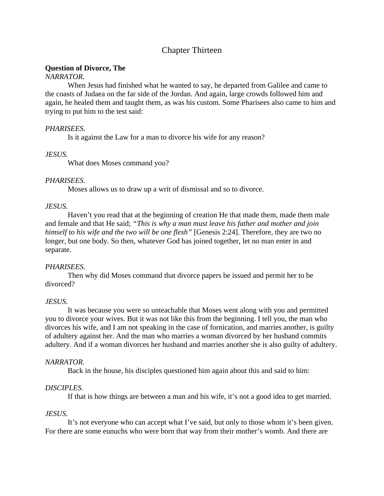# Chapter Thirteen

# **Question of Divorce, The**

# *NARRATOR.*

When Jesus had finished what he wanted to say, he departed from Galilee and came to the coasts of Judaea on the far side of the Jordan. And again, large crowds followed him and again, he healed them and taught them, as was his custom. Some Pharisees also came to him and trying to put him to the test said:

# *PHARISEES.*

Is it against the Law for a man to divorce his wife for any reason?

# *JESUS.*

What does Moses command you?

# *PHARISEES.*

Moses allows us to draw up a writ of dismissal and so to divorce.

# *JESUS.*

Haven't you read that at the beginning of creation He that made them, made them male and female and that He said; *"This is why a man must leave his father and mother and join himself to his wife and the two will be one flesh"* [Genesis 2:24]. Therefore, they are two no longer, but one body. So then, whatever God has joined together, let no man enter in and separate.

# *PHARISEES.*

Then why did Moses command that divorce papers be issued and permit her to be divorced?

# *JESUS.*

It was because you were so unteachable that Moses went along with you and permitted you to divorce your wives. But it was not like this from the beginning. I tell you, the man who divorces his wife, and I am not speaking in the case of fornication, and marries another, is guilty of adultery against her. And the man who marries a woman divorced by her husband commits adultery. And if a woman divorces her husband and marries another she is also guilty of adultery.

# *NARRATOR.*

Back in the house, his disciples questioned him again about this and said to him:

# *DISCIPLES.*

If that is how things are between a man and his wife, it's not a good idea to get married.

# *JESUS.*

It's not everyone who can accept what I've said, but only to those whom it's been given. For there are some eunuchs who were born that way from their mother's womb. And there are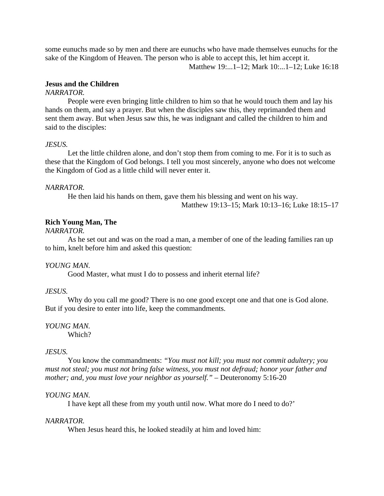some eunuchs made so by men and there are eunuchs who have made themselves eunuchs for the sake of the Kingdom of Heaven. The person who is able to accept this, let him accept it. Matthew 19:...1–12; Mark 10:...1–12; Luke 16:18

# **Jesus and the Children**

#### *NARRATOR.*

People were even bringing little children to him so that he would touch them and lay his hands on them, and say a prayer. But when the disciples saw this, they reprimanded them and sent them away. But when Jesus saw this, he was indignant and called the children to him and said to the disciples:

# *JESUS.*

Let the little children alone, and don't stop them from coming to me. For it is to such as these that the Kingdom of God belongs. I tell you most sincerely, anyone who does not welcome the Kingdom of God as a little child will never enter it.

# *NARRATOR.*

He then laid his hands on them, gave them his blessing and went on his way.

Matthew 19:13–15; Mark 10:13–16; Luke 18:15–17

# **Rich Young Man, The**

# *NARRATOR.*

As he set out and was on the road a man, a member of one of the leading families ran up to him, knelt before him and asked this question:

# *YOUNG MAN.*

Good Master, what must I do to possess and inherit eternal life?

#### *JESUS.*

Why do you call me good? There is no one good except one and that one is God alone. But if you desire to enter into life, keep the commandments.

# *YOUNG MAN.*

Which?

#### *JESUS.*

You know the commandments: *"You must not kill; you must not commit adultery; you must not steal; you must not bring false witness, you must not defraud; honor your father and mother; and, you must love your neighbor as yourself."* – Deuteronomy 5:16-20

# *YOUNG MAN.*

I have kept all these from my youth until now. What more do I need to do?'

#### *NARRATOR.*

When Jesus heard this, he looked steadily at him and loved him: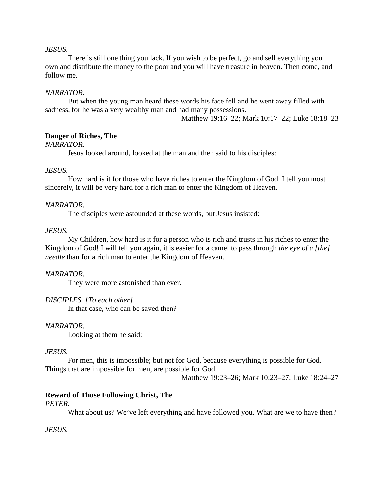# *JESUS.*

There is still one thing you lack. If you wish to be perfect, go and sell everything you own and distribute the money to the poor and you will have treasure in heaven. Then come, and follow me.

# *NARRATOR.*

But when the young man heard these words his face fell and he went away filled with sadness, for he was a very wealthy man and had many possessions.

Matthew 19:16–22; Mark 10:17–22; Luke 18:18–23

# **Danger of Riches, The**

*NARRATOR.*

Jesus looked around, looked at the man and then said to his disciples:

# *JESUS.*

How hard is it for those who have riches to enter the Kingdom of God. I tell you most sincerely, it will be very hard for a rich man to enter the Kingdom of Heaven.

# *NARRATOR.*

The disciples were astounded at these words, but Jesus insisted:

# *JESUS.*

My Children, how hard is it for a person who is rich and trusts in his riches to enter the Kingdom of God! I will tell you again, it is easier for a camel to pass through *the eye of a [the] needle* than for a rich man to enter the Kingdom of Heaven.

#### *NARRATOR.*

They were more astonished than ever.

# *DISCIPLES. [To each other]*

In that case, who can be saved then?

#### *NARRATOR.*

Looking at them he said:

# *JESUS.*

For men, this is impossible; but not for God, because everything is possible for God. Things that are impossible for men, are possible for God.

Matthew 19:23–26; Mark 10:23–27; Luke 18:24–27

# **Reward of Those Following Christ, The**

*PETER.*

What about us? We've left everything and have followed you. What are we to have then?

#### *JESUS.*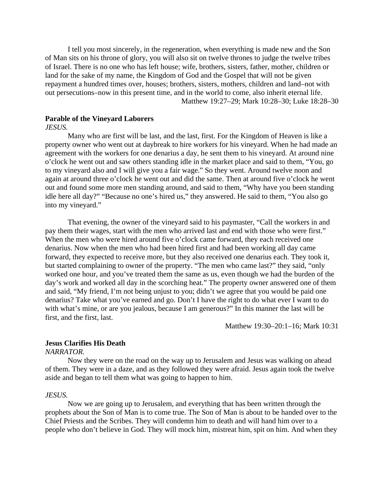I tell you most sincerely, in the regeneration, when everything is made new and the Son of Man sits on his throne of glory, you will also sit on twelve thrones to judge the twelve tribes of Israel. There is no one who has left house; wife, brothers, sisters, father, mother, children or land for the sake of my name, the Kingdom of God and the Gospel that will not be given repayment a hundred times over, houses; brothers, sisters, mothers, children and land–not with out persecutions–now in this present time, and in the world to come, also inherit eternal life.

Matthew 19:27–29; Mark 10:28–30; Luke 18:28–30

# **Parable of the Vineyard Laborers**

*JESUS.*

Many who are first will be last, and the last, first. For the Kingdom of Heaven is like a property owner who went out at daybreak to hire workers for his vineyard. When he had made an agreement with the workers for one denarius a day, he sent them to his vineyard. At around nine o'clock he went out and saw others standing idle in the market place and said to them, "You, go to my vineyard also and I will give you a fair wage." So they went. Around twelve noon and again at around three o'clock he went out and did the same. Then at around five o'clock he went out and found some more men standing around, and said to them, "Why have you been standing idle here all day?" "Because no one's hired us," they answered. He said to them, "You also go into my vineyard."

That evening, the owner of the vineyard said to his paymaster, "Call the workers in and pay them their wages, start with the men who arrived last and end with those who were first." When the men who were hired around five o'clock came forward, they each received one denarius. Now when the men who had been hired first and had been working all day came forward, they expected to receive more, but they also received one denarius each. They took it, but started complaining to owner of the property. "The men who came last?" they said, "only worked one hour, and you've treated them the same as us, even though we had the burden of the day's work and worked all day in the scorching heat." The property owner answered one of them and said, "My friend, I'm not being unjust to you; didn't we agree that you would be paid one denarius? Take what you've earned and go. Don't I have the right to do what ever I want to do with what's mine, or are you jealous, because I am generous?" In this manner the last will be first, and the first, last.

Matthew 19:30–20:1–16; Mark 10:31

# **Jesus Clarifies His Death**

*NARRATOR.*

Now they were on the road on the way up to Jerusalem and Jesus was walking on ahead of them. They were in a daze, and as they followed they were afraid. Jesus again took the twelve aside and began to tell them what was going to happen to him.

#### *JESUS.*

Now we are going up to Jerusalem, and everything that has been written through the prophets about the Son of Man is to come true. The Son of Man is about to be handed over to the Chief Priests and the Scribes. They will condemn him to death and will hand him over to a people who don't believe in God. They will mock him, mistreat him, spit on him. And when they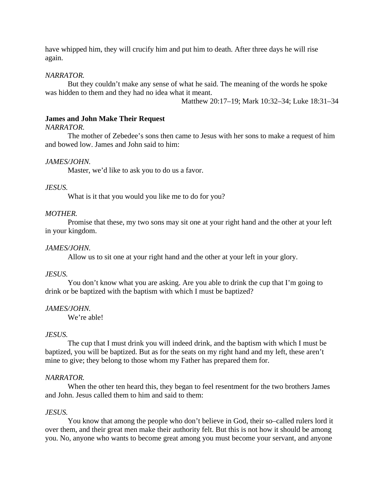have whipped him, they will crucify him and put him to death. After three days he will rise again.

# *NARRATOR.*

But they couldn't make any sense of what he said. The meaning of the words he spoke was hidden to them and they had no idea what it meant.

Matthew 20:17–19; Mark 10:32–34; Luke 18:31–34

# **James and John Make Their Request**

# *NARRATOR.*

The mother of Zebedee's sons then came to Jesus with her sons to make a request of him and bowed low. James and John said to him:

# *JAMES/JOHN.*

Master, we'd like to ask you to do us a favor.

# *JESUS.*

What is it that you would you like me to do for you?

# *MOTHER.*

Promise that these, my two sons may sit one at your right hand and the other at your left in your kingdom.

# *JAMES/JOHN.*

Allow us to sit one at your right hand and the other at your left in your glory.

#### *JESUS.*

You don't know what you are asking. Are you able to drink the cup that I'm going to drink or be baptized with the baptism with which I must be baptized?

#### *JAMES/JOHN.*

We're able!

#### *JESUS.*

The cup that I must drink you will indeed drink, and the baptism with which I must be baptized, you will be baptized. But as for the seats on my right hand and my left, these aren't mine to give; they belong to those whom my Father has prepared them for.

#### *NARRATOR.*

When the other ten heard this, they began to feel resentment for the two brothers James and John. Jesus called them to him and said to them:

#### *JESUS.*

You know that among the people who don't believe in God, their so–called rulers lord it over them, and their great men make their authority felt. But this is not how it should be among you. No, anyone who wants to become great among you must become your servant, and anyone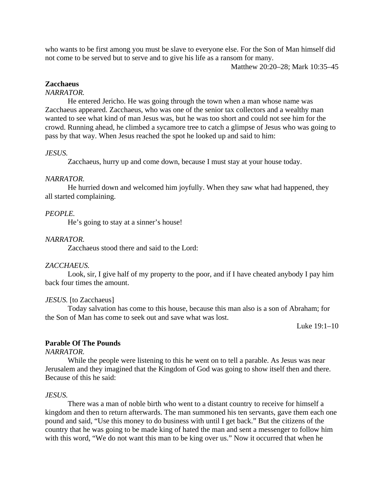who wants to be first among you must be slave to everyone else. For the Son of Man himself did not come to be served but to serve and to give his life as a ransom for many.

Matthew 20:20–28; Mark 10:35–45

# **Zacchaeus**

# *NARRATOR.*

He entered Jericho. He was going through the town when a man whose name was Zacchaeus appeared. Zacchaeus, who was one of the senior tax collectors and a wealthy man wanted to see what kind of man Jesus was, but he was too short and could not see him for the crowd. Running ahead, he climbed a sycamore tree to catch a glimpse of Jesus who was going to pass by that way. When Jesus reached the spot he looked up and said to him:

# *JESUS.*

Zacchaeus, hurry up and come down, because I must stay at your house today.

#### *NARRATOR.*

He hurried down and welcomed him joyfully. When they saw what had happened, they all started complaining.

#### *PEOPLE.*

He's going to stay at a sinner's house!

# *NARRATOR.*

Zacchaeus stood there and said to the Lord:

# *ZACCHAEUS.*

Look, sir, I give half of my property to the poor, and if I have cheated anybody I pay him back four times the amount.

#### *JESUS.* [to Zacchaeus]

Today salvation has come to this house, because this man also is a son of Abraham; for the Son of Man has come to seek out and save what was lost.

Luke 19:1–10

# **Parable Of The Pounds**

*NARRATOR.*

While the people were listening to this he went on to tell a parable. As Jesus was near Jerusalem and they imagined that the Kingdom of God was going to show itself then and there. Because of this he said:

#### *JESUS.*

There was a man of noble birth who went to a distant country to receive for himself a kingdom and then to return afterwards. The man summoned his ten servants, gave them each one pound and said, "Use this money to do business with until I get back." But the citizens of the country that he was going to be made king of hated the man and sent a messenger to follow him with this word, "We do not want this man to be king over us." Now it occurred that when he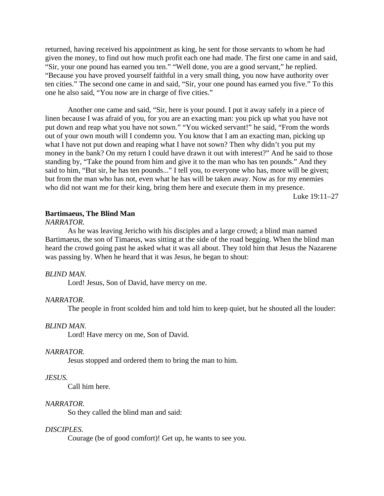returned, having received his appointment as king, he sent for those servants to whom he had given the money, to find out how much profit each one had made. The first one came in and said, "Sir, your one pound has earned you ten." "Well done, you are a good servant," he replied. "Because you have proved yourself faithful in a very small thing, you now have authority over ten cities." The second one came in and said, "Sir, your one pound has earned you five." To this one he also said, "You now are in charge of five cities."

Another one came and said, "Sir, here is your pound. I put it away safely in a piece of linen because I was afraid of you, for you are an exacting man: you pick up what you have not put down and reap what you have not sown." "You wicked servant!" he said, "From the words out of your own mouth will I condemn you. You know that I am an exacting man, picking up what I have not put down and reaping what I have not sown? Then why didn't you put my money in the bank? On my return I could have drawn it out with interest?" And he said to those standing by, "Take the pound from him and give it to the man who has ten pounds." And they said to him, "But sir, he has ten pounds..." I tell you, to everyone who has, more will be given; but from the man who has not, even what he has will be taken away. Now as for my enemies who did not want me for their king, bring them here and execute them in my presence.

Luke 19:11–27

# **Bartimaeus, The Blind Man**

*NARRATOR.*

As he was leaving Jericho with his disciples and a large crowd; a blind man named Bartimaeus, the son of Timaeus, was sitting at the side of the road begging. When the blind man heard the crowd going past he asked what it was all about. They told him that Jesus the Nazarene was passing by. When he heard that it was Jesus, he began to shout:

#### *BLIND MAN.*

Lord! Jesus, Son of David, have mercy on me.

#### *NARRATOR.*

The people in front scolded him and told him to keep quiet, but he shouted all the louder:

#### *BLIND MAN.*

Lord! Have mercy on me, Son of David.

#### *NARRATOR.*

Jesus stopped and ordered them to bring the man to him.

#### *JESUS.*

Call him here.

#### *NARRATOR.*

So they called the blind man and said:

#### *DISCIPLES.*

Courage (be of good comfort)! Get up, he wants to see you.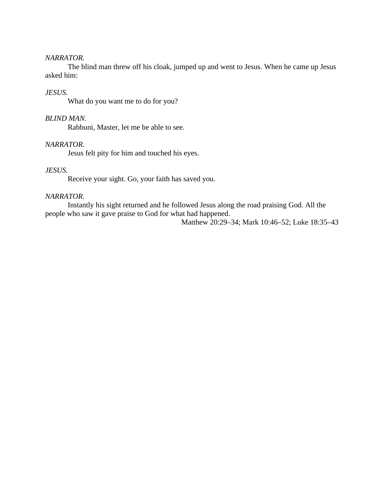### *NARRATOR.*

The blind man threw off his cloak, jumped up and went to Jesus. When he came up Jesus asked him:

# *JESUS.*

What do you want me to do for you?

# *BLIND MAN.*

Rabbuni, Master, let me be able to see.

# *NARRATOR.*

Jesus felt pity for him and touched his eyes.

### *JESUS.*

Receive your sight. Go, your faith has saved you.

# *NARRATOR.*

Instantly his sight returned and he followed Jesus along the road praising God. All the people who saw it gave praise to God for what had happened.

Matthew 20:29–34; Mark 10:46–52; Luke 18:35–43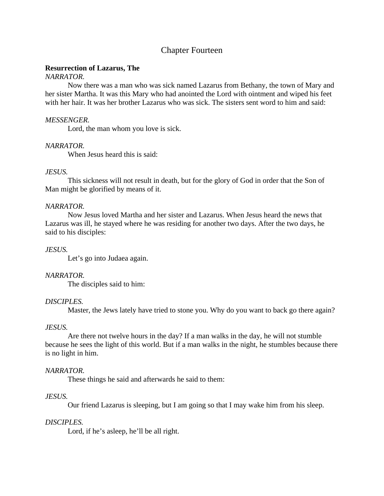# Chapter Fourteen

# **Resurrection of Lazarus, The**

# *NARRATOR.*

Now there was a man who was sick named Lazarus from Bethany, the town of Mary and her sister Martha. It was this Mary who had anointed the Lord with ointment and wiped his feet with her hair. It was her brother Lazarus who was sick. The sisters sent word to him and said:

#### *MESSENGER.*

Lord, the man whom you love is sick.

#### *NARRATOR.*

When Jesus heard this is said:

#### *JESUS.*

This sickness will not result in death, but for the glory of God in order that the Son of Man might be glorified by means of it.

### *NARRATOR.*

Now Jesus loved Martha and her sister and Lazarus. When Jesus heard the news that Lazarus was ill, he stayed where he was residing for another two days. After the two days, he said to his disciples:

#### *JESUS.*

Let's go into Judaea again.

#### *NARRATOR.*

The disciples said to him:

#### *DISCIPLES.*

Master, the Jews lately have tried to stone you. Why do you want to back go there again?

#### *JESUS.*

Are there not twelve hours in the day? If a man walks in the day, he will not stumble because he sees the light of this world. But if a man walks in the night, he stumbles because there is no light in him.

#### *NARRATOR.*

These things he said and afterwards he said to them:

# *JESUS.*

Our friend Lazarus is sleeping, but I am going so that I may wake him from his sleep.

#### *DISCIPLES.*

Lord, if he's asleep, he'll be all right.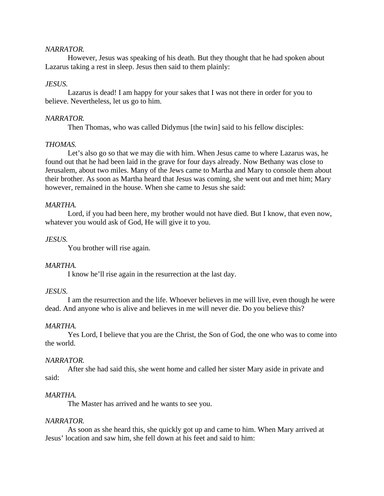# *NARRATOR.*

However, Jesus was speaking of his death. But they thought that he had spoken about Lazarus taking a rest in sleep. Jesus then said to them plainly:

# *JESUS.*

Lazarus is dead! I am happy for your sakes that I was not there in order for you to believe. Nevertheless, let us go to him.

# *NARRATOR.*

Then Thomas, who was called Didymus [the twin] said to his fellow disciples:

# *THOMAS.*

Let's also go so that we may die with him. When Jesus came to where Lazarus was, he found out that he had been laid in the grave for four days already. Now Bethany was close to Jerusalem, about two miles. Many of the Jews came to Martha and Mary to console them about their brother. As soon as Martha heard that Jesus was coming, she went out and met him; Mary however, remained in the house. When she came to Jesus she said:

# *MARTHA.*

Lord, if you had been here, my brother would not have died. But I know, that even now, whatever you would ask of God, He will give it to you.

# *JESUS.*

You brother will rise again.

# *MARTHA.*

I know he'll rise again in the resurrection at the last day.

# *JESUS.*

I am the resurrection and the life. Whoever believes in me will live, even though he were dead. And anyone who is alive and believes in me will never die. Do you believe this?

# *MARTHA.*

Yes Lord, I believe that you are the Christ, the Son of God, the one who was to come into the world.

# *NARRATOR.*

After she had said this, she went home and called her sister Mary aside in private and said:

# *MARTHA.*

The Master has arrived and he wants to see you.

# *NARRATOR.*

As soon as she heard this, she quickly got up and came to him. When Mary arrived at Jesus' location and saw him, she fell down at his feet and said to him: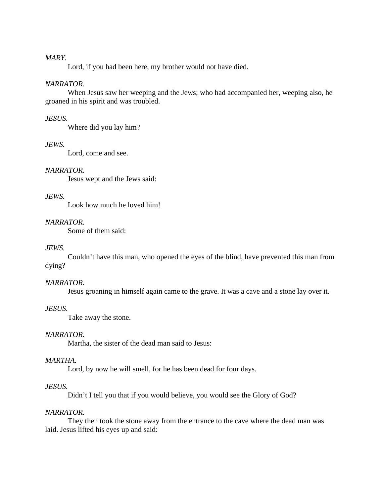### *MARY.*

Lord, if you had been here, my brother would not have died.

# *NARRATOR.*

When Jesus saw her weeping and the Jews; who had accompanied her, weeping also, he groaned in his spirit and was troubled.

# *JESUS.*

Where did you lay him?

# *JEWS.*

Lord, come and see.

# *NARRATOR.*

Jesus wept and the Jews said:

# *JEWS.*

Look how much he loved him!

# *NARRATOR.*

Some of them said:

# *JEWS.*

Couldn't have this man, who opened the eyes of the blind, have prevented this man from dying?

# *NARRATOR.*

Jesus groaning in himself again came to the grave. It was a cave and a stone lay over it.

# *JESUS.*

Take away the stone.

### *NARRATOR.*

Martha, the sister of the dead man said to Jesus:

#### *MARTHA.*

Lord, by now he will smell, for he has been dead for four days.

# *JESUS.*

Didn't I tell you that if you would believe, you would see the Glory of God?

#### *NARRATOR.*

They then took the stone away from the entrance to the cave where the dead man was laid. Jesus lifted his eyes up and said: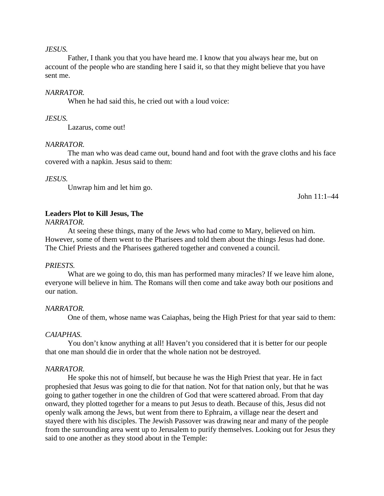### *JESUS.*

Father, I thank you that you have heard me. I know that you always hear me, but on account of the people who are standing here I said it, so that they might believe that you have sent me.

#### *NARRATOR.*

When he had said this, he cried out with a loud voice:

*JESUS.*

Lazarus, come out!

#### *NARRATOR.*

The man who was dead came out, bound hand and foot with the grave cloths and his face covered with a napkin. Jesus said to them:

#### *JESUS.*

Unwrap him and let him go.

John 11:1–44

# **Leaders Plot to Kill Jesus, The**

*NARRATOR.*

At seeing these things, many of the Jews who had come to Mary, believed on him. However, some of them went to the Pharisees and told them about the things Jesus had done. The Chief Priests and the Pharisees gathered together and convened a council.

### *PRIESTS.*

What are we going to do, this man has performed many miracles? If we leave him alone, everyone will believe in him. The Romans will then come and take away both our positions and our nation.

#### *NARRATOR.*

One of them, whose name was Caiaphas, being the High Priest for that year said to them:

### *CAIAPHAS.*

You don't know anything at all! Haven't you considered that it is better for our people that one man should die in order that the whole nation not be destroyed.

#### *NARRATOR.*

He spoke this not of himself, but because he was the High Priest that year. He in fact prophesied that Jesus was going to die for that nation. Not for that nation only, but that he was going to gather together in one the children of God that were scattered abroad. From that day onward, they plotted together for a means to put Jesus to death. Because of this, Jesus did not openly walk among the Jews, but went from there to Ephraim, a village near the desert and stayed there with his disciples. The Jewish Passover was drawing near and many of the people from the surrounding area went up to Jerusalem to purify themselves. Looking out for Jesus they said to one another as they stood about in the Temple: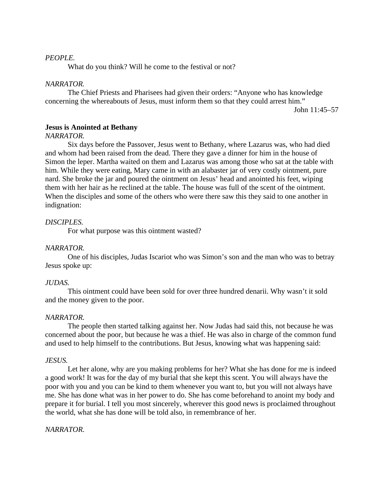# *PEOPLE.*

What do you think? Will he come to the festival or not?

### *NARRATOR.*

The Chief Priests and Pharisees had given their orders: "Anyone who has knowledge concerning the whereabouts of Jesus, must inform them so that they could arrest him."

John 11:45–57

# **Jesus is Anointed at Bethany**

### *NARRATOR.*

Six days before the Passover, Jesus went to Bethany, where Lazarus was, who had died and whom had been raised from the dead. There they gave a dinner for him in the house of Simon the leper. Martha waited on them and Lazarus was among those who sat at the table with him. While they were eating, Mary came in with an alabaster jar of very costly ointment, pure nard. She broke the jar and poured the ointment on Jesus' head and anointed his feet, wiping them with her hair as he reclined at the table. The house was full of the scent of the ointment. When the disciples and some of the others who were there saw this they said to one another in indignation:

### *DISCIPLES.*

For what purpose was this ointment wasted?

#### *NARRATOR.*

One of his disciples, Judas Iscariot who was Simon's son and the man who was to betray Jesus spoke up:

### *JUDAS.*

This ointment could have been sold for over three hundred denarii. Why wasn't it sold and the money given to the poor.

#### *NARRATOR.*

The people then started talking against her. Now Judas had said this, not because he was concerned about the poor, but because he was a thief. He was also in charge of the common fund and used to help himself to the contributions. But Jesus, knowing what was happening said:

#### *JESUS.*

Let her alone, why are you making problems for her? What she has done for me is indeed a good work! It was for the day of my burial that she kept this scent. You will always have the poor with you and you can be kind to them whenever you want to, but you will not always have me. She has done what was in her power to do. She has come beforehand to anoint my body and prepare it for burial. I tell you most sincerely, wherever this good news is proclaimed throughout the world, what she has done will be told also, in remembrance of her.

### *NARRATOR.*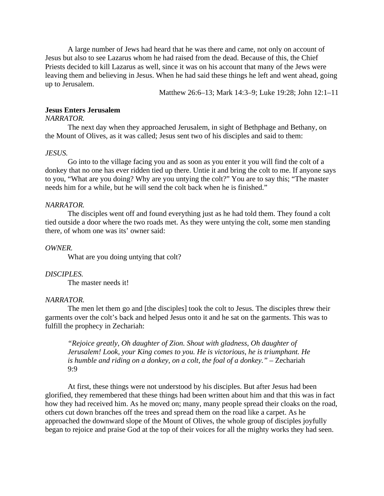A large number of Jews had heard that he was there and came, not only on account of Jesus but also to see Lazarus whom he had raised from the dead. Because of this, the Chief Priests decided to kill Lazarus as well, since it was on his account that many of the Jews were leaving them and believing in Jesus. When he had said these things he left and went ahead, going up to Jerusalem.

Matthew 26:6–13; Mark 14:3–9; Luke 19:28; John 12:1–11

### **Jesus Enters Jerusalem**

#### *NARRATOR.*

The next day when they approached Jerusalem, in sight of Bethphage and Bethany, on the Mount of Olives, as it was called; Jesus sent two of his disciples and said to them:

### *JESUS.*

Go into to the village facing you and as soon as you enter it you will find the colt of a donkey that no one has ever ridden tied up there. Untie it and bring the colt to me. If anyone says to you, "What are you doing? Why are you untying the colt?" You are to say this; "The master needs him for a while, but he will send the colt back when he is finished."

#### *NARRATOR.*

The disciples went off and found everything just as he had told them. They found a colt tied outside a door where the two roads met. As they were untying the colt, some men standing there, of whom one was its' owner said:

#### *OWNER.*

What are you doing untying that colt?

### *DISCIPLES.*

The master needs it!

#### *NARRATOR.*

The men let them go and [the disciples] took the colt to Jesus. The disciples threw their garments over the colt's back and helped Jesus onto it and he sat on the garments. This was to fulfill the prophecy in Zechariah:

*"Rejoice greatly, Oh daughter of Zion. Shout with gladness, Oh daughter of Jerusalem! Look, your King comes to you. He is victorious, he is triumphant. He is humble and riding on a donkey, on a colt, the foal of a donkey."* – Zechariah 9:9

At first, these things were not understood by his disciples. But after Jesus had been glorified, they remembered that these things had been written about him and that this was in fact how they had received him. As he moved on; many, many people spread their cloaks on the road, others cut down branches off the trees and spread them on the road like a carpet. As he approached the downward slope of the Mount of Olives, the whole group of disciples joyfully began to rejoice and praise God at the top of their voices for all the mighty works they had seen.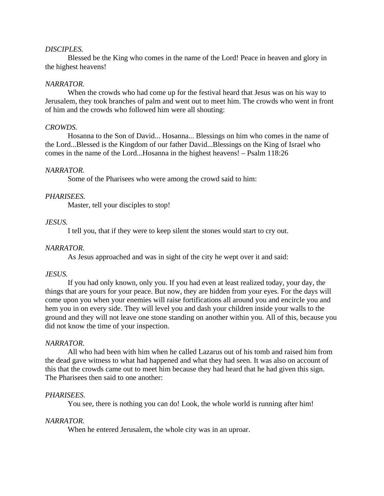### *DISCIPLES.*

Blessed be the King who comes in the name of the Lord! Peace in heaven and glory in the highest heavens!

### *NARRATOR.*

When the crowds who had come up for the festival heard that Jesus was on his way to Jerusalem, they took branches of palm and went out to meet him. The crowds who went in front of him and the crowds who followed him were all shouting:

#### *CROWDS.*

Hosanna to the Son of David... Hosanna... Blessings on him who comes in the name of the Lord...Blessed is the Kingdom of our father David...Blessings on the King of Israel who comes in the name of the Lord...Hosanna in the highest heavens! – Psalm 118:26

#### *NARRATOR.*

Some of the Pharisees who were among the crowd said to him:

#### *PHARISEES.*

Master, tell your disciples to stop!

#### *JESUS.*

I tell you, that if they were to keep silent the stones would start to cry out.

#### *NARRATOR.*

As Jesus approached and was in sight of the city he wept over it and said:

#### *JESUS.*

If you had only known, only you. If you had even at least realized today, your day, the things that are yours for your peace. But now, they are hidden from your eyes. For the days will come upon you when your enemies will raise fortifications all around you and encircle you and hem you in on every side. They will level you and dash your children inside your walls to the ground and they will not leave one stone standing on another within you. All of this, because you did not know the time of your inspection.

#### *NARRATOR.*

All who had been with him when he called Lazarus out of his tomb and raised him from the dead gave witness to what had happened and what they had seen. It was also on account of this that the crowds came out to meet him because they had heard that he had given this sign. The Pharisees then said to one another:

#### *PHARISEES.*

You see, there is nothing you can do! Look, the whole world is running after him!

#### *NARRATOR.*

When he entered Jerusalem, the whole city was in an uproar.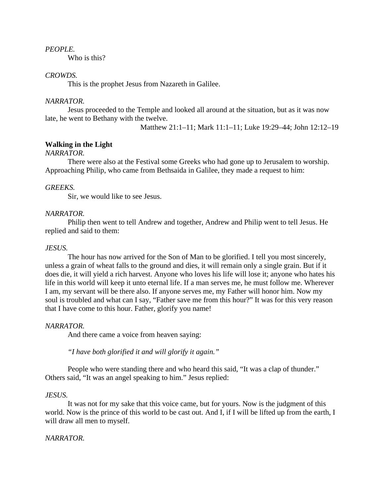# *PEOPLE.*

Who is this?

# *CROWDS.*

This is the prophet Jesus from Nazareth in Galilee.

### *NARRATOR.*

Jesus proceeded to the Temple and looked all around at the situation, but as it was now late, he went to Bethany with the twelve.

Matthew 21:1–11; Mark 11:1–11; Luke 19:29–44; John 12:12–19

# **Walking in the Light**

# *NARRATOR.*

There were also at the Festival some Greeks who had gone up to Jerusalem to worship. Approaching Philip, who came from Bethsaida in Galilee, they made a request to him:

#### *GREEKS.*

Sir, we would like to see Jesus.

#### *NARRATOR.*

Philip then went to tell Andrew and together, Andrew and Philip went to tell Jesus. He replied and said to them:

#### *JESUS.*

The hour has now arrived for the Son of Man to be glorified. I tell you most sincerely, unless a grain of wheat falls to the ground and dies, it will remain only a single grain. But if it does die, it will yield a rich harvest. Anyone who loves his life will lose it; anyone who hates his life in this world will keep it unto eternal life. If a man serves me, he must follow me. Wherever I am, my servant will be there also. If anyone serves me, my Father will honor him. Now my soul is troubled and what can I say, "Father save me from this hour?" It was for this very reason that I have come to this hour. Father, glorify you name!

#### *NARRATOR.*

And there came a voice from heaven saying:

*"I have both glorified it and will glorify it again."*

People who were standing there and who heard this said, "It was a clap of thunder." Others said, "It was an angel speaking to him." Jesus replied:

#### *JESUS.*

It was not for my sake that this voice came, but for yours. Now is the judgment of this world. Now is the prince of this world to be cast out. And I, if I will be lifted up from the earth, I will draw all men to myself.

#### *NARRATOR.*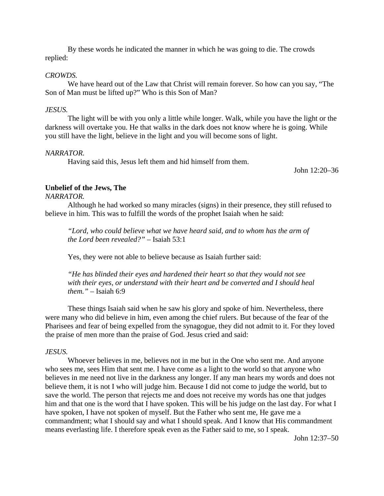By these words he indicated the manner in which he was going to die. The crowds replied:

#### *CROWDS.*

We have heard out of the Law that Christ will remain forever. So how can you say, "The Son of Man must be lifted up?" Who is this Son of Man?

#### *JESUS.*

The light will be with you only a little while longer. Walk, while you have the light or the darkness will overtake you. He that walks in the dark does not know where he is going. While you still have the light, believe in the light and you will become sons of light.

#### *NARRATOR.*

Having said this, Jesus left them and hid himself from them.

John 12:20–36

# **Unbelief of the Jews, The**

*NARRATOR.*

Although he had worked so many miracles (signs) in their presence, they still refused to believe in him. This was to fulfill the words of the prophet Isaiah when he said:

*"Lord, who could believe what we have heard said, and to whom has the arm of the Lord been revealed?"* – Isaiah 53:1

Yes, they were not able to believe because as Isaiah further said:

*"He has blinded their eyes and hardened their heart so that they would not see*  with their eyes, or understand with their heart and be converted and I should heal *them."* – Isaiah 6:9

These things Isaiah said when he saw his glory and spoke of him. Nevertheless, there were many who did believe in him, even among the chief rulers. But because of the fear of the Pharisees and fear of being expelled from the synagogue, they did not admit to it. For they loved the praise of men more than the praise of God. Jesus cried and said:

### *JESUS.*

Whoever believes in me, believes not in me but in the One who sent me. And anyone who sees me, sees Him that sent me. I have come as a light to the world so that anyone who believes in me need not live in the darkness any longer. If any man hears my words and does not believe them, it is not I who will judge him. Because I did not come to judge the world, but to save the world. The person that rejects me and does not receive my words has one that judges him and that one is the word that I have spoken. This will be his judge on the last day. For what I have spoken, I have not spoken of myself. But the Father who sent me, He gave me a commandment; what I should say and what I should speak. And I know that His commandment means everlasting life. I therefore speak even as the Father said to me, so I speak.

John 12:37–50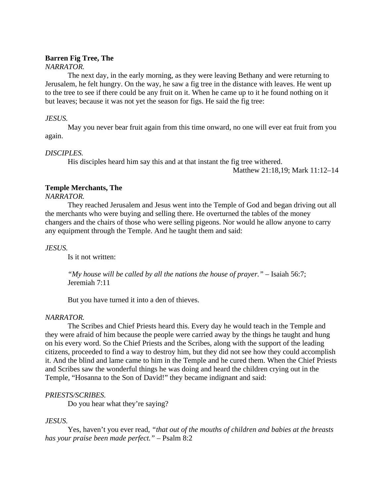# **Barren Fig Tree, The**

# *NARRATOR.*

The next day, in the early morning, as they were leaving Bethany and were returning to Jerusalem, he felt hungry. On the way, he saw a fig tree in the distance with leaves. He went up to the tree to see if there could be any fruit on it. When he came up to it he found nothing on it but leaves; because it was not yet the season for figs. He said the fig tree:

# *JESUS.*

May you never bear fruit again from this time onward, no one will ever eat fruit from you again.

# *DISCIPLES.*

His disciples heard him say this and at that instant the fig tree withered.

Matthew 21:18,19; Mark 11:12–14

# **Temple Merchants, The**

*NARRATOR.*

They reached Jerusalem and Jesus went into the Temple of God and began driving out all the merchants who were buying and selling there. He overturned the tables of the money changers and the chairs of those who were selling pigeons. Nor would he allow anyone to carry any equipment through the Temple. And he taught them and said:

# *JESUS.*

Is it not written:

*"My house will be called by all the nations the house of prayer."* – Isaiah 56:7; Jeremiah 7:11

But you have turned it into a den of thieves.

# *NARRATOR.*

The Scribes and Chief Priests heard this. Every day he would teach in the Temple and they were afraid of him because the people were carried away by the things he taught and hung on his every word. So the Chief Priests and the Scribes, along with the support of the leading citizens, proceeded to find a way to destroy him, but they did not see how they could accomplish it. And the blind and lame came to him in the Temple and he cured them. When the Chief Priests and Scribes saw the wonderful things he was doing and heard the children crying out in the Temple, "Hosanna to the Son of David!" they became indignant and said:

# *PRIESTS/SCRIBES.*

Do you hear what they're saying?

# *JESUS.*

Yes, haven't you ever read, *"that out of the mouths of children and babies at the breasts has your praise been made perfect."* – Psalm 8:2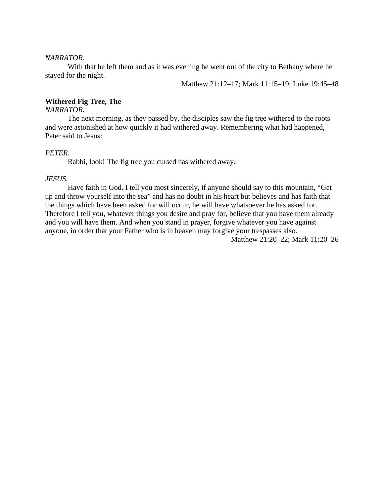#### *NARRATOR.*

With that he left them and as it was evening he went out of the city to Bethany where he stayed for the night.

Matthew 21:12–17; Mark 11:15–19; Luke 19:45–48

### **Withered Fig Tree, The**

### *NARRATOR.*

The next morning, as they passed by, the disciples saw the fig tree withered to the roots and were astonished at how quickly it had withered away. Remembering what had happened, Peter said to Jesus:

#### *PETER.*

Rabbi, look! The fig tree you cursed has withered away.

# *JESUS.*

Have faith in God. I tell you most sincerely, if anyone should say to this mountain, "Get up and throw yourself into the sea" and has no doubt in his heart but believes and has faith that the things which have been asked for will occur, he will have whatsoever he has asked for. Therefore I tell you, whatever things you desire and pray for, believe that you have them already and you will have them. And when you stand in prayer, forgive whatever you have against anyone, in order that your Father who is in heaven may forgive your trespasses also. Matthew 21:20–22; Mark 11:20–26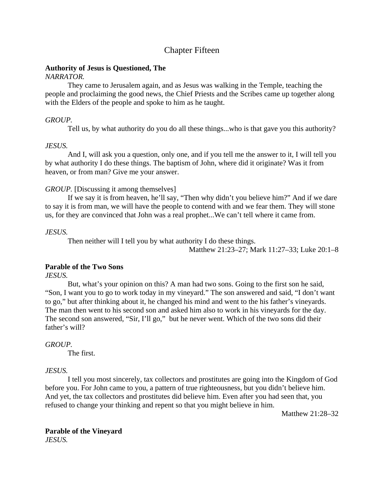# Chapter Fifteen

# **Authority of Jesus is Questioned, The**

# *NARRATOR.*

They came to Jerusalem again, and as Jesus was walking in the Temple, teaching the people and proclaiming the good news, the Chief Priests and the Scribes came up together along with the Elders of the people and spoke to him as he taught.

# *GROUP.*

Tell us, by what authority do you do all these things...who is that gave you this authority?

# *JESUS.*

And I, will ask you a question, only one, and if you tell me the answer to it, I will tell you by what authority I do these things. The baptism of John, where did it originate? Was it from heaven, or from man? Give me your answer.

# *GROUP.* [Discussing it among themselves]

If we say it is from heaven, he'll say, "Then why didn't you believe him?" And if we dare to say it is from man, we will have the people to contend with and we fear them. They will stone us, for they are convinced that John was a real prophet...We can't tell where it came from.

# *JESUS.*

Then neither will I tell you by what authority I do these things.

Matthew 21:23–27; Mark 11:27–33; Luke 20:1–8

# **Parable of the Two Sons**

*JESUS.*

But, what's your opinion on this? A man had two sons. Going to the first son he said, "Son, I want you to go to work today in my vineyard." The son answered and said, "I don't want to go," but after thinking about it, he changed his mind and went to the his father's vineyards. The man then went to his second son and asked him also to work in his vineyards for the day. The second son answered, "Sir, I'll go," but he never went. Which of the two sons did their father's will?

# *GROUP.*

The first.

# *JESUS.*

I tell you most sincerely, tax collectors and prostitutes are going into the Kingdom of God before you. For John came to you, a pattern of true righteousness, but you didn't believe him. And yet, the tax collectors and prostitutes did believe him. Even after you had seen that, you refused to change your thinking and repent so that you might believe in him.

Matthew 21:28–32

**Parable of the Vineyard** *JESUS.*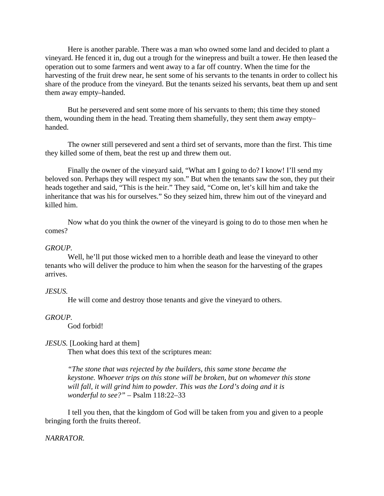Here is another parable. There was a man who owned some land and decided to plant a vineyard. He fenced it in, dug out a trough for the winepress and built a tower. He then leased the operation out to some farmers and went away to a far off country. When the time for the harvesting of the fruit drew near, he sent some of his servants to the tenants in order to collect his share of the produce from the vineyard. But the tenants seized his servants, beat them up and sent them away empty–handed.

But he persevered and sent some more of his servants to them; this time they stoned them, wounding them in the head. Treating them shamefully, they sent them away empty– handed.

The owner still persevered and sent a third set of servants, more than the first. This time they killed some of them, beat the rest up and threw them out.

Finally the owner of the vineyard said, "What am I going to do? I know! I'll send my beloved son. Perhaps they will respect my son." But when the tenants saw the son, they put their heads together and said, "This is the heir." They said, "Come on, let's kill him and take the inheritance that was his for ourselves." So they seized him, threw him out of the vineyard and killed him.

Now what do you think the owner of the vineyard is going to do to those men when he comes?

#### *GROUP.*

Well, he'll put those wicked men to a horrible death and lease the vineyard to other tenants who will deliver the produce to him when the season for the harvesting of the grapes arrives.

#### *JESUS.*

He will come and destroy those tenants and give the vineyard to others.

#### *GROUP.*

God forbid!

# *JESUS.* [Looking hard at them]

Then what does this text of the scriptures mean:

*"The stone that was rejected by the builders, this same stone became the keystone. Whoever trips on this stone will be broken, but on whomever this stone will fall, it will grind him to powder. This was the Lord's doing and it is wonderful to see?"* – Psalm 118:22–33

I tell you then, that the kingdom of God will be taken from you and given to a people bringing forth the fruits thereof.

#### *NARRATOR.*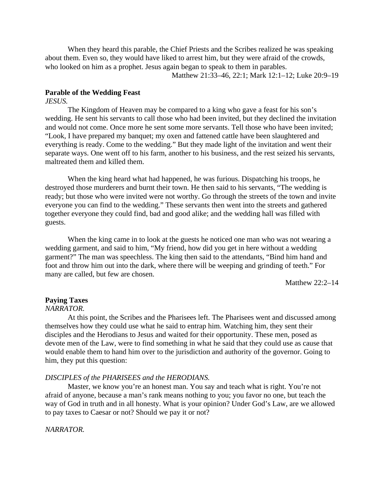When they heard this parable, the Chief Priests and the Scribes realized he was speaking about them. Even so, they would have liked to arrest him, but they were afraid of the crowds, who looked on him as a prophet. Jesus again began to speak to them in parables.

Matthew 21:33–46, 22:1; Mark 12:1–12; Luke 20:9–19

# **Parable of the Wedding Feast**

# *JESUS.*

The Kingdom of Heaven may be compared to a king who gave a feast for his son's wedding. He sent his servants to call those who had been invited, but they declined the invitation and would not come. Once more he sent some more servants. Tell those who have been invited; "Look, I have prepared my banquet; my oxen and fattened cattle have been slaughtered and everything is ready. Come to the wedding." But they made light of the invitation and went their separate ways. One went off to his farm, another to his business, and the rest seized his servants, maltreated them and killed them.

When the king heard what had happened, he was furious. Dispatching his troops, he destroyed those murderers and burnt their town. He then said to his servants, "The wedding is ready; but those who were invited were not worthy. Go through the streets of the town and invite everyone you can find to the wedding." These servants then went into the streets and gathered together everyone they could find, bad and good alike; and the wedding hall was filled with guests.

When the king came in to look at the guests he noticed one man who was not wearing a wedding garment, and said to him, "My friend, how did you get in here without a wedding garment?" The man was speechless. The king then said to the attendants, "Bind him hand and foot and throw him out into the dark, where there will be weeping and grinding of teeth." For many are called, but few are chosen.

Matthew 22:2–14

# **Paying Taxes**

#### *NARRATOR.*

At this point, the Scribes and the Pharisees left. The Pharisees went and discussed among themselves how they could use what he said to entrap him. Watching him, they sent their disciples and the Herodians to Jesus and waited for their opportunity. These men, posed as devote men of the Law, were to find something in what he said that they could use as cause that would enable them to hand him over to the jurisdiction and authority of the governor. Going to him, they put this question:

#### *DISCIPLES of the PHARISEES and the HERODIANS.*

Master, we know you're an honest man. You say and teach what is right. You're not afraid of anyone, because a man's rank means nothing to you; you favor no one, but teach the way of God in truth and in all honesty. What is your opinion? Under God's Law, are we allowed to pay taxes to Caesar or not? Should we pay it or not?

#### *NARRATOR.*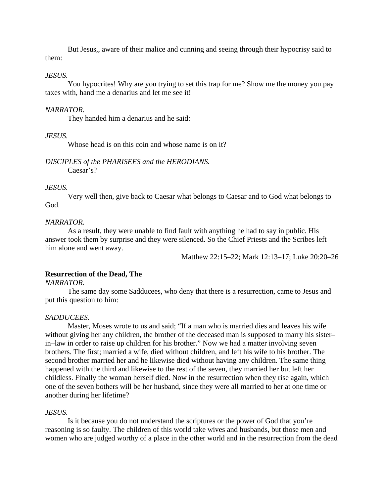But Jesus,, aware of their malice and cunning and seeing through their hypocrisy said to them:

# *JESUS.*

You hypocrites! Why are you trying to set this trap for me? Show me the money you pay taxes with, hand me a denarius and let me see it!

### *NARRATOR.*

They handed him a denarius and he said:

# *JESUS.*

Whose head is on this coin and whose name is on it?

#### *DISCIPLES of the PHARISEES and the HERODIANS.* Caesar's?

# *JESUS.*

Very well then, give back to Caesar what belongs to Caesar and to God what belongs to God.

# *NARRATOR.*

As a result, they were unable to find fault with anything he had to say in public. His answer took them by surprise and they were silenced. So the Chief Priests and the Scribes left him alone and went away.

Matthew 22:15–22; Mark 12:13–17; Luke 20:20–26

# **Resurrection of the Dead, The**

*NARRATOR.*

The same day some Sadducees, who deny that there is a resurrection, came to Jesus and put this question to him:

### *SADDUCEES.*

Master, Moses wrote to us and said; "If a man who is married dies and leaves his wife without giving her any children, the brother of the deceased man is supposed to marry his sister– in–law in order to raise up children for his brother." Now we had a matter involving seven brothers. The first; married a wife, died without children, and left his wife to his brother. The second brother married her and he likewise died without having any children. The same thing happened with the third and likewise to the rest of the seven, they married her but left her childless. Finally the woman herself died. Now in the resurrection when they rise again, which one of the seven bothers will be her husband, since they were all married to her at one time or another during her lifetime?

### *JESUS.*

Is it because you do not understand the scriptures or the power of God that you're reasoning is so faulty. The children of this world take wives and husbands, but those men and women who are judged worthy of a place in the other world and in the resurrection from the dead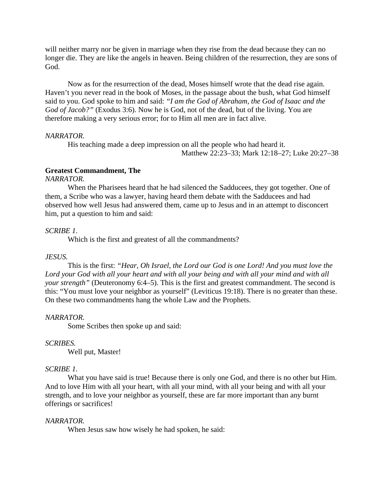will neither marry nor be given in marriage when they rise from the dead because they can no longer die. They are like the angels in heaven. Being children of the resurrection, they are sons of God.

Now as for the resurrection of the dead, Moses himself wrote that the dead rise again. Haven't you never read in the book of Moses, in the passage about the bush, what God himself said to you. God spoke to him and said: *"I am the God of Abraham, the God of Isaac and the God of Jacob?"* (Exodus 3:6). Now he is God, not of the dead, but of the living. You are therefore making a very serious error; for to Him all men are in fact alive.

#### *NARRATOR.*

His teaching made a deep impression on all the people who had heard it. Matthew 22:23–33; Mark 12:18–27; Luke 20:27–38

### **Greatest Commandment, The**

# *NARRATOR.*

When the Pharisees heard that he had silenced the Sadducees, they got together. One of them, a Scribe who was a lawyer, having heard them debate with the Sadducees and had observed how well Jesus had answered them, came up to Jesus and in an attempt to disconcert him, put a question to him and said:

### *SCRIBE 1.*

Which is the first and greatest of all the commandments?

#### *JESUS.*

This is the first: *"Hear, Oh Israel, the Lord our God is one Lord! And you must love the Lord your God with all your heart and with all your being and with all your mind and with all your strength*" (Deuteronomy 6:4–5). This is the first and greatest commandment. The second is this: "You must love your neighbor as yourself" (Leviticus 19:18). There is no greater than these. On these two commandments hang the whole Law and the Prophets.

#### *NARRATOR.*

Some Scribes then spoke up and said:

### *SCRIBES.*

Well put, Master!

#### *SCRIBE 1.*

What you have said is true! Because there is only one God, and there is no other but Him. And to love Him with all your heart, with all your mind, with all your being and with all your strength, and to love your neighbor as yourself, these are far more important than any burnt offerings or sacrifices!

### *NARRATOR.*

When Jesus saw how wisely he had spoken, he said: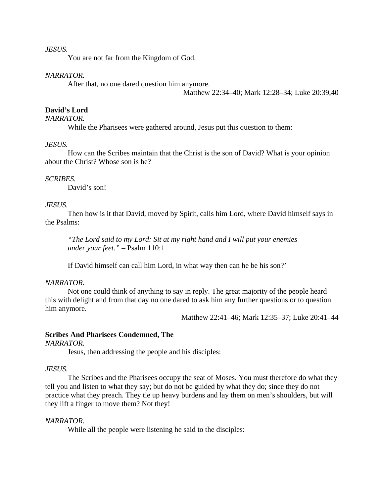### *JESUS.*

You are not far from the Kingdom of God.

#### *NARRATOR.*

After that, no one dared question him anymore.

Matthew 22:34–40; Mark 12:28–34; Luke 20:39,40

# **David's Lord**

# *NARRATOR.*

While the Pharisees were gathered around, Jesus put this question to them:

# *JESUS.*

How can the Scribes maintain that the Christ is the son of David? What is your opinion about the Christ? Whose son is he?

#### *SCRIBES.*

David's son!

#### *JESUS.*

Then how is it that David, moved by Spirit, calls him Lord, where David himself says in the Psalms:

*"The Lord said to my Lord: Sit at my right hand and I will put your enemies under your feet."* – Psalm 110:1

If David himself can call him Lord, in what way then can he be his son?'

# *NARRATOR.*

Not one could think of anything to say in reply. The great majority of the people heard this with delight and from that day no one dared to ask him any further questions or to question him anymore.

Matthew 22:41–46; Mark 12:35–37; Luke 20:41–44

# **Scribes And Pharisees Condemned, The**

*NARRATOR.*

Jesus, then addressing the people and his disciples:

# *JESUS.*

The Scribes and the Pharisees occupy the seat of Moses. You must therefore do what they tell you and listen to what they say; but do not be guided by what they do; since they do not practice what they preach. They tie up heavy burdens and lay them on men's shoulders, but will they lift a finger to move them? Not they!

### *NARRATOR.*

While all the people were listening he said to the disciples: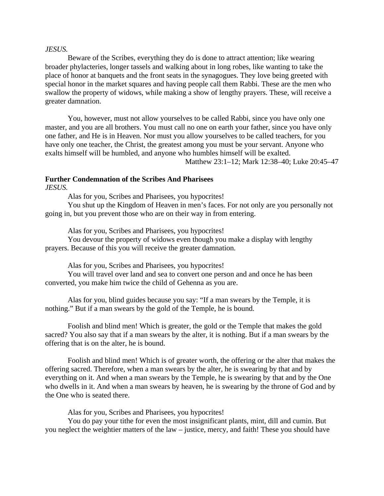#### *JESUS.*

Beware of the Scribes, everything they do is done to attract attention; like wearing broader phylacteries, longer tassels and walking about in long robes, like wanting to take the place of honor at banquets and the front seats in the synagogues. They love being greeted with special honor in the market squares and having people call them Rabbi. These are the men who swallow the property of widows, while making a show of lengthy prayers. These, will receive a greater damnation.

You, however, must not allow yourselves to be called Rabbi, since you have only one master, and you are all brothers. You must call no one on earth your father, since you have only one father, and He is in Heaven. Nor must you allow yourselves to be called teachers, for you have only one teacher, the Christ, the greatest among you must be your servant. Anyone who exalts himself will be humbled, and anyone who humbles himself will be exalted.

Matthew 23:1–12; Mark 12:38–40; Luke 20:45–47

# **Further Condemnation of the Scribes And Pharisees**

*JESUS.*

Alas for you, Scribes and Pharisees, you hypocrites!

You shut up the Kingdom of Heaven in men's faces. For not only are you personally not going in, but you prevent those who are on their way in from entering.

Alas for you, Scribes and Pharisees, you hypocrites!

You devour the property of widows even though you make a display with lengthy prayers. Because of this you will receive the greater damnation.

Alas for you, Scribes and Pharisees, you hypocrites!

You will travel over land and sea to convert one person and and once he has been converted, you make him twice the child of Gehenna as you are.

Alas for you, blind guides because you say: "If a man swears by the Temple, it is nothing." But if a man swears by the gold of the Temple, he is bound.

Foolish and blind men! Which is greater, the gold or the Temple that makes the gold sacred? You also say that if a man swears by the alter, it is nothing. But if a man swears by the offering that is on the alter, he is bound.

Foolish and blind men! Which is of greater worth, the offering or the alter that makes the offering sacred. Therefore, when a man swears by the alter, he is swearing by that and by everything on it. And when a man swears by the Temple, he is swearing by that and by the One who dwells in it. And when a man swears by heaven, he is swearing by the throne of God and by the One who is seated there.

Alas for you, Scribes and Pharisees, you hypocrites!

You do pay your tithe for even the most insignificant plants, mint, dill and cumin. But you neglect the weightier matters of the law – justice, mercy, and faith! These you should have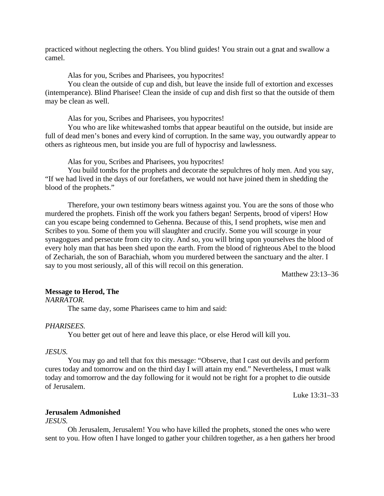practiced without neglecting the others. You blind guides! You strain out a gnat and swallow a camel.

Alas for you, Scribes and Pharisees, you hypocrites!

You clean the outside of cup and dish, but leave the inside full of extortion and excesses (intemperance). Blind Pharisee! Clean the inside of cup and dish first so that the outside of them may be clean as well.

Alas for you, Scribes and Pharisees, you hypocrites!

You who are like whitewashed tombs that appear beautiful on the outside, but inside are full of dead men's bones and every kind of corruption. In the same way, you outwardly appear to others as righteous men, but inside you are full of hypocrisy and lawlessness.

Alas for you, Scribes and Pharisees, you hypocrites!

You build tombs for the prophets and decorate the sepulchres of holy men. And you say, "If we had lived in the days of our forefathers, we would not have joined them in shedding the blood of the prophets."

Therefore, your own testimony bears witness against you. You are the sons of those who murdered the prophets. Finish off the work you fathers began! Serpents, brood of vipers! How can you escape being condemned to Gehenna. Because of this, I send prophets, wise men and Scribes to you. Some of them you will slaughter and crucify. Some you will scourge in your synagogues and persecute from city to city. And so, you will bring upon yourselves the blood of every holy man that has been shed upon the earth. From the blood of righteous Abel to the blood of Zechariah, the son of Barachiah, whom you murdered between the sanctuary and the alter. I say to you most seriously, all of this will recoil on this generation.

Matthew 23:13–36

# **Message to Herod, The**

*NARRATOR.*

The same day, some Pharisees came to him and said:

#### *PHARISEES.*

You better get out of here and leave this place, or else Herod will kill you.

## *JESUS.*

You may go and tell that fox this message: "Observe, that I cast out devils and perform cures today and tomorrow and on the third day I will attain my end." Nevertheless, I must walk today and tomorrow and the day following for it would not be right for a prophet to die outside of Jerusalem.

Luke 13:31–33

#### **Jerusalem Admonished**

*JESUS.*

Oh Jerusalem, Jerusalem! You who have killed the prophets, stoned the ones who were sent to you. How often I have longed to gather your children together, as a hen gathers her brood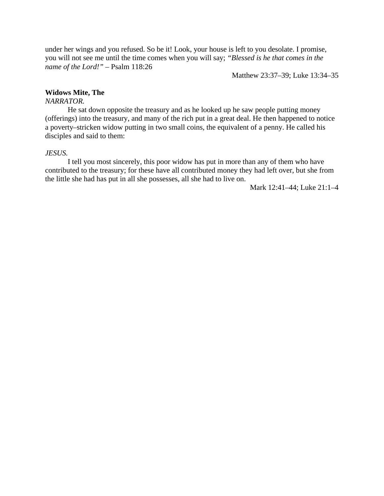under her wings and you refused. So be it! Look, your house is left to you desolate. I promise, you will not see me until the time comes when you will say; *"Blessed is he that comes in the name of the Lord!"* – Psalm 118:26

Matthew 23:37–39; Luke 13:34–35

# **Widows Mite, The**

# *NARRATOR.*

He sat down opposite the treasury and as he looked up he saw people putting money (offerings) into the treasury, and many of the rich put in a great deal. He then happened to notice a poverty–stricken widow putting in two small coins, the equivalent of a penny. He called his disciples and said to them:

# *JESUS.*

I tell you most sincerely, this poor widow has put in more than any of them who have contributed to the treasury; for these have all contributed money they had left over, but she from the little she had has put in all she possesses, all she had to live on.

Mark 12:41–44; Luke 21:1–4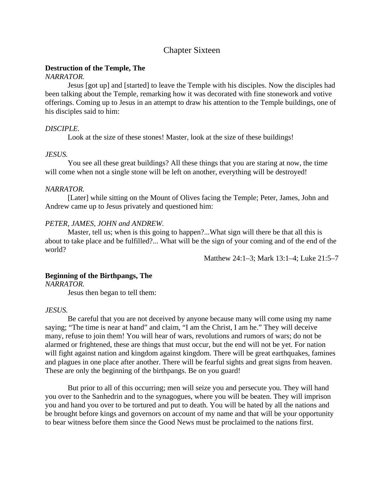# Chapter Sixteen

### **Destruction of the Temple, The**

# *NARRATOR.*

Jesus [got up] and [started] to leave the Temple with his disciples. Now the disciples had been talking about the Temple, remarking how it was decorated with fine stonework and votive offerings. Coming up to Jesus in an attempt to draw his attention to the Temple buildings, one of his disciples said to him:

# *DISCIPLE.*

Look at the size of these stones! Master, look at the size of these buildings!

# *JESUS.*

You see all these great buildings? All these things that you are staring at now, the time will come when not a single stone will be left on another, everything will be destroyed!

# *NARRATOR.*

[Later] while sitting on the Mount of Olives facing the Temple; Peter, James, John and Andrew came up to Jesus privately and questioned him:

# *PETER, JAMES, JOHN and ANDREW.*

Master, tell us; when is this going to happen?...What sign will there be that all this is about to take place and be fulfilled?... What will be the sign of your coming and of the end of the world?

Matthew 24:1–3; Mark 13:1–4; Luke 21:5–7

# **Beginning of the Birthpangs, The**

*NARRATOR.*

Jesus then began to tell them:

### *JESUS.*

Be careful that you are not deceived by anyone because many will come using my name saying; "The time is near at hand" and claim, "I am the Christ, I am he." They will deceive many, refuse to join them! You will hear of wars, revolutions and rumors of wars; do not be alarmed or frightened, these are things that must occur, but the end will not be yet. For nation will fight against nation and kingdom against kingdom. There will be great earthquakes, famines and plagues in one place after another. There will be fearful sights and great signs from heaven. These are only the beginning of the birthpangs. Be on you guard!

But prior to all of this occurring; men will seize you and persecute you. They will hand you over to the Sanhedrin and to the synagogues, where you will be beaten. They will imprison you and hand you over to be tortured and put to death. You will be hated by all the nations and be brought before kings and governors on account of my name and that will be your opportunity to bear witness before them since the Good News must be proclaimed to the nations first.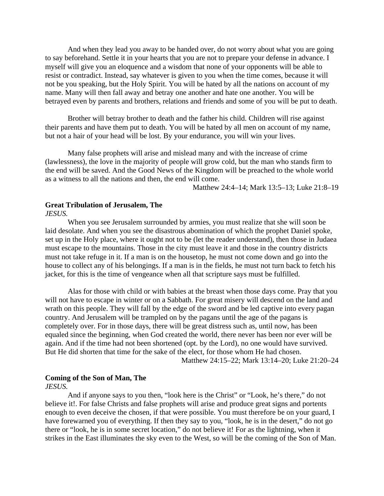And when they lead you away to be handed over, do not worry about what you are going to say beforehand. Settle it in your hearts that you are not to prepare your defense in advance. I myself will give you an eloquence and a wisdom that none of your opponents will be able to resist or contradict. Instead, say whatever is given to you when the time comes, because it will not be you speaking, but the Holy Spirit. You will be hated by all the nations on account of my name. Many will then fall away and betray one another and hate one another. You will be betrayed even by parents and brothers, relations and friends and some of you will be put to death.

Brother will betray brother to death and the father his child. Children will rise against their parents and have them put to death. You will be hated by all men on account of my name, but not a hair of your head will be lost. By your endurance, you will win your lives.

Many false prophets will arise and mislead many and with the increase of crime (lawlessness), the love in the majority of people will grow cold, but the man who stands firm to the end will be saved. And the Good News of the Kingdom will be preached to the whole world as a witness to all the nations and then, the end will come.

Matthew 24:4–14; Mark 13:5–13; Luke 21:8–19

### **Great Tribulation of Jerusalem, The**

*JESUS.*

When you see Jerusalem surrounded by armies, you must realize that she will soon be laid desolate. And when you see the disastrous abomination of which the prophet Daniel spoke, set up in the Holy place, where it ought not to be (let the reader understand), then those in Judaea must escape to the mountains. Those in the city must leave it and those in the country districts must not take refuge in it. If a man is on the housetop, he must not come down and go into the house to collect any of his belongings. If a man is in the fields, he must not turn back to fetch his jacket, for this is the time of vengeance when all that scripture says must be fulfilled.

Alas for those with child or with babies at the breast when those days come. Pray that you will not have to escape in winter or on a Sabbath. For great misery will descend on the land and wrath on this people. They will fall by the edge of the sword and be led captive into every pagan country. And Jerusalem will be trampled on by the pagans until the age of the pagans is completely over. For in those days, there will be great distress such as, until now, has been equaled since the beginning, when God created the world, there never has been nor ever will be again. And if the time had not been shortened (opt. by the Lord), no one would have survived. But He did shorten that time for the sake of the elect, for those whom He had chosen.

Matthew 24:15–22; Mark 13:14–20; Luke 21:20–24

# **Coming of the Son of Man, The**

*JESUS.*

And if anyone says to you then, "look here is the Christ" or "Look, he's there," do not believe it!. For false Christs and false prophets will arise and produce great signs and portents enough to even deceive the chosen, if that were possible. You must therefore be on your guard, I have forewarned you of everything. If then they say to you, "look, he is in the desert," do not go there or "look, he is in some secret location," do not believe it! For as the lightning, when it strikes in the East illuminates the sky even to the West, so will be the coming of the Son of Man.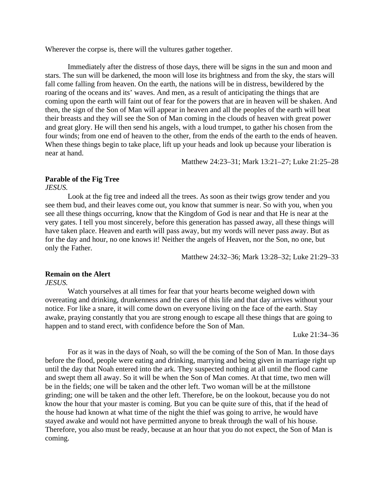Wherever the corpse is, there will the vultures gather together.

Immediately after the distress of those days, there will be signs in the sun and moon and stars. The sun will be darkened, the moon will lose its brightness and from the sky, the stars will fall come falling from heaven. On the earth, the nations will be in distress, bewildered by the roaring of the oceans and its' waves. And men, as a result of anticipating the things that are coming upon the earth will faint out of fear for the powers that are in heaven will be shaken. And then, the sign of the Son of Man will appear in heaven and all the peoples of the earth will beat their breasts and they will see the Son of Man coming in the clouds of heaven with great power and great glory. He will then send his angels, with a loud trumpet, to gather his chosen from the four winds; from one end of heaven to the other, from the ends of the earth to the ends of heaven. When these things begin to take place, lift up your heads and look up because your liberation is near at hand.

Matthew 24:23–31; Mark 13:21–27; Luke 21:25–28

### **Parable of the Fig Tree**

*JESUS.*

Look at the fig tree and indeed all the trees. As soon as their twigs grow tender and you see them bud, and their leaves come out, you know that summer is near. So with you, when you see all these things occurring, know that the Kingdom of God is near and that He is near at the very gates. I tell you most sincerely, before this generation has passed away, all these things will have taken place. Heaven and earth will pass away, but my words will never pass away. But as for the day and hour, no one knows it! Neither the angels of Heaven, nor the Son, no one, but only the Father.

Matthew 24:32–36; Mark 13:28–32; Luke 21:29–33

#### **Remain on the Alert**

*JESUS.*

Watch yourselves at all times for fear that your hearts become weighed down with overeating and drinking, drunkenness and the cares of this life and that day arrives without your notice. For like a snare, it will come down on everyone living on the face of the earth. Stay awake, praying constantly that you are strong enough to escape all these things that are going to happen and to stand erect, with confidence before the Son of Man.

Luke 21:34–36

For as it was in the days of Noah, so will the be coming of the Son of Man. In those days before the flood, people were eating and drinking, marrying and being given in marriage right up until the day that Noah entered into the ark. They suspected nothing at all until the flood came and swept them all away. So it will be when the Son of Man comes. At that time, two men will be in the fields; one will be taken and the other left. Two woman will be at the millstone grinding; one will be taken and the other left. Therefore, be on the lookout, because you do not know the hour that your master is coming. But you can be quite sure of this, that if the head of the house had known at what time of the night the thief was going to arrive, he would have stayed awake and would not have permitted anyone to break through the wall of his house. Therefore, you also must be ready, because at an hour that you do not expect, the Son of Man is coming.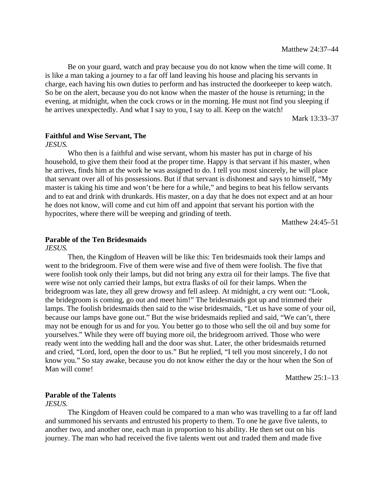Be on your guard, watch and pray because you do not know when the time will come. It is like a man taking a journey to a far off land leaving his house and placing his servants in charge, each having his own duties to perform and has instructed the doorkeeper to keep watch. So be on the alert, because you do not know when the master of the house is returning; in the evening, at midnight, when the cock crows or in the morning. He must not find you sleeping if he arrives unexpectedly. And what I say to you, I say to all. Keep on the watch!

Mark 13:33–37

# **Faithful and Wise Servant, The**

*JESUS.*

Who then is a faithful and wise servant, whom his master has put in charge of his household, to give them their food at the proper time. Happy is that servant if his master, when he arrives, finds him at the work he was assigned to do. I tell you most sincerely, he will place that servant over all of his possessions. But if that servant is dishonest and says to himself, "My master is taking his time and won't be here for a while," and begins to beat his fellow servants and to eat and drink with drunkards. His master, on a day that he does not expect and at an hour he does not know, will come and cut him off and appoint that servant his portion with the hypocrites, where there will be weeping and grinding of teeth.

Matthew 24:45–51

### **Parable of the Ten Bridesmaids**

*JESUS.*

Then, the Kingdom of Heaven will be like this: Ten bridesmaids took their lamps and went to the bridegroom. Five of them were wise and five of them were foolish. The five that were foolish took only their lamps, but did not bring any extra oil for their lamps. The five that were wise not only carried their lamps, but extra flasks of oil for their lamps. When the bridegroom was late, they all grew drowsy and fell asleep. At midnight, a cry went out: "Look, the bridegroom is coming, go out and meet him!" The bridesmaids got up and trimmed their lamps. The foolish bridesmaids then said to the wise bridesmaids, "Let us have some of your oil, because our lamps have gone out." But the wise bridesmaids replied and said, "We can't, there may not be enough for us and for you. You better go to those who sell the oil and buy some for yourselves." While they were off buying more oil, the bridegroom arrived. Those who were ready went into the wedding hall and the door was shut. Later, the other bridesmaids returned and cried, "Lord, lord, open the door to us." But he replied, "I tell you most sincerely, I do not know you." So stay awake, because you do not know either the day or the hour when the Son of Man will come!

Matthew 25:1–13

### **Parable of the Talents**

*JESUS.*

The Kingdom of Heaven could be compared to a man who was travelling to a far off land and summoned his servants and entrusted his property to them. To one he gave five talents, to another two, and another one, each man in proportion to his ability. He then set out on his journey. The man who had received the five talents went out and traded them and made five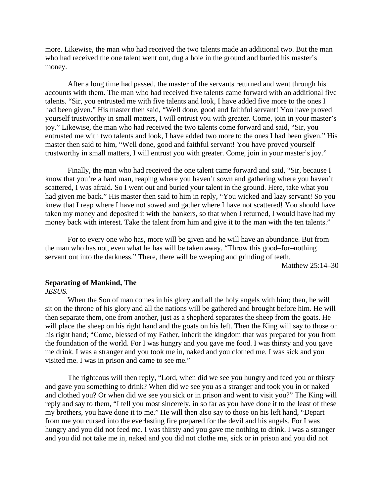more. Likewise, the man who had received the two talents made an additional two. But the man who had received the one talent went out, dug a hole in the ground and buried his master's money.

After a long time had passed, the master of the servants returned and went through his accounts with them. The man who had received five talents came forward with an additional five talents. "Sir, you entrusted me with five talents and look, I have added five more to the ones I had been given." His master then said, "Well done, good and faithful servant! You have proved yourself trustworthy in small matters, I will entrust you with greater. Come, join in your master's joy." Likewise, the man who had received the two talents come forward and said, "Sir, you entrusted me with two talents and look, I have added two more to the ones I had been given." His master then said to him, "Well done, good and faithful servant! You have proved yourself trustworthy in small matters, I will entrust you with greater. Come, join in your master's joy."

Finally, the man who had received the one talent came forward and said, "Sir, because I know that you're a hard man, reaping where you haven't sown and gathering where you haven't scattered, I was afraid. So I went out and buried your talent in the ground. Here, take what you had given me back." His master then said to him in reply, "You wicked and lazy servant! So you knew that I reap where I have not sowed and gather where I have not scattered! You should have taken my money and deposited it with the bankers, so that when I returned, I would have had my money back with interest. Take the talent from him and give it to the man with the ten talents."

For to every one who has, more will be given and he will have an abundance. But from the man who has not, even what he has will be taken away. "Throw this good–for–nothing servant out into the darkness." There, there will be weeping and grinding of teeth.

Matthew 25:14–30

### **Separating of Mankind, The**

#### *JESUS.*

When the Son of man comes in his glory and all the holy angels with him; then, he will sit on the throne of his glory and all the nations will be gathered and brought before him. He will then separate them, one from another, just as a shepherd separates the sheep from the goats. He will place the sheep on his right hand and the goats on his left. Then the King will say to those on his right hand; "Come, blessed of my Father, inherit the kingdom that was prepared for you from the foundation of the world. For I was hungry and you gave me food. I was thirsty and you gave me drink. I was a stranger and you took me in, naked and you clothed me. I was sick and you visited me. I was in prison and came to see me."

The righteous will then reply, "Lord, when did we see you hungry and feed you or thirsty and gave you something to drink? When did we see you as a stranger and took you in or naked and clothed you? Or when did we see you sick or in prison and went to visit you?" The King will reply and say to them, "I tell you most sincerely, in so far as you have done it to the least of these my brothers, you have done it to me." He will then also say to those on his left hand, "Depart from me you cursed into the everlasting fire prepared for the devil and his angels. For I was hungry and you did not feed me. I was thirsty and you gave me nothing to drink. I was a stranger and you did not take me in, naked and you did not clothe me, sick or in prison and you did not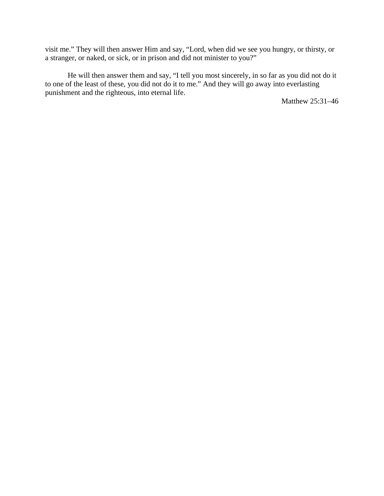visit me." They will then answer Him and say, "Lord, when did we see you hungry, or thirsty, or a stranger, or naked, or sick, or in prison and did not minister to you?"

He will then answer them and say, "I tell you most sincerely, in so far as you did not do it to one of the least of these, you did not do it to me." And they will go away into everlasting punishment and the righteous, into eternal life.

Matthew 25:31–46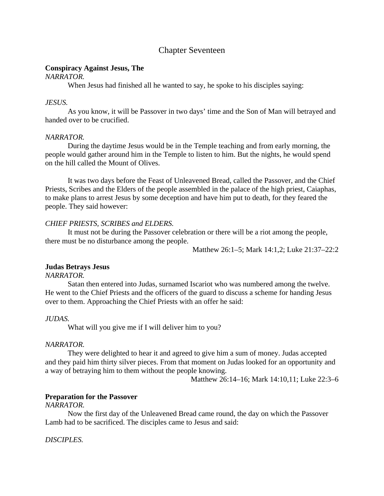# Chapter Seventeen

# **Conspiracy Against Jesus, The**

*NARRATOR.*

When Jesus had finished all he wanted to say, he spoke to his disciples saying:

# *JESUS.*

As you know, it will be Passover in two days' time and the Son of Man will betrayed and handed over to be crucified.

# *NARRATOR.*

During the daytime Jesus would be in the Temple teaching and from early morning, the people would gather around him in the Temple to listen to him. But the nights, he would spend on the hill called the Mount of Olives.

It was two days before the Feast of Unleavened Bread, called the Passover, and the Chief Priests, Scribes and the Elders of the people assembled in the palace of the high priest, Caiaphas, to make plans to arrest Jesus by some deception and have him put to death, for they feared the people. They said however:

# *CHIEF PRIESTS, SCRIBES and ELDERS.*

It must not be during the Passover celebration or there will be a riot among the people, there must be no disturbance among the people.

Matthew 26:1–5; Mark 14:1,2; Luke 21:37–22:2

# **Judas Betrays Jesus**

*NARRATOR.*

Satan then entered into Judas, surnamed Iscariot who was numbered among the twelve. He went to the Chief Priests and the officers of the guard to discuss a scheme for handing Jesus over to them. Approaching the Chief Priests with an offer he said:

### *JUDAS.*

What will you give me if I will deliver him to you?

# *NARRATOR.*

They were delighted to hear it and agreed to give him a sum of money. Judas accepted and they paid him thirty silver pieces. From that moment on Judas looked for an opportunity and a way of betraying him to them without the people knowing.

Matthew 26:14–16; Mark 14:10,11; Luke 22:3–6

# **Preparation for the Passover**

*NARRATOR.*

Now the first day of the Unleavened Bread came round, the day on which the Passover Lamb had to be sacrificed. The disciples came to Jesus and said:

*DISCIPLES.*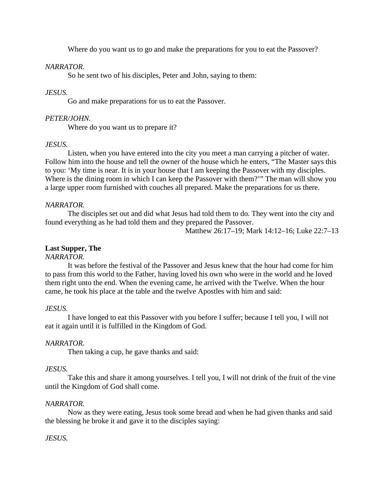Where do you want us to go and make the preparations for you to eat the Passover?

# *NARRATOR.*

So he sent two of his disciples, Peter and John, saying to them:

# *JESUS.*

Go and make preparations for us to eat the Passover.

# *PETER/JOHN.*

Where do you want us to prepare it?

### *JESUS.*

Listen, when you have entered into the city you meet a man carrying a pitcher of water. Follow him into the house and tell the owner of the house which he enters, "The Master says this to you: 'My time is near. It is in your house that I am keeping the Passover with my disciples. Where is the dining room in which I can keep the Passover with them?'" The man will show you a large upper room furnished with couches all prepared. Make the preparations for us there.

# *NARRATOR.*

The disciples set out and did what Jesus had told them to do. They went into the city and found everything as he had told them and they prepared the Passover.

Matthew 26:17–19; Mark 14:12–16; Luke 22:7–13

# **Last Supper, The**

# *NARRATOR.*

It was before the festival of the Passover and Jesus knew that the hour had come for him to pass from this world to the Father, having loved his own who were in the world and he loved them right unto the end. When the evening came, he arrived with the Twelve. When the hour came, he took his place at the table and the twelve Apostles with him and said:

### *JESUS.*

I have longed to eat this Passover with you before I suffer; because I tell you, I will not eat it again until it is fulfilled in the Kingdom of God.

# *NARRATOR.*

Then taking a cup, he gave thanks and said:

### *JESUS.*

Take this and share it among yourselves. I tell you, I will not drink of the fruit of the vine until the Kingdom of God shall come.

### *NARRATOR.*

Now as they were eating, Jesus took some bread and when he had given thanks and said the blessing he broke it and gave it to the disciples saying:

# *JESUS.*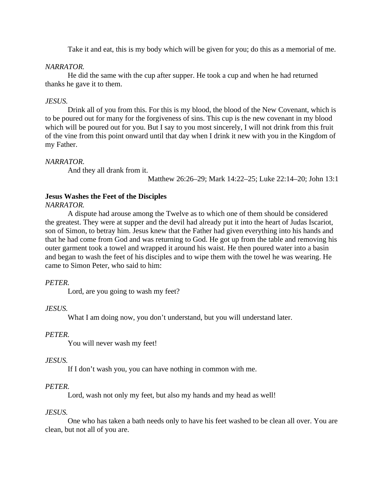Take it and eat, this is my body which will be given for you; do this as a memorial of me.

# *NARRATOR.*

He did the same with the cup after supper. He took a cup and when he had returned thanks he gave it to them.

# *JESUS.*

Drink all of you from this. For this is my blood, the blood of the New Covenant, which is to be poured out for many for the forgiveness of sins. This cup is the new covenant in my blood which will be poured out for you. But I say to you most sincerely, I will not drink from this fruit of the vine from this point onward until that day when I drink it new with you in the Kingdom of my Father.

# *NARRATOR.*

And they all drank from it.

Matthew 26:26–29; Mark 14:22–25; Luke 22:14–20; John 13:1

# **Jesus Washes the Feet of the Disciples**

# *NARRATOR.*

A dispute had arouse among the Twelve as to which one of them should be considered the greatest. They were at supper and the devil had already put it into the heart of Judas Iscariot, son of Simon, to betray him. Jesus knew that the Father had given everything into his hands and that he had come from God and was returning to God. He got up from the table and removing his outer garment took a towel and wrapped it around his waist. He then poured water into a basin and began to wash the feet of his disciples and to wipe them with the towel he was wearing. He came to Simon Peter, who said to him:

# *PETER.*

Lord, are you going to wash my feet?

# *JESUS.*

What I am doing now, you don't understand, but you will understand later.

### *PETER.*

You will never wash my feet!

# *JESUS.*

If I don't wash you, you can have nothing in common with me.

# *PETER.*

Lord, wash not only my feet, but also my hands and my head as well!

# *JESUS.*

One who has taken a bath needs only to have his feet washed to be clean all over. You are clean, but not all of you are.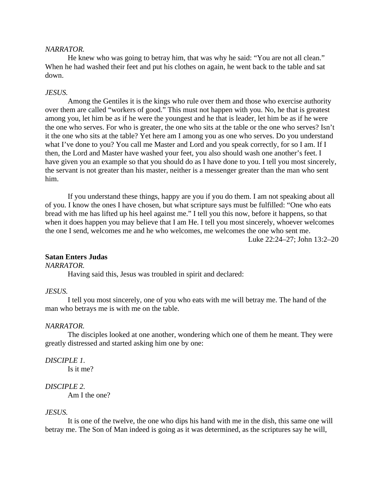#### *NARRATOR.*

He knew who was going to betray him, that was why he said: "You are not all clean." When he had washed their feet and put his clothes on again, he went back to the table and sat down.

#### *JESUS.*

Among the Gentiles it is the kings who rule over them and those who exercise authority over them are called "workers of good." This must not happen with you. No, he that is greatest among you, let him be as if he were the youngest and he that is leader, let him be as if he were the one who serves. For who is greater, the one who sits at the table or the one who serves? Isn't it the one who sits at the table? Yet here am I among you as one who serves. Do you understand what I've done to you? You call me Master and Lord and you speak correctly, for so I am. If I then, the Lord and Master have washed your feet, you also should wash one another's feet. I have given you an example so that you should do as I have done to you. I tell you most sincerely, the servant is not greater than his master, neither is a messenger greater than the man who sent him.

If you understand these things, happy are you if you do them. I am not speaking about all of you. I know the ones I have chosen, but what scripture says must be fulfilled: "One who eats bread with me has lifted up his heel against me." I tell you this now, before it happens, so that when it does happen you may believe that I am He. I tell you most sincerely, whoever welcomes the one I send, welcomes me and he who welcomes, me welcomes the one who sent me. Luke 22:24–27; John 13:2–20

### **Satan Enters Judas**

### *NARRATOR.*

Having said this, Jesus was troubled in spirit and declared:

#### *JESUS.*

I tell you most sincerely, one of you who eats with me will betray me. The hand of the man who betrays me is with me on the table.

#### *NARRATOR.*

The disciples looked at one another, wondering which one of them he meant. They were greatly distressed and started asking him one by one:

#### *DISCIPLE 1.*

Is it me?

# *DISCIPLE 2.*

Am I the one?

#### *JESUS.*

It is one of the twelve, the one who dips his hand with me in the dish, this same one will betray me. The Son of Man indeed is going as it was determined, as the scriptures say he will,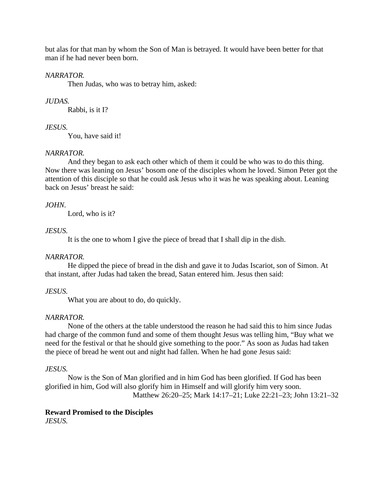but alas for that man by whom the Son of Man is betrayed. It would have been better for that man if he had never been born.

# *NARRATOR.*

Then Judas, who was to betray him, asked:

# *JUDAS.*

Rabbi, is it I?

# *JESUS.*

You, have said it!

# *NARRATOR.*

And they began to ask each other which of them it could be who was to do this thing. Now there was leaning on Jesus' bosom one of the disciples whom he loved. Simon Peter got the attention of this disciple so that he could ask Jesus who it was he was speaking about. Leaning back on Jesus' breast he said:

# *JOHN.*

Lord, who is it?

# *JESUS.*

It is the one to whom I give the piece of bread that I shall dip in the dish.

# *NARRATOR.*

He dipped the piece of bread in the dish and gave it to Judas Iscariot, son of Simon. At that instant, after Judas had taken the bread, Satan entered him. Jesus then said:

# *JESUS.*

What you are about to do, do quickly.

# *NARRATOR.*

None of the others at the table understood the reason he had said this to him since Judas had charge of the common fund and some of them thought Jesus was telling him, "Buy what we need for the festival or that he should give something to the poor." As soon as Judas had taken the piece of bread he went out and night had fallen. When he had gone Jesus said:

# *JESUS.*

Now is the Son of Man glorified and in him God has been glorified. If God has been glorified in him, God will also glorify him in Himself and will glorify him very soon. Matthew 26:20–25; Mark 14:17–21; Luke 22:21–23; John 13:21–32

# **Reward Promised to the Disciples**

*JESUS.*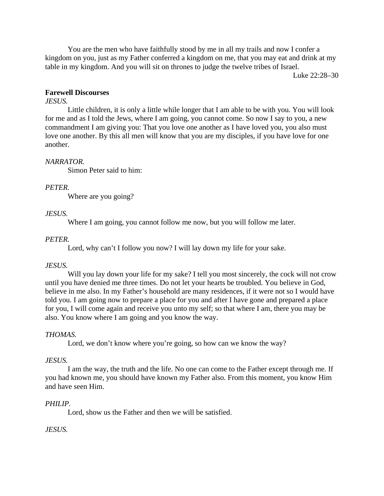You are the men who have faithfully stood by me in all my trails and now I confer a kingdom on you, just as my Father conferred a kingdom on me, that you may eat and drink at my table in my kingdom. And you will sit on thrones to judge the twelve tribes of Israel.

Luke 22:28–30

# **Farewell Discourses**

# *JESUS.*

Little children, it is only a little while longer that I am able to be with you. You will look for me and as I told the Jews, where I am going, you cannot come. So now I say to you, a new commandment I am giving you: That you love one another as I have loved you, you also must love one another. By this all men will know that you are my disciples, if you have love for one another.

# *NARRATOR.*

Simon Peter said to him:

# *PETER.*

Where are you going?

# *JESUS.*

Where I am going, you cannot follow me now, but you will follow me later.

# *PETER.*

Lord, why can't I follow you now? I will lay down my life for your sake.

# *JESUS.*

Will you lay down your life for my sake? I tell you most sincerely, the cock will not crow until you have denied me three times. Do not let your hearts be troubled. You believe in God, believe in me also. In my Father's household are many residences, if it were not so I would have told you. I am going now to prepare a place for you and after I have gone and prepared a place for you, I will come again and receive you unto my self; so that where I am, there you may be also. You know where I am going and you know the way.

# *THOMAS.*

Lord, we don't know where you're going, so how can we know the way?

### *JESUS.*

I am the way, the truth and the life. No one can come to the Father except through me. If you had known me, you should have known my Father also. From this moment, you know Him and have seen Him.

# *PHILIP.*

Lord, show us the Father and then we will be satisfied.

### *JESUS.*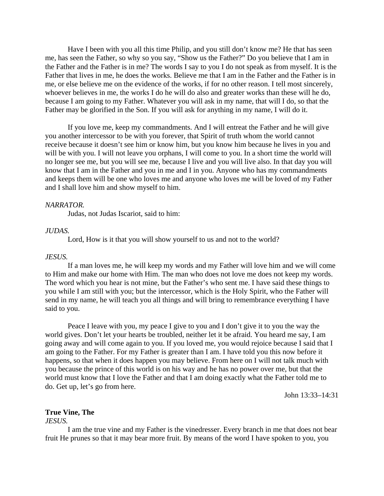Have I been with you all this time Philip, and you still don't know me? He that has seen me, has seen the Father, so why so you say, "Show us the Father?" Do you believe that I am in the Father and the Father is in me? The words I say to you I do not speak as from myself. It is the Father that lives in me, he does the works. Believe me that I am in the Father and the Father is in me, or else believe me on the evidence of the works, if for no other reason. I tell most sincerely, whoever believes in me, the works I do he will do also and greater works than these will he do, because I am going to my Father. Whatever you will ask in my name, that will I do, so that the Father may be glorified in the Son. If you will ask for anything in my name, I will do it.

If you love me, keep my commandments. And I will entreat the Father and he will give you another intercessor to be with you forever, that Spirit of truth whom the world cannot receive because it doesn't see him or know him, but you know him because he lives in you and will be with you. I will not leave you orphans, I will come to you. In a short time the world will no longer see me, but you will see me, because I live and you will live also. In that day you will know that I am in the Father and you in me and I in you. Anyone who has my commandments and keeps them will be one who loves me and anyone who loves me will be loved of my Father and I shall love him and show myself to him.

#### *NARRATOR.*

Judas, not Judas Iscariot, said to him:

# *JUDAS.*

Lord, How is it that you will show yourself to us and not to the world?

#### *JESUS.*

If a man loves me, he will keep my words and my Father will love him and we will come to Him and make our home with Him. The man who does not love me does not keep my words. The word which you hear is not mine, but the Father's who sent me. I have said these things to you while I am still with you; but the intercessor, which is the Holy Spirit, who the Father will send in my name, he will teach you all things and will bring to remembrance everything I have said to you.

Peace I leave with you, my peace I give to you and I don't give it to you the way the world gives. Don't let your hearts be troubled, neither let it be afraid. You heard me say, I am going away and will come again to you. If you loved me, you would rejoice because I said that I am going to the Father. For my Father is greater than I am. I have told you this now before it happens, so that when it does happen you may believe. From here on I will not talk much with you because the prince of this world is on his way and he has no power over me, but that the world must know that I love the Father and that I am doing exactly what the Father told me to do. Get up, let's go from here.

John 13:33–14:31

### **True Vine, The**

#### *JESUS.*

I am the true vine and my Father is the vinedresser. Every branch in me that does not bear fruit He prunes so that it may bear more fruit. By means of the word I have spoken to you, you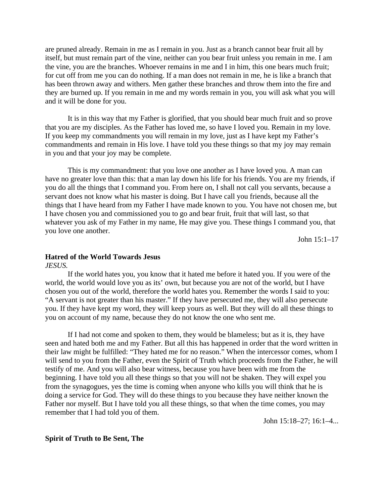are pruned already. Remain in me as I remain in you. Just as a branch cannot bear fruit all by itself, but must remain part of the vine, neither can you bear fruit unless you remain in me. I am the vine, you are the branches. Whoever remains in me and I in him, this one bears much fruit; for cut off from me you can do nothing. If a man does not remain in me, he is like a branch that has been thrown away and withers. Men gather these branches and throw them into the fire and they are burned up. If you remain in me and my words remain in you, you will ask what you will and it will be done for you.

It is in this way that my Father is glorified, that you should bear much fruit and so prove that you are my disciples. As the Father has loved me, so have I loved you. Remain in my love. If you keep my commandments you will remain in my love, just as I have kept my Father's commandments and remain in His love. I have told you these things so that my joy may remain in you and that your joy may be complete.

This is my commandment: that you love one another as I have loved you. A man can have no greater love than this: that a man lay down his life for his friends. You are my friends, if you do all the things that I command you. From here on, I shall not call you servants, because a servant does not know what his master is doing. But I have call you friends, because all the things that I have heard from my Father I have made known to you. You have not chosen me, but I have chosen you and commissioned you to go and bear fruit, fruit that will last, so that whatever you ask of my Father in my name, He may give you. These things I command you, that you love one another.

John 15:1–17

### **Hatred of the World Towards Jesus**

*JESUS.*

If the world hates you, you know that it hated me before it hated you. If you were of the world, the world would love you as its' own, but because you are not of the world, but I have chosen you out of the world, therefore the world hates you. Remember the words I said to you: "A servant is not greater than his master." If they have persecuted me, they will also persecute you. If they have kept my word, they will keep yours as well. But they will do all these things to you on account of my name, because they do not know the one who sent me.

If I had not come and spoken to them, they would be blameless; but as it is, they have seen and hated both me and my Father. But all this has happened in order that the word written in their law might be fulfilled: "They hated me for no reason." When the intercessor comes, whom I will send to you from the Father, even the Spirit of Truth which proceeds from the Father, he will testify of me. And you will also bear witness, because you have been with me from the beginning. I have told you all these things so that you will not be shaken. They will expel you from the synagogues, yes the time is coming when anyone who kills you will think that he is doing a service for God. They will do these things to you because they have neither known the Father nor myself. But I have told you all these things, so that when the time comes, you may remember that I had told you of them.

John 15:18–27; 16:1–4...

#### **Spirit of Truth to Be Sent, The**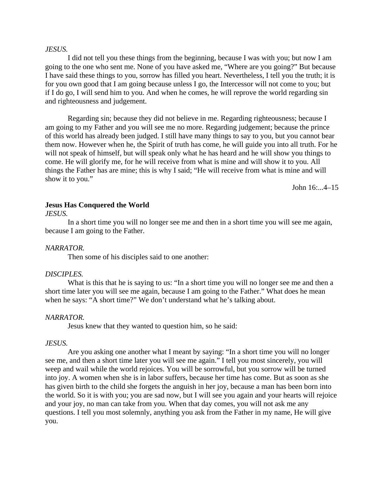#### *JESUS.*

I did not tell you these things from the beginning, because I was with you; but now I am going to the one who sent me. None of you have asked me, "Where are you going?" But because I have said these things to you, sorrow has filled you heart. Nevertheless, I tell you the truth; it is for you own good that I am going because unless I go, the Intercessor will not come to you; but if I do go, I will send him to you. And when he comes, he will reprove the world regarding sin and righteousness and judgement.

Regarding sin; because they did not believe in me. Regarding righteousness; because I am going to my Father and you will see me no more. Regarding judgement; because the prince of this world has already been judged. I still have many things to say to you, but you cannot bear them now. However when he, the Spirit of truth has come, he will guide you into all truth. For he will not speak of himself, but will speak only what he has heard and he will show you things to come. He will glorify me, for he will receive from what is mine and will show it to you. All things the Father has are mine; this is why I said; "He will receive from what is mine and will show it to you."

John 16:...4–15

### **Jesus Has Conquered the World**

#### *JESUS.*

In a short time you will no longer see me and then in a short time you will see me again, because I am going to the Father.

#### *NARRATOR.*

Then some of his disciples said to one another:

#### *DISCIPLES.*

What is this that he is saying to us: "In a short time you will no longer see me and then a short time later you will see me again, because I am going to the Father." What does he mean when he says: "A short time?" We don't understand what he's talking about.

#### *NARRATOR.*

Jesus knew that they wanted to question him, so he said:

#### *JESUS.*

Are you asking one another what I meant by saying: "In a short time you will no longer see me, and then a short time later you will see me again." I tell you most sincerely, you will weep and wail while the world rejoices. You will be sorrowful, but you sorrow will be turned into joy. A women when she is in labor suffers, because her time has come. But as soon as she has given birth to the child she forgets the anguish in her joy, because a man has been born into the world. So it is with you; you are sad now, but I will see you again and your hearts will rejoice and your joy, no man can take from you. When that day comes, you will not ask me any questions. I tell you most solemnly, anything you ask from the Father in my name, He will give you.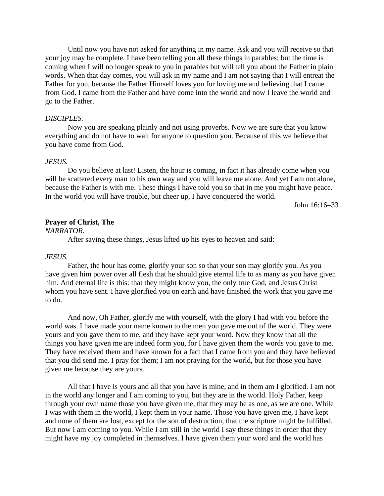Until now you have not asked for anything in my name. Ask and you will receive so that your joy may be complete. I have been telling you all these things in parables; but the time is coming when I will no longer speak to you in parables but will tell you about the Father in plain words. When that day comes, you will ask in my name and I am not saying that I will entreat the Father for you, because the Father Himself loves you for loving me and believing that I came from God. I came from the Father and have come into the world and now I leave the world and go to the Father.

### *DISCIPLES.*

Now you are speaking plainly and not using proverbs. Now we are sure that you know everything and do not have to wait for anyone to question you. Because of this we believe that you have come from God.

#### *JESUS.*

Do you believe at last! Listen, the hour is coming, in fact it has already come when you will be scattered every man to his own way and you will leave me alone. And yet I am not alone, because the Father is with me. These things I have told you so that in me you might have peace. In the world you will have trouble, but cheer up, I have conquered the world.

John 16:16–33

#### **Prayer of Christ, The**

*NARRATOR.*

After saying these things, Jesus lifted up his eyes to heaven and said:

#### *JESUS.*

Father, the hour has come, glorify your son so that your son may glorify you. As you have given him power over all flesh that he should give eternal life to as many as you have given him. And eternal life is this: that they might know you, the only true God, and Jesus Christ whom you have sent. I have glorified you on earth and have finished the work that you gave me to do.

And now, Oh Father, glorify me with yourself, with the glory I had with you before the world was. I have made your name known to the men you gave me out of the world. They were yours and you gave them to me, and they have kept your word. Now they know that all the things you have given me are indeed form you, for I have given them the words you gave to me. They have received them and have known for a fact that I came from you and they have believed that you did send me. I pray for them; I am not praying for the world, but for those you have given me because they are yours.

All that I have is yours and all that you have is mine, and in them am I glorified. I am not in the world any longer and I am coming to you, but they are in the world. Holy Father, keep through your own name those you have given me, that they may be as one, as we are one. While I was with them in the world, I kept them in your name. Those you have given me, I have kept and none of them are lost, except for the son of destruction, that the scripture might be fulfilled. But now I am coming to you. While I am still in the world I say these things in order that they might have my joy completed in themselves. I have given them your word and the world has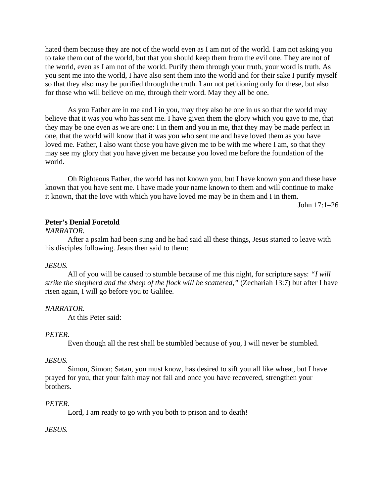hated them because they are not of the world even as I am not of the world. I am not asking you to take them out of the world, but that you should keep them from the evil one. They are not of the world, even as I am not of the world. Purify them through your truth, your word is truth. As you sent me into the world, I have also sent them into the world and for their sake I purify myself so that they also may be purified through the truth. I am not petitioning only for these, but also for those who will believe on me, through their word. May they all be one.

As you Father are in me and I in you, may they also be one in us so that the world may believe that it was you who has sent me. I have given them the glory which you gave to me, that they may be one even as we are one: I in them and you in me, that they may be made perfect in one, that the world will know that it was you who sent me and have loved them as you have loved me. Father, I also want those you have given me to be with me where I am, so that they may see my glory that you have given me because you loved me before the foundation of the world.

Oh Righteous Father, the world has not known you, but I have known you and these have known that you have sent me. I have made your name known to them and will continue to make it known, that the love with which you have loved me may be in them and I in them.

John 17:1–26

### **Peter's Denial Foretold**

#### *NARRATOR.*

After a psalm had been sung and he had said all these things, Jesus started to leave with his disciples following. Jesus then said to them:

### *JESUS.*

All of you will be caused to stumble because of me this night, for scripture says: *"I will strike the shepherd and the sheep of the flock will be scattered,"* (Zechariah 13:7) but after I have risen again, I will go before you to Galilee.

#### *NARRATOR.*

At this Peter said:

### *PETER.*

Even though all the rest shall be stumbled because of you, I will never be stumbled.

#### *JESUS.*

Simon, Simon; Satan, you must know, has desired to sift you all like wheat, but I have prayed for you, that your faith may not fail and once you have recovered, strengthen your brothers.

#### *PETER.*

Lord, I am ready to go with you both to prison and to death!

#### *JESUS.*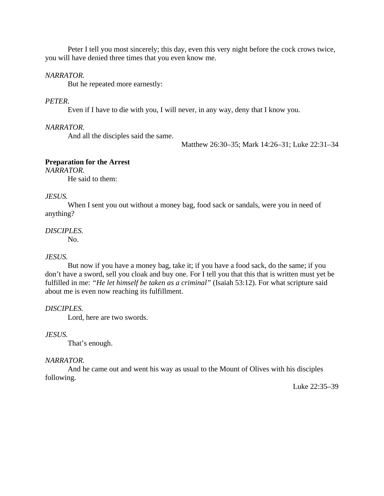Peter I tell you most sincerely; this day, even this very night before the cock crows twice, you will have denied three times that you even know me.

# *NARRATOR.*

But he repeated more earnestly:

# *PETER.*

Even if I have to die with you, I will never, in any way, deny that I know you.

# *NARRATOR.*

And all the disciples said the same.

Matthew 26:30–35; Mark 14:26–31; Luke 22:31–34

# **Preparation for the Arrest**

*NARRATOR.*

He said to them:

# *JESUS.*

When I sent you out without a money bag, food sack or sandals, were you in need of anything?

# *DISCIPLES.*

No.

# *JESUS.*

But now if you have a money bag, take it; if you have a food sack, do the same; if you don't have a sword, sell you cloak and buy one. For I tell you that this that is written must yet be fulfilled in me: *"He let himself be taken as a criminal"* (Isaiah 53:12). For what scripture said about me is even now reaching its fulfillment.

# *DISCIPLES.*

Lord, here are two swords.

### *JESUS.*

That's enough.

### *NARRATOR.*

And he came out and went his way as usual to the Mount of Olives with his disciples following.

Luke 22:35–39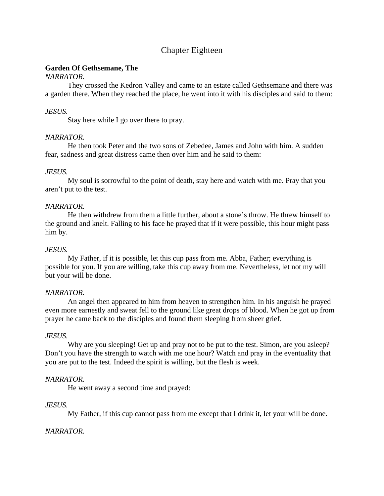# Chapter Eighteen

# **Garden Of Gethsemane, The**

# *NARRATOR.*

They crossed the Kedron Valley and came to an estate called Gethsemane and there was a garden there. When they reached the place, he went into it with his disciples and said to them:

# *JESUS.*

Stay here while I go over there to pray.

# *NARRATOR.*

He then took Peter and the two sons of Zebedee, James and John with him. A sudden fear, sadness and great distress came then over him and he said to them:

# *JESUS.*

My soul is sorrowful to the point of death, stay here and watch with me. Pray that you aren't put to the test.

# *NARRATOR.*

He then withdrew from them a little further, about a stone's throw. He threw himself to the ground and knelt. Falling to his face he prayed that if it were possible, this hour might pass him by.

# *JESUS.*

My Father, if it is possible, let this cup pass from me. Abba, Father; everything is possible for you. If you are willing, take this cup away from me. Nevertheless, let not my will but your will be done.

# *NARRATOR.*

An angel then appeared to him from heaven to strengthen him. In his anguish he prayed even more earnestly and sweat fell to the ground like great drops of blood. When he got up from prayer he came back to the disciples and found them sleeping from sheer grief.

# *JESUS.*

Why are you sleeping! Get up and pray not to be put to the test. Simon, are you asleep? Don't you have the strength to watch with me one hour? Watch and pray in the eventuality that you are put to the test. Indeed the spirit is willing, but the flesh is week.

# *NARRATOR.*

He went away a second time and prayed:

# *JESUS.*

My Father, if this cup cannot pass from me except that I drink it, let your will be done.

# *NARRATOR.*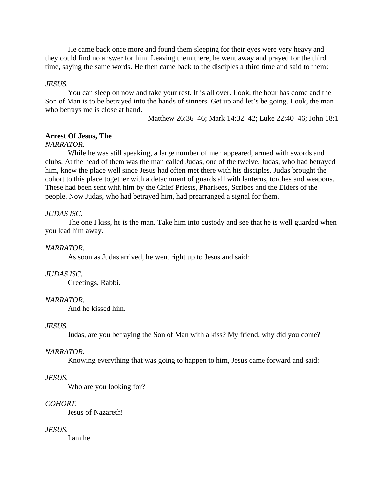He came back once more and found them sleeping for their eyes were very heavy and they could find no answer for him. Leaving them there, he went away and prayed for the third time, saying the same words. He then came back to the disciples a third time and said to them:

### *JESUS.*

You can sleep on now and take your rest. It is all over. Look, the hour has come and the Son of Man is to be betrayed into the hands of sinners. Get up and let's be going. Look, the man who betrays me is close at hand.

Matthew 26:36–46; Mark 14:32–42; Luke 22:40–46; John 18:1

### **Arrest Of Jesus, The**

### *NARRATOR.*

While he was still speaking, a large number of men appeared, armed with swords and clubs. At the head of them was the man called Judas, one of the twelve. Judas, who had betrayed him, knew the place well since Jesus had often met there with his disciples. Judas brought the cohort to this place together with a detachment of guards all with lanterns, torches and weapons. These had been sent with him by the Chief Priests, Pharisees, Scribes and the Elders of the people. Now Judas, who had betrayed him, had prearranged a signal for them.

### *JUDAS ISC.*

The one I kiss, he is the man. Take him into custody and see that he is well guarded when you lead him away.

### *NARRATOR.*

As soon as Judas arrived, he went right up to Jesus and said:

### *JUDAS ISC.*

Greetings, Rabbi.

### *NARRATOR.*

And he kissed him.

### *JESUS.*

Judas, are you betraying the Son of Man with a kiss? My friend, why did you come?

### *NARRATOR.*

Knowing everything that was going to happen to him, Jesus came forward and said:

### *JESUS.*

Who are you looking for?

### *COHORT.*

Jesus of Nazareth!

### *JESUS.*

I am he.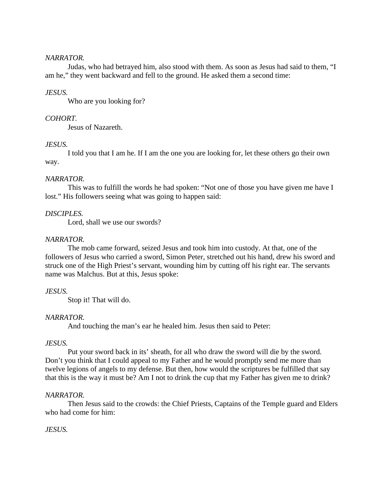### *NARRATOR.*

Judas, who had betrayed him, also stood with them. As soon as Jesus had said to them, "I am he," they went backward and fell to the ground. He asked them a second time:

### *JESUS.*

Who are you looking for?

### *COHORT.*

Jesus of Nazareth.

### *JESUS.*

I told you that I am he. If I am the one you are looking for, let these others go their own way.

### *NARRATOR.*

This was to fulfill the words he had spoken: "Not one of those you have given me have I lost." His followers seeing what was going to happen said:

### *DISCIPLES.*

Lord, shall we use our swords?

### *NARRATOR.*

The mob came forward, seized Jesus and took him into custody. At that, one of the followers of Jesus who carried a sword, Simon Peter, stretched out his hand, drew his sword and struck one of the High Priest's servant, wounding him by cutting off his right ear. The servants name was Malchus. But at this, Jesus spoke:

### *JESUS.*

Stop it! That will do.

### *NARRATOR.*

And touching the man's ear he healed him. Jesus then said to Peter:

### *JESUS.*

Put your sword back in its' sheath, for all who draw the sword will die by the sword. Don't you think that I could appeal to my Father and he would promptly send me more than twelve legions of angels to my defense. But then, how would the scriptures be fulfilled that say that this is the way it must be? Am I not to drink the cup that my Father has given me to drink?

### *NARRATOR.*

Then Jesus said to the crowds: the Chief Priests, Captains of the Temple guard and Elders who had come for him:

### *JESUS.*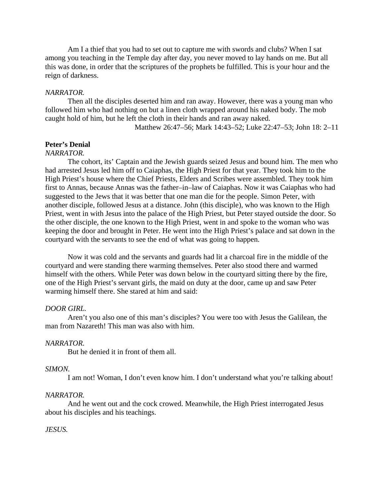Am I a thief that you had to set out to capture me with swords and clubs? When I sat among you teaching in the Temple day after day, you never moved to lay hands on me. But all this was done, in order that the scriptures of the prophets be fulfilled. This is your hour and the reign of darkness.

### *NARRATOR.*

Then all the disciples deserted him and ran away. However, there was a young man who followed him who had nothing on but a linen cloth wrapped around his naked body. The mob caught hold of him, but he left the cloth in their hands and ran away naked.

Matthew 26:47–56; Mark 14:43–52; Luke 22:47–53; John 18: 2–11

## **Peter's Denial**

#### *NARRATOR.*

The cohort, its' Captain and the Jewish guards seized Jesus and bound him. The men who had arrested Jesus led him off to Caiaphas, the High Priest for that year. They took him to the High Priest's house where the Chief Priests, Elders and Scribes were assembled. They took him first to Annas, because Annas was the father–in–law of Caiaphas. Now it was Caiaphas who had suggested to the Jews that it was better that one man die for the people. Simon Peter, with another disciple, followed Jesus at a distance. John (this disciple), who was known to the High Priest, went in with Jesus into the palace of the High Priest, but Peter stayed outside the door. So the other disciple, the one known to the High Priest, went in and spoke to the woman who was keeping the door and brought in Peter. He went into the High Priest's palace and sat down in the courtyard with the servants to see the end of what was going to happen.

Now it was cold and the servants and guards had lit a charcoal fire in the middle of the courtyard and were standing there warming themselves. Peter also stood there and warmed himself with the others. While Peter was down below in the courtyard sitting there by the fire, one of the High Priest's servant girls, the maid on duty at the door, came up and saw Peter warming himself there. She stared at him and said:

### *DOOR GIRL.*

Aren't you also one of this man's disciples? You were too with Jesus the Galilean, the man from Nazareth! This man was also with him.

#### *NARRATOR.*

But he denied it in front of them all.

#### *SIMON.*

I am not! Woman, I don't even know him. I don't understand what you're talking about!

#### *NARRATOR.*

And he went out and the cock crowed. Meanwhile, the High Priest interrogated Jesus about his disciples and his teachings.

#### *JESUS.*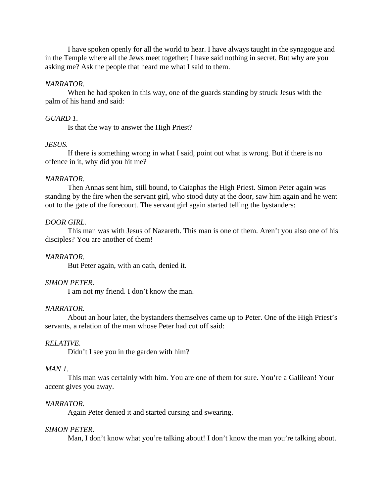I have spoken openly for all the world to hear. I have always taught in the synagogue and in the Temple where all the Jews meet together; I have said nothing in secret. But why are you asking me? Ask the people that heard me what I said to them.

#### *NARRATOR.*

When he had spoken in this way, one of the guards standing by struck Jesus with the palm of his hand and said:

#### *GUARD 1.*

Is that the way to answer the High Priest?

### *JESUS.*

If there is something wrong in what I said, point out what is wrong. But if there is no offence in it, why did you hit me?

#### *NARRATOR.*

Then Annas sent him, still bound, to Caiaphas the High Priest. Simon Peter again was standing by the fire when the servant girl, who stood duty at the door, saw him again and he went out to the gate of the forecourt. The servant girl again started telling the bystanders:

#### *DOOR GIRL.*

This man was with Jesus of Nazareth. This man is one of them. Aren't you also one of his disciples? You are another of them!

#### *NARRATOR.*

But Peter again, with an oath, denied it.

### *SIMON PETER.*

I am not my friend. I don't know the man.

### *NARRATOR.*

About an hour later, the bystanders themselves came up to Peter. One of the High Priest's servants, a relation of the man whose Peter had cut off said:

#### *RELATIVE.*

Didn't I see you in the garden with him?

#### *MAN 1.*

This man was certainly with him. You are one of them for sure. You're a Galilean! Your accent gives you away.

#### *NARRATOR.*

Again Peter denied it and started cursing and swearing.

#### *SIMON PETER.*

Man, I don't know what you're talking about! I don't know the man you're talking about.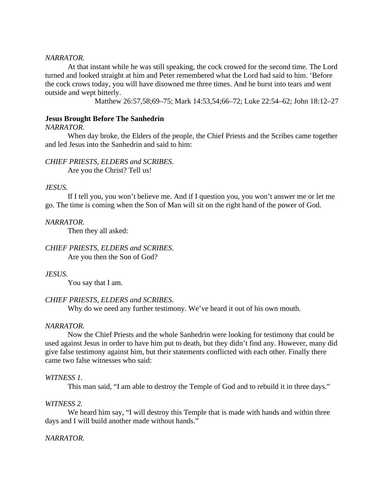#### *NARRATOR.*

At that instant while he was still speaking, the cock crowed for the second time. The Lord turned and looked straight at him and Peter remembered what the Lord had said to him. 'Before the cock crows today, you will have disowned me three times. And he burst into tears and went outside and wept bitterly.

Matthew 26:57,58;69–75; Mark 14:53,54;66–72; Luke 22:54–62; John 18:12–27

#### **Jesus Brought Before The Sanhedrin**

### *NARRATOR.*

When day broke, the Elders of the people, the Chief Priests and the Scribes came together and led Jesus into the Sanhedrin and said to him:

# *CHIEF PRIESTS, ELDERS and SCRIBES.*

Are you the Christ? Tell us!

### *JESUS.*

If I tell you, you won't believe me. And if I question you, you won't answer me or let me go. The time is coming when the Son of Man will sit on the right hand of the power of God.

#### *NARRATOR.*

Then they all asked:

# *CHIEF PRIESTS, ELDERS and SCRIBES.*

Are you then the Son of God?

### *JESUS.*

You say that I am.

### *CHIEF PRIESTS, ELDERS and SCRIBES.*

Why do we need any further testimony. We've heard it out of his own mouth.

#### *NARRATOR.*

Now the Chief Priests and the whole Sanhedrin were looking for testimony that could be used against Jesus in order to have him put to death, but they didn't find any. However, many did give false testimony against him, but their statements conflicted with each other. Finally there came two false witnesses who said:

#### *WITNESS 1.*

This man said, "I am able to destroy the Temple of God and to rebuild it in three days."

### *WITNESS 2.*

We heard him say, "I will destroy this Temple that is made with hands and within three days and I will build another made without hands."

### *NARRATOR.*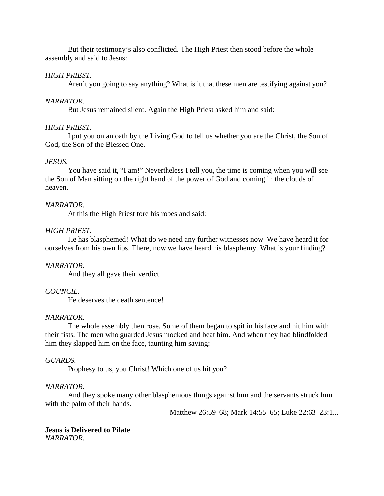But their testimony's also conflicted. The High Priest then stood before the whole assembly and said to Jesus:

### *HIGH PRIEST.*

Aren't you going to say anything? What is it that these men are testifying against you?

### *NARRATOR.*

But Jesus remained silent. Again the High Priest asked him and said:

### *HIGH PRIEST.*

I put you on an oath by the Living God to tell us whether you are the Christ, the Son of God, the Son of the Blessed One.

### *JESUS.*

You have said it, "I am!" Nevertheless I tell you, the time is coming when you will see the Son of Man sitting on the right hand of the power of God and coming in the clouds of heaven.

### *NARRATOR.*

At this the High Priest tore his robes and said:

### *HIGH PRIEST.*

He has blasphemed! What do we need any further witnesses now. We have heard it for ourselves from his own lips. There, now we have heard his blasphemy. What is your finding?

### *NARRATOR.*

And they all gave their verdict.

### *COUNCIL.*

He deserves the death sentence!

### *NARRATOR.*

The whole assembly then rose. Some of them began to spit in his face and hit him with their fists. The men who guarded Jesus mocked and beat him. And when they had blindfolded him they slapped him on the face, taunting him saying:

### *GUARDS.*

Prophesy to us, you Christ! Which one of us hit you?

### *NARRATOR.*

And they spoke many other blasphemous things against him and the servants struck him with the palm of their hands.

Matthew 26:59–68; Mark 14:55–65; Luke 22:63–23:1...

### **Jesus is Delivered to Pilate** *NARRATOR.*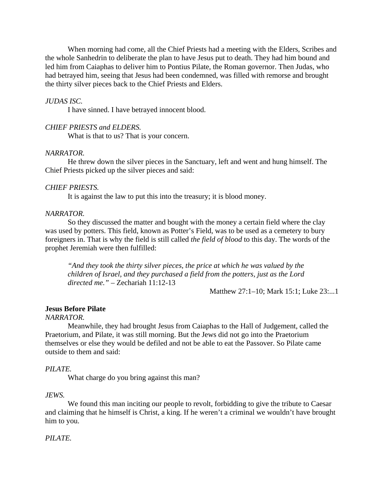When morning had come, all the Chief Priests had a meeting with the Elders, Scribes and the whole Sanhedrin to deliberate the plan to have Jesus put to death. They had him bound and led him from Caiaphas to deliver him to Pontius Pilate, the Roman governor. Then Judas, who had betrayed him, seeing that Jesus had been condemned, was filled with remorse and brought the thirty silver pieces back to the Chief Priests and Elders.

#### *JUDAS ISC.*

I have sinned. I have betrayed innocent blood.

### *CHIEF PRIESTS and ELDERS.*

What is that to us? That is your concern.

### *NARRATOR.*

He threw down the silver pieces in the Sanctuary, left and went and hung himself. The Chief Priests picked up the silver pieces and said:

#### *CHIEF PRIESTS.*

It is against the law to put this into the treasury; it is blood money.

#### *NARRATOR.*

So they discussed the matter and bought with the money a certain field where the clay was used by potters. This field, known as Potter's Field, was to be used as a cemetery to bury foreigners in. That is why the field is still called *the field of blood* to this day. The words of the prophet Jeremiah were then fulfilled:

*"And they took the thirty silver pieces, the price at which he was valued by the children of Israel, and they purchased a field from the potters, just as the Lord directed me."* – Zechariah 11:12-13

Matthew 27:1–10; Mark 15:1; Luke 23:...1

#### **Jesus Before Pilate**

#### *NARRATOR.*

Meanwhile, they had brought Jesus from Caiaphas to the Hall of Judgement, called the Praetorium, and Pilate, it was still morning. But the Jews did not go into the Praetorium themselves or else they would be defiled and not be able to eat the Passover. So Pilate came outside to them and said:

#### *PILATE.*

What charge do you bring against this man?

#### *JEWS.*

We found this man inciting our people to revolt, forbidding to give the tribute to Caesar and claiming that he himself is Christ, a king. If he weren't a criminal we wouldn't have brought him to you.

### *PILATE.*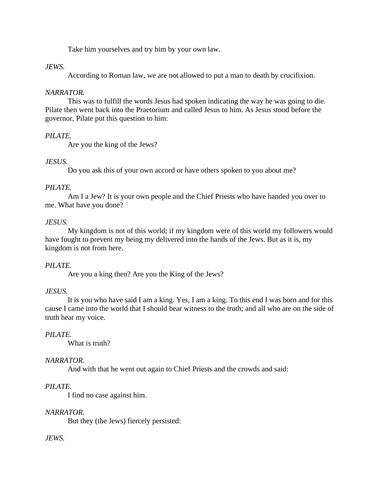Take him yourselves and try him by your own law.

## *JEWS.*

According to Roman law, we are not allowed to put a man to death by crucifixion.

## *NARRATOR.*

This was to fulfill the words Jesus had spoken indicating the way he was going to die. Pilate then went back into the Praetorium and called Jesus to him. As Jesus stood before the governor, Pilate put this question to him:

## *PILATE.*

Are you the king of the Jews?

## *JESUS.*

Do you ask this of your own accord or have others spoken to you about me?

## *PILATE.*

Am I a Jew? It is your own people and the Chief Priests who have handed you over to me. What have you done?

## *JESUS.*

My kingdom is not of this world; if my kingdom were of this world my followers would have fought to prevent my being my delivered into the hands of the Jews. But as it is, my kingdom is not from here.

## *PILATE.*

Are you a king then? Are you the King of the Jews?

## *JESUS.*

It is you who have said I am a king. Yes, I am a king. To this end I was born and for this cause I came into the world that I should bear witness to the truth; and all who are on the side of truth hear my voice.

## *PILATE.*

What is truth?

## *NARRATOR.*

And with that he went out again to Chief Priests and the crowds and said:

## *PILATE.*

I find no case against him.

## *NARRATOR.*

But they (the Jews) fiercely persisted:

## *JEWS.*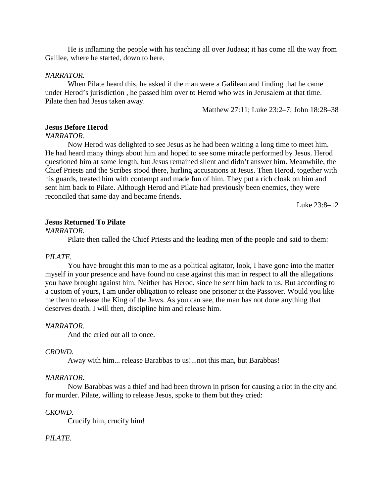He is inflaming the people with his teaching all over Judaea; it has come all the way from Galilee, where he started, down to here.

#### *NARRATOR.*

When Pilate heard this, he asked if the man were a Galilean and finding that he came under Herod's jurisdiction , he passed him over to Herod who was in Jerusalem at that time. Pilate then had Jesus taken away.

Matthew 27:11; Luke 23:2–7; John 18:28–38

### **Jesus Before Herod**

#### *NARRATOR.*

Now Herod was delighted to see Jesus as he had been waiting a long time to meet him. He had heard many things about him and hoped to see some miracle performed by Jesus. Herod questioned him at some length, but Jesus remained silent and didn't answer him. Meanwhile, the Chief Priests and the Scribes stood there, hurling accusations at Jesus. Then Herod, together with his guards, treated him with contempt and made fun of him. They put a rich cloak on him and sent him back to Pilate. Although Herod and Pilate had previously been enemies, they were reconciled that same day and became friends.

Luke 23:8–12

#### **Jesus Returned To Pilate**

### *NARRATOR.*

Pilate then called the Chief Priests and the leading men of the people and said to them:

#### *PILATE.*

You have brought this man to me as a political agitator, look, I have gone into the matter myself in your presence and have found no case against this man in respect to all the allegations you have brought against him. Neither has Herod, since he sent him back to us. But according to a custom of yours, I am under obligation to release one prisoner at the Passover. Would you like me then to release the King of the Jews. As you can see, the man has not done anything that deserves death. I will then, discipline him and release him.

#### *NARRATOR.*

And the cried out all to once.

### *CROWD.*

Away with him... release Barabbas to us!...not this man, but Barabbas!

#### *NARRATOR.*

Now Barabbas was a thief and had been thrown in prison for causing a riot in the city and for murder. Pilate, willing to release Jesus, spoke to them but they cried:

#### *CROWD.*

Crucify him, crucify him!

### *PILATE.*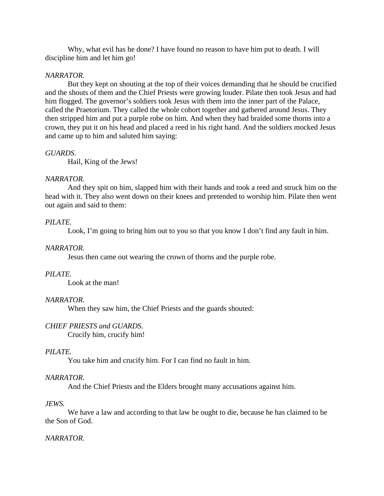Why, what evil has he done? I have found no reason to have him put to death. I will discipline him and let him go!

### *NARRATOR.*

But they kept on shouting at the top of their voices demanding that he should be crucified and the shouts of them and the Chief Priests were growing louder. Pilate then took Jesus and had him flogged. The governor's soldiers took Jesus with them into the inner part of the Palace, called the Praetorium. They called the whole cohort together and gathered around Jesus. They then stripped him and put a purple robe on him. And when they had braided some thorns into a crown, they put it on his head and placed a reed in his right hand. And the soldiers mocked Jesus and came up to him and saluted him saying:

### *GUARDS.*

Hail, King of the Jews!

### *NARRATOR.*

And they spit on him, slapped him with their hands and took a reed and struck him on the head with it. They also went down on their knees and pretended to worship him. Pilate then went out again and said to them:

### *PILATE.*

Look, I'm going to bring him out to you so that you know I don't find any fault in him.

### *NARRATOR.*

Jesus then came out wearing the crown of thorns and the purple robe.

### *PILATE.*

Look at the man!

### *NARRATOR.*

When they saw him, the Chief Priests and the guards shouted:

### *CHIEF PRIESTS and GUARDS.*

Crucify him, crucify him!

### *PILATE.*

You take him and crucify him. For I can find no fault in him.

### *NARRATOR.*

And the Chief Priests and the Elders brought many accusations against him.

### *JEWS.*

We have a law and according to that law he ought to die, because he has claimed to be the Son of God.

### *NARRATOR.*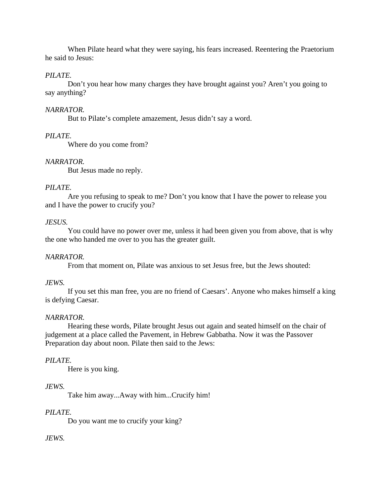When Pilate heard what they were saying, his fears increased. Reentering the Praetorium he said to Jesus:

## *PILATE.*

Don't you hear how many charges they have brought against you? Aren't you going to say anything?

## *NARRATOR.*

But to Pilate's complete amazement, Jesus didn't say a word.

## *PILATE.*

Where do you come from?

## *NARRATOR.*

But Jesus made no reply.

## *PILATE.*

Are you refusing to speak to me? Don't you know that I have the power to release you and I have the power to crucify you?

## *JESUS.*

You could have no power over me, unless it had been given you from above, that is why the one who handed me over to you has the greater guilt.

## *NARRATOR.*

From that moment on, Pilate was anxious to set Jesus free, but the Jews shouted:

## *JEWS.*

If you set this man free, you are no friend of Caesars'. Anyone who makes himself a king is defying Caesar.

## *NARRATOR.*

Hearing these words, Pilate brought Jesus out again and seated himself on the chair of judgement at a place called the Pavement, in Hebrew Gabbatha. Now it was the Passover Preparation day about noon. Pilate then said to the Jews:

## *PILATE.*

Here is you king.

## *JEWS.*

Take him away...Away with him...Crucify him!

## *PILATE.*

Do you want me to crucify your king?

## *JEWS.*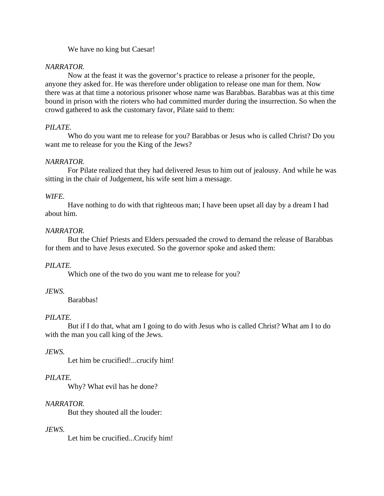## We have no king but Caesar!

## *NARRATOR.*

Now at the feast it was the governor's practice to release a prisoner for the people, anyone they asked for. He was therefore under obligation to release one man for them. Now there was at that time a notorious prisoner whose name was Barabbas. Barabbas was at this time bound in prison with the rioters who had committed murder during the insurrection. So when the crowd gathered to ask the customary favor, Pilate said to them:

## *PILATE.*

Who do you want me to release for you? Barabbas or Jesus who is called Christ? Do you want me to release for you the King of the Jews?

## *NARRATOR.*

For Pilate realized that they had delivered Jesus to him out of jealousy. And while he was sitting in the chair of Judgement, his wife sent him a message.

## *WIFE.*

Have nothing to do with that righteous man; I have been upset all day by a dream I had about him.

## *NARRATOR.*

But the Chief Priests and Elders persuaded the crowd to demand the release of Barabbas for them and to have Jesus executed. So the governor spoke and asked them:

## *PILATE.*

Which one of the two do you want me to release for you?

## *JEWS.*

Barabbas!

## *PILATE.*

But if I do that, what am I going to do with Jesus who is called Christ? What am I to do with the man you call king of the Jews.

## *JEWS.*

Let him be crucified!...crucify him!

## *PILATE.*

Why? What evil has he done?

## *NARRATOR.*

But they shouted all the louder:

## *JEWS.*

Let him be crucified...Crucify him!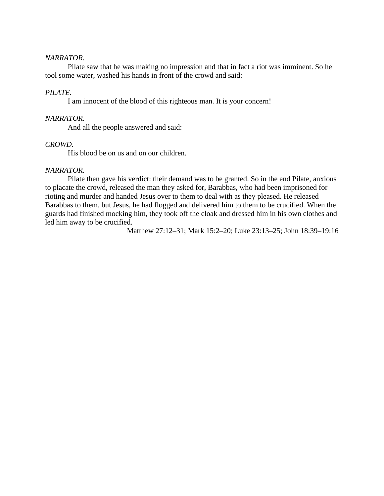### *NARRATOR.*

Pilate saw that he was making no impression and that in fact a riot was imminent. So he tool some water, washed his hands in front of the crowd and said:

### *PILATE.*

I am innocent of the blood of this righteous man. It is your concern!

### *NARRATOR.*

And all the people answered and said:

### *CROWD.*

His blood be on us and on our children.

### *NARRATOR.*

Pilate then gave his verdict: their demand was to be granted. So in the end Pilate, anxious to placate the crowd, released the man they asked for, Barabbas, who had been imprisoned for rioting and murder and handed Jesus over to them to deal with as they pleased. He released Barabbas to them, but Jesus, he had flogged and delivered him to them to be crucified. When the guards had finished mocking him, they took off the cloak and dressed him in his own clothes and led him away to be crucified.

Matthew 27:12–31; Mark 15:2–20; Luke 23:13–25; John 18:39–19:16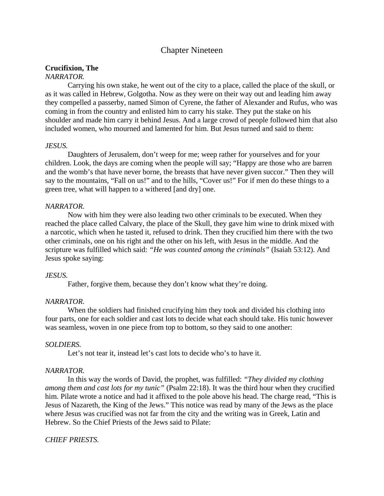## Chapter Nineteen

### **Crucifixion, The**

### *NARRATOR.*

Carrying his own stake, he went out of the city to a place, called the place of the skull, or as it was called in Hebrew, Golgotha. Now as they were on their way out and leading him away they compelled a passerby, named Simon of Cyrene, the father of Alexander and Rufus, who was coming in from the country and enlisted him to carry his stake. They put the stake on his shoulder and made him carry it behind Jesus. And a large crowd of people followed him that also included women, who mourned and lamented for him. But Jesus turned and said to them:

#### *JESUS.*

Daughters of Jerusalem, don't weep for me; weep rather for yourselves and for your children. Look, the days are coming when the people will say; "Happy are those who are barren and the womb's that have never borne, the breasts that have never given succor." Then they will say to the mountains, "Fall on us!" and to the hills, "Cover us!" For if men do these things to a green tree, what will happen to a withered [and dry] one.

### *NARRATOR.*

Now with him they were also leading two other criminals to be executed. When they reached the place called Calvary, the place of the Skull, they gave him wine to drink mixed with a narcotic, which when he tasted it, refused to drink. Then they crucified him there with the two other criminals, one on his right and the other on his left, with Jesus in the middle. And the scripture was fulfilled which said: *"He was counted among the criminals"* (Isaiah 53:12). And Jesus spoke saying:

#### *JESUS.*

Father, forgive them, because they don't know what they're doing.

### *NARRATOR.*

When the soldiers had finished crucifying him they took and divided his clothing into four parts, one for each soldier and cast lots to decide what each should take. His tunic however was seamless, woven in one piece from top to bottom, so they said to one another:

#### *SOLDIERS.*

Let's not tear it, instead let's cast lots to decide who's to have it.

### *NARRATOR.*

In this way the words of David, the prophet, was fulfilled: *"They divided my clothing among them and cast lots for my tunic"* (Psalm 22:18). It was the third hour when they crucified him. Pilate wrote a notice and had it affixed to the pole above his head. The charge read, "This is Jesus of Nazareth, the King of the Jews." This notice was read by many of the Jews as the place where Jesus was crucified was not far from the city and the writing was in Greek, Latin and Hebrew. So the Chief Priests of the Jews said to Pilate:

#### *CHIEF PRIESTS.*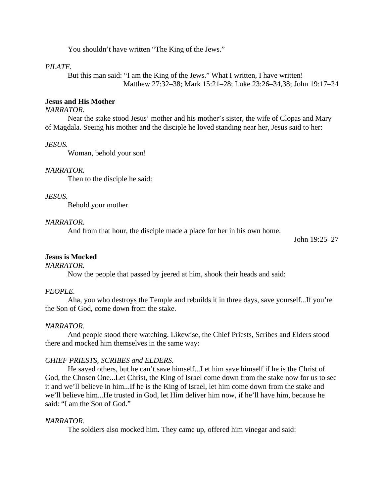You shouldn't have written "The King of the Jews."

#### *PILATE.*

But this man said: "I am the King of the Jews." What I written, I have written! Matthew 27:32–38; Mark 15:21–28; Luke 23:26–34,38; John 19:17–24

### **Jesus and His Mother**

### *NARRATOR.*

Near the stake stood Jesus' mother and his mother's sister, the wife of Clopas and Mary of Magdala. Seeing his mother and the disciple he loved standing near her, Jesus said to her:

#### *JESUS.*

Woman, behold your son!

#### *NARRATOR.*

Then to the disciple he said:

### *JESUS.*

Behold your mother.

#### *NARRATOR.*

And from that hour, the disciple made a place for her in his own home.

John 19:25–27

### **Jesus is Mocked**

*NARRATOR.*

Now the people that passed by jeered at him, shook their heads and said:

#### *PEOPLE.*

Aha, you who destroys the Temple and rebuilds it in three days, save yourself...If you're the Son of God, come down from the stake.

#### *NARRATOR.*

And people stood there watching. Likewise, the Chief Priests, Scribes and Elders stood there and mocked him themselves in the same way:

#### *CHIEF PRIESTS, SCRIBES and ELDERS.*

He saved others, but he can't save himself...Let him save himself if he is the Christ of God, the Chosen One...Let Christ, the King of Israel come down from the stake now for us to see it and we'll believe in him...If he is the King of Israel, let him come down from the stake and we'll believe him...He trusted in God, let Him deliver him now, if he'll have him, because he said: "I am the Son of God."

### *NARRATOR.*

The soldiers also mocked him. They came up, offered him vinegar and said: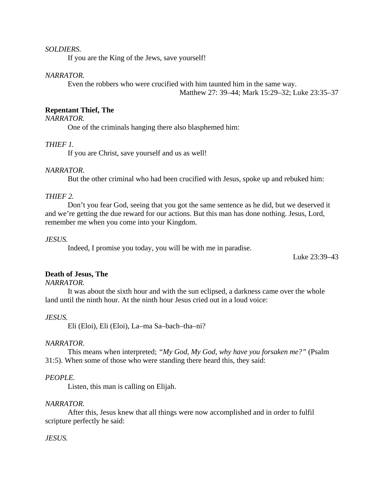### *SOLDIERS.*

If you are the King of the Jews, save yourself!

## *NARRATOR.*

Even the robbers who were crucified with him taunted him in the same way. Matthew 27: 39–44; Mark 15:29–32; Luke 23:35–37

### **Repentant Thief, The**

### *NARRATOR.*

One of the criminals hanging there also blasphemed him:

### *THIEF 1.*

If you are Christ, save yourself and us as well!

#### *NARRATOR.*

But the other criminal who had been crucified with Jesus, spoke up and rebuked him:

### *THIEF 2.*

Don't you fear God, seeing that you got the same sentence as he did, but we deserved it and we're getting the due reward for our actions. But this man has done nothing. Jesus, Lord, remember me when you come into your Kingdom.

#### *JESUS.*

Indeed, I promise you today, you will be with me in paradise.

Luke 23:39–43

### **Death of Jesus, The**

*NARRATOR.*

It was about the sixth hour and with the sun eclipsed, a darkness came over the whole land until the ninth hour. At the ninth hour Jesus cried out in a loud voice:

#### *JESUS.*

Eli (Eloi), Eli (Eloi), La–ma Sa–bach–tha–ni?

#### *NARRATOR.*

This means when interpreted; *"My God, My God, why have you forsaken me?"* (Psalm 31:5). When some of those who were standing there heard this, they said:

### *PEOPLE.*

Listen, this man is calling on Elijah.

#### *NARRATOR.*

After this, Jesus knew that all things were now accomplished and in order to fulfil scripture perfectly he said:

### *JESUS.*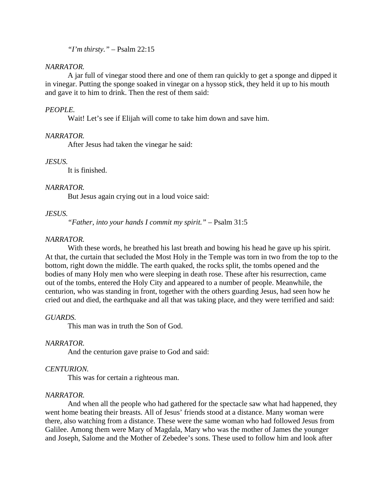*"I'm thirsty."* – Psalm 22:15

### *NARRATOR.*

A jar full of vinegar stood there and one of them ran quickly to get a sponge and dipped it in vinegar. Putting the sponge soaked in vinegar on a hyssop stick, they held it up to his mouth and gave it to him to drink. Then the rest of them said:

### *PEOPLE.*

Wait! Let's see if Elijah will come to take him down and save him.

### *NARRATOR.*

After Jesus had taken the vinegar he said:

### *JESUS.*

It is finished.

### *NARRATOR.*

But Jesus again crying out in a loud voice said:

### *JESUS.*

*"Father, into your hands I commit my spirit."* – Psalm 31:5

### *NARRATOR.*

With these words, he breathed his last breath and bowing his head he gave up his spirit. At that, the curtain that secluded the Most Holy in the Temple was torn in two from the top to the bottom, right down the middle. The earth quaked, the rocks split, the tombs opened and the bodies of many Holy men who were sleeping in death rose. These after his resurrection, came out of the tombs, entered the Holy City and appeared to a number of people. Meanwhile, the centurion, who was standing in front, together with the others guarding Jesus, had seen how he cried out and died, the earthquake and all that was taking place, and they were terrified and said:

### *GUARDS.*

This man was in truth the Son of God.

### *NARRATOR.*

And the centurion gave praise to God and said:

### *CENTURION.*

This was for certain a righteous man.

### *NARRATOR.*

And when all the people who had gathered for the spectacle saw what had happened, they went home beating their breasts. All of Jesus' friends stood at a distance. Many woman were there, also watching from a distance. These were the same woman who had followed Jesus from Galilee. Among them were Mary of Magdala, Mary who was the mother of James the younger and Joseph, Salome and the Mother of Zebedee's sons. These used to follow him and look after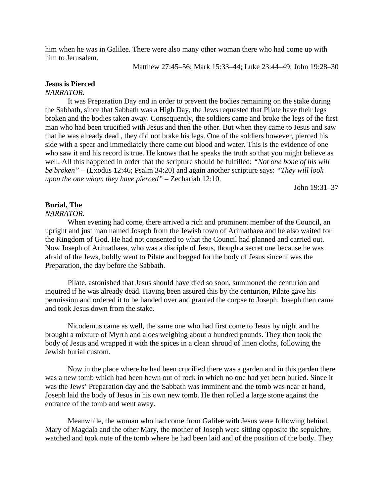him when he was in Galilee. There were also many other woman there who had come up with him to Jerusalem.

Matthew 27:45–56; Mark 15:33–44; Luke 23:44–49; John 19:28–30

### **Jesus is Pierced**

#### *NARRATOR.*

It was Preparation Day and in order to prevent the bodies remaining on the stake during the Sabbath, since that Sabbath was a High Day, the Jews requested that Pilate have their legs broken and the bodies taken away. Consequently, the soldiers came and broke the legs of the first man who had been crucified with Jesus and then the other. But when they came to Jesus and saw that he was already dead , they did not brake his legs. One of the soldiers however, pierced his side with a spear and immediately there came out blood and water. This is the evidence of one who saw it and his record is true. He knows that he speaks the truth so that you might believe as well. All this happened in order that the scripture should be fulfilled: *"Not one bone of his will be broken"* – (Exodus 12:46; Psalm 34:20) and again another scripture says: *"They will look upon the one whom they have pierced"* – Zechariah 12:10.

John 19:31–37

## **Burial, The**

### *NARRATOR.*

When evening had come, there arrived a rich and prominent member of the Council, an upright and just man named Joseph from the Jewish town of Arimathaea and he also waited for the Kingdom of God. He had not consented to what the Council had planned and carried out. Now Joseph of Arimathaea, who was a disciple of Jesus, though a secret one because he was afraid of the Jews, boldly went to Pilate and begged for the body of Jesus since it was the Preparation, the day before the Sabbath.

Pilate, astonished that Jesus should have died so soon, summoned the centurion and inquired if he was already dead. Having been assured this by the centurion, Pilate gave his permission and ordered it to be handed over and granted the corpse to Joseph. Joseph then came and took Jesus down from the stake.

Nicodemus came as well, the same one who had first come to Jesus by night and he brought a mixture of Myrrh and aloes weighing about a hundred pounds. They then took the body of Jesus and wrapped it with the spices in a clean shroud of linen cloths, following the Jewish burial custom.

Now in the place where he had been crucified there was a garden and in this garden there was a new tomb which had been hewn out of rock in which no one had yet been buried. Since it was the Jews' Preparation day and the Sabbath was imminent and the tomb was near at hand, Joseph laid the body of Jesus in his own new tomb. He then rolled a large stone against the entrance of the tomb and went away.

Meanwhile, the woman who had come from Galilee with Jesus were following behind. Mary of Magdala and the other Mary, the mother of Joseph were sitting opposite the sepulchre, watched and took note of the tomb where he had been laid and of the position of the body. They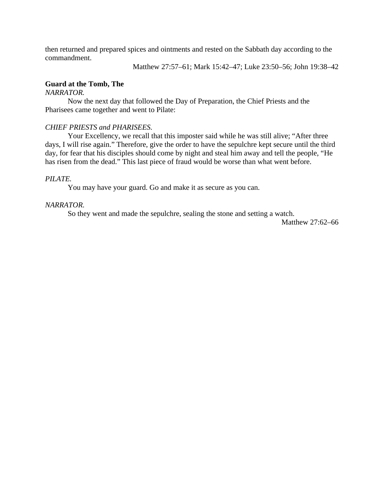then returned and prepared spices and ointments and rested on the Sabbath day according to the commandment.

Matthew 27:57–61; Mark 15:42–47; Luke 23:50–56; John 19:38–42

## **Guard at the Tomb, The**

### *NARRATOR.*

Now the next day that followed the Day of Preparation, the Chief Priests and the Pharisees came together and went to Pilate:

### *CHIEF PRIESTS and PHARISEES.*

Your Excellency, we recall that this imposter said while he was still alive; "After three days, I will rise again." Therefore, give the order to have the sepulchre kept secure until the third day, for fear that his disciples should come by night and steal him away and tell the people, "He has risen from the dead." This last piece of fraud would be worse than what went before.

### *PILATE.*

You may have your guard. Go and make it as secure as you can.

### *NARRATOR.*

So they went and made the sepulchre, sealing the stone and setting a watch.

Matthew 27:62–66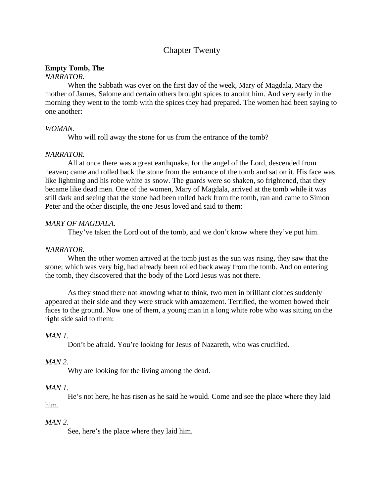## Chapter Twenty

### **Empty Tomb, The**

## *NARRATOR.*

When the Sabbath was over on the first day of the week, Mary of Magdala, Mary the mother of James, Salome and certain others brought spices to anoint him. And very early in the morning they went to the tomb with the spices they had prepared. The women had been saying to one another:

### *WOMAN.*

Who will roll away the stone for us from the entrance of the tomb?

## *NARRATOR.*

All at once there was a great earthquake, for the angel of the Lord, descended from heaven; came and rolled back the stone from the entrance of the tomb and sat on it. His face was like lightning and his robe white as snow. The guards were so shaken, so frightened, that they became like dead men. One of the women, Mary of Magdala, arrived at the tomb while it was still dark and seeing that the stone had been rolled back from the tomb, ran and came to Simon Peter and the other disciple, the one Jesus loved and said to them:

## *MARY OF MAGDALA.*

They've taken the Lord out of the tomb, and we don't know where they've put him.

## *NARRATOR.*

When the other women arrived at the tomb just as the sun was rising, they saw that the stone; which was very big, had already been rolled back away from the tomb. And on entering the tomb, they discovered that the body of the Lord Jesus was not there.

As they stood there not knowing what to think, two men in brilliant clothes suddenly appeared at their side and they were struck with amazement. Terrified, the women bowed their faces to the ground. Now one of them, a young man in a long white robe who was sitting on the right side said to them:

## *MAN 1.*

Don't be afraid. You're looking for Jesus of Nazareth, who was crucified.

## *MAN 2.*

Why are looking for the living among the dead.

## *MAN 1.*

He's not here, he has risen as he said he would. Come and see the place where they laid him.

## *MAN 2.*

See, here's the place where they laid him.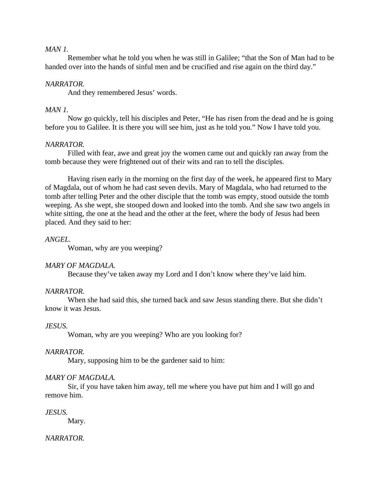## *MAN 1.*

Remember what he told you when he was still in Galilee; "that the Son of Man had to be handed over into the hands of sinful men and be crucified and rise again on the third day."

### *NARRATOR.*

And they remembered Jesus' words.

### *MAN 1.*

Now go quickly, tell his disciples and Peter, "He has risen from the dead and he is going before you to Galilee. It is there you will see him, just as he told you." Now I have told you.

### *NARRATOR.*

Filled with fear, awe and great joy the women came out and quickly ran away from the tomb because they were frightened out of their wits and ran to tell the disciples.

Having risen early in the morning on the first day of the week, he appeared first to Mary of Magdala, out of whom he had cast seven devils. Mary of Magdala, who had returned to the tomb after telling Peter and the other disciple that the tomb was empty, stood outside the tomb weeping. As she wept, she stooped down and looked into the tomb. And she saw two angels in white sitting, the one at the head and the other at the feet, where the body of Jesus had been placed. And they said to her:

### *ANGEL.*

Woman, why are you weeping?

### *MARY OF MAGDALA.*

Because they've taken away my Lord and I don't know where they've laid him.

### *NARRATOR.*

When she had said this, she turned back and saw Jesus standing there. But she didn't know it was Jesus.

### *JESUS.*

Woman, why are you weeping? Who are you looking for?

### *NARRATOR.*

Mary, supposing him to be the gardener said to him:

### *MARY OF MAGDALA.*

Sir, if you have taken him away, tell me where you have put him and I will go and remove him.

### *JESUS.*

Mary.

### *NARRATOR.*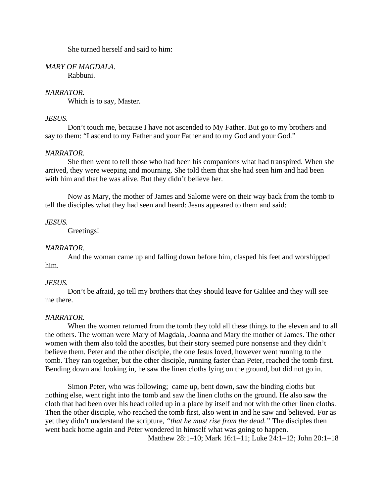She turned herself and said to him:

*MARY OF MAGDALA.* Rabbuni.

### *NARRATOR.*

Which is to say, Master.

### *JESUS.*

Don't touch me, because I have not ascended to My Father. But go to my brothers and say to them: "I ascend to my Father and your Father and to my God and your God."

### *NARRATOR.*

She then went to tell those who had been his companions what had transpired. When she arrived, they were weeping and mourning. She told them that she had seen him and had been with him and that he was alive. But they didn't believe her.

Now as Mary, the mother of James and Salome were on their way back from the tomb to tell the disciples what they had seen and heard: Jesus appeared to them and said:

#### *JESUS.*

Greetings!

### *NARRATOR.*

And the woman came up and falling down before him, clasped his feet and worshipped him.

### *JESUS.*

Don't be afraid, go tell my brothers that they should leave for Galilee and they will see me there.

#### *NARRATOR.*

When the women returned from the tomb they told all these things to the eleven and to all the others. The woman were Mary of Magdala, Joanna and Mary the mother of James. The other women with them also told the apostles, but their story seemed pure nonsense and they didn't believe them. Peter and the other disciple, the one Jesus loved, however went running to the tomb. They ran together, but the other disciple, running faster than Peter, reached the tomb first. Bending down and looking in, he saw the linen cloths lying on the ground, but did not go in.

Simon Peter, who was following; came up, bent down, saw the binding cloths but nothing else, went right into the tomb and saw the linen cloths on the ground. He also saw the cloth that had been over his head rolled up in a place by itself and not with the other linen cloths. Then the other disciple, who reached the tomb first, also went in and he saw and believed. For as yet they didn't understand the scripture, *"that he must rise from the dead."* The disciples then went back home again and Peter wondered in himself what was going to happen.

Matthew 28:1–10; Mark 16:1–11; Luke 24:1–12; John 20:1–18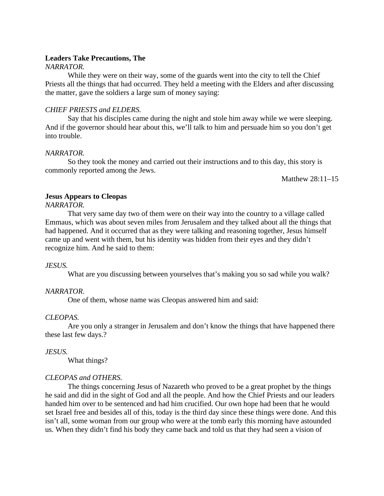### **Leaders Take Precautions, The**

### *NARRATOR.*

While they were on their way, some of the guards went into the city to tell the Chief Priests all the things that had occurred. They held a meeting with the Elders and after discussing the matter, gave the soldiers a large sum of money saying:

## *CHIEF PRIESTS and ELDERS.*

Say that his disciples came during the night and stole him away while we were sleeping. And if the governor should hear about this, we'll talk to him and persuade him so you don't get into trouble.

### *NARRATOR.*

So they took the money and carried out their instructions and to this day, this story is commonly reported among the Jews.

Matthew 28:11–15

## **Jesus Appears to Cleopas**

*NARRATOR.*

That very same day two of them were on their way into the country to a village called Emmaus, which was about seven miles from Jerusalem and they talked about all the things that had happened. And it occurred that as they were talking and reasoning together, Jesus himself came up and went with them, but his identity was hidden from their eyes and they didn't recognize him. And he said to them:

### *JESUS.*

What are you discussing between yourselves that's making you so sad while you walk?

### *NARRATOR.*

One of them, whose name was Cleopas answered him and said:

### *CLEOPAS.*

Are you only a stranger in Jerusalem and don't know the things that have happened there these last few days.?

### *JESUS.*

What things?

### *CLEOPAS and OTHERS.*

The things concerning Jesus of Nazareth who proved to be a great prophet by the things he said and did in the sight of God and all the people. And how the Chief Priests and our leaders handed him over to be sentenced and had him crucified. Our own hope had been that he would set Israel free and besides all of this, today is the third day since these things were done. And this isn't all, some woman from our group who were at the tomb early this morning have astounded us. When they didn't find his body they came back and told us that they had seen a vision of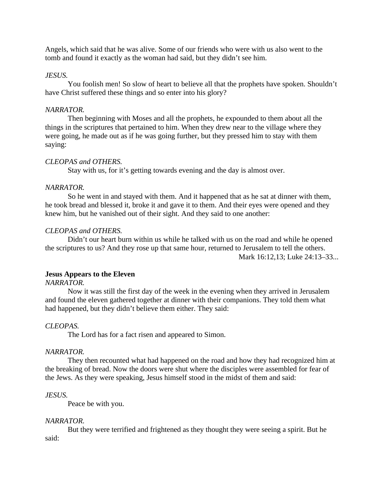Angels, which said that he was alive. Some of our friends who were with us also went to the tomb and found it exactly as the woman had said, but they didn't see him.

## *JESUS.*

You foolish men! So slow of heart to believe all that the prophets have spoken. Shouldn't have Christ suffered these things and so enter into his glory?

## *NARRATOR.*

Then beginning with Moses and all the prophets, he expounded to them about all the things in the scriptures that pertained to him. When they drew near to the village where they were going, he made out as if he was going further, but they pressed him to stay with them saying:

## *CLEOPAS and OTHERS.*

Stay with us, for it's getting towards evening and the day is almost over.

### *NARRATOR.*

So he went in and stayed with them. And it happened that as he sat at dinner with them, he took bread and blessed it, broke it and gave it to them. And their eyes were opened and they knew him, but he vanished out of their sight. And they said to one another:

## *CLEOPAS and OTHERS.*

Didn't our heart burn within us while he talked with us on the road and while he opened the scriptures to us? And they rose up that same hour, returned to Jerusalem to tell the others. Mark 16:12,13; Luke 24:13–33...

### **Jesus Appears to the Eleven**

## *NARRATOR.*

Now it was still the first day of the week in the evening when they arrived in Jerusalem and found the eleven gathered together at dinner with their companions. They told them what had happened, but they didn't believe them either. They said:

### *CLEOPAS.*

The Lord has for a fact risen and appeared to Simon.

### *NARRATOR.*

They then recounted what had happened on the road and how they had recognized him at the breaking of bread. Now the doors were shut where the disciples were assembled for fear of the Jews. As they were speaking, Jesus himself stood in the midst of them and said:

### *JESUS.*

Peace be with you.

### *NARRATOR.*

But they were terrified and frightened as they thought they were seeing a spirit. But he said: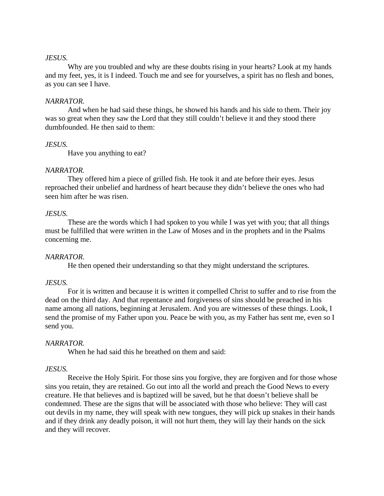### *JESUS.*

Why are you troubled and why are these doubts rising in your hearts? Look at my hands and my feet, yes, it is I indeed. Touch me and see for yourselves, a spirit has no flesh and bones, as you can see I have.

### *NARRATOR.*

And when he had said these things, he showed his hands and his side to them. Their joy was so great when they saw the Lord that they still couldn't believe it and they stood there dumbfounded. He then said to them:

### *JESUS.*

Have you anything to eat?

### *NARRATOR.*

They offered him a piece of grilled fish. He took it and ate before their eyes. Jesus reproached their unbelief and hardness of heart because they didn't believe the ones who had seen him after he was risen.

### *JESUS.*

These are the words which I had spoken to you while I was yet with you; that all things must be fulfilled that were written in the Law of Moses and in the prophets and in the Psalms concerning me.

### *NARRATOR.*

He then opened their understanding so that they might understand the scriptures.

### *JESUS.*

For it is written and because it is written it compelled Christ to suffer and to rise from the dead on the third day. And that repentance and forgiveness of sins should be preached in his name among all nations, beginning at Jerusalem. And you are witnesses of these things. Look, I send the promise of my Father upon you. Peace be with you, as my Father has sent me, even so I send you.

### *NARRATOR.*

When he had said this he breathed on them and said:

### *JESUS.*

Receive the Holy Spirit. For those sins you forgive, they are forgiven and for those whose sins you retain, they are retained. Go out into all the world and preach the Good News to every creature. He that believes and is baptized will be saved, but he that doesn't believe shall be condemned. These are the signs that will be associated with those who believe: They will cast out devils in my name, they will speak with new tongues, they will pick up snakes in their hands and if they drink any deadly poison, it will not hurt them, they will lay their hands on the sick and they will recover.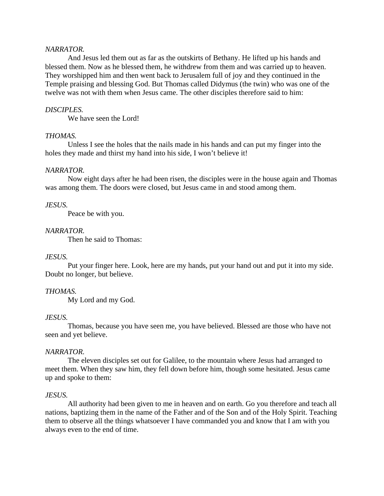### *NARRATOR.*

And Jesus led them out as far as the outskirts of Bethany. He lifted up his hands and blessed them. Now as he blessed them, he withdrew from them and was carried up to heaven. They worshipped him and then went back to Jerusalem full of joy and they continued in the Temple praising and blessing God. But Thomas called Didymus (the twin) who was one of the twelve was not with them when Jesus came. The other disciples therefore said to him:

#### *DISCIPLES.*

We have seen the Lord!

#### *THOMAS.*

Unless I see the holes that the nails made in his hands and can put my finger into the holes they made and thirst my hand into his side, I won't believe it!

#### *NARRATOR.*

Now eight days after he had been risen, the disciples were in the house again and Thomas was among them. The doors were closed, but Jesus came in and stood among them.

### *JESUS.*

Peace be with you.

### *NARRATOR.*

Then he said to Thomas:

#### *JESUS.*

Put your finger here. Look, here are my hands, put your hand out and put it into my side. Doubt no longer, but believe.

#### *THOMAS.*

My Lord and my God.

#### *JESUS.*

Thomas, because you have seen me, you have believed. Blessed are those who have not seen and yet believe.

### *NARRATOR.*

The eleven disciples set out for Galilee, to the mountain where Jesus had arranged to meet them. When they saw him, they fell down before him, though some hesitated. Jesus came up and spoke to them:

#### *JESUS.*

All authority had been given to me in heaven and on earth. Go you therefore and teach all nations, baptizing them in the name of the Father and of the Son and of the Holy Spirit. Teaching them to observe all the things whatsoever I have commanded you and know that I am with you always even to the end of time.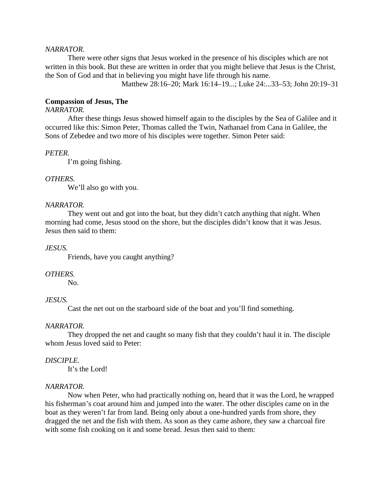### *NARRATOR.*

There were other signs that Jesus worked in the presence of his disciples which are not written in this book. But these are written in order that you might believe that Jesus is the Christ, the Son of God and that in believing you might have life through his name.

Matthew 28:16–20; Mark 16:14–19...; Luke 24:...33–53; John 20:19–31

#### **Compassion of Jesus, The**

### *NARRATOR.*

After these things Jesus showed himself again to the disciples by the Sea of Galilee and it occurred like this: Simon Peter, Thomas called the Twin, Nathanael from Cana in Galilee, the Sons of Zebedee and two more of his disciples were together. Simon Peter said:

#### *PETER.*

I'm going fishing.

### *OTHERS.*

We'll also go with you.

#### *NARRATOR.*

They went out and got into the boat, but they didn't catch anything that night. When morning had come, Jesus stood on the shore, but the disciples didn't know that it was Jesus. Jesus then said to them:

#### *JESUS.*

Friends, have you caught anything?

### *OTHERS.*

No.

### *JESUS.*

Cast the net out on the starboard side of the boat and you'll find something.

#### *NARRATOR.*

They dropped the net and caught so many fish that they couldn't haul it in. The disciple whom Jesus loved said to Peter:

#### *DISCIPLE.*

It's the Lord!

### *NARRATOR.*

Now when Peter, who had practically nothing on, heard that it was the Lord, he wrapped his fisherman's coat around him and jumped into the water. The other disciples came on in the boat as they weren't far from land. Being only about a one-hundred yards from shore, they dragged the net and the fish with them. As soon as they came ashore, they saw a charcoal fire with some fish cooking on it and some bread. Jesus then said to them: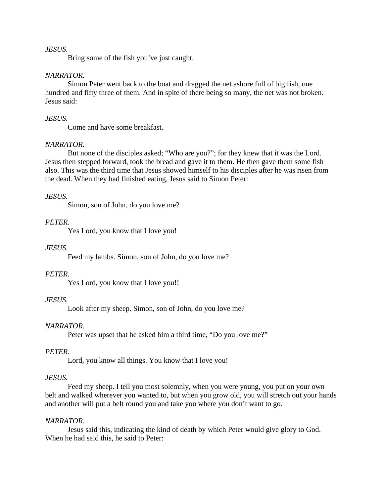### *JESUS.*

Bring some of the fish you've just caught.

### *NARRATOR.*

Simon Peter went back to the boat and dragged the net ashore full of big fish, one hundred and fifty three of them. And in spite of there being so many, the net was not broken. Jesus said:

### *JESUS.*

Come and have some breakfast.

### *NARRATOR.*

But none of the disciples asked; "Who are you?"; for they knew that it was the Lord. Jesus then stepped forward, took the bread and gave it to them. He then gave them some fish also. This was the third time that Jesus showed himself to his disciples after he was risen from the dead. When they had finished eating, Jesus said to Simon Peter:

### *JESUS.*

Simon, son of John, do you love me?

### *PETER.*

Yes Lord, you know that I love you!

### *JESUS.*

Feed my lambs. Simon, son of John, do you love me?

### *PETER.*

Yes Lord, you know that I love you!!

### *JESUS.*

Look after my sheep. Simon, son of John, do you love me?

### *NARRATOR.*

Peter was upset that he asked him a third time, "Do you love me?"

### *PETER.*

Lord, you know all things. You know that I love you!

### *JESUS.*

Feed my sheep. I tell you most solemnly, when you were young, you put on your own belt and walked wherever you wanted to, but when you grow old, you will stretch out your hands and another will put a belt round you and take you where you don't want to go.

### *NARRATOR.*

Jesus said this, indicating the kind of death by which Peter would give glory to God. When he had said this, he said to Peter: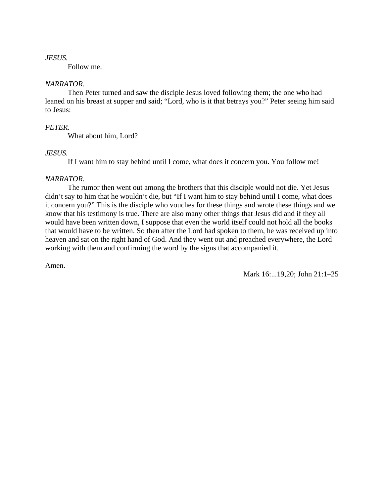### *JESUS.*

Follow me.

### *NARRATOR.*

Then Peter turned and saw the disciple Jesus loved following them; the one who had leaned on his breast at supper and said; "Lord, who is it that betrays you?" Peter seeing him said to Jesus:

## *PETER.*

What about him, Lord?

## *JESUS.*

If I want him to stay behind until I come, what does it concern you. You follow me!

## *NARRATOR.*

The rumor then went out among the brothers that this disciple would not die. Yet Jesus didn't say to him that he wouldn't die, but "If I want him to stay behind until I come, what does it concern you?" This is the disciple who vouches for these things and wrote these things and we know that his testimony is true. There are also many other things that Jesus did and if they all would have been written down, I suppose that even the world itself could not hold all the books that would have to be written. So then after the Lord had spoken to them, he was received up into heaven and sat on the right hand of God. And they went out and preached everywhere, the Lord working with them and confirming the word by the signs that accompanied it.

Amen.

Mark 16:...19,20; John 21:1–25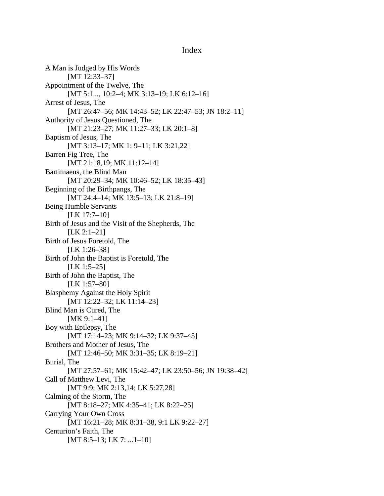### Index

A Man is Judged by His Words [MT 12:33-37] Appointment of the Twelve, The [MT 5:1..., 10:2-4; MK 3:13-19; LK 6:12-16] Arrest of Jesus, The [MT 26:47–56; MK 14:43–52; LK 22:47–53; JN 18:2–11] Authority of Jesus Questioned, The [MT 21:23-27; MK 11:27-33; LK 20:1-8] Baptism of Jesus, The [MT 3:13–17; MK 1: 9–11; LK 3:21,22] Barren Fig Tree, The [MT 21:18,19; MK 11:12-14] Bartimaeus, the Blind Man [MT 20:29-34; MK 10:46-52; LK 18:35-43] Beginning of the Birthpangs, The [MT 24:4–14; MK 13:5–13; LK 21:8–19] Being Humble Servants [LK 17:7-10] Birth of Jesus and the Visit of the Shepherds, The [LK 2:1-21] Birth of Jesus Foretold, The [LK 1:26–38] Birth of John the Baptist is Foretold, The [LK 1:5–25] Birth of John the Baptist, The [LK 1:57–80] Blasphemy Against the Holy Spirit [MT 12:22-32; LK 11:14-23] Blind Man is Cured, The [MK 9:1-41] Boy with Epilepsy, The [MT 17:14–23; MK 9:14–32; LK 9:37–45] Brothers and Mother of Jesus, The [MT 12:46–50; MK 3:31–35; LK 8:19–21] Burial, The [MT 27:57–61; MK 15:42–47; LK 23:50–56; JN 19:38–42] Call of Matthew Levi, The [MT 9:9; MK 2:13,14; LK 5:27,28] Calming of the Storm, The [MT 8:18–27; MK 4:35–41; LK 8:22–25] Carrying Your Own Cross [MT 16:21-28; MK 8:31-38, 9:1 LK 9:22-27] Centurion's Faith, The [MT 8:5-13; LK 7: ...1-10]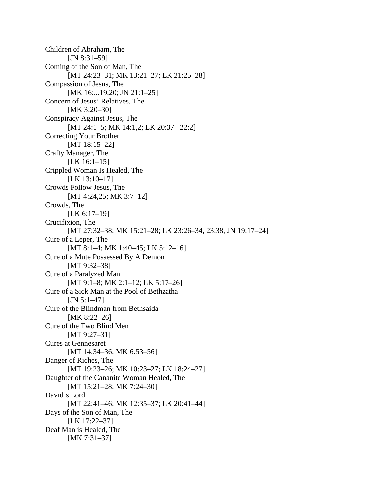Children of Abraham, The  $[JN 8:31-59]$ Coming of the Son of Man, The [MT 24:23-31; MK 13:21-27; LK 21:25-28] Compassion of Jesus, The [MK 16:...19,20; JN 21:1-25] Concern of Jesus' Relatives, The [MK 3:20-30] Conspiracy Against Jesus, The [MT 24:1–5; MK 14:1,2; LK 20:37–22:2] Correcting Your Brother [MT 18:15–22] Crafty Manager, The [LK 16:1-15] Crippled Woman Is Healed, The [LK 13:10-17] Crowds Follow Jesus, The [MT 4:24,25; MK 3:7-12] Crowds, The [LK 6:17-19] Crucifixion, The [MT 27:32-38; MK 15:21-28; LK 23:26-34, 23:38, JN 19:17-24] Cure of a Leper, The [MT 8:1–4; MK 1:40–45; LK 5:12–16] Cure of a Mute Possessed By A Demon [MT 9:32-38] Cure of a Paralyzed Man [MT 9:1–8; MK 2:1–12; LK 5:17–26] Cure of a Sick Man at the Pool of Bethzatha  $[JN 5:1-47]$ Cure of the Blindman from Bethsaida [MK 8:22–26] Cure of the Two Blind Men [MT 9:27-31] Cures at Gennesaret [MT 14:34–36; MK 6:53–56] Danger of Riches, The [MT 19:23-26; MK 10:23-27; LK 18:24-27] Daughter of the Cananite Woman Healed, The [MT 15:21-28; MK 7:24-30] David's Lord [MT 22:41-46; MK 12:35-37; LK 20:41-44] Days of the Son of Man, The [LK 17:22-37] Deaf Man is Healed, The [MK 7:31–37]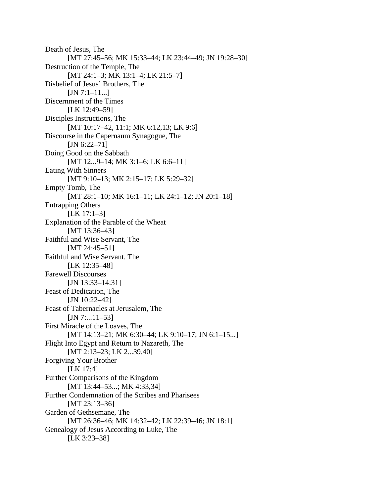Death of Jesus, The [MT 27:45–56; MK 15:33–44; LK 23:44–49; JN 19:28–30] Destruction of the Temple, The [MT 24:1–3; MK 13:1–4; LK 21:5–7] Disbelief of Jesus' Brothers, The  $[JN 7:1-11...]$ Discernment of the Times [LK 12:49-59] Disciples Instructions, The [MT 10:17-42, 11:1; MK 6:12,13; LK 9:6] Discourse in the Capernaum Synagogue, The [JN 6:22–71] Doing Good on the Sabbath [MT 12...9-14; MK 3:1-6; LK 6:6-11] Eating With Sinners [MT 9:10–13; MK 2:15–17; LK 5:29–32] Empty Tomb, The [MT 28:1-10; MK 16:1-11; LK 24:1-12; JN 20:1-18] Entrapping Others [LK 17:1–3] Explanation of the Parable of the Wheat [MT 13:36-43] Faithful and Wise Servant, The [MT 24:45–51] Faithful and Wise Servant. The [LK 12:35-48] Farewell Discourses [JN 13:33-14:31] Feast of Dedication, The [JN 10:22-42] Feast of Tabernacles at Jerusalem, The [JN 7:...11–53] First Miracle of the Loaves, The [MT 14:13-21; MK 6:30-44; LK 9:10-17; JN 6:1-15...] Flight Into Egypt and Return to Nazareth, The [MT 2:13-23; LK 2...39,40] Forgiving Your Brother [LK 17:4] Further Comparisons of the Kingdom [MT 13:44–53...; MK 4:33,34] Further Condemnation of the Scribes and Pharisees [MT 23:13-36] Garden of Gethsemane, The [MT 26:36-46; MK 14:32-42; LK 22:39-46; JN 18:1] Genealogy of Jesus According to Luke, The [LK 3:23–38]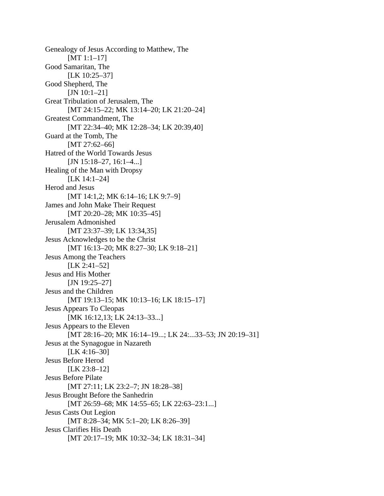Genealogy of Jesus According to Matthew, The [MT 1:1-17] Good Samaritan, The [LK 10:25–37] Good Shepherd, The [JN 10:1-21] Great Tribulation of Jerusalem, The [MT 24:15-22; MK 13:14-20; LK 21:20-24] Greatest Commandment, The [MT 22:34-40; MK 12:28-34; LK 20:39,40] Guard at the Tomb, The [MT 27:62–66] Hatred of the World Towards Jesus [JN 15:18-27, 16:1-4...] Healing of the Man with Dropsy [LK 14:1–24] Herod and Jesus [MT 14:1,2; MK 6:14-16; LK 9:7-9] James and John Make Their Request [MT 20:20–28; MK 10:35–45] Jerusalem Admonished [MT 23:37-39; LK 13:34,35] Jesus Acknowledges to be the Christ [MT 16:13-20; MK 8:27-30; LK 9:18-21] Jesus Among the Teachers [LK 2:41-52] Jesus and His Mother [JN 19:25–27] Jesus and the Children [MT 19:13-15; MK 10:13-16; LK 18:15-17] Jesus Appears To Cleopas [MK 16:12,13; LK 24:13-33...] Jesus Appears to the Eleven [MT 28:16-20; MK 16:14-19...; LK 24:...33-53; JN 20:19-31] Jesus at the Synagogue in Nazareth [LK 4:16-30] Jesus Before Herod [LK 23:8–12] Jesus Before Pilate [MT 27:11; LK 23:2-7; JN 18:28-38] Jesus Brought Before the Sanhedrin [MT 26:59–68; MK 14:55–65; LK 22:63–23:1...] Jesus Casts Out Legion [MT 8:28-34; MK 5:1-20; LK 8:26-39] Jesus Clarifies His Death [MT 20:17-19; MK 10:32-34; LK 18:31-34]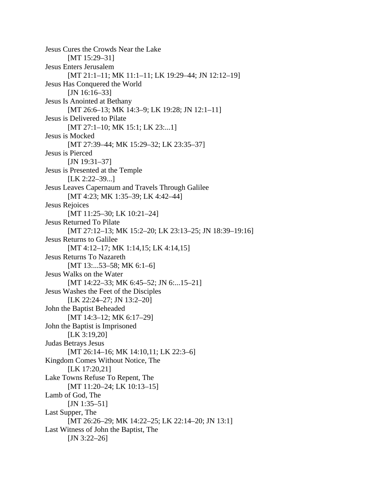Jesus Cures the Crowds Near the Lake [MT 15:29-31] Jesus Enters Jerusalem [MT 21:1-11; MK 11:1-11; LK 19:29-44; JN 12:12-19] Jesus Has Conquered the World [JN 16:16-33] Jesus Is Anointed at Bethany [MT 26:6-13; MK 14:3-9; LK 19:28; JN 12:1-11] Jesus is Delivered to Pilate [MT 27:1–10; MK 15:1; LK 23:...1] Jesus is Mocked [MT 27:39-44; MK 15:29-32; LK 23:35-37] Jesus is Pierced [JN 19:31–37] Jesus is Presented at the Temple [LK 2:22-39...] Jesus Leaves Capernaum and Travels Through Galilee [MT 4:23; MK 1:35-39; LK 4:42-44] Jesus Rejoices [MT 11:25–30; LK 10:21–24] Jesus Returned To Pilate [MT 27:12-13; MK 15:2-20; LK 23:13-25; JN 18:39-19:16] Jesus Returns to Galilee [MT 4:12–17; MK 1:14,15; LK 4:14,15] Jesus Returns To Nazareth [MT 13:...53–58; MK 6:1–6] Jesus Walks on the Water [MT 14:22-33; MK 6:45-52; JN 6:...15-21] Jesus Washes the Feet of the Disciples [LK 22:24–27; JN 13:2–20] John the Baptist Beheaded [MT 14:3-12; MK 6:17-29] John the Baptist is Imprisoned [LK 3:19,20] Judas Betrays Jesus [MT 26:14–16; MK 14:10,11; LK 22:3–6] Kingdom Comes Without Notice, The [LK 17:20,21] Lake Towns Refuse To Repent, The [MT 11:20-24; LK 10:13-15] Lamb of God, The [JN 1:35–51] Last Supper, The [MT 26:26-29; MK 14:22-25; LK 22:14-20; JN 13:1] Last Witness of John the Baptist, The [JN 3:22-26]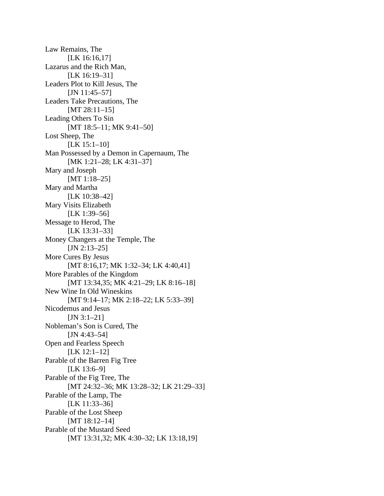Law Remains, The [LK 16:16,17] Lazarus and the Rich Man, [LK 16:19-31] Leaders Plot to Kill Jesus, The [JN 11:45–57] Leaders Take Precautions, The [MT 28:11-15] Leading Others To Sin [MT 18:5-11; MK 9:41-50] Lost Sheep, The [LK 15:1–10] Man Possessed by a Demon in Capernaum, The [MK 1:21–28; LK 4:31–37] Mary and Joseph [MT 1:18-25] Mary and Martha [LK 10:38–42] Mary Visits Elizabeth [LK 1:39-56] Message to Herod, The [LK 13:31–33] Money Changers at the Temple, The  $[JN 2:13-25]$ More Cures By Jesus [MT 8:16,17; MK 1:32-34; LK 4:40,41] More Parables of the Kingdom [MT 13:34,35; MK 4:21-29; LK 8:16-18] New Wine In Old Wineskins [MT 9:14-17; MK 2:18-22; LK 5:33-39] Nicodemus and Jesus  $[JN 3:1-21]$ Nobleman's Son is Cured, The [JN 4:43-54] Open and Fearless Speech [LK 12:1–12] Parable of the Barren Fig Tree [LK 13:6–9] Parable of the Fig Tree, The [MT 24:32-36; MK 13:28-32; LK 21:29-33] Parable of the Lamp, The [LK 11:33-36] Parable of the Lost Sheep [MT 18:12-14] Parable of the Mustard Seed [MT 13:31,32; MK 4:30-32; LK 13:18,19]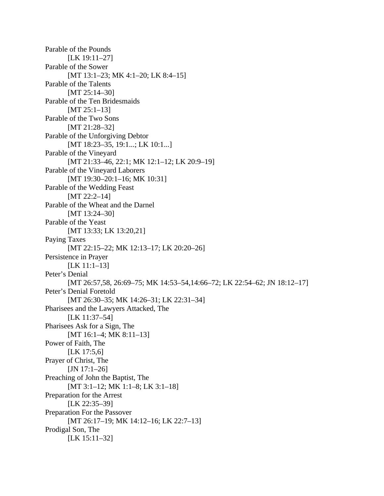Parable of the Pounds [LK 19:11-27] Parable of the Sower [MT 13:1-23; MK 4:1-20; LK 8:4-15] Parable of the Talents [MT 25:14-30] Parable of the Ten Bridesmaids [MT 25:1-13] Parable of the Two Sons [MT 21:28-32] Parable of the Unforgiving Debtor [MT 18:23-35, 19:1...; LK 10:1...] Parable of the Vineyard [MT 21:33-46, 22:1; MK 12:1-12; LK 20:9-19] Parable of the Vineyard Laborers [MT 19:30–20:1–16; MK 10:31] Parable of the Wedding Feast [MT 22:2-14] Parable of the Wheat and the Darnel [MT 13:24-30] Parable of the Yeast [MT 13:33; LK 13:20,21] Paying Taxes [MT 22:15–22; MK 12:13–17; LK 20:20–26] Persistence in Prayer [LK 11:1–13] Peter's Denial [MT 26:57,58, 26:69–75; MK 14:53–54,14:66–72; LK 22:54–62; JN 18:12–17] Peter's Denial Foretold [MT 26:30–35; MK 14:26–31; LK 22:31–34] Pharisees and the Lawyers Attacked, The [LK 11:37–54] Pharisees Ask for a Sign, The [MT 16:1–4; MK 8:11–13] Power of Faith, The [LK 17:5,6] Prayer of Christ, The [JN 17:1-26] Preaching of John the Baptist, The [MT 3:1-12; MK 1:1-8; LK 3:1-18] Preparation for the Arrest [LK 22:35–39] Preparation For the Passover [MT 26:17-19; MK 14:12-16; LK 22:7-13] Prodigal Son, The [LK 15:11–32]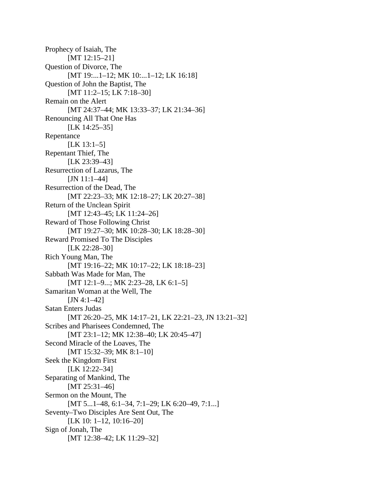Prophecy of Isaiah, The [MT 12:15–21] Question of Divorce, The [MT 19:...1-12; MK 10:...1-12; LK 16:18] Question of John the Baptist, The [MT 11:2-15; LK 7:18-30] Remain on the Alert [MT 24:37-44; MK 13:33-37; LK 21:34-36] Renouncing All That One Has [LK 14:25–35] Repentance  $[LK 13:1-5]$ Repentant Thief, The [LK 23:39–43] Resurrection of Lazarus, The [JN 11:1-44] Resurrection of the Dead, The [MT 22:23-33; MK 12:18-27; LK 20:27-38] Return of the Unclean Spirit [MT 12:43-45; LK 11:24-26] Reward of Those Following Christ [MT 19:27-30; MK 10:28-30; LK 18:28-30] Reward Promised To The Disciples [LK 22:28-30] Rich Young Man, The [MT 19:16-22; MK 10:17-22; LK 18:18-23] Sabbath Was Made for Man, The [MT 12:1–9...; MK 2:23–28, LK 6:1–5] Samaritan Woman at the Well, The  $[JN 4:1-42]$ Satan Enters Judas [MT 26:20–25, MK 14:17–21, LK 22:21–23, JN 13:21–32] Scribes and Pharisees Condemned, The [MT 23:1-12; MK 12:38-40; LK 20:45-47] Second Miracle of the Loaves, The [MT 15:32-39; MK 8:1-10] Seek the Kingdom First [LK 12:22-34] Separating of Mankind, The [MT 25:31-46] Sermon on the Mount, The [MT 5...1–48, 6:1–34, 7:1–29; LK 6:20–49, 7:1...] Seventy–Two Disciples Are Sent Out, The [LK 10: 1–12, 10:16–20] Sign of Jonah, The [MT 12:38-42; LK 11:29-32]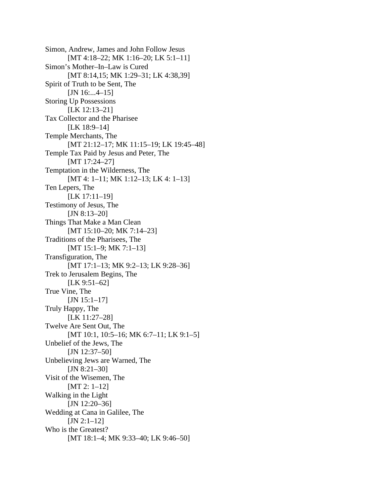Simon, Andrew, James and John Follow Jesus [MT 4:18-22; MK 1:16-20; LK 5:1-11] Simon's Mother–In–Law is Cured [MT 8:14,15; MK 1:29–31; LK 4:38,39] Spirit of Truth to be Sent, The [JN 16:...4-15] Storing Up Possessions [LK 12:13-21] Tax Collector and the Pharisee [LK 18:9–14] Temple Merchants, The [MT 21:12-17; MK 11:15-19; LK 19:45-48] Temple Tax Paid by Jesus and Peter, The [MT 17:24-27] Temptation in the Wilderness, The [MT 4: 1-11; MK 1:12-13; LK 4: 1-13] Ten Lepers, The [LK 17:11–19] Testimony of Jesus, The  $[JN 8:13-20]$ Things That Make a Man Clean [MT 15:10-20; MK 7:14-23] Traditions of the Pharisees, The [MT 15:1–9; MK 7:1–13] Transfiguration, The [MT 17:1-13; MK 9:2-13; LK 9:28-36] Trek to Jerusalem Begins, The [LK 9:51–62] True Vine, The [JN 15:1-17] Truly Happy, The [LK 11:27–28] Twelve Are Sent Out, The [MT 10:1, 10:5-16; MK 6:7-11; LK 9:1-5] Unbelief of the Jews, The [JN 12:37-50] Unbelieving Jews are Warned, The  $[JN 8:21-30]$ Visit of the Wisemen, The [MT 2: 1–12] Walking in the Light [JN 12:20-36] Wedding at Cana in Galilee, The  $[JN 2:1-12]$ Who is the Greatest? [MT 18:1-4; MK 9:33-40; LK 9:46-50]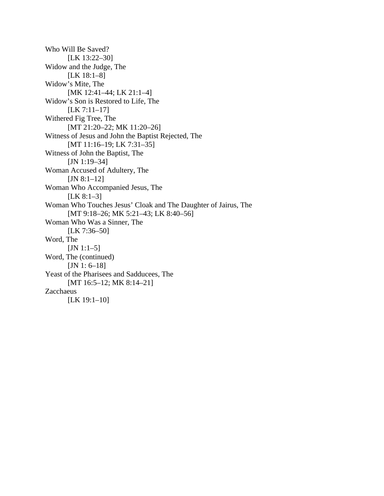Who Will Be Saved? [LK 13:22–30] Widow and the Judge, The [LK 18:1–8] Widow's Mite, The [MK 12:41–44; LK 21:1–4] Widow's Son is Restored to Life, The [LK 7:11–17] Withered Fig Tree, The [MT 21:20-22; MK 11:20-26] Witness of Jesus and John the Baptist Rejected, The [MT 11:16-19; LK 7:31-35] Witness of John the Baptist, The [JN 1:19-34] Woman Accused of Adultery, The  $[JN 8:1-12]$ Woman Who Accompanied Jesus, The  $[LK 8:1-3]$ Woman Who Touches Jesus' Cloak and The Daughter of Jairus, The [MT 9:18-26; MK 5:21-43; LK 8:40-56] Woman Who Was a Sinner, The [LK 7:36-50] Word, The  $[JN 1:1-5]$ Word, The (continued) [JN 1: 6–18] Yeast of the Pharisees and Sadducees, The [MT 16:5–12; MK 8:14–21] Zacchaeus [LK 19:1-10]